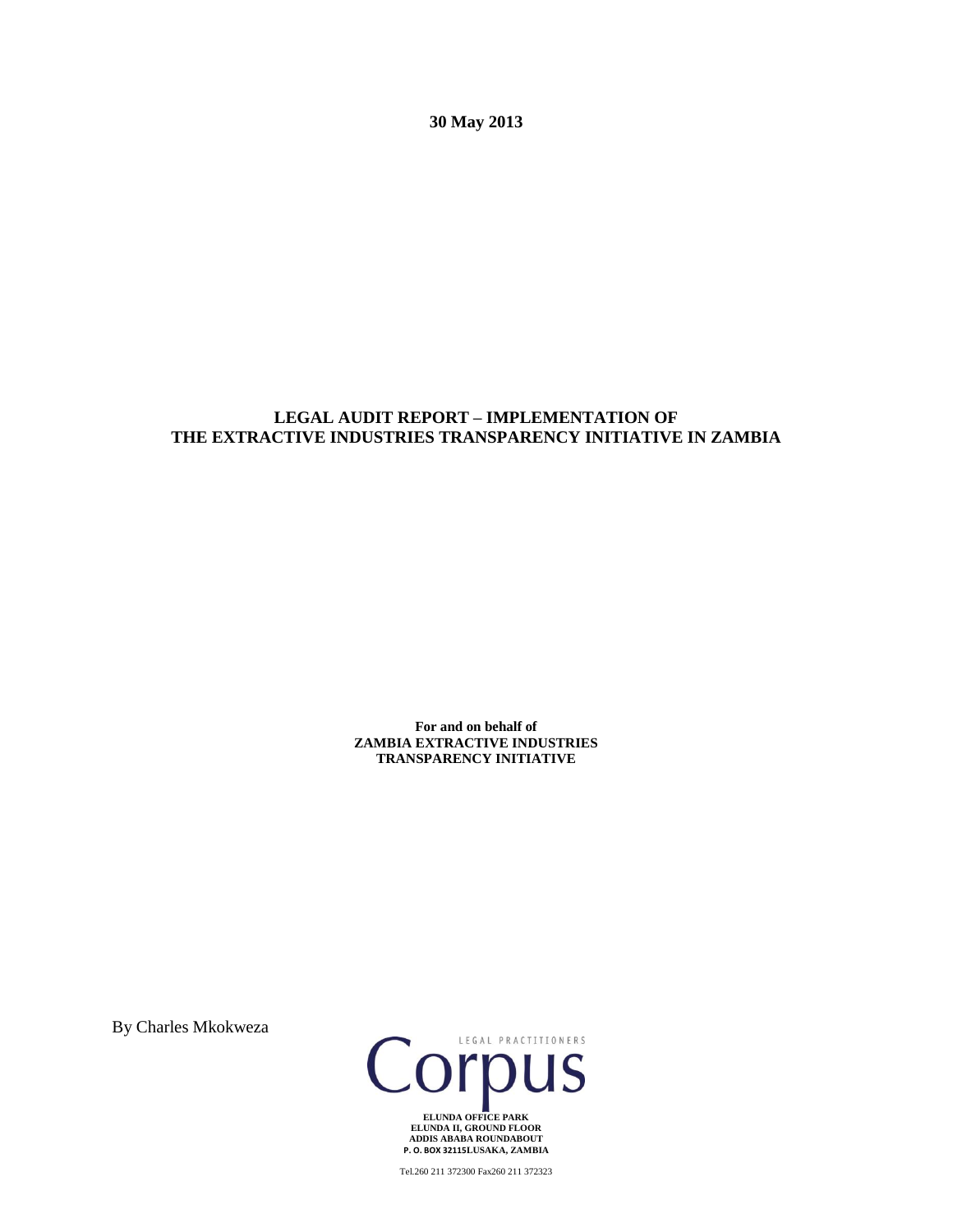**30 May 2013**

# **LEGAL AUDIT REPORT – IMPLEMENTATION OF THE EXTRACTIVE INDUSTRIES TRANSPARENCY INITIATIVE IN ZAMBIA**

**For and on behalf of ZAMBIA EXTRACTIVE INDUSTRIES TRANSPARENCY INITIATIVE**

By Charles Mkokweza



Tel.260 211 372300 Fax260 211 372323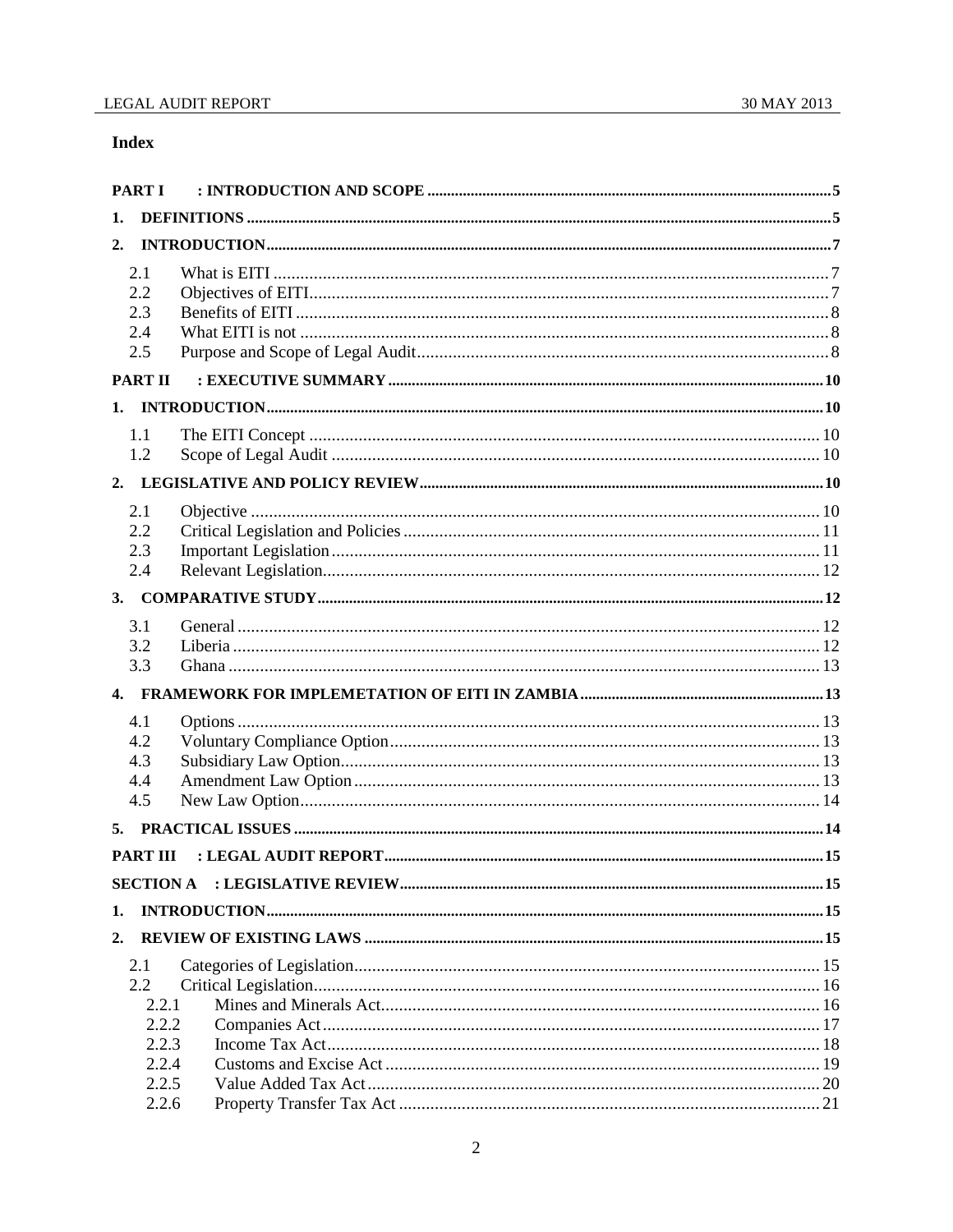# **Index**

| <b>PARTI</b>                    |                                                               |  |  |  |  |
|---------------------------------|---------------------------------------------------------------|--|--|--|--|
| 1.                              |                                                               |  |  |  |  |
| 2.                              |                                                               |  |  |  |  |
| 2.1<br>2.2<br>2.3<br>2.4<br>2.5 |                                                               |  |  |  |  |
|                                 | <b>PART II</b>                                                |  |  |  |  |
|                                 |                                                               |  |  |  |  |
| 1.1<br>1.2                      |                                                               |  |  |  |  |
|                                 |                                                               |  |  |  |  |
| 2.1<br>2.2<br>2.3<br>2.4        |                                                               |  |  |  |  |
|                                 |                                                               |  |  |  |  |
| 3.1<br>3.2<br>3.3               |                                                               |  |  |  |  |
|                                 |                                                               |  |  |  |  |
| 4.1<br>4.2<br>4.3<br>4.4<br>4.5 |                                                               |  |  |  |  |
| 5.                              |                                                               |  |  |  |  |
|                                 | <b>PART III</b>                                               |  |  |  |  |
|                                 |                                                               |  |  |  |  |
| 1.                              |                                                               |  |  |  |  |
| 2.                              |                                                               |  |  |  |  |
| 2.1                             | $2.2\,$<br>2.2.1<br>2.2.2<br>2.2.3<br>2.2.4<br>2.2.5<br>2.2.6 |  |  |  |  |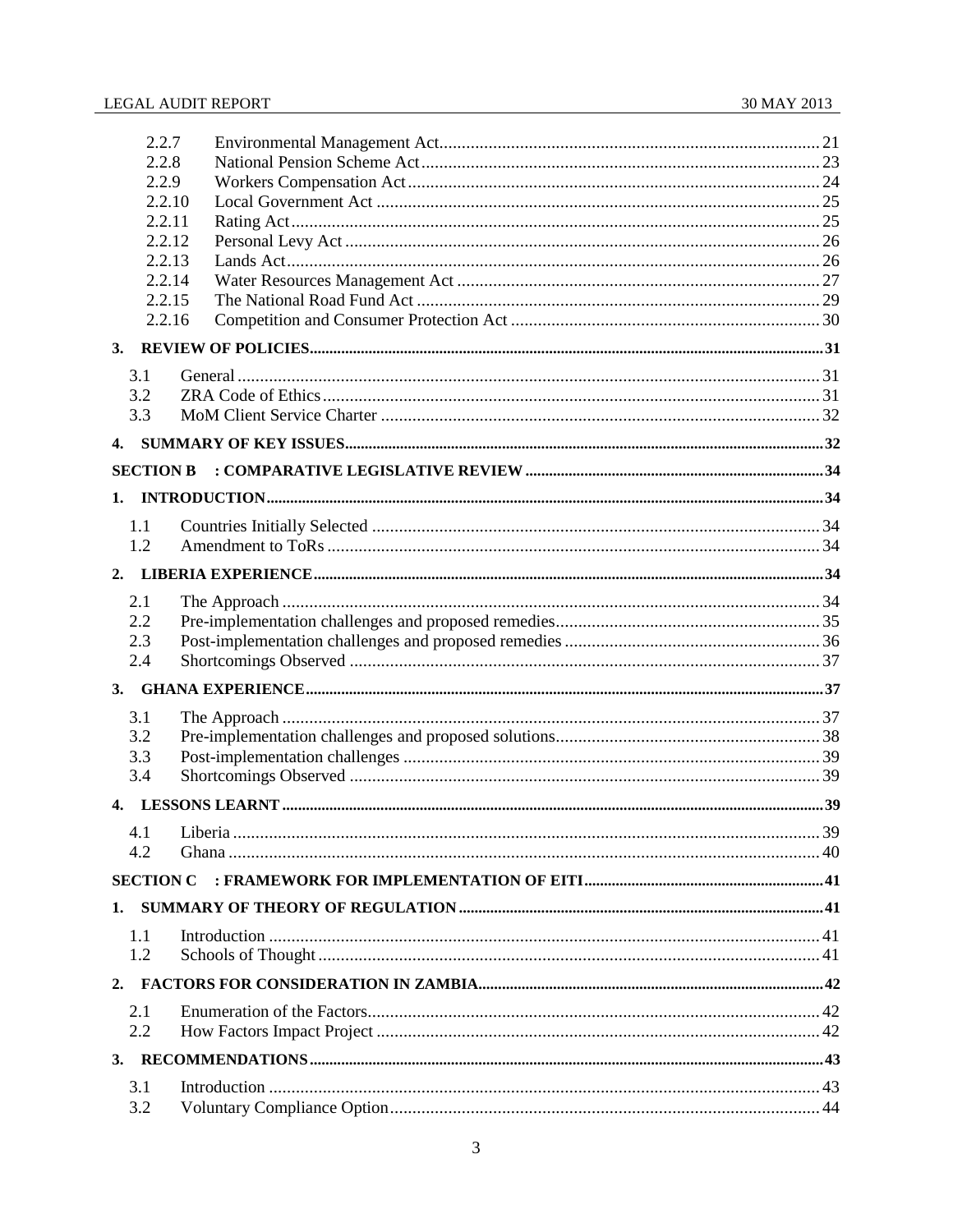| 2.2.7            |  |     |  |  |
|------------------|--|-----|--|--|
| 2.2.8            |  |     |  |  |
| 2.2.9            |  |     |  |  |
| 2.2.10           |  |     |  |  |
| 2.2.11           |  |     |  |  |
| 2.2.12           |  |     |  |  |
| 2.2.13           |  |     |  |  |
| 2.2.14<br>2.2.15 |  |     |  |  |
| 2.2.16           |  |     |  |  |
|                  |  |     |  |  |
| 3.               |  |     |  |  |
| 3.1              |  |     |  |  |
| 3.2              |  |     |  |  |
| 3.3              |  |     |  |  |
| 4.               |  |     |  |  |
| <b>SECTION B</b> |  |     |  |  |
|                  |  |     |  |  |
| 1.               |  |     |  |  |
| 1.1              |  |     |  |  |
| 1.2              |  |     |  |  |
| 2.               |  |     |  |  |
| 2.1              |  |     |  |  |
| 2.2              |  |     |  |  |
| 2.3              |  |     |  |  |
| 2.4              |  |     |  |  |
| 3.               |  |     |  |  |
| 3.1              |  |     |  |  |
| 3.2              |  |     |  |  |
| 3.3              |  |     |  |  |
| 3.4              |  |     |  |  |
| 4.               |  |     |  |  |
|                  |  | .39 |  |  |
| 4.2              |  |     |  |  |
|                  |  |     |  |  |
| 1.               |  |     |  |  |
|                  |  |     |  |  |
| 1.1<br>1.2       |  |     |  |  |
|                  |  |     |  |  |
| 2.               |  |     |  |  |
| 2.1              |  |     |  |  |
| 2.2              |  |     |  |  |
| 3.               |  |     |  |  |
| 3.1              |  |     |  |  |
| 3.2              |  |     |  |  |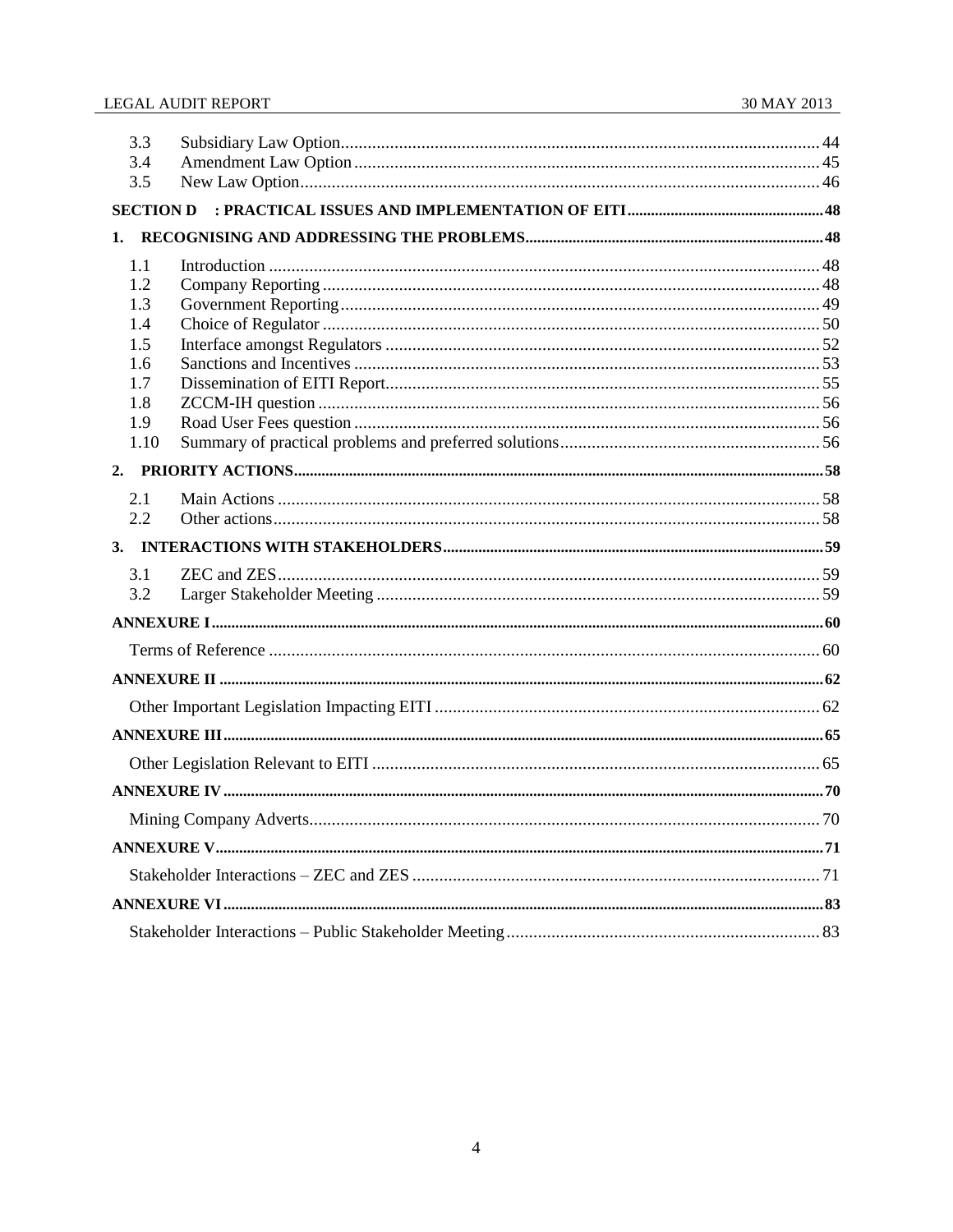| 3.3<br>3.4 |  |  |  |
|------------|--|--|--|
| 3.5        |  |  |  |
|            |  |  |  |
| 1.         |  |  |  |
| 1.1        |  |  |  |
| 1.2        |  |  |  |
| 1.3        |  |  |  |
| 1.4        |  |  |  |
| 1.5        |  |  |  |
| 1.6        |  |  |  |
| 1.7<br>1.8 |  |  |  |
| 1.9        |  |  |  |
| 1.10       |  |  |  |
|            |  |  |  |
| 2.1        |  |  |  |
| 2.2        |  |  |  |
|            |  |  |  |
| 3.1        |  |  |  |
| 3.2        |  |  |  |
|            |  |  |  |
|            |  |  |  |
|            |  |  |  |
|            |  |  |  |
|            |  |  |  |
|            |  |  |  |
|            |  |  |  |
|            |  |  |  |
|            |  |  |  |
|            |  |  |  |
|            |  |  |  |
|            |  |  |  |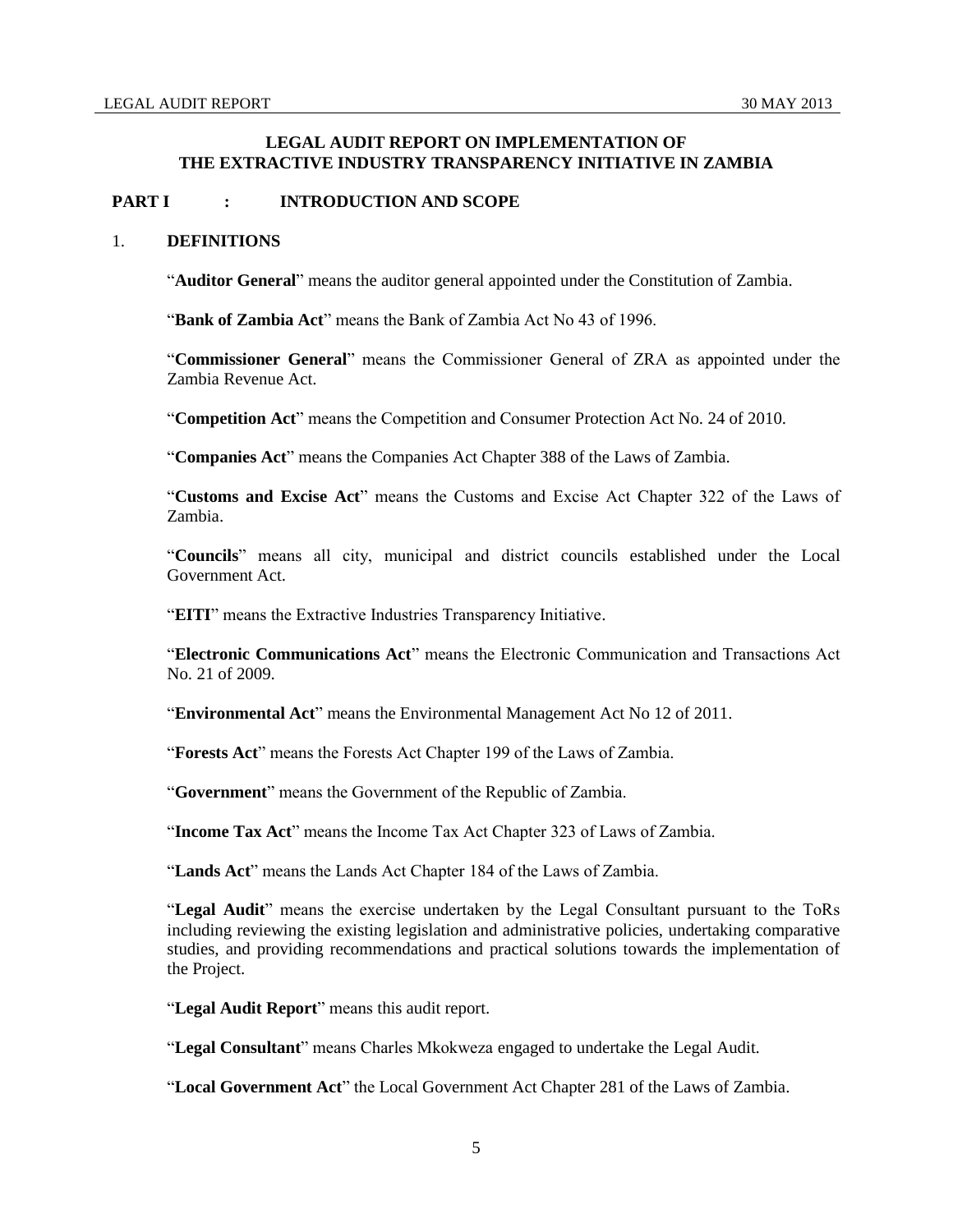# **LEGAL AUDIT REPORT ON IMPLEMENTATION OF THE EXTRACTIVE INDUSTRY TRANSPARENCY INITIATIVE IN ZAMBIA**

# <span id="page-4-0"></span>**PART I : INTRODUCTION AND SCOPE**

## <span id="page-4-1"></span>1. **DEFINITIONS**

"**Auditor General**" means the auditor general appointed under the Constitution of Zambia.

"**Bank of Zambia Act**" means the Bank of Zambia Act No 43 of 1996.

"**Commissioner General**" means the Commissioner General of ZRA as appointed under the Zambia Revenue Act.

"**Competition Act**" means the Competition and Consumer Protection Act No. 24 of 2010.

"**Companies Act**" means the Companies Act Chapter 388 of the Laws of Zambia.

"**Customs and Excise Act**" means the Customs and Excise Act Chapter 322 of the Laws of Zambia.

"**Councils**" means all city, municipal and district councils established under the Local Government Act.

"**EITI**" means the Extractive Industries Transparency Initiative.

"**Electronic Communications Act**" means the Electronic Communication and Transactions Act No. 21 of 2009.

"**Environmental Act**" means the Environmental Management Act No 12 of 2011.

"**Forests Act**" means the Forests Act Chapter 199 of the Laws of Zambia.

"**Government**" means the Government of the Republic of Zambia.

"**Income Tax Act**" means the Income Tax Act Chapter 323 of Laws of Zambia.

"**Lands Act**" means the Lands Act Chapter 184 of the Laws of Zambia.

"**Legal Audit**" means the exercise undertaken by the Legal Consultant pursuant to the ToRs including reviewing the existing legislation and administrative policies, undertaking comparative studies, and providing recommendations and practical solutions towards the implementation of the Project.

"**Legal Audit Report**" means this audit report.

"**Legal Consultant**" means Charles Mkokweza engaged to undertake the Legal Audit.

"**Local Government Act**" the Local Government Act Chapter 281 of the Laws of Zambia.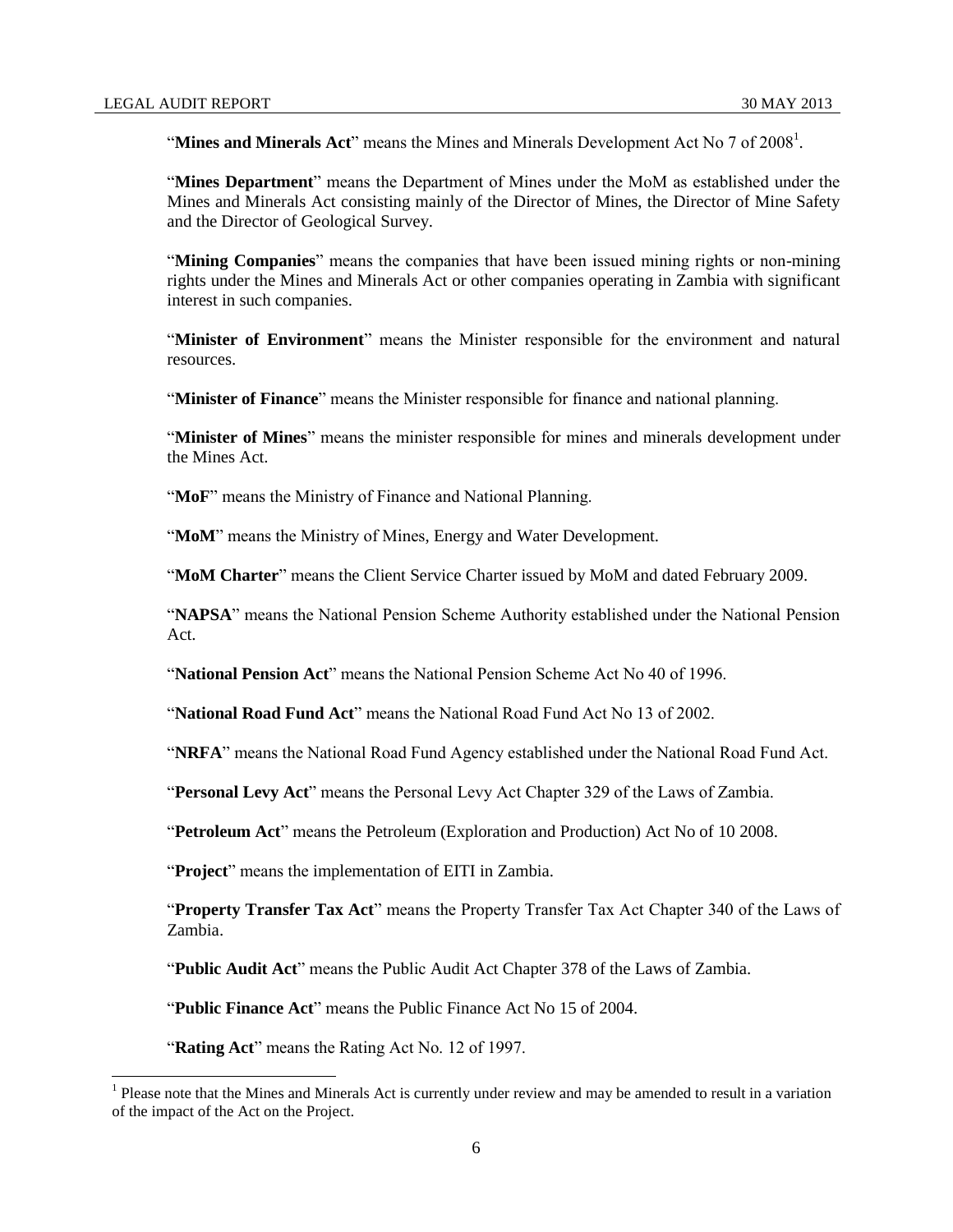"Mines and Minerals Act" means the Mines and Minerals Development Act No 7 of 2008<sup>1</sup>.

"**Mines Department**" means the Department of Mines under the MoM as established under the Mines and Minerals Act consisting mainly of the Director of Mines, the Director of Mine Safety and the Director of Geological Survey.

"**Mining Companies**" means the companies that have been issued mining rights or non-mining rights under the Mines and Minerals Act or other companies operating in Zambia with significant interest in such companies.

"**Minister of Environment**" means the Minister responsible for the environment and natural resources.

"**Minister of Finance**" means the Minister responsible for finance and national planning.

"**Minister of Mines**" means the minister responsible for mines and minerals development under the Mines Act.

"MoF" means the Ministry of Finance and National Planning.

"**MoM**" means the Ministry of Mines, Energy and Water Development.

"**MoM Charter**" means the Client Service Charter issued by MoM and dated February 2009.

"**NAPSA**" means the National Pension Scheme Authority established under the National Pension Act.

"**National Pension Act**" means the National Pension Scheme Act No 40 of 1996.

"**National Road Fund Act**" means the National Road Fund Act No 13 of 2002.

"**NRFA**" means the National Road Fund Agency established under the National Road Fund Act.

"**Personal Levy Act**" means the Personal Levy Act Chapter 329 of the Laws of Zambia.

"**Petroleum Act**" means the Petroleum (Exploration and Production) Act No of 10 2008.

"**Project**" means the implementation of EITI in Zambia.

"**Property Transfer Tax Act**" means the Property Transfer Tax Act Chapter 340 of the Laws of Zambia.

"**Public Audit Act**" means the Public Audit Act Chapter 378 of the Laws of Zambia.

"**Public Finance Act**" means the Public Finance Act No 15 of 2004.

"**Rating Act**" means the Rating Act No. 12 of 1997.

<sup>&</sup>lt;sup>1</sup> Please note that the Mines and Minerals Act is currently under review and may be amended to result in a variation of the impact of the Act on the Project.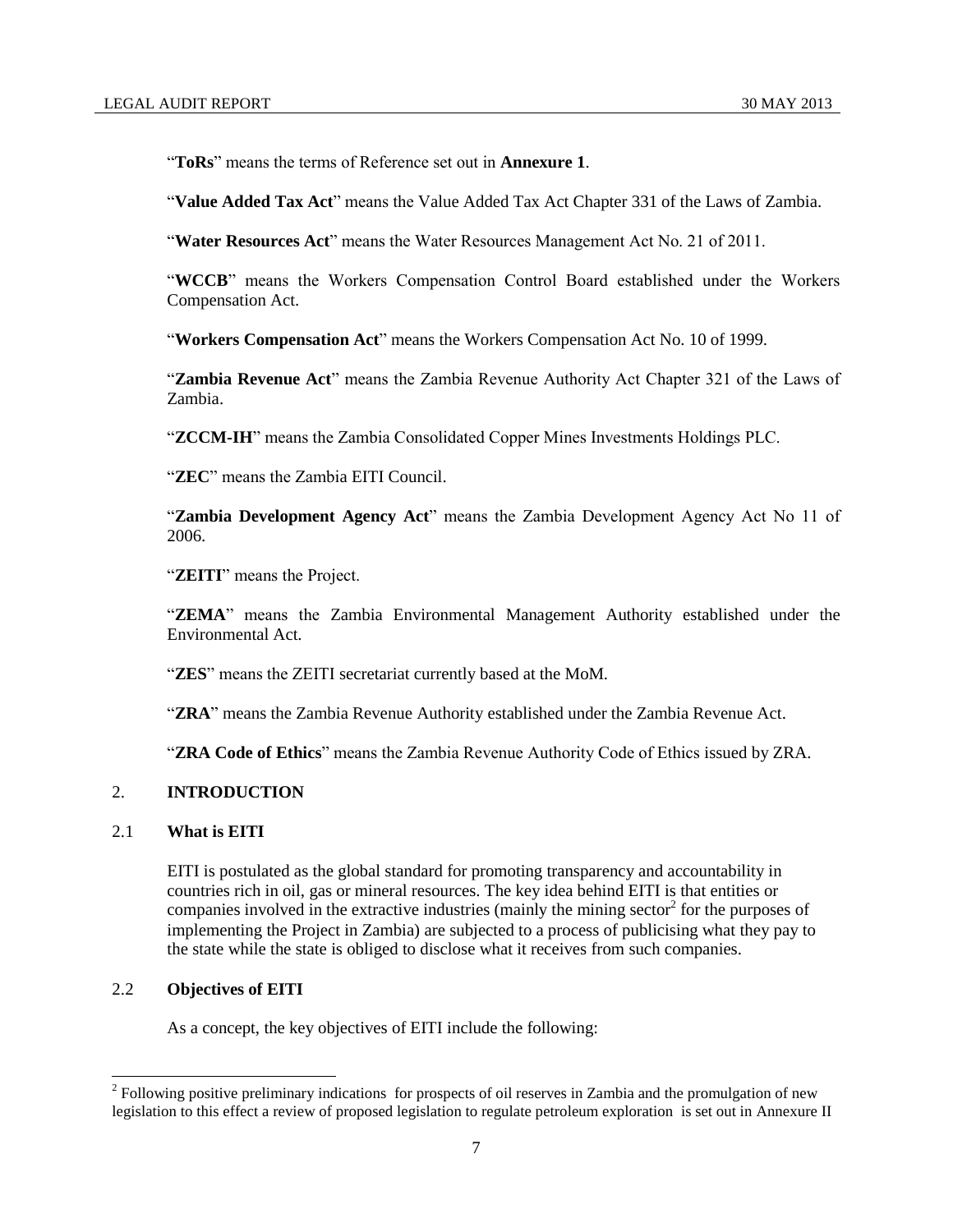"**ToRs**" means the terms of Reference set out in **Annexure 1**.

"**Value Added Tax Act**" means the Value Added Tax Act Chapter 331 of the Laws of Zambia.

"**Water Resources Act**" means the Water Resources Management Act No. 21 of 2011.

"**WCCB**" means the Workers Compensation Control Board established under the Workers Compensation Act.

"**Workers Compensation Act**" means the Workers Compensation Act No. 10 of 1999.

"**Zambia Revenue Act**" means the Zambia Revenue Authority Act Chapter 321 of the Laws of Zambia.

"**ZCCM-IH**" means the Zambia Consolidated Copper Mines Investments Holdings PLC.

"**ZEC**" means the Zambia EITI Council.

"**Zambia Development Agency Act**" means the Zambia Development Agency Act No 11 of 2006.

"**ZEITI**" means the Project.

"**ZEMA**" means the Zambia Environmental Management Authority established under the Environmental Act.

"**ZES**" means the ZEITI secretariat currently based at the MoM.

"**ZRA**" means the Zambia Revenue Authority established under the Zambia Revenue Act.

"**ZRA Code of Ethics**" means the Zambia Revenue Authority Code of Ethics issued by ZRA.

# <span id="page-6-0"></span>2. **INTRODUCTION**

## <span id="page-6-1"></span>2.1 **What is EITI**

EITI is postulated as the global standard for promoting transparency and accountability in countries rich in oil, gas or mineral resources. The key idea behind EITI is that entities or companies involved in the extractive industries (mainly the mining sector<sup>2</sup> for the purposes of implementing the Project in Zambia) are subjected to a process of publicising what they pay to the state while the state is obliged to disclose what it receives from such companies.

## <span id="page-6-2"></span>2.2 **Objectives of EITI**

l

As a concept, the key objectives of EITI include the following:

 $2^2$  Following positive preliminary indications for prospects of oil reserves in Zambia and the promulgation of new legislation to this effect a review of proposed legislation to regulate petroleum exploration is set out in Annexure II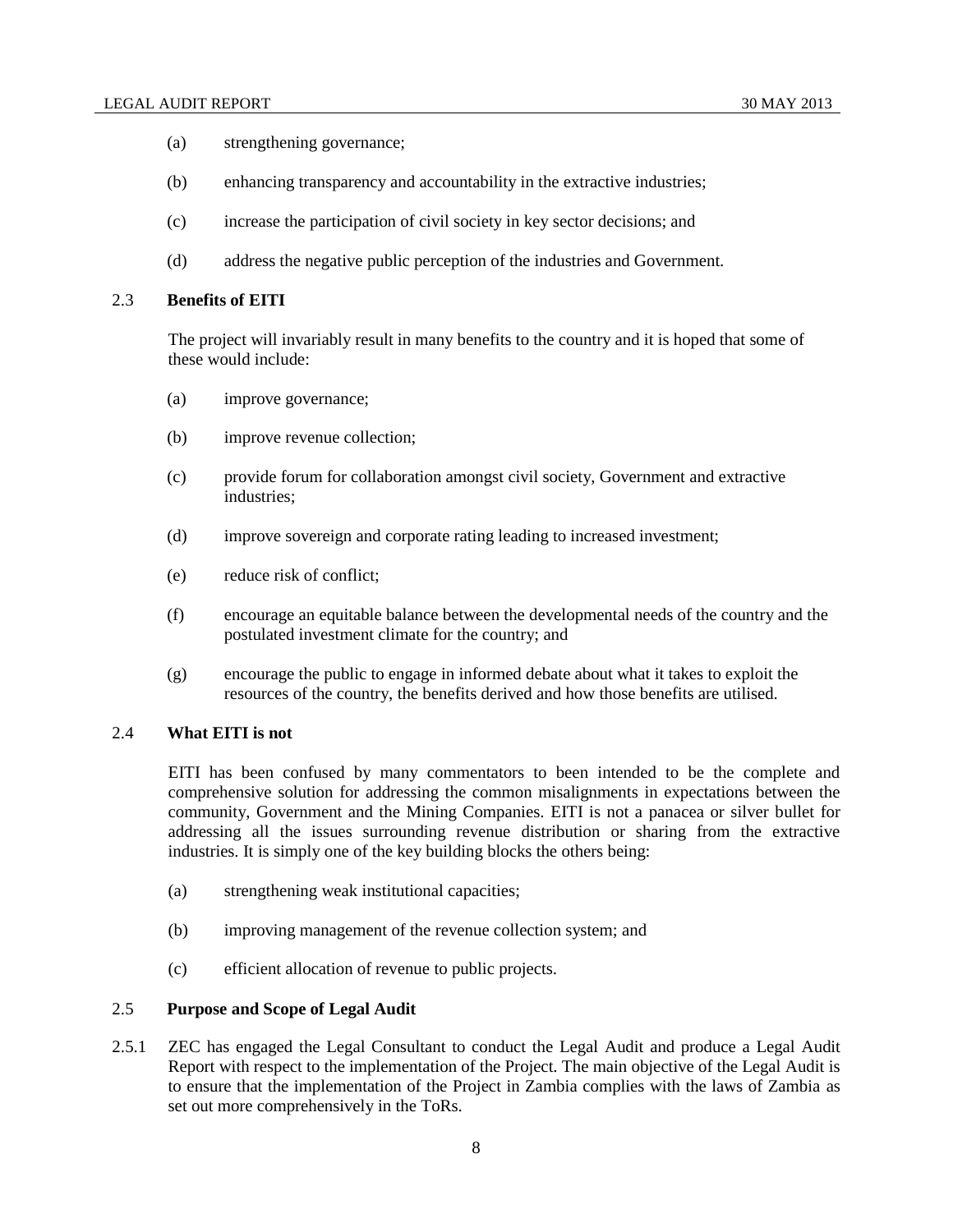- (a) strengthening governance;
- (b) enhancing transparency and accountability in the extractive industries;
- (c) increase the participation of civil society in key sector decisions; and
- (d) address the negative public perception of the industries and Government.

## <span id="page-7-0"></span>2.3 **Benefits of EITI**

The project will invariably result in many benefits to the country and it is hoped that some of these would include:

- (a) improve governance;
- (b) improve revenue collection;
- (c) provide forum for collaboration amongst civil society, Government and extractive industries;
- (d) improve sovereign and corporate rating leading to increased investment;
- (e) reduce risk of conflict;
- (f) encourage an equitable balance between the developmental needs of the country and the postulated investment climate for the country; and
- (g) encourage the public to engage in informed debate about what it takes to exploit the resources of the country, the benefits derived and how those benefits are utilised.

# <span id="page-7-1"></span>2.4 **What EITI is not**

EITI has been confused by many commentators to been intended to be the complete and comprehensive solution for addressing the common misalignments in expectations between the community, Government and the Mining Companies. EITI is not a panacea or silver bullet for addressing all the issues surrounding revenue distribution or sharing from the extractive industries. It is simply one of the key building blocks the others being:

- (a) strengthening weak institutional capacities;
- (b) improving management of the revenue collection system; and
- (c) efficient allocation of revenue to public projects.

# <span id="page-7-2"></span>2.5 **Purpose and Scope of Legal Audit**

2.5.1 ZEC has engaged the Legal Consultant to conduct the Legal Audit and produce a Legal Audit Report with respect to the implementation of the Project. The main objective of the Legal Audit is to ensure that the implementation of the Project in Zambia complies with the laws of Zambia as set out more comprehensively in the ToRs.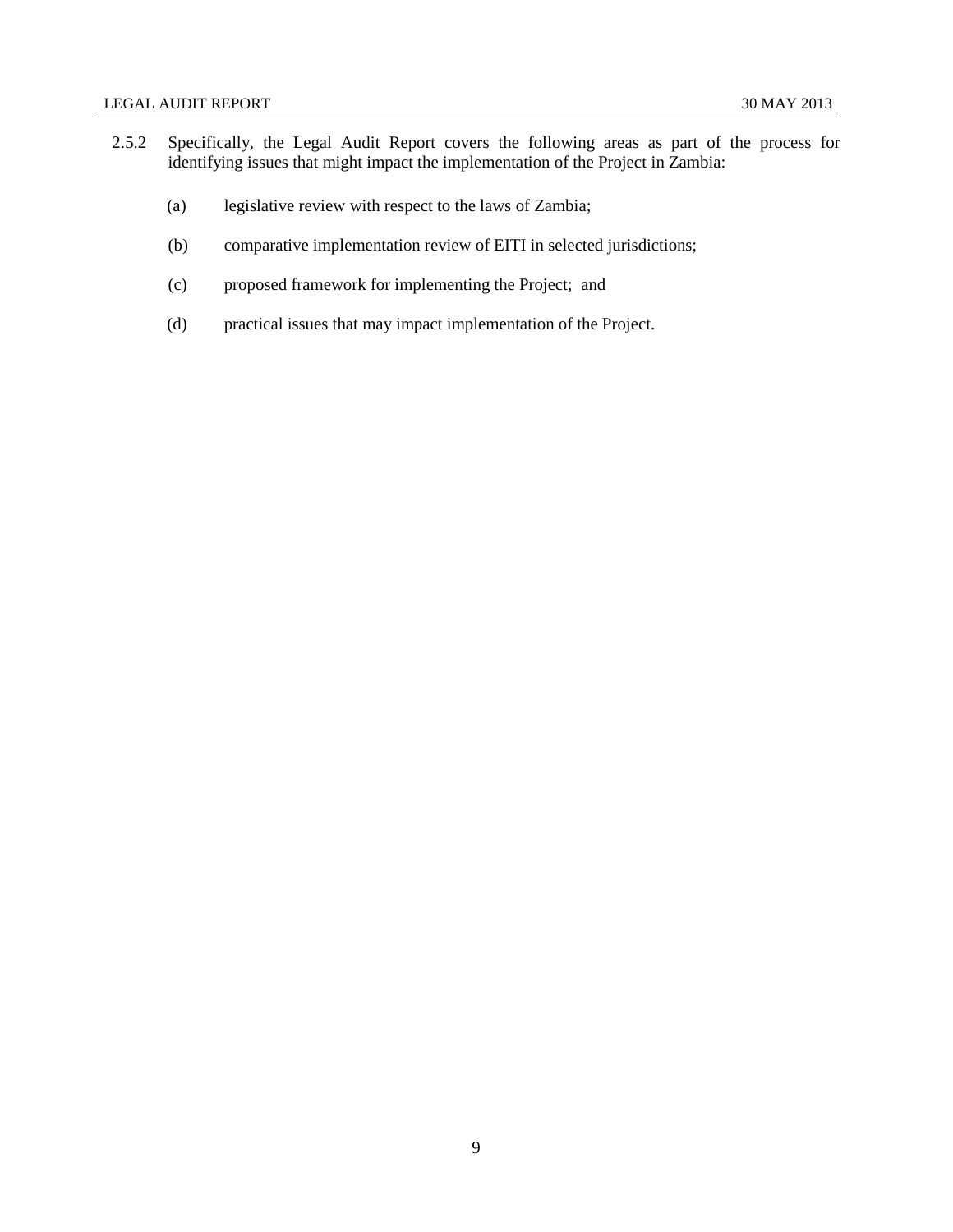- 2.5.2 Specifically, the Legal Audit Report covers the following areas as part of the process for identifying issues that might impact the implementation of the Project in Zambia:
	- (a) legislative review with respect to the laws of Zambia;
	- (b) comparative implementation review of EITI in selected jurisdictions;
	- (c) proposed framework for implementing the Project; and
	- (d) practical issues that may impact implementation of the Project.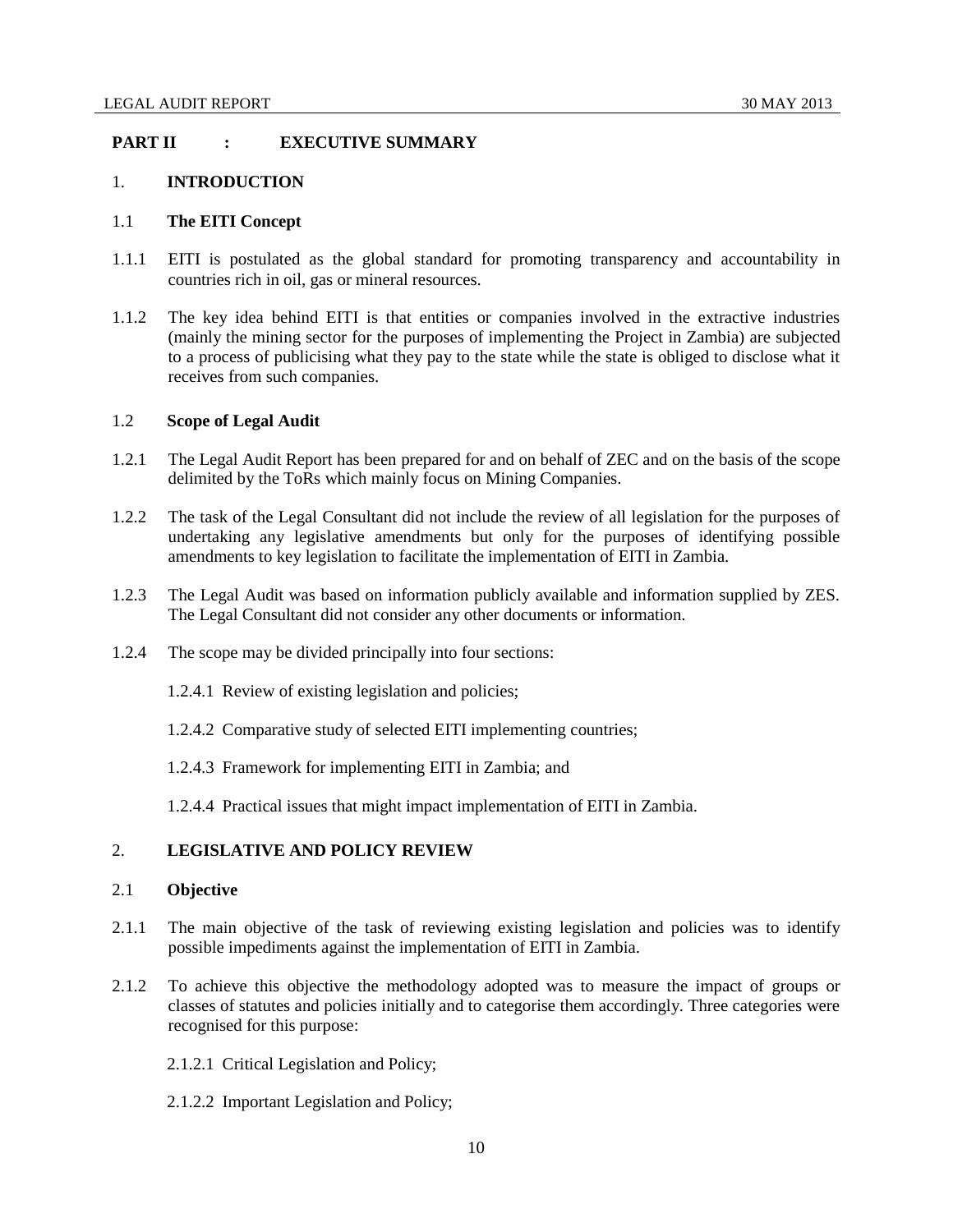# <span id="page-9-0"></span>**PART II : EXECUTIVE SUMMARY**

## <span id="page-9-1"></span>1. **INTRODUCTION**

# <span id="page-9-2"></span>1.1 **The EITI Concept**

- 1.1.1 EITI is postulated as the global standard for promoting transparency and accountability in countries rich in oil, gas or mineral resources.
- 1.1.2 The key idea behind EITI is that entities or companies involved in the extractive industries (mainly the mining sector for the purposes of implementing the Project in Zambia) are subjected to a process of publicising what they pay to the state while the state is obliged to disclose what it receives from such companies.

# <span id="page-9-3"></span>1.2 **Scope of Legal Audit**

- 1.2.1 The Legal Audit Report has been prepared for and on behalf of ZEC and on the basis of the scope delimited by the ToRs which mainly focus on Mining Companies.
- 1.2.2 The task of the Legal Consultant did not include the review of all legislation for the purposes of undertaking any legislative amendments but only for the purposes of identifying possible amendments to key legislation to facilitate the implementation of EITI in Zambia.
- 1.2.3 The Legal Audit was based on information publicly available and information supplied by ZES. The Legal Consultant did not consider any other documents or information.
- 1.2.4 The scope may be divided principally into four sections:
	- 1.2.4.1 Review of existing legislation and policies;
	- 1.2.4.2 Comparative study of selected EITI implementing countries;
	- 1.2.4.3 Framework for implementing EITI in Zambia; and
	- 1.2.4.4 Practical issues that might impact implementation of EITI in Zambia.

# <span id="page-9-4"></span>2. **LEGISLATIVE AND POLICY REVIEW**

## <span id="page-9-5"></span>2.1 **Objective**

- 2.1.1 The main objective of the task of reviewing existing legislation and policies was to identify possible impediments against the implementation of EITI in Zambia.
- 2.1.2 To achieve this objective the methodology adopted was to measure the impact of groups or classes of statutes and policies initially and to categorise them accordingly. Three categories were recognised for this purpose:
	- 2.1.2.1 Critical Legislation and Policy;
	- 2.1.2.2 Important Legislation and Policy;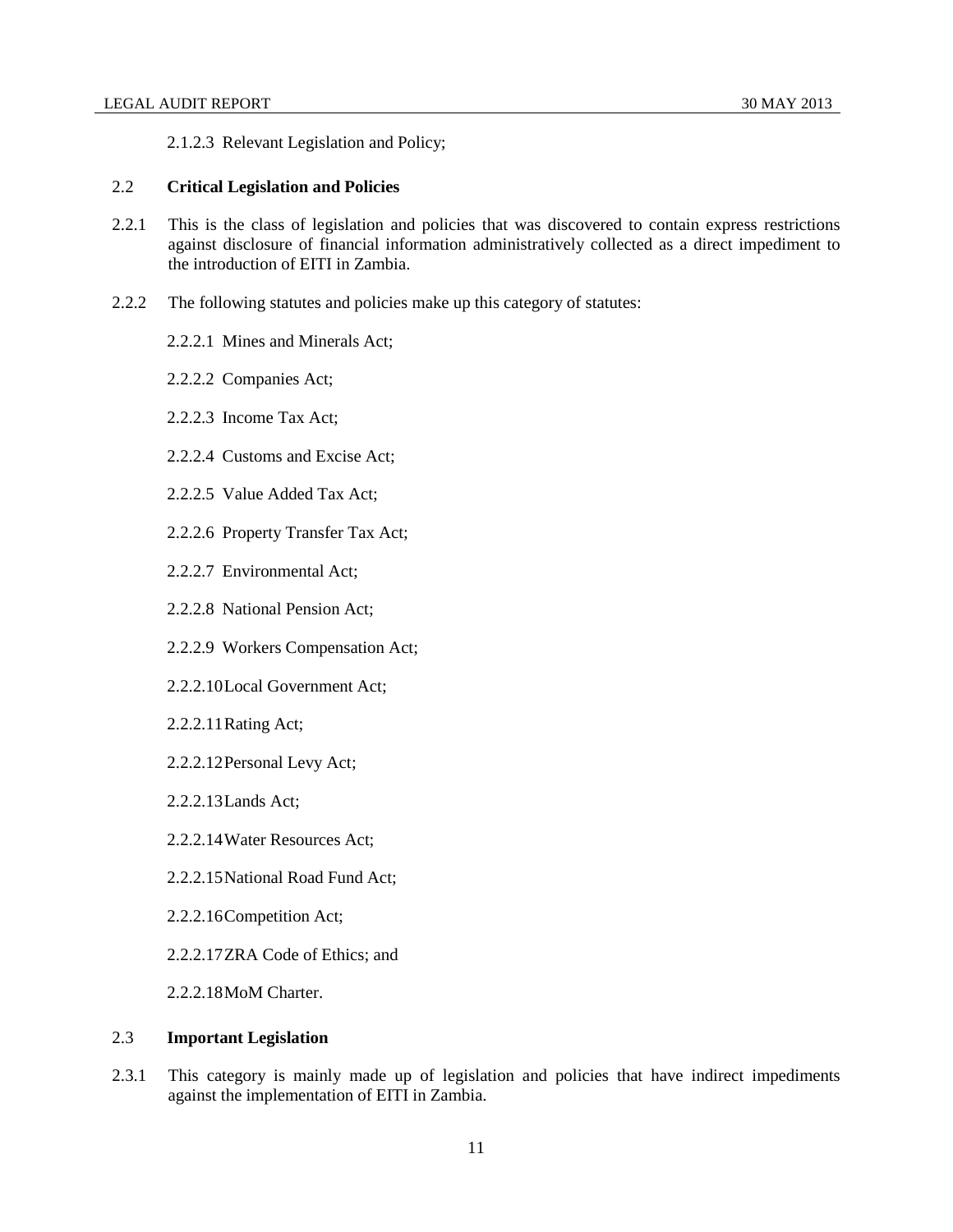2.1.2.3 Relevant Legislation and Policy;

### <span id="page-10-0"></span>2.2 **Critical Legislation and Policies**

- 2.2.1 This is the class of legislation and policies that was discovered to contain express restrictions against disclosure of financial information administratively collected as a direct impediment to the introduction of EITI in Zambia.
- 2.2.2 The following statutes and policies make up this category of statutes:
	- 2.2.2.1 Mines and Minerals Act;
	- 2.2.2.2 Companies Act;
	- 2.2.2.3 Income Tax Act;
	- 2.2.2.4 Customs and Excise Act;
	- 2.2.2.5 Value Added Tax Act;
	- 2.2.2.6 Property Transfer Tax Act;
	- 2.2.2.7 Environmental Act;
	- 2.2.2.8 National Pension Act;
	- 2.2.2.9 Workers Compensation Act;
	- 2.2.2.10Local Government Act;
	- 2.2.2.11Rating Act;
	- 2.2.2.12Personal Levy Act;
	- 2.2.2.13Lands Act;
	- 2.2.2.14Water Resources Act;
	- 2.2.2.15National Road Fund Act;
	- 2.2.2.16Competition Act;
	- 2.2.2.17ZRA Code of Ethics; and
	- 2.2.2.18MoM Charter.

## <span id="page-10-1"></span>2.3 **Important Legislation**

2.3.1 This category is mainly made up of legislation and policies that have indirect impediments against the implementation of EITI in Zambia.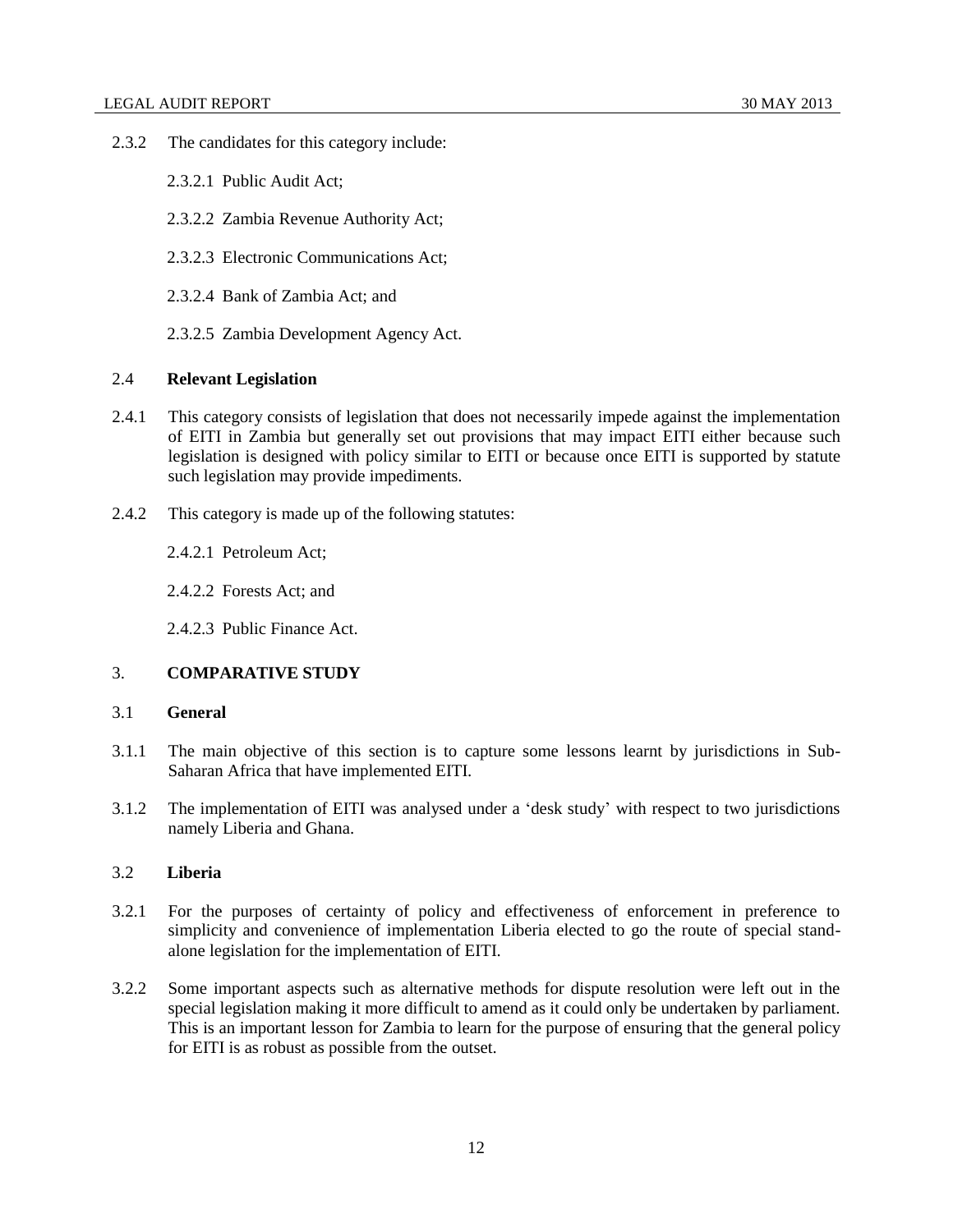- 2.3.2 The candidates for this category include:
	- 2.3.2.1 Public Audit Act;
	- 2.3.2.2 Zambia Revenue Authority Act;
	- 2.3.2.3 Electronic Communications Act;
	- 2.3.2.4 Bank of Zambia Act; and
	- 2.3.2.5 Zambia Development Agency Act.

## <span id="page-11-0"></span>2.4 **Relevant Legislation**

- 2.4.1 This category consists of legislation that does not necessarily impede against the implementation of EITI in Zambia but generally set out provisions that may impact EITI either because such legislation is designed with policy similar to EITI or because once EITI is supported by statute such legislation may provide impediments.
- 2.4.2 This category is made up of the following statutes:

2.4.2.1 Petroleum Act;

2.4.2.2 Forests Act; and

2.4.2.3 Public Finance Act.

# <span id="page-11-1"></span>3. **COMPARATIVE STUDY**

# <span id="page-11-2"></span>3.1 **General**

- 3.1.1 The main objective of this section is to capture some lessons learnt by jurisdictions in Sub-Saharan Africa that have implemented EITI.
- 3.1.2 The implementation of EITI was analysed under a 'desk study' with respect to two jurisdictions namely Liberia and Ghana.

# <span id="page-11-3"></span>3.2 **Liberia**

- 3.2.1 For the purposes of certainty of policy and effectiveness of enforcement in preference to simplicity and convenience of implementation Liberia elected to go the route of special standalone legislation for the implementation of EITI.
- 3.2.2 Some important aspects such as alternative methods for dispute resolution were left out in the special legislation making it more difficult to amend as it could only be undertaken by parliament. This is an important lesson for Zambia to learn for the purpose of ensuring that the general policy for EITI is as robust as possible from the outset.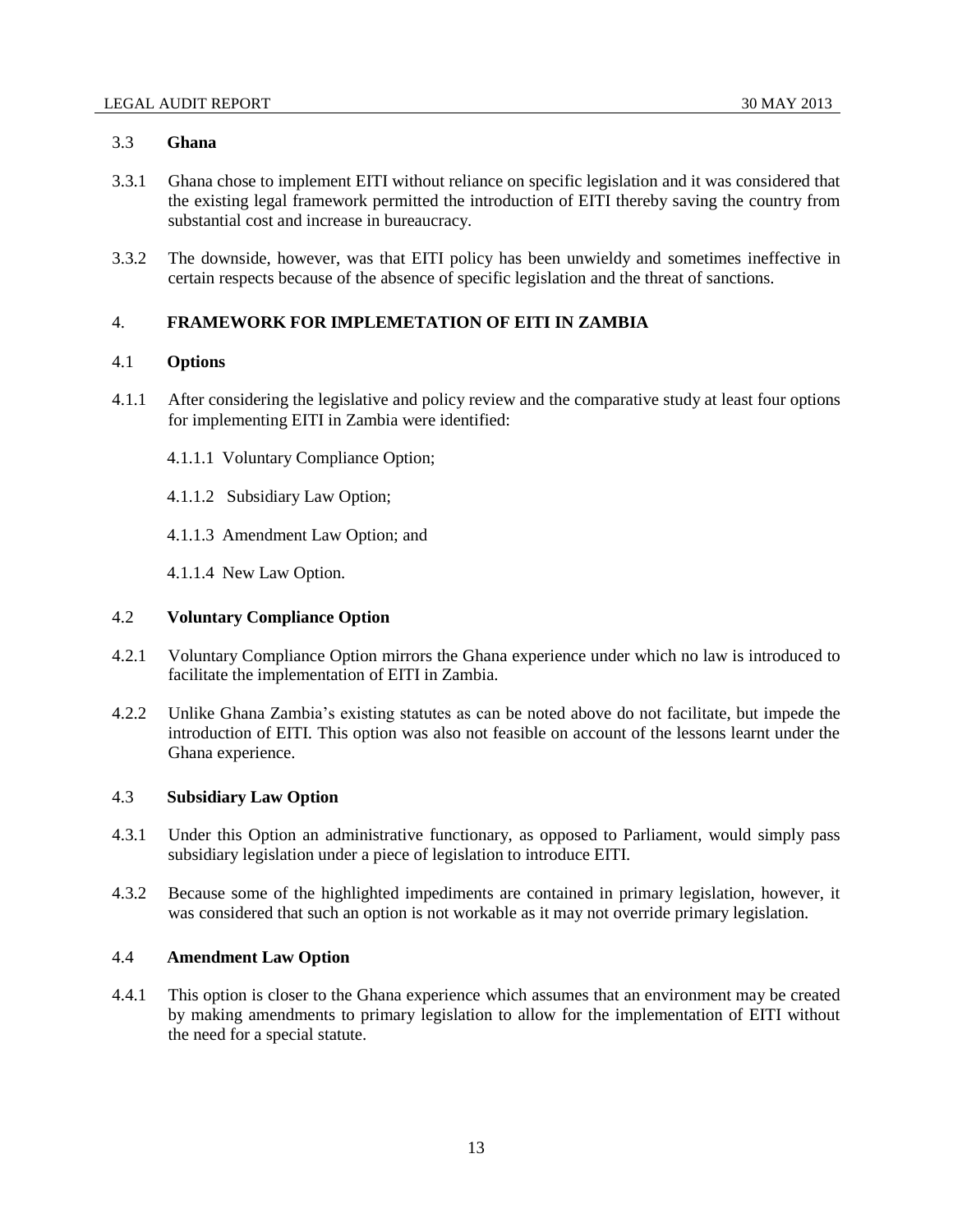# <span id="page-12-0"></span>3.3 **Ghana**

- 3.3.1 Ghana chose to implement EITI without reliance on specific legislation and it was considered that the existing legal framework permitted the introduction of EITI thereby saving the country from substantial cost and increase in bureaucracy.
- 3.3.2 The downside, however, was that EITI policy has been unwieldy and sometimes ineffective in certain respects because of the absence of specific legislation and the threat of sanctions.

# <span id="page-12-1"></span>4. **FRAMEWORK FOR IMPLEMETATION OF EITI IN ZAMBIA**

# <span id="page-12-2"></span>4.1 **Options**

- 4.1.1 After considering the legislative and policy review and the comparative study at least four options for implementing EITI in Zambia were identified:
	- 4.1.1.1 Voluntary Compliance Option;
	- 4.1.1.2 Subsidiary Law Option;
	- 4.1.1.3 Amendment Law Option; and
	- 4.1.1.4 New Law Option.

# <span id="page-12-3"></span>4.2 **Voluntary Compliance Option**

- 4.2.1 Voluntary Compliance Option mirrors the Ghana experience under which no law is introduced to facilitate the implementation of EITI in Zambia.
- 4.2.2 Unlike Ghana Zambia's existing statutes as can be noted above do not facilitate, but impede the introduction of EITI. This option was also not feasible on account of the lessons learnt under the Ghana experience.

## <span id="page-12-4"></span>4.3 **Subsidiary Law Option**

- 4.3.1 Under this Option an administrative functionary, as opposed to Parliament, would simply pass subsidiary legislation under a piece of legislation to introduce EITI.
- 4.3.2 Because some of the highlighted impediments are contained in primary legislation, however, it was considered that such an option is not workable as it may not override primary legislation.

## <span id="page-12-5"></span>4.4 **Amendment Law Option**

4.4.1 This option is closer to the Ghana experience which assumes that an environment may be created by making amendments to primary legislation to allow for the implementation of EITI without the need for a special statute.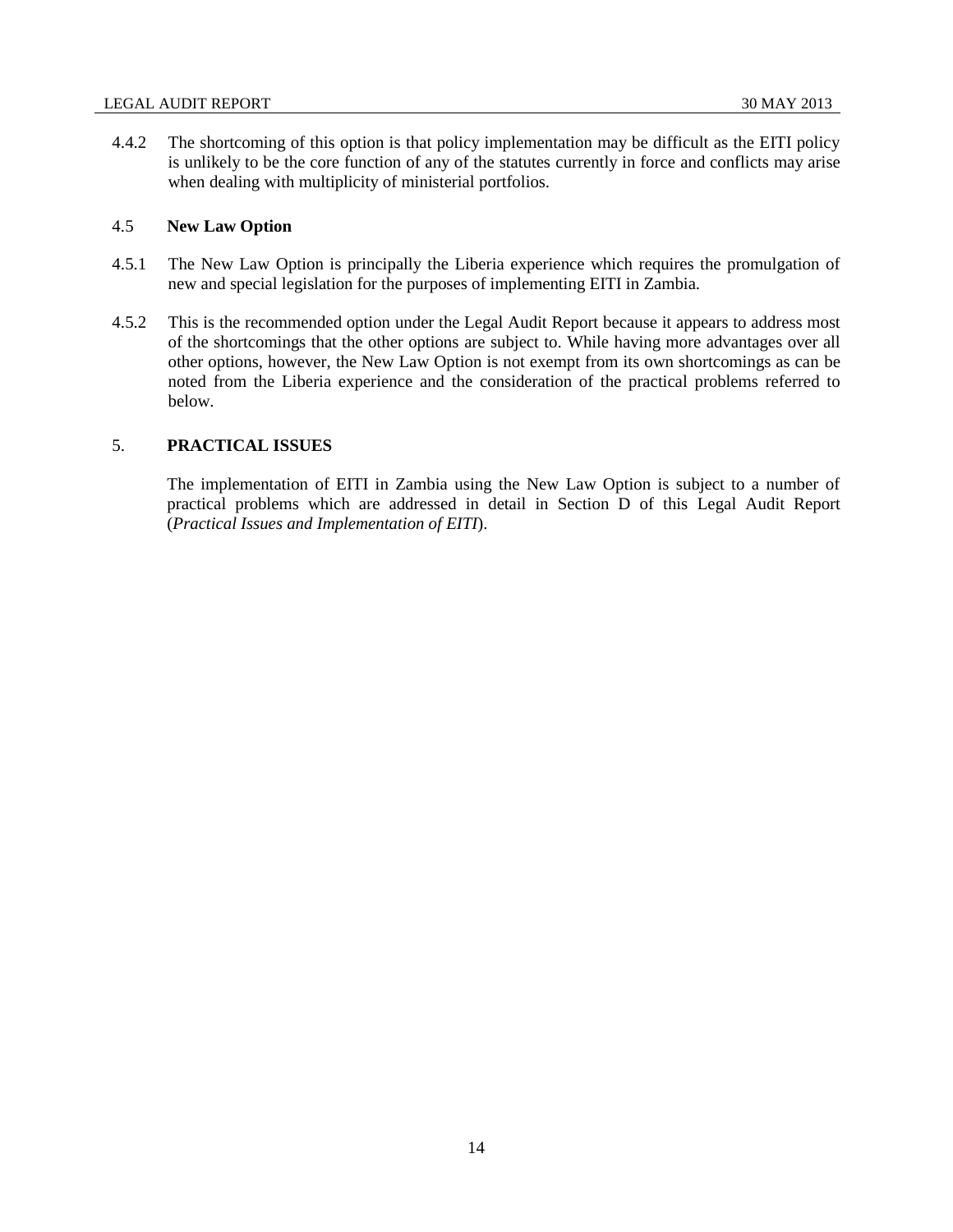4.4.2 The shortcoming of this option is that policy implementation may be difficult as the EITI policy is unlikely to be the core function of any of the statutes currently in force and conflicts may arise when dealing with multiplicity of ministerial portfolios.

# <span id="page-13-0"></span>4.5 **New Law Option**

- 4.5.1 The New Law Option is principally the Liberia experience which requires the promulgation of new and special legislation for the purposes of implementing EITI in Zambia.
- 4.5.2 This is the recommended option under the Legal Audit Report because it appears to address most of the shortcomings that the other options are subject to. While having more advantages over all other options, however, the New Law Option is not exempt from its own shortcomings as can be noted from the Liberia experience and the consideration of the practical problems referred to below.

# <span id="page-13-1"></span>5. **PRACTICAL ISSUES**

The implementation of EITI in Zambia using the New Law Option is subject to a number of practical problems which are addressed in detail in Section D of this Legal Audit Report (*Practical Issues and Implementation of EITI*).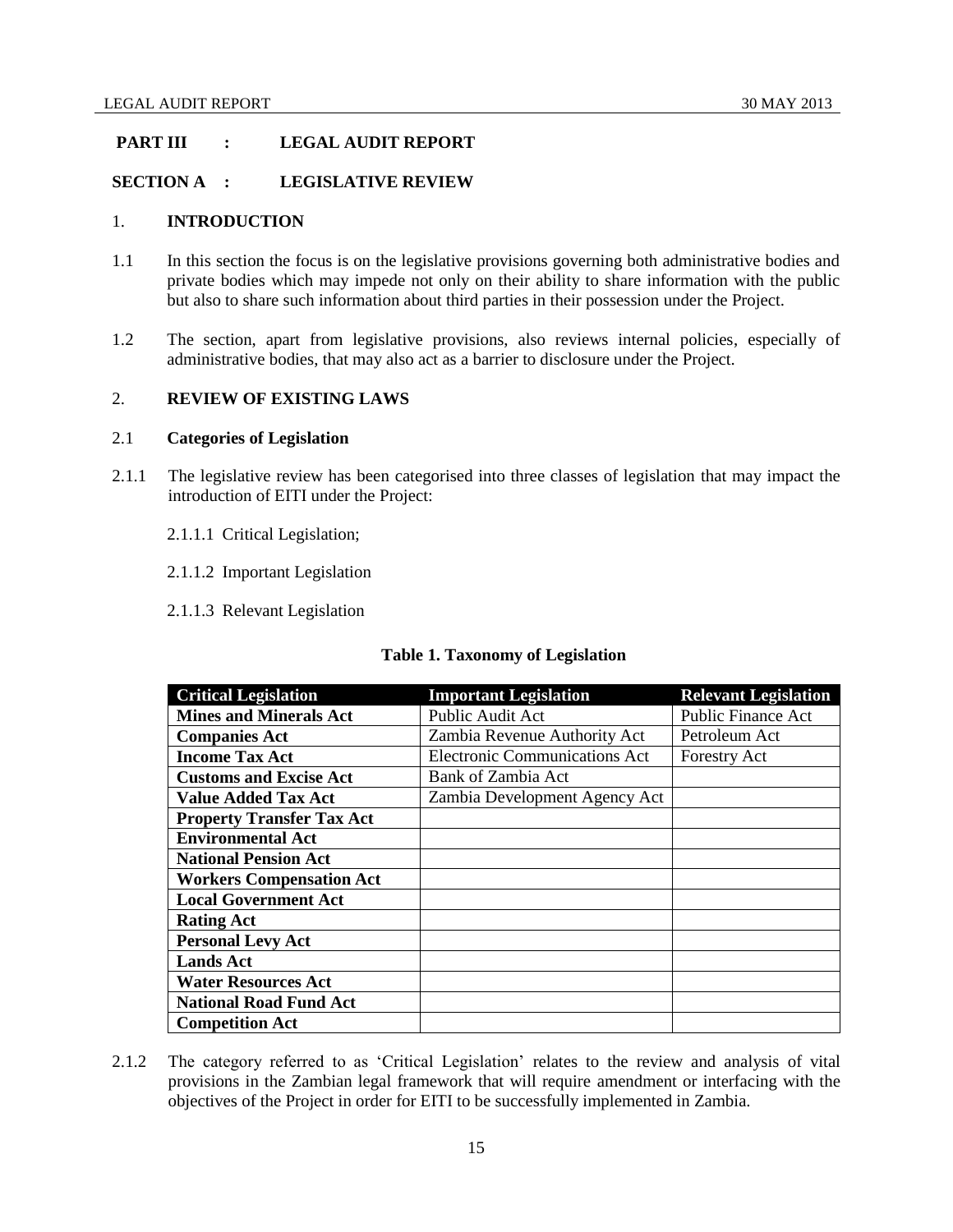# <span id="page-14-0"></span>**PART III : LEGAL AUDIT REPORT**

# <span id="page-14-1"></span>**SECTION A : LEGISLATIVE REVIEW**

## <span id="page-14-2"></span>1. **INTRODUCTION**

- 1.1 In this section the focus is on the legislative provisions governing both administrative bodies and private bodies which may impede not only on their ability to share information with the public but also to share such information about third parties in their possession under the Project.
- 1.2 The section, apart from legislative provisions, also reviews internal policies, especially of administrative bodies, that may also act as a barrier to disclosure under the Project.

## <span id="page-14-3"></span>2. **REVIEW OF EXISTING LAWS**

## <span id="page-14-4"></span>2.1 **Categories of Legislation**

- 2.1.1 The legislative review has been categorised into three classes of legislation that may impact the introduction of EITI under the Project:
	- 2.1.1.1 Critical Legislation;
	- 2.1.1.2 Important Legislation
	- 2.1.1.3 Relevant Legislation

| <b>Table 1. Taxonomy of Legislation</b> |  |
|-----------------------------------------|--|
|                                         |  |

| <b>Critical Legislation</b>      | <b>Important Legislation</b>         | <b>Relevant Legislation</b> |
|----------------------------------|--------------------------------------|-----------------------------|
| <b>Mines and Minerals Act</b>    | Public Audit Act                     | <b>Public Finance Act</b>   |
| <b>Companies Act</b>             | Zambia Revenue Authority Act         | Petroleum Act               |
| <b>Income Tax Act</b>            | <b>Electronic Communications Act</b> | <b>Forestry Act</b>         |
| <b>Customs and Excise Act</b>    | Bank of Zambia Act                   |                             |
| <b>Value Added Tax Act</b>       | Zambia Development Agency Act        |                             |
| <b>Property Transfer Tax Act</b> |                                      |                             |
| <b>Environmental Act</b>         |                                      |                             |
| <b>National Pension Act</b>      |                                      |                             |
| <b>Workers Compensation Act</b>  |                                      |                             |
| <b>Local Government Act</b>      |                                      |                             |
| <b>Rating Act</b>                |                                      |                             |
| <b>Personal Levy Act</b>         |                                      |                             |
| <b>Lands Act</b>                 |                                      |                             |
| <b>Water Resources Act</b>       |                                      |                             |
| <b>National Road Fund Act</b>    |                                      |                             |
| <b>Competition Act</b>           |                                      |                             |

2.1.2 The category referred to as 'Critical Legislation' relates to the review and analysis of vital provisions in the Zambian legal framework that will require amendment or interfacing with the objectives of the Project in order for EITI to be successfully implemented in Zambia.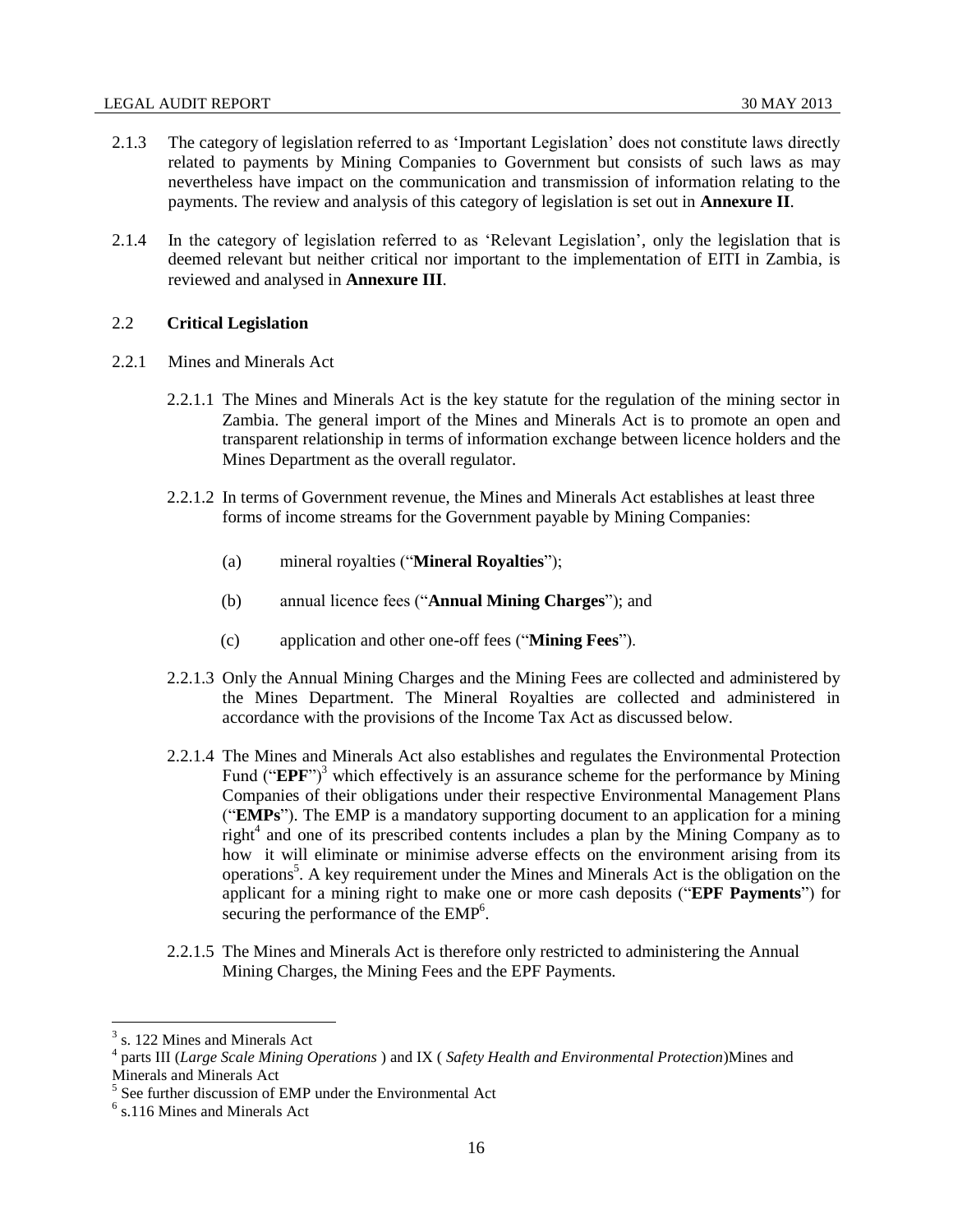- 2.1.3 The category of legislation referred to as 'Important Legislation' does not constitute laws directly related to payments by Mining Companies to Government but consists of such laws as may nevertheless have impact on the communication and transmission of information relating to the payments. The review and analysis of this category of legislation is set out in **Annexure II**.
- 2.1.4 In the category of legislation referred to as 'Relevant Legislation', only the legislation that is deemed relevant but neither critical nor important to the implementation of EITI in Zambia, is reviewed and analysed in **Annexure III**.

## <span id="page-15-1"></span><span id="page-15-0"></span>2.2 **Critical Legislation**

- 2.2.1 Mines and Minerals Act
	- 2.2.1.1 The Mines and Minerals Act is the key statute for the regulation of the mining sector in Zambia. The general import of the Mines and Minerals Act is to promote an open and transparent relationship in terms of information exchange between licence holders and the Mines Department as the overall regulator.
	- 2.2.1.2 In terms of Government revenue, the Mines and Minerals Act establishes at least three forms of income streams for the Government payable by Mining Companies:
		- (a) mineral royalties ("**Mineral Royalties**");
		- (b) annual licence fees ("**Annual Mining Charges**"); and
		- (c) application and other one-off fees ("**Mining Fees**").
	- 2.2.1.3 Only the Annual Mining Charges and the Mining Fees are collected and administered by the Mines Department. The Mineral Royalties are collected and administered in accordance with the provisions of the Income Tax Act as discussed below.
	- 2.2.1.4 The Mines and Minerals Act also establishes and regulates the Environmental Protection Fund ("**EPF**")<sup>3</sup> which effectively is an assurance scheme for the performance by Mining Companies of their obligations under their respective Environmental Management Plans ("**EMPs**"). The EMP is a mandatory supporting document to an application for a mining right<sup>4</sup> and one of its prescribed contents includes a plan by the Mining Company as to how it will eliminate or minimise adverse effects on the environment arising from its operations<sup>5</sup>. A key requirement under the Mines and Minerals Act is the obligation on the applicant for a mining right to make one or more cash deposits ("**EPF Payments**") for securing the performance of the EMP<sup>6</sup>.
	- 2.2.1.5 The Mines and Minerals Act is therefore only restricted to administering the Annual Mining Charges, the Mining Fees and the EPF Payments.

<sup>&</sup>lt;sup>3</sup> s. 122 Mines and Minerals Act

<sup>4</sup> parts III (*Large Scale Mining Operations* ) and IX ( *Safety Health and Environmental Protection*)Mines and Minerals and Minerals Act

<sup>&</sup>lt;sup>5</sup> See further discussion of EMP under the Environmental Act

<sup>6</sup> s.116 Mines and Minerals Act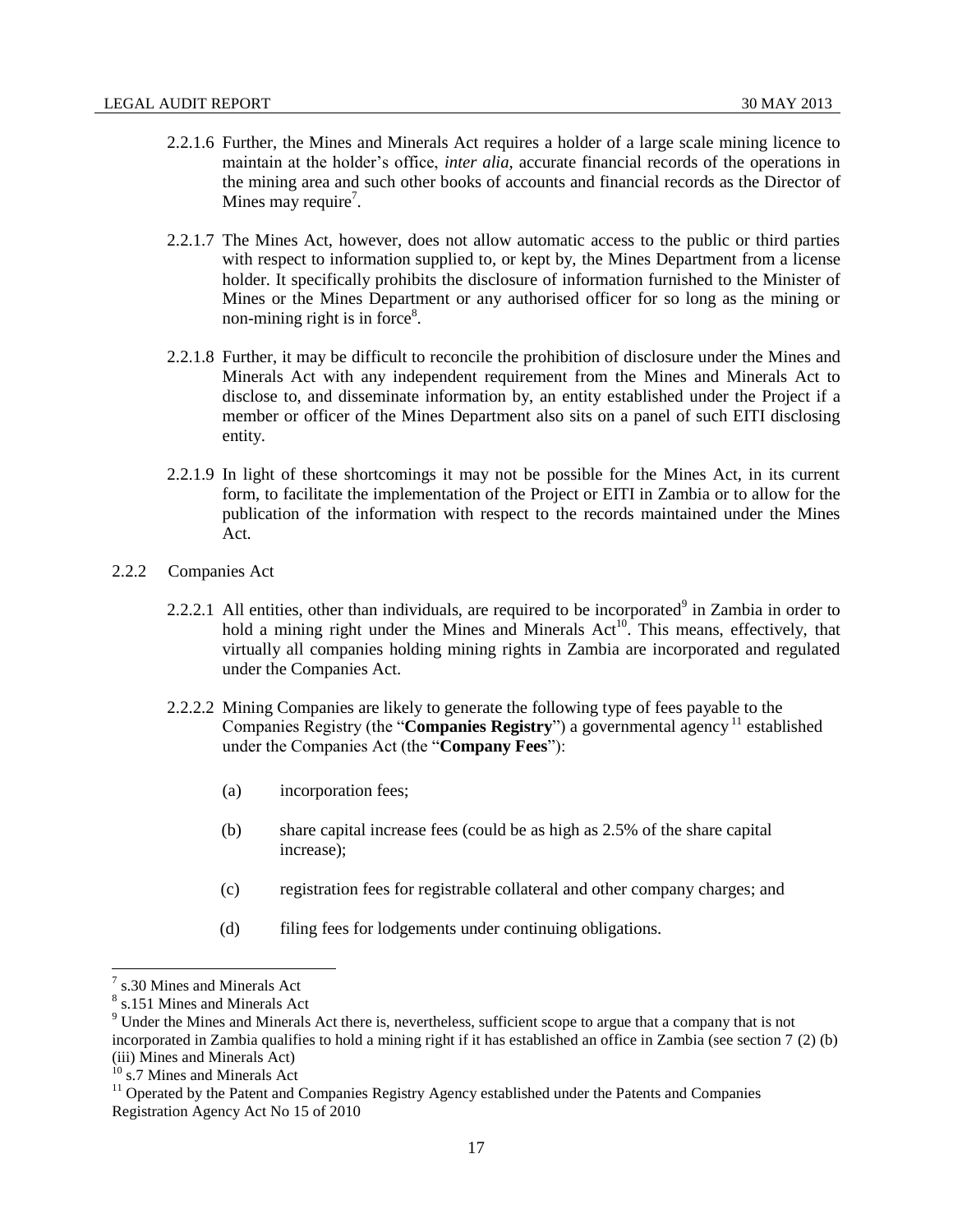- 2.2.1.6 Further, the Mines and Minerals Act requires a holder of a large scale mining licence to maintain at the holder's office, *inter alia*, accurate financial records of the operations in the mining area and such other books of accounts and financial records as the Director of Mines may require<sup>7</sup>.
- 2.2.1.7 The Mines Act, however, does not allow automatic access to the public or third parties with respect to information supplied to, or kept by, the Mines Department from a license holder. It specifically prohibits the disclosure of information furnished to the Minister of Mines or the Mines Department or any authorised officer for so long as the mining or non-mining right is in force $8$ .
- 2.2.1.8 Further, it may be difficult to reconcile the prohibition of disclosure under the Mines and Minerals Act with any independent requirement from the Mines and Minerals Act to disclose to, and disseminate information by, an entity established under the Project if a member or officer of the Mines Department also sits on a panel of such EITI disclosing entity.
- 2.2.1.9 In light of these shortcomings it may not be possible for the Mines Act, in its current form, to facilitate the implementation of the Project or EITI in Zambia or to allow for the publication of the information with respect to the records maintained under the Mines Act.
- <span id="page-16-0"></span>2.2.2 Companies Act
	- 2.2.2.1 All entities, other than individuals, are required to be incorporated $9$  in Zambia in order to hold a mining right under the Mines and Minerals  $Act^{10}$ . This means, effectively, that virtually all companies holding mining rights in Zambia are incorporated and regulated under the Companies Act.
	- 2.2.2.2 Mining Companies are likely to generate the following type of fees payable to the Companies Registry (the "**Companies Registry**") a governmental agency<sup>11</sup> established under the Companies Act (the "**Company Fees**"):
		- (a) incorporation fees;
		- (b) share capital increase fees (could be as high as 2.5% of the share capital increase);
		- (c) registration fees for registrable collateral and other company charges; and
		- (d) filing fees for lodgements under continuing obligations.

<sup>7</sup> s.30 Mines and Minerals Act

<sup>8</sup> s.151 Mines and Minerals Act

<sup>9</sup> Under the Mines and Minerals Act there is, nevertheless, sufficient scope to argue that a company that is not incorporated in Zambia qualifies to hold a mining right if it has established an office in Zambia (see section 7 (2) (b) (iii) Mines and Minerals Act)

<sup>&</sup>lt;sup>10</sup> s.7 Mines and Minerals Act

<sup>&</sup>lt;sup>11</sup> Operated by the Patent and Companies Registry Agency established under the Patents and Companies Registration Agency Act No 15 of 2010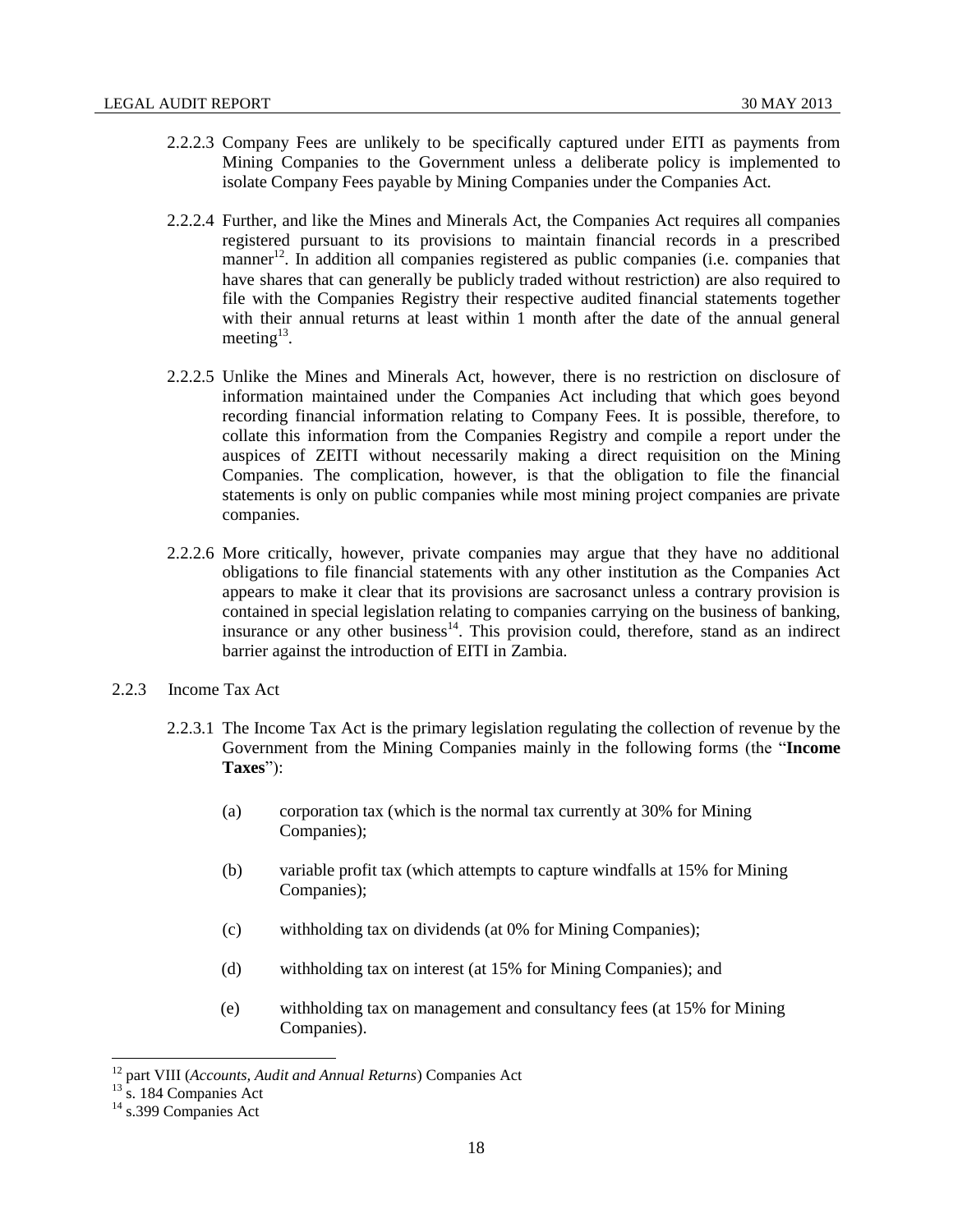- 2.2.2.3 Company Fees are unlikely to be specifically captured under EITI as payments from Mining Companies to the Government unless a deliberate policy is implemented to isolate Company Fees payable by Mining Companies under the Companies Act.
- 2.2.2.4 Further, and like the Mines and Minerals Act, the Companies Act requires all companies registered pursuant to its provisions to maintain financial records in a prescribed manner<sup>12</sup>. In addition all companies registered as public companies (i.e. companies that have shares that can generally be publicly traded without restriction) are also required to file with the Companies Registry their respective audited financial statements together with their annual returns at least within 1 month after the date of the annual general meeting $^{13}$ .
- 2.2.2.5 Unlike the Mines and Minerals Act, however, there is no restriction on disclosure of information maintained under the Companies Act including that which goes beyond recording financial information relating to Company Fees. It is possible, therefore, to collate this information from the Companies Registry and compile a report under the auspices of ZEITI without necessarily making a direct requisition on the Mining Companies. The complication, however, is that the obligation to file the financial statements is only on public companies while most mining project companies are private companies.
- 2.2.2.6 More critically, however, private companies may argue that they have no additional obligations to file financial statements with any other institution as the Companies Act appears to make it clear that its provisions are sacrosanct unless a contrary provision is contained in special legislation relating to companies carrying on the business of banking, insurance or any other business<sup>14</sup>. This provision could, therefore, stand as an indirect barrier against the introduction of EITI in Zambia.
- <span id="page-17-0"></span>2.2.3 Income Tax Act
	- 2.2.3.1 The Income Tax Act is the primary legislation regulating the collection of revenue by the Government from the Mining Companies mainly in the following forms (the "**Income Taxes**"):
		- (a) corporation tax (which is the normal tax currently at 30% for Mining Companies);
		- (b) variable profit tax (which attempts to capture windfalls at 15% for Mining Companies);
		- (c) withholding tax on dividends (at 0% for Mining Companies);
		- (d) withholding tax on interest (at 15% for Mining Companies); and
		- (e) withholding tax on management and consultancy fees (at 15% for Mining Companies).

<sup>12</sup> part VIII (*Accounts, Audit and Annual Returns*) Companies Act

 $13 \text{ s}$ . 184 Companies Act

<sup>&</sup>lt;sup>14</sup> s.399 Companies Act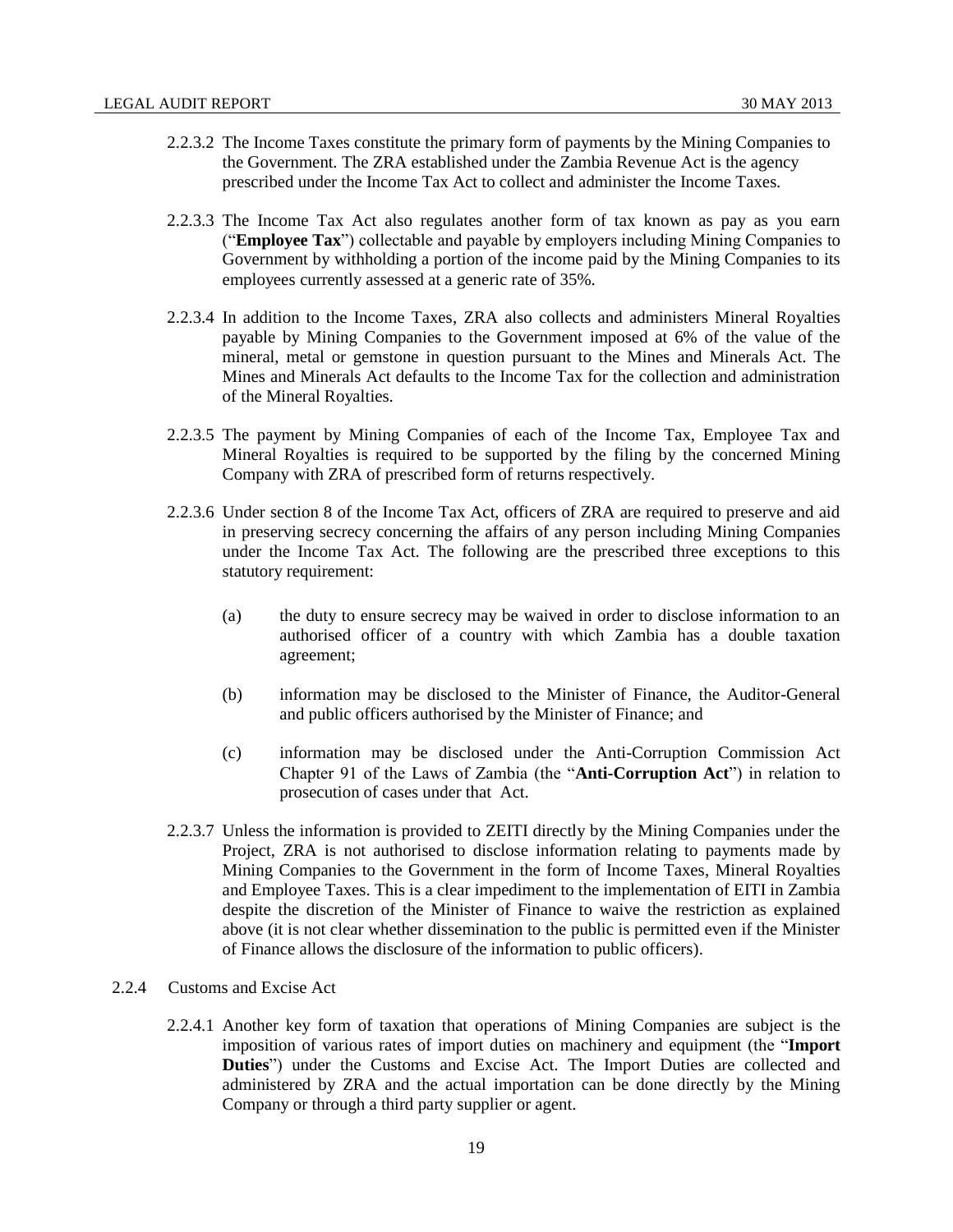- 2.2.3.2 The Income Taxes constitute the primary form of payments by the Mining Companies to the Government. The ZRA established under the Zambia Revenue Act is the agency prescribed under the Income Tax Act to collect and administer the Income Taxes.
- 2.2.3.3 The Income Tax Act also regulates another form of tax known as pay as you earn ("**Employee Tax**") collectable and payable by employers including Mining Companies to Government by withholding a portion of the income paid by the Mining Companies to its employees currently assessed at a generic rate of 35%.
- 2.2.3.4 In addition to the Income Taxes, ZRA also collects and administers Mineral Royalties payable by Mining Companies to the Government imposed at 6% of the value of the mineral, metal or gemstone in question pursuant to the Mines and Minerals Act. The Mines and Minerals Act defaults to the Income Tax for the collection and administration of the Mineral Royalties.
- 2.2.3.5 The payment by Mining Companies of each of the Income Tax, Employee Tax and Mineral Royalties is required to be supported by the filing by the concerned Mining Company with ZRA of prescribed form of returns respectively.
- 2.2.3.6 Under section 8 of the Income Tax Act, officers of ZRA are required to preserve and aid in preserving secrecy concerning the affairs of any person including Mining Companies under the Income Tax Act. The following are the prescribed three exceptions to this statutory requirement:
	- (a) the duty to ensure secrecy may be waived in order to disclose information to an authorised officer of a country with which Zambia has a double taxation agreement;
	- (b) information may be disclosed to the Minister of Finance, the Auditor-General and public officers authorised by the Minister of Finance; and
	- (c) information may be disclosed under the Anti-Corruption Commission Act Chapter 91 of the Laws of Zambia (the "**Anti-Corruption Act**") in relation to prosecution of cases under that Act.
- 2.2.3.7 Unless the information is provided to ZEITI directly by the Mining Companies under the Project, ZRA is not authorised to disclose information relating to payments made by Mining Companies to the Government in the form of Income Taxes, Mineral Royalties and Employee Taxes. This is a clear impediment to the implementation of EITI in Zambia despite the discretion of the Minister of Finance to waive the restriction as explained above (it is not clear whether dissemination to the public is permitted even if the Minister of Finance allows the disclosure of the information to public officers).

# <span id="page-18-0"></span>2.2.4 Customs and Excise Act

2.2.4.1 Another key form of taxation that operations of Mining Companies are subject is the imposition of various rates of import duties on machinery and equipment (the "**Import Duties**") under the Customs and Excise Act. The Import Duties are collected and administered by ZRA and the actual importation can be done directly by the Mining Company or through a third party supplier or agent.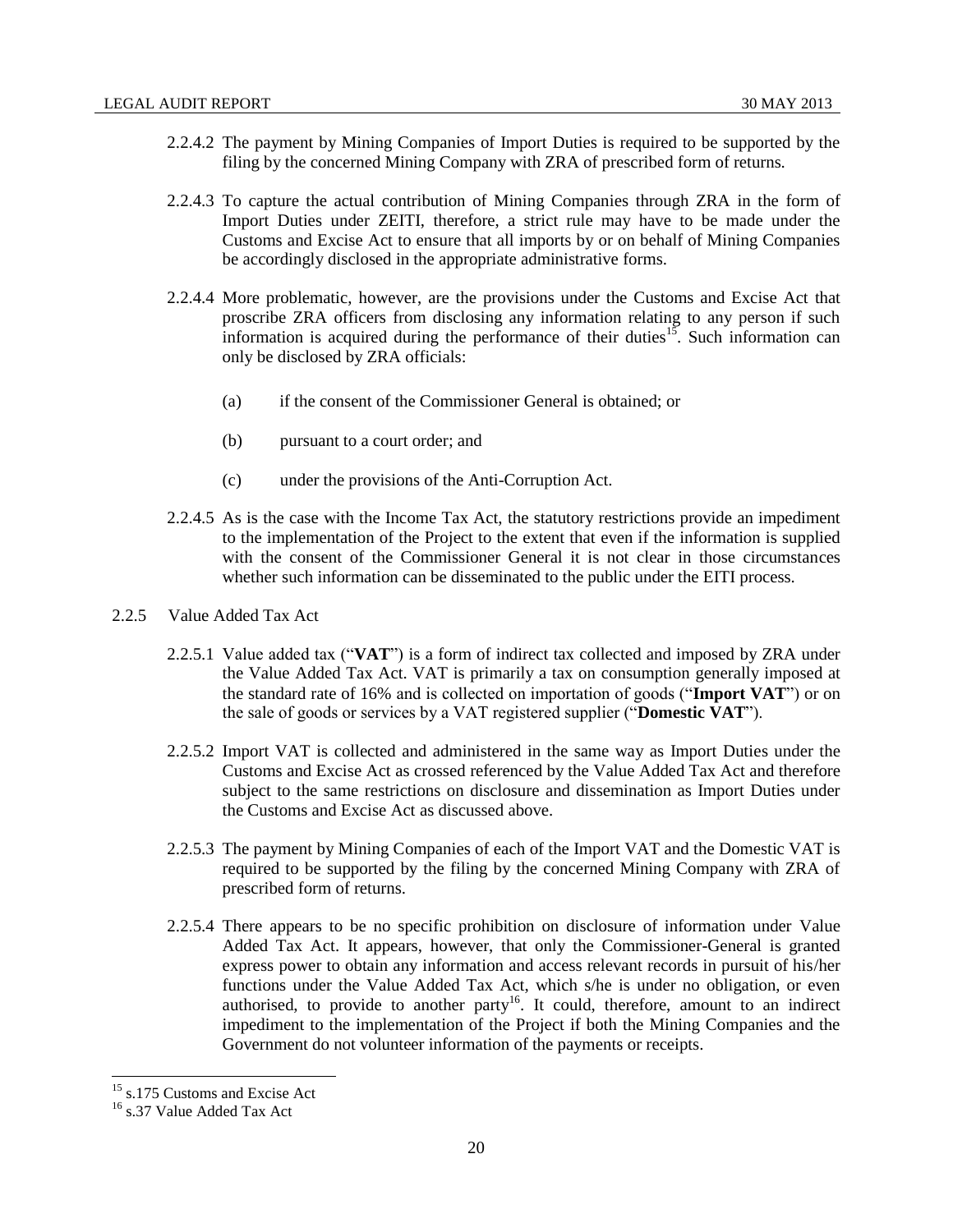- 2.2.4.2 The payment by Mining Companies of Import Duties is required to be supported by the filing by the concerned Mining Company with ZRA of prescribed form of returns.
- 2.2.4.3 To capture the actual contribution of Mining Companies through ZRA in the form of Import Duties under ZEITI, therefore, a strict rule may have to be made under the Customs and Excise Act to ensure that all imports by or on behalf of Mining Companies be accordingly disclosed in the appropriate administrative forms.
- 2.2.4.4 More problematic, however, are the provisions under the Customs and Excise Act that proscribe ZRA officers from disclosing any information relating to any person if such information is acquired during the performance of their duties<sup>15</sup>. Such information can only be disclosed by ZRA officials:
	- (a) if the consent of the Commissioner General is obtained; or
	- (b) pursuant to a court order; and
	- (c) under the provisions of the Anti-Corruption Act.
- 2.2.4.5 As is the case with the Income Tax Act, the statutory restrictions provide an impediment to the implementation of the Project to the extent that even if the information is supplied with the consent of the Commissioner General it is not clear in those circumstances whether such information can be disseminated to the public under the EITI process.
- <span id="page-19-0"></span>2.2.5 Value Added Tax Act
	- 2.2.5.1 Value added tax ("**VAT**") is a form of indirect tax collected and imposed by ZRA under the Value Added Tax Act. VAT is primarily a tax on consumption generally imposed at the standard rate of 16% and is collected on importation of goods ("**Import VAT**") or on the sale of goods or services by a VAT registered supplier ("**Domestic VAT**").
	- 2.2.5.2 Import VAT is collected and administered in the same way as Import Duties under the Customs and Excise Act as crossed referenced by the Value Added Tax Act and therefore subject to the same restrictions on disclosure and dissemination as Import Duties under the Customs and Excise Act as discussed above.
	- 2.2.5.3 The payment by Mining Companies of each of the Import VAT and the Domestic VAT is required to be supported by the filing by the concerned Mining Company with ZRA of prescribed form of returns.
	- 2.2.5.4 There appears to be no specific prohibition on disclosure of information under Value Added Tax Act. It appears, however, that only the Commissioner-General is granted express power to obtain any information and access relevant records in pursuit of his/her functions under the Value Added Tax Act, which s/he is under no obligation, or even authorised, to provide to another party<sup>16</sup>. It could, therefore, amount to an indirect impediment to the implementation of the Project if both the Mining Companies and the Government do not volunteer information of the payments or receipts.

<sup>&</sup>lt;sup>15</sup> s.175 Customs and Excise Act

<sup>16</sup> s.37 Value Added Tax Act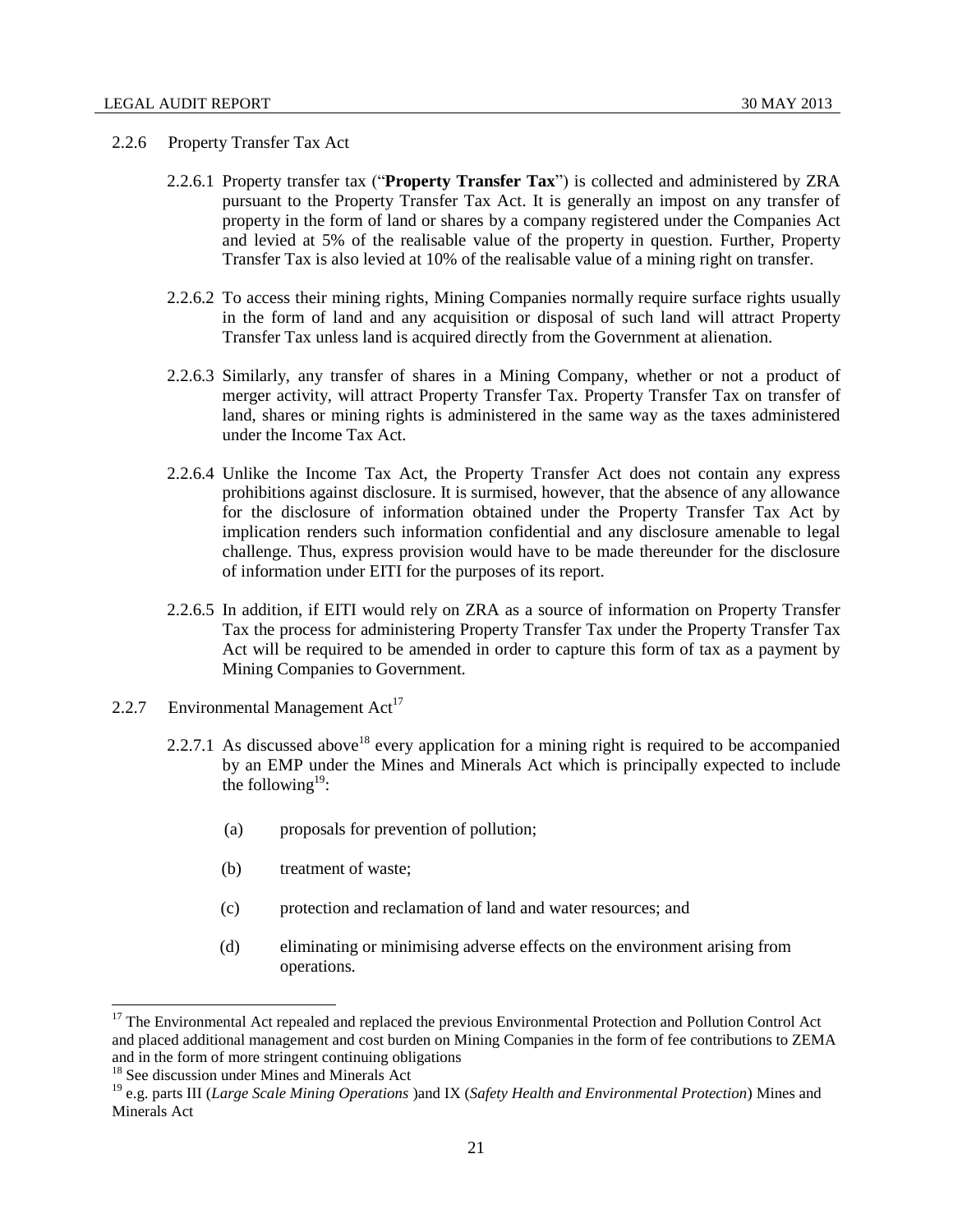#### <span id="page-20-0"></span>2.2.6 Property Transfer Tax Act

- 2.2.6.1 Property transfer tax ("**Property Transfer Tax**") is collected and administered by ZRA pursuant to the Property Transfer Tax Act. It is generally an impost on any transfer of property in the form of land or shares by a company registered under the Companies Act and levied at 5% of the realisable value of the property in question. Further, Property Transfer Tax is also levied at 10% of the realisable value of a mining right on transfer.
- 2.2.6.2 To access their mining rights, Mining Companies normally require surface rights usually in the form of land and any acquisition or disposal of such land will attract Property Transfer Tax unless land is acquired directly from the Government at alienation.
- 2.2.6.3 Similarly, any transfer of shares in a Mining Company, whether or not a product of merger activity, will attract Property Transfer Tax. Property Transfer Tax on transfer of land, shares or mining rights is administered in the same way as the taxes administered under the Income Tax Act.
- 2.2.6.4 Unlike the Income Tax Act, the Property Transfer Act does not contain any express prohibitions against disclosure. It is surmised, however, that the absence of any allowance for the disclosure of information obtained under the Property Transfer Tax Act by implication renders such information confidential and any disclosure amenable to legal challenge. Thus, express provision would have to be made thereunder for the disclosure of information under EITI for the purposes of its report.
- 2.2.6.5 In addition, if EITI would rely on ZRA as a source of information on Property Transfer Tax the process for administering Property Transfer Tax under the Property Transfer Tax Act will be required to be amended in order to capture this form of tax as a payment by Mining Companies to Government.
- <span id="page-20-1"></span>2.2.7 Environmental Management  $Act^{17}$ 
	- 2.2.7.1 As discussed above<sup>18</sup> every application for a mining right is required to be accompanied by an EMP under the Mines and Minerals Act which is principally expected to include the following<sup>19</sup>:
		- (a) proposals for prevention of pollution;
		- (b) treatment of waste;
		- (c) protection and reclamation of land and water resources; and
		- (d) eliminating or minimising adverse effects on the environment arising from operations.

<sup>&</sup>lt;sup>17</sup> The Environmental Act repealed and replaced the previous Environmental Protection and Pollution Control Act and placed additional management and cost burden on Mining Companies in the form of fee contributions to ZEMA and in the form of more stringent continuing obligations

<sup>18</sup> See discussion under Mines and Minerals Act

<sup>19</sup> e.g. parts III (*Large Scale Mining Operations* )and IX (*Safety Health and Environmental Protection*) Mines and Minerals Act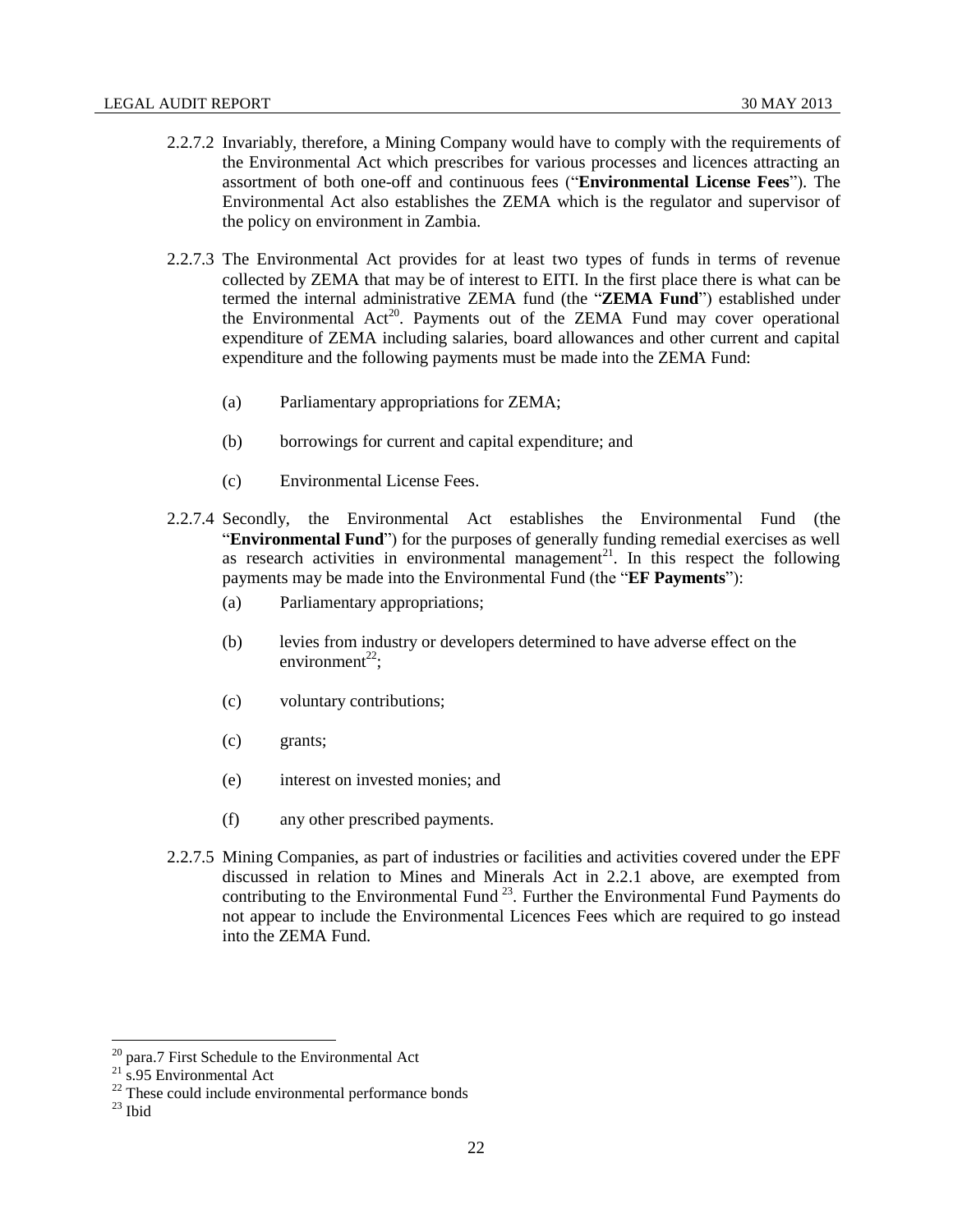- 2.2.7.2 Invariably, therefore, a Mining Company would have to comply with the requirements of the Environmental Act which prescribes for various processes and licences attracting an assortment of both one-off and continuous fees ("**Environmental License Fees**"). The Environmental Act also establishes the ZEMA which is the regulator and supervisor of the policy on environment in Zambia.
- 2.2.7.3 The Environmental Act provides for at least two types of funds in terms of revenue collected by ZEMA that may be of interest to EITI. In the first place there is what can be termed the internal administrative ZEMA fund (the "**ZEMA Fund**") established under the Environmental Act<sup>20</sup>. Payments out of the ZEMA Fund may cover operational expenditure of ZEMA including salaries, board allowances and other current and capital expenditure and the following payments must be made into the ZEMA Fund:
	- (a) Parliamentary appropriations for ZEMA;
	- (b) borrowings for current and capital expenditure; and
	- (c) Environmental License Fees.
- 2.2.7.4 Secondly, the Environmental Act establishes the Environmental Fund (the "**Environmental Fund**") for the purposes of generally funding remedial exercises as well as research activities in environmental management<sup>21</sup>. In this respect the following payments may be made into the Environmental Fund (the "**EF Payments**"):
	- (a) Parliamentary appropriations;
	- (b) levies from industry or developers determined to have adverse effect on the environment<sup>22</sup>:
	- (c) voluntary contributions;
	- (c) grants;
	- (e) interest on invested monies; and
	- (f) any other prescribed payments.
- 2.2.7.5 Mining Companies, as part of industries or facilities and activities covered under the EPF discussed in relation to Mines and Minerals Act in 2.2.1 above, are exempted from contributing to the Environmental Fund  $^{23}$ . Further the Environmental Fund Payments do not appear to include the Environmental Licences Fees which are required to go instead into the ZEMA Fund.

 $^{20}$  para.7 First Schedule to the Environmental Act

 $21$  s.95 Environmental Act

 $22$  These could include environmental performance bonds

 $23$  Ibid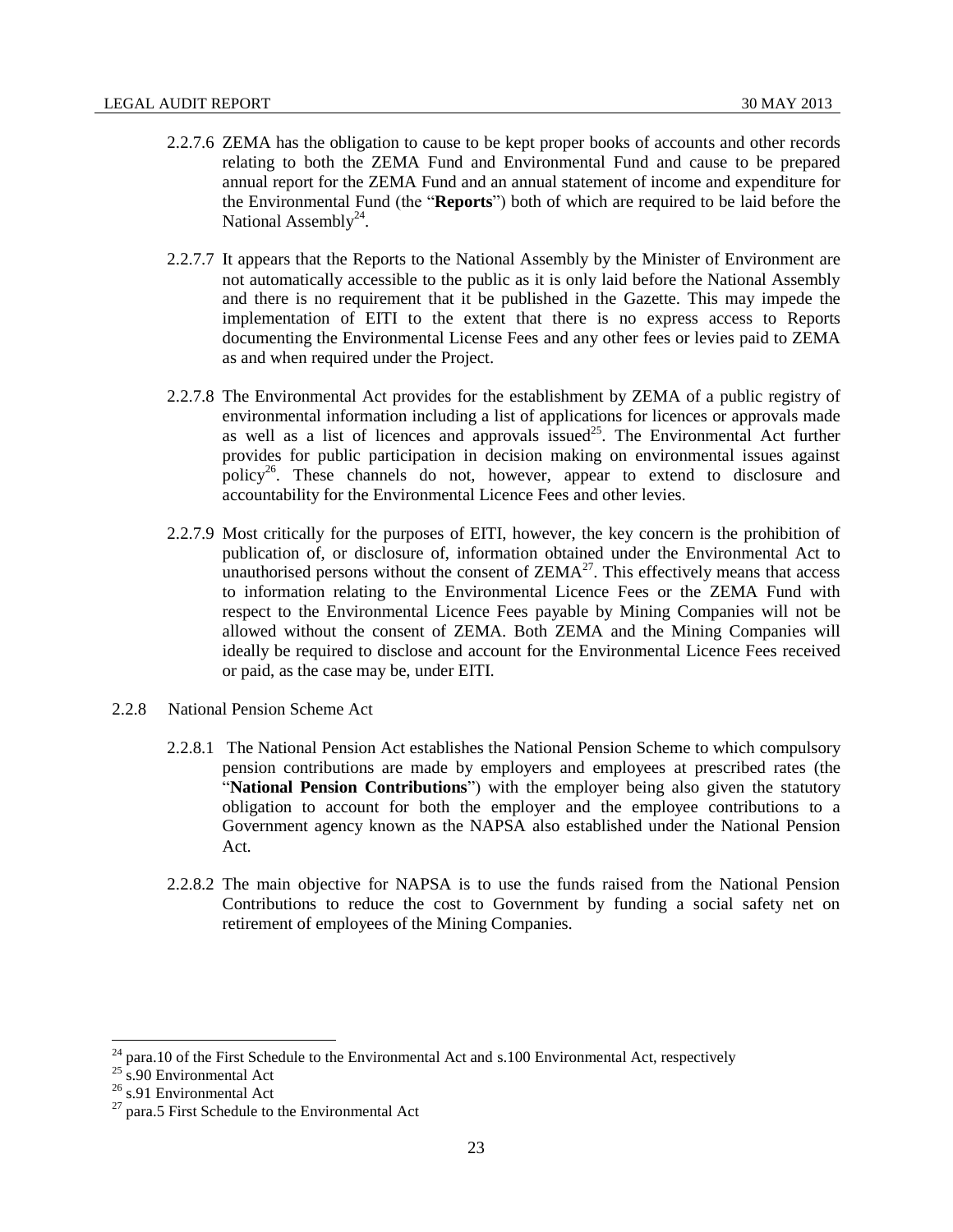- 2.2.7.6 ZEMA has the obligation to cause to be kept proper books of accounts and other records relating to both the ZEMA Fund and Environmental Fund and cause to be prepared annual report for the ZEMA Fund and an annual statement of income and expenditure for the Environmental Fund (the "**Reports**") both of which are required to be laid before the National Assembly<sup>24</sup>.
- 2.2.7.7 It appears that the Reports to the National Assembly by the Minister of Environment are not automatically accessible to the public as it is only laid before the National Assembly and there is no requirement that it be published in the Gazette. This may impede the implementation of EITI to the extent that there is no express access to Reports documenting the Environmental License Fees and any other fees or levies paid to ZEMA as and when required under the Project.
- 2.2.7.8 The Environmental Act provides for the establishment by ZEMA of a public registry of environmental information including a list of applications for licences or approvals made as well as a list of licences and approvals issued<sup>25</sup>. The Environmental Act further provides for public participation in decision making on environmental issues against policy<sup>26</sup>. These channels do not, however, appear to extend to disclosure and accountability for the Environmental Licence Fees and other levies.
- 2.2.7.9 Most critically for the purposes of EITI, however, the key concern is the prohibition of publication of, or disclosure of, information obtained under the Environmental Act to unauthorised persons without the consent of  $ZEMA^{27}$ . This effectively means that access to information relating to the Environmental Licence Fees or the ZEMA Fund with respect to the Environmental Licence Fees payable by Mining Companies will not be allowed without the consent of ZEMA. Both ZEMA and the Mining Companies will ideally be required to disclose and account for the Environmental Licence Fees received or paid, as the case may be, under EITI.
- <span id="page-22-0"></span>2.2.8 National Pension Scheme Act
	- 2.2.8.1 The National Pension Act establishes the National Pension Scheme to which compulsory pension contributions are made by employers and employees at prescribed rates (the "**National Pension Contributions**") with the employer being also given the statutory obligation to account for both the employer and the employee contributions to a Government agency known as the NAPSA also established under the National Pension Act.
	- 2.2.8.2 The main objective for NAPSA is to use the funds raised from the National Pension Contributions to reduce the cost to Government by funding a social safety net on retirement of employees of the Mining Companies.

 $^{24}$  para.10 of the First Schedule to the Environmental Act and s.100 Environmental Act, respectively

 $25 \text{ s}.90$  Environmental Act

<sup>&</sup>lt;sup>26</sup> s.91 Environmental Act

 $27$  para.5 First Schedule to the Environmental Act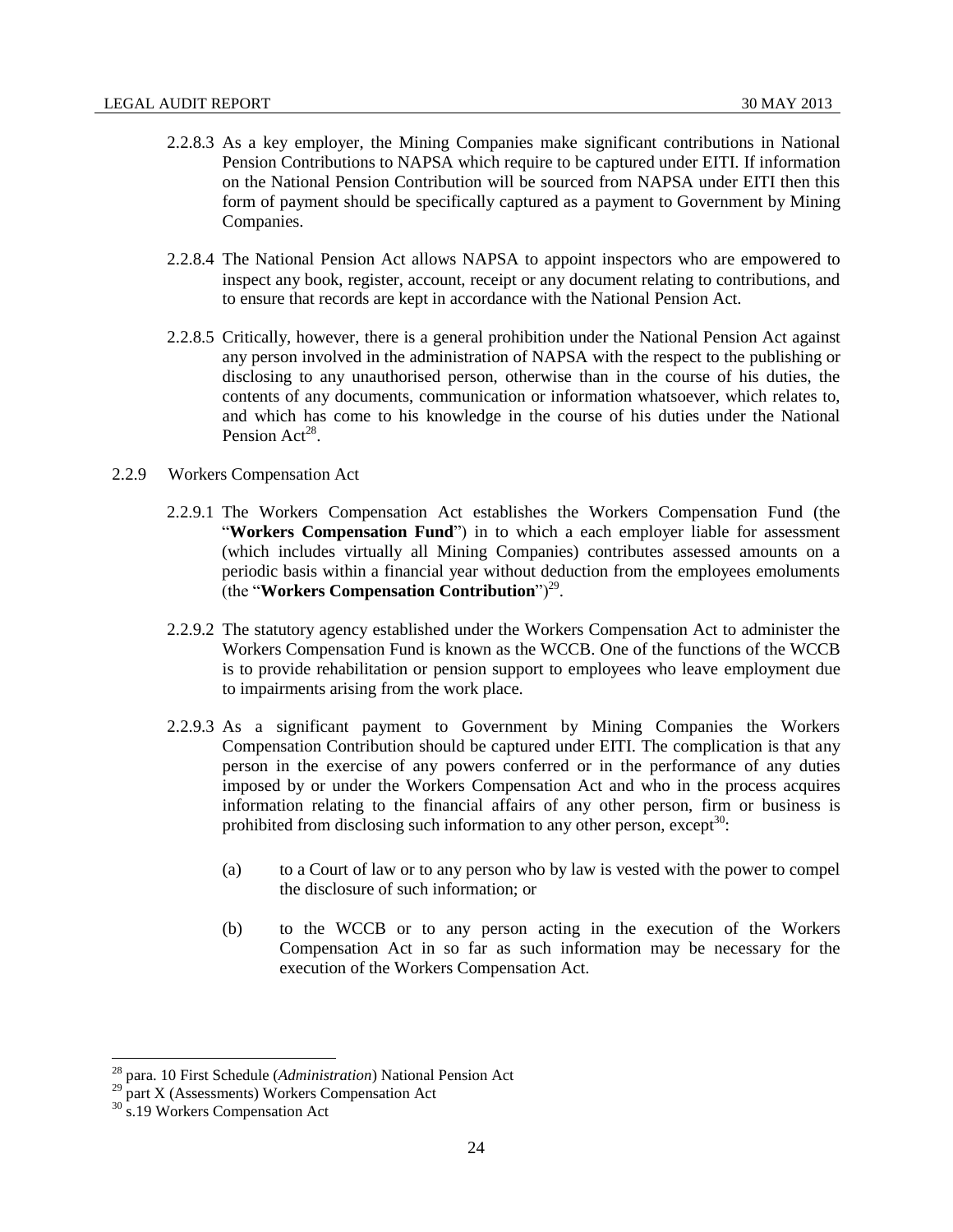- 2.2.8.3 As a key employer, the Mining Companies make significant contributions in National Pension Contributions to NAPSA which require to be captured under EITI. If information on the National Pension Contribution will be sourced from NAPSA under EITI then this form of payment should be specifically captured as a payment to Government by Mining Companies.
- 2.2.8.4 The National Pension Act allows NAPSA to appoint inspectors who are empowered to inspect any book, register, account, receipt or any document relating to contributions, and to ensure that records are kept in accordance with the National Pension Act.
- 2.2.8.5 Critically, however, there is a general prohibition under the National Pension Act against any person involved in the administration of NAPSA with the respect to the publishing or disclosing to any unauthorised person, otherwise than in the course of his duties, the contents of any documents, communication or information whatsoever, which relates to, and which has come to his knowledge in the course of his duties under the National Pension Act<sup>28</sup>.
- <span id="page-23-0"></span>2.2.9 Workers Compensation Act
	- 2.2.9.1 The Workers Compensation Act establishes the Workers Compensation Fund (the "**Workers Compensation Fund**") in to which a each employer liable for assessment (which includes virtually all Mining Companies) contributes assessed amounts on a periodic basis within a financial year without deduction from the employees emoluments (the "**Workers Compensation Contribution**")<sup>29</sup>.
	- 2.2.9.2 The statutory agency established under the Workers Compensation Act to administer the Workers Compensation Fund is known as the WCCB. One of the functions of the WCCB is to provide rehabilitation or pension support to employees who leave employment due to impairments arising from the work place.
	- 2.2.9.3 As a significant payment to Government by Mining Companies the Workers Compensation Contribution should be captured under EITI. The complication is that any person in the exercise of any powers conferred or in the performance of any duties imposed by or under the Workers Compensation Act and who in the process acquires information relating to the financial affairs of any other person, firm or business is prohibited from disclosing such information to any other person, except<sup>30</sup>:
		- (a) to a Court of law or to any person who by law is vested with the power to compel the disclosure of such information; or
		- (b) to the WCCB or to any person acting in the execution of the Workers Compensation Act in so far as such information may be necessary for the execution of the Workers Compensation Act.

<sup>28</sup> para. 10 First Schedule (*Administration*) National Pension Act

<sup>&</sup>lt;sup>29</sup> part X (Assessments) Workers Compensation Act

<sup>&</sup>lt;sup>30</sup> s.19 Workers Compensation Act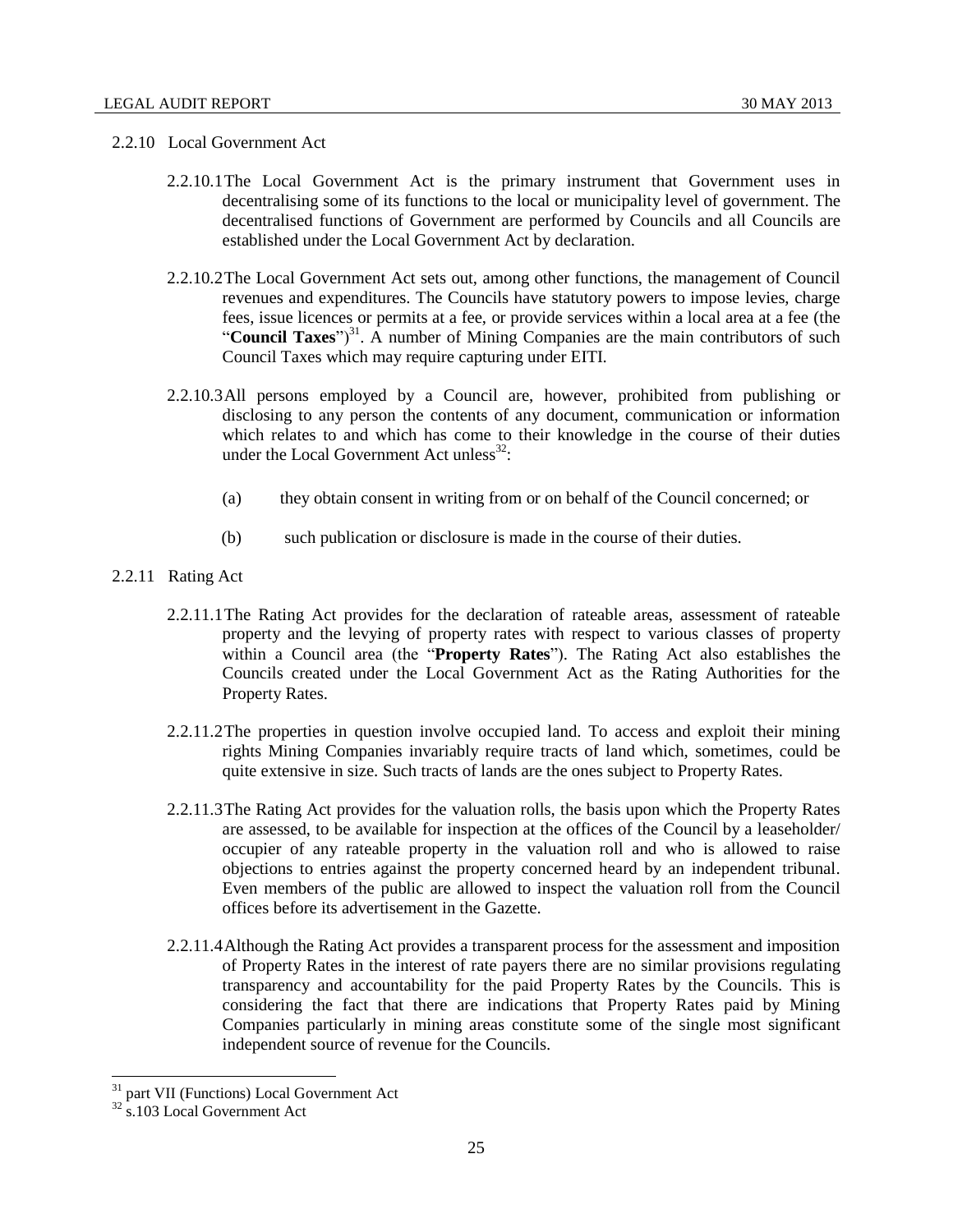#### <span id="page-24-0"></span>2.2.10 Local Government Act

- 2.2.10.1The Local Government Act is the primary instrument that Government uses in decentralising some of its functions to the local or municipality level of government. The decentralised functions of Government are performed by Councils and all Councils are established under the Local Government Act by declaration.
- 2.2.10.2The Local Government Act sets out, among other functions, the management of Council revenues and expenditures. The Councils have statutory powers to impose levies, charge fees, issue licences or permits at a fee, or provide services within a local area at a fee (the "Council Taxes")<sup>31</sup>. A number of Mining Companies are the main contributors of such Council Taxes which may require capturing under EITI.
- 2.2.10.3All persons employed by a Council are, however, prohibited from publishing or disclosing to any person the contents of any document, communication or information which relates to and which has come to their knowledge in the course of their duties under the Local Government Act unless $^{32}$ :
	- (a) they obtain consent in writing from or on behalf of the Council concerned; or
	- (b) such publication or disclosure is made in the course of their duties.
- <span id="page-24-1"></span>2.2.11 Rating Act
	- 2.2.11.1The Rating Act provides for the declaration of rateable areas, assessment of rateable property and the levying of property rates with respect to various classes of property within a Council area (the "**Property Rates**"). The Rating Act also establishes the Councils created under the Local Government Act as the Rating Authorities for the Property Rates.
	- 2.2.11.2The properties in question involve occupied land. To access and exploit their mining rights Mining Companies invariably require tracts of land which, sometimes, could be quite extensive in size. Such tracts of lands are the ones subject to Property Rates.
	- 2.2.11.3The Rating Act provides for the valuation rolls, the basis upon which the Property Rates are assessed, to be available for inspection at the offices of the Council by a leaseholder/ occupier of any rateable property in the valuation roll and who is allowed to raise objections to entries against the property concerned heard by an independent tribunal. Even members of the public are allowed to inspect the valuation roll from the Council offices before its advertisement in the Gazette.
	- 2.2.11.4Although the Rating Act provides a transparent process for the assessment and imposition of Property Rates in the interest of rate payers there are no similar provisions regulating transparency and accountability for the paid Property Rates by the Councils. This is considering the fact that there are indications that Property Rates paid by Mining Companies particularly in mining areas constitute some of the single most significant independent source of revenue for the Councils.

<sup>&</sup>lt;sup>31</sup> part VII (Functions) Local Government Act

 $32$  s.103 Local Government Act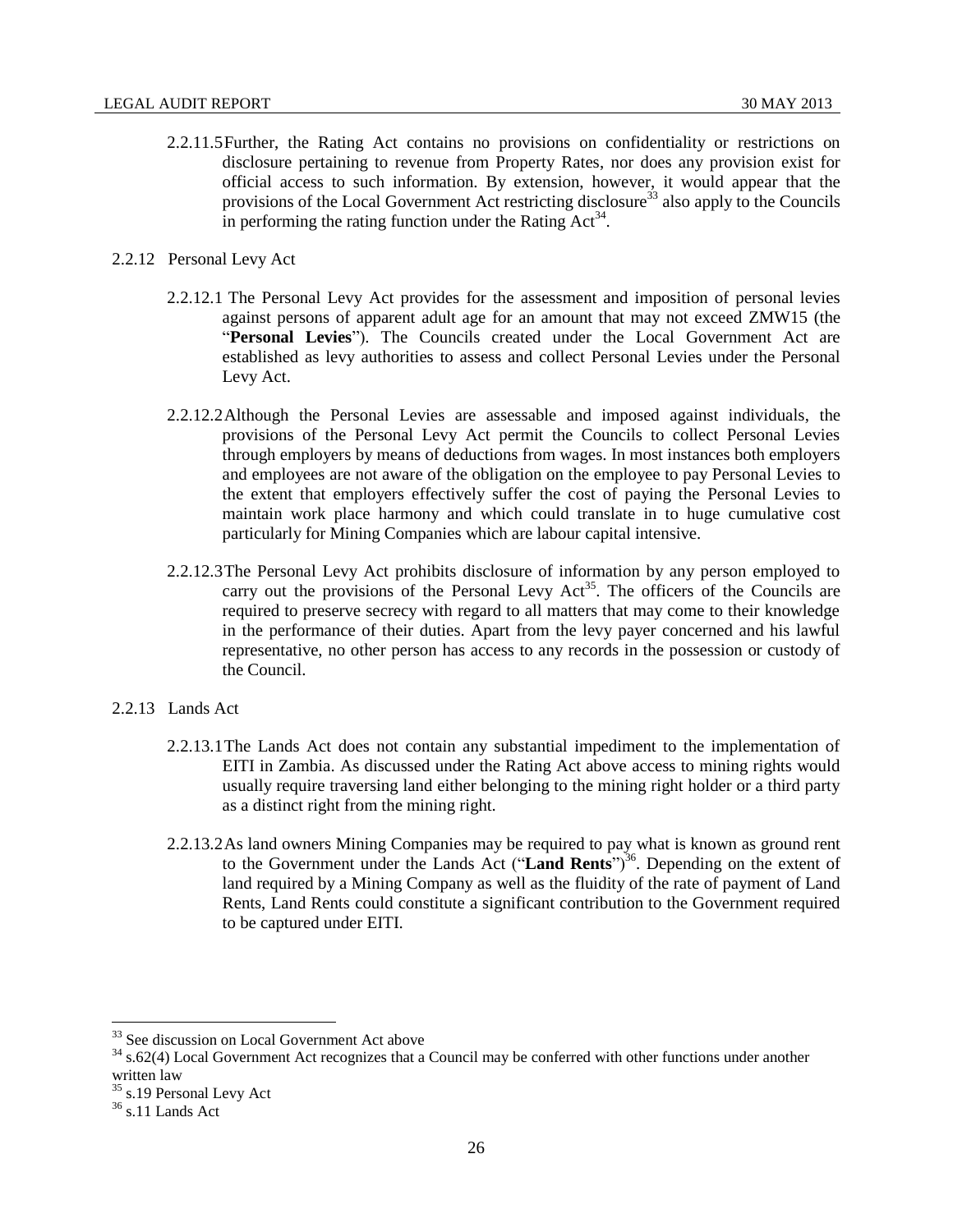- 2.2.11.5Further, the Rating Act contains no provisions on confidentiality or restrictions on disclosure pertaining to revenue from Property Rates, nor does any provision exist for official access to such information. By extension, however, it would appear that the provisions of the Local Government Act restricting disclosure<sup>33</sup> also apply to the Councils in performing the rating function under the Rating  $Act^{34}$ .
- <span id="page-25-0"></span>2.2.12 Personal Levy Act
	- 2.2.12.1 The Personal Levy Act provides for the assessment and imposition of personal levies against persons of apparent adult age for an amount that may not exceed ZMW15 (the "**Personal Levies**"). The Councils created under the Local Government Act are established as levy authorities to assess and collect Personal Levies under the Personal Levy Act.
	- 2.2.12.2Although the Personal Levies are assessable and imposed against individuals, the provisions of the Personal Levy Act permit the Councils to collect Personal Levies through employers by means of deductions from wages. In most instances both employers and employees are not aware of the obligation on the employee to pay Personal Levies to the extent that employers effectively suffer the cost of paying the Personal Levies to maintain work place harmony and which could translate in to huge cumulative cost particularly for Mining Companies which are labour capital intensive.
	- 2.2.12.3The Personal Levy Act prohibits disclosure of information by any person employed to carry out the provisions of the Personal Levy Act<sup>35</sup>. The officers of the Councils are required to preserve secrecy with regard to all matters that may come to their knowledge in the performance of their duties. Apart from the levy payer concerned and his lawful representative, no other person has access to any records in the possession or custody of the Council.
- <span id="page-25-1"></span>2.2.13 Lands Act
	- 2.2.13.1The Lands Act does not contain any substantial impediment to the implementation of EITI in Zambia. As discussed under the Rating Act above access to mining rights would usually require traversing land either belonging to the mining right holder or a third party as a distinct right from the mining right.
	- 2.2.13.2As land owners Mining Companies may be required to pay what is known as ground rent to the Government under the Lands Act ("Land Rents<sup>")36</sup>. Depending on the extent of land required by a Mining Company as well as the fluidity of the rate of payment of Land Rents, Land Rents could constitute a significant contribution to the Government required to be captured under EITI.

<sup>&</sup>lt;sup>33</sup> See discussion on Local Government Act above

<sup>&</sup>lt;sup>34</sup> s.62(4) Local Government Act recognizes that a Council may be conferred with other functions under another written law

<sup>&</sup>lt;sup>35</sup> s.19 Personal Levy Act

 $36$  s.11 Lands Act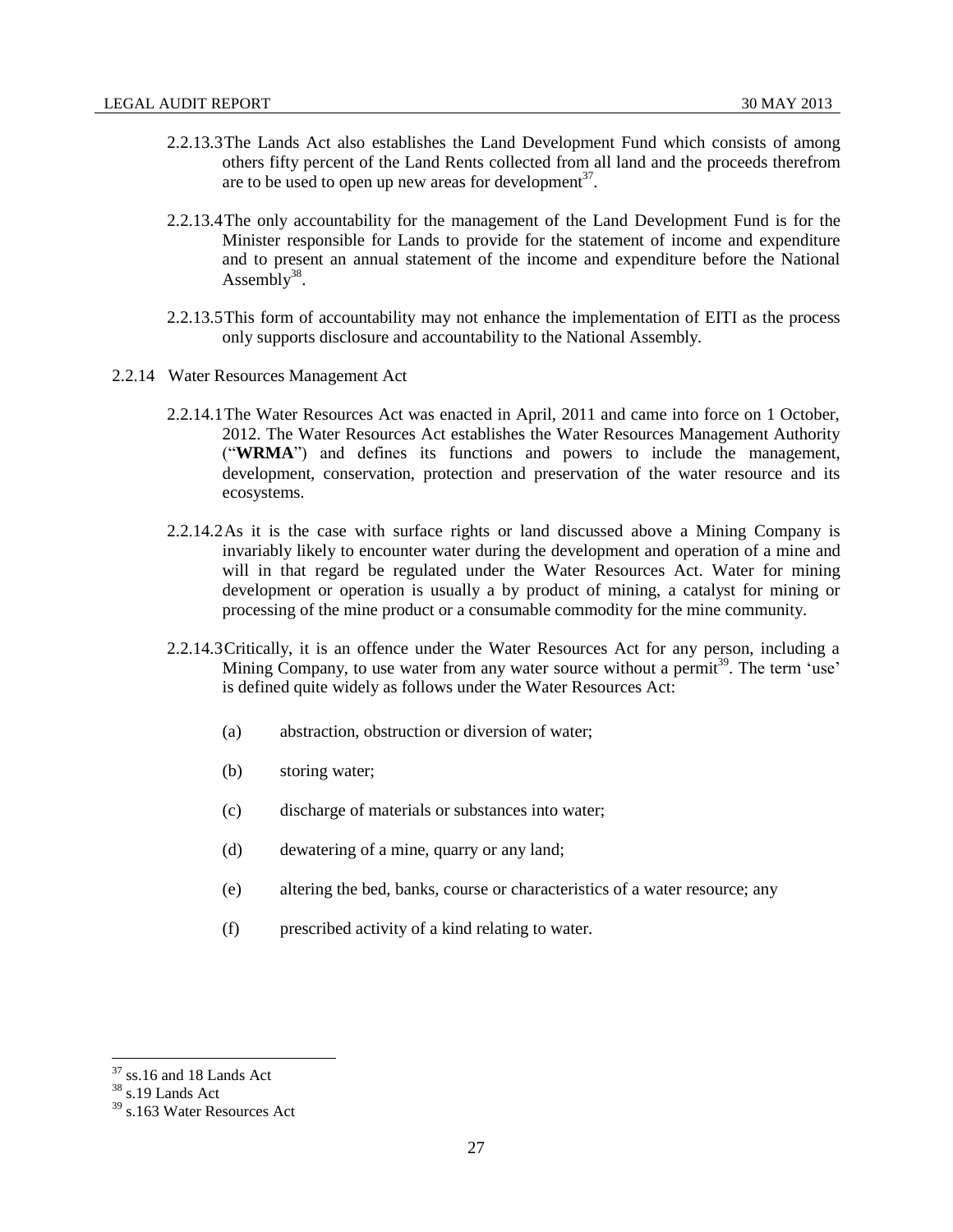- 2.2.13.3The Lands Act also establishes the Land Development Fund which consists of among others fifty percent of the Land Rents collected from all land and the proceeds therefrom are to be used to open up new areas for development $3^7$ .
- 2.2.13.4The only accountability for the management of the Land Development Fund is for the Minister responsible for Lands to provide for the statement of income and expenditure and to present an annual statement of the income and expenditure before the National Assembly<sup>38</sup>.
- 2.2.13.5This form of accountability may not enhance the implementation of EITI as the process only supports disclosure and accountability to the National Assembly.
- <span id="page-26-0"></span>2.2.14 Water Resources Management Act
	- 2.2.14.1The Water Resources Act was enacted in April, 2011 and came into force on 1 October, 2012. The Water Resources Act establishes the Water Resources Management Authority ("**WRMA**") and defines its functions and powers to include the management, development, conservation, protection and preservation of the water resource and its ecosystems.
	- 2.2.14.2As it is the case with surface rights or land discussed above a Mining Company is invariably likely to encounter water during the development and operation of a mine and will in that regard be regulated under the Water Resources Act. Water for mining development or operation is usually a by product of mining, a catalyst for mining or processing of the mine product or a consumable commodity for the mine community.
	- 2.2.14.3Critically, it is an offence under the Water Resources Act for any person, including a Mining Company, to use water from any water source without a permit<sup>39</sup>. The term 'use' is defined quite widely as follows under the Water Resources Act:
		- (a) abstraction, obstruction or diversion of water;
		- (b) storing water;
		- (c) discharge of materials or substances into water;
		- (d) dewatering of a mine, quarry or any land;
		- (e) altering the bed, banks, course or characteristics of a water resource; any
		- (f) prescribed activity of a kind relating to water.

 $37$  ss.16 and 18 Lands Act

<sup>38</sup> s.19 Lands Act

 $39$  s.163 Water Resources Act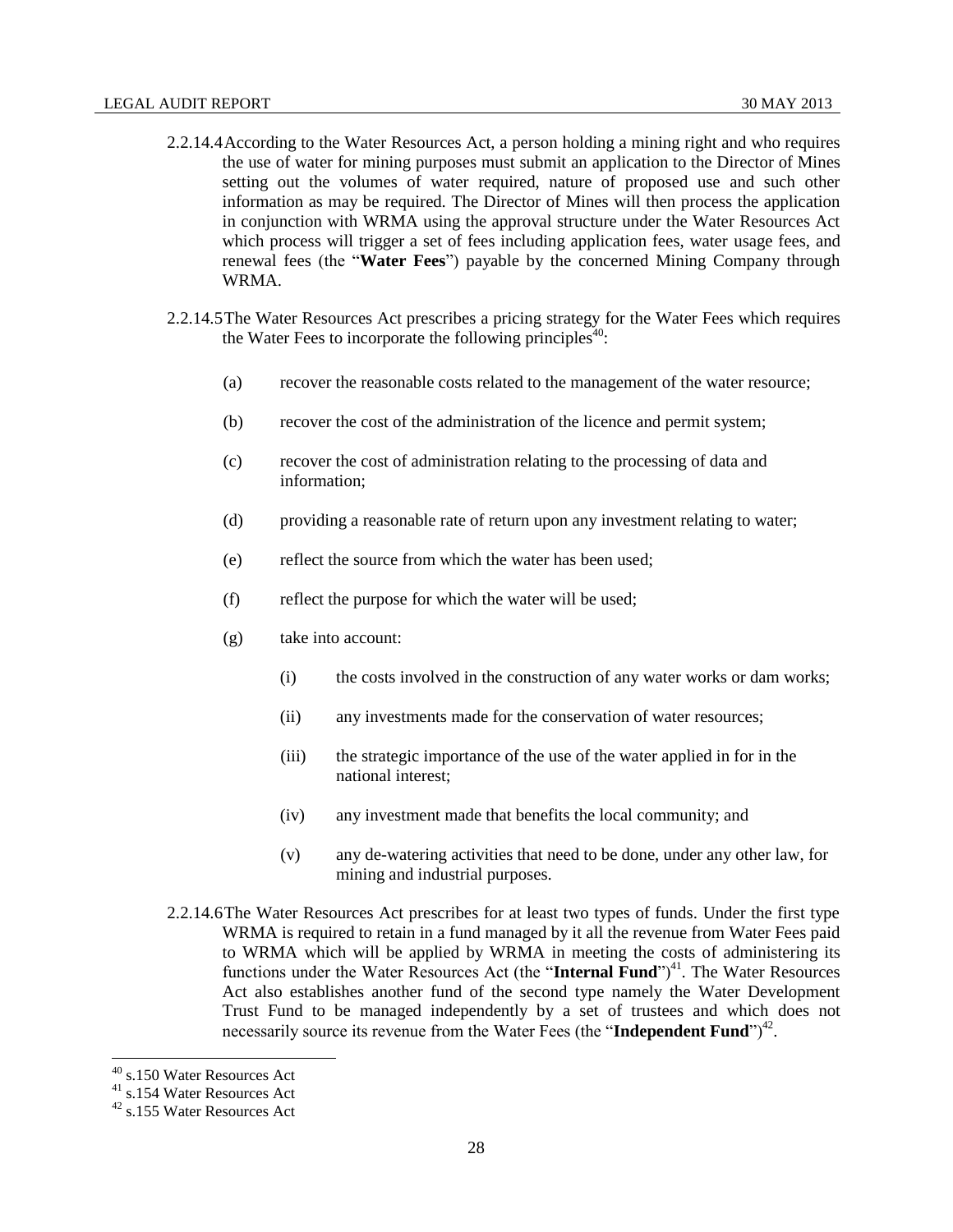- 2.2.14.4According to the Water Resources Act, a person holding a mining right and who requires the use of water for mining purposes must submit an application to the Director of Mines setting out the volumes of water required, nature of proposed use and such other information as may be required. The Director of Mines will then process the application in conjunction with WRMA using the approval structure under the Water Resources Act which process will trigger a set of fees including application fees, water usage fees, and renewal fees (the "**Water Fees**") payable by the concerned Mining Company through WRMA.
- 2.2.14.5The Water Resources Act prescribes a pricing strategy for the Water Fees which requires the Water Fees to incorporate the following principles $40$ :
	- (a) recover the reasonable costs related to the management of the water resource;
	- (b) recover the cost of the administration of the licence and permit system;
	- (c) recover the cost of administration relating to the processing of data and information;
	- (d) providing a reasonable rate of return upon any investment relating to water;
	- (e) reflect the source from which the water has been used;
	- (f) reflect the purpose for which the water will be used;
	- (g) take into account:
		- $(i)$  the costs involved in the construction of any water works or dam works;
		- (ii) any investments made for the conservation of water resources;
		- (iii) the strategic importance of the use of the water applied in for in the national interest;
		- (iv) any investment made that benefits the local community; and
		- (v) any de-watering activities that need to be done, under any other law, for mining and industrial purposes.
- 2.2.14.6The Water Resources Act prescribes for at least two types of funds. Under the first type WRMA is required to retain in a fund managed by it all the revenue from Water Fees paid to WRMA which will be applied by WRMA in meeting the costs of administering its functions under the Water Resources Act (the "Internal Fund")<sup>41</sup>. The Water Resources Act also establishes another fund of the second type namely the Water Development Trust Fund to be managed independently by a set of trustees and which does not necessarily source its revenue from the Water Fees (the "Independent Fund")<sup>42</sup>.

<sup>40</sup> s.150 Water Resources Act

<sup>41</sup> s.154 Water Resources Act

<sup>42</sup> s.155 Water Resources Act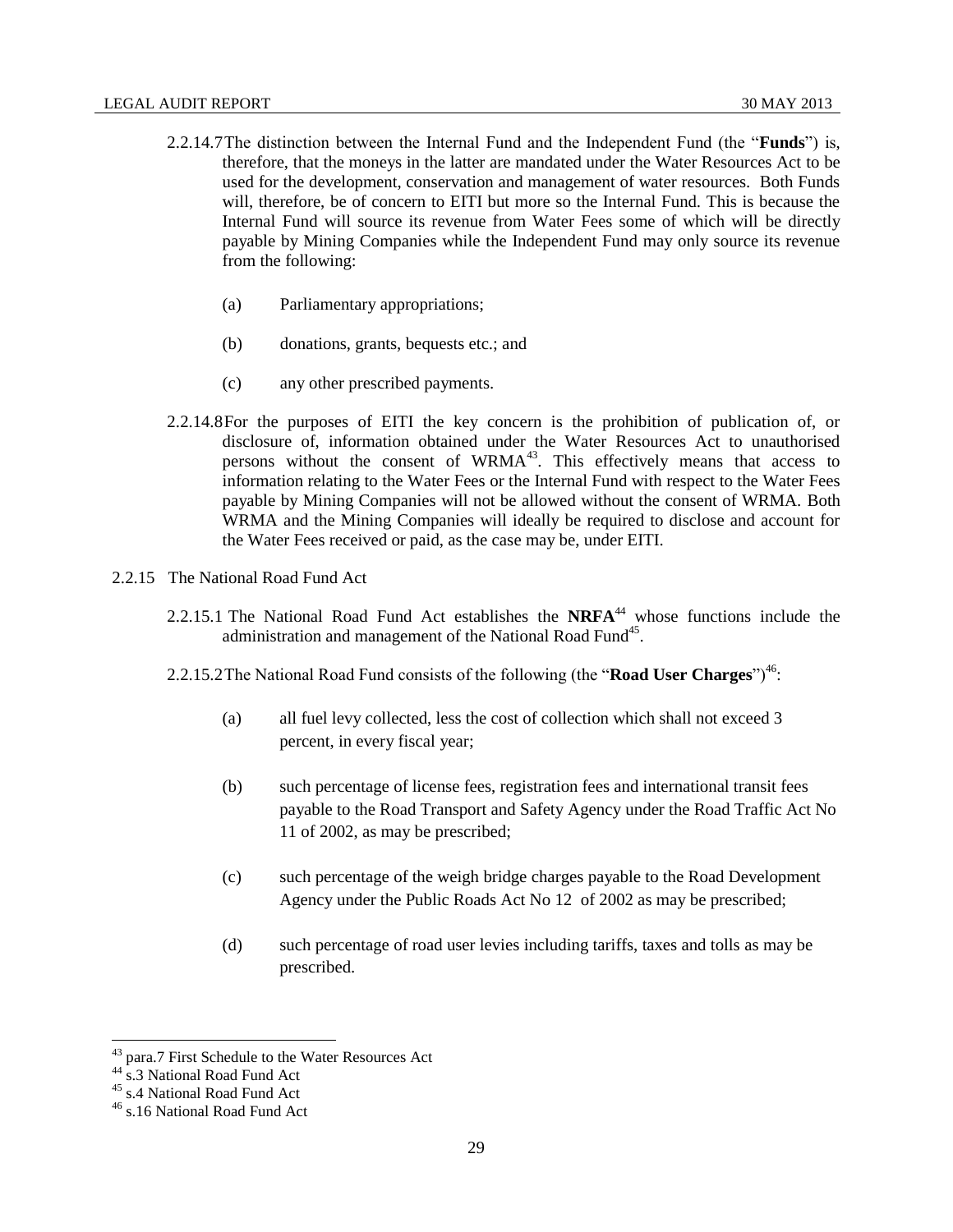- 2.2.14.7The distinction between the Internal Fund and the Independent Fund (the "**Funds**") is, therefore, that the moneys in the latter are mandated under the Water Resources Act to be used for the development, conservation and management of water resources. Both Funds will, therefore, be of concern to EITI but more so the Internal Fund. This is because the Internal Fund will source its revenue from Water Fees some of which will be directly payable by Mining Companies while the Independent Fund may only source its revenue from the following:
	- (a) Parliamentary appropriations;
	- (b) donations, grants, bequests etc.; and
	- (c) any other prescribed payments.
- 2.2.14.8For the purposes of EITI the key concern is the prohibition of publication of, or disclosure of, information obtained under the Water Resources Act to unauthorised persons without the consent of WRMA<sup>43</sup>. This effectively means that access to information relating to the Water Fees or the Internal Fund with respect to the Water Fees payable by Mining Companies will not be allowed without the consent of WRMA. Both WRMA and the Mining Companies will ideally be required to disclose and account for the Water Fees received or paid, as the case may be, under EITI.
- <span id="page-28-0"></span>2.2.15 The National Road Fund Act
	- 2.2.15.1 The National Road Fund Act establishes the **NRFA**<sup>44</sup> whose functions include the administration and management of the National Road Fund<sup>45</sup>.
	- 2.2.15.2The National Road Fund consists of the following (the "**Road User Charges**")<sup>46</sup>:
		- (a) all fuel levy collected, less the cost of collection which shall not exceed 3 percent, in every fiscal year;
		- (b) such percentage of license fees, registration fees and international transit fees payable to the Road Transport and Safety Agency under the Road Traffic Act No 11 of 2002, as may be prescribed;
		- (c) such percentage of the weigh bridge charges payable to the Road Development Agency under the Public Roads Act No 12 of 2002 as may be prescribed;
		- (d) such percentage of road user levies including tariffs, taxes and tolls as may be prescribed.

<sup>43</sup> para.7 First Schedule to the Water Resources Act

<sup>44</sup> s.3 National Road Fund Act

<sup>45</sup> s.4 National Road Fund Act

<sup>46</sup> s.16 National Road Fund Act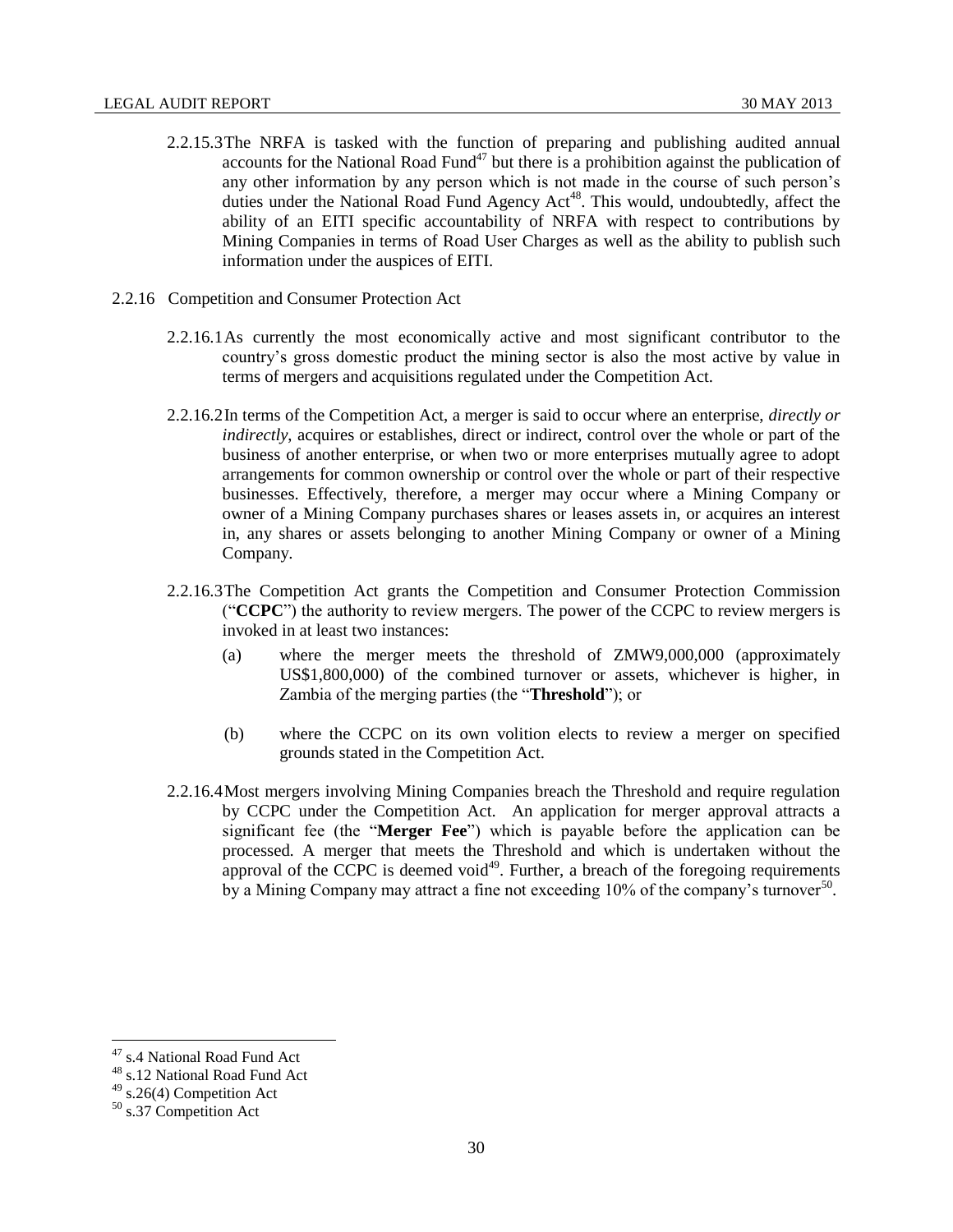- 2.2.15.3The NRFA is tasked with the function of preparing and publishing audited annual accounts for the National Road Fund $47$  but there is a prohibition against the publication of any other information by any person which is not made in the course of such person's duties under the National Road Fund Agency Act<sup>48</sup>. This would, undoubtedly, affect the ability of an EITI specific accountability of NRFA with respect to contributions by Mining Companies in terms of Road User Charges as well as the ability to publish such information under the auspices of EITI.
- <span id="page-29-0"></span>2.2.16 Competition and Consumer Protection Act
	- 2.2.16.1As currently the most economically active and most significant contributor to the country's gross domestic product the mining sector is also the most active by value in terms of mergers and acquisitions regulated under the Competition Act.
	- 2.2.16.2In terms of the Competition Act, a merger is said to occur where an enterprise, *directly or indirectly*, acquires or establishes, direct or indirect, control over the whole or part of the business of another enterprise, or when two or more enterprises mutually agree to adopt arrangements for common ownership or control over the whole or part of their respective businesses. Effectively, therefore, a merger may occur where a Mining Company or owner of a Mining Company purchases shares or leases assets in, or acquires an interest in, any shares or assets belonging to another Mining Company or owner of a Mining Company.
	- 2.2.16.3The Competition Act grants the Competition and Consumer Protection Commission ("**CCPC**") the authority to review mergers. The power of the CCPC to review mergers is invoked in at least two instances:
		- (a) where the merger meets the threshold of ZMW9,000,000 (approximately US\$1,800,000) of the combined turnover or assets, whichever is higher, in Zambia of the merging parties (the "**Threshold**"); or
		- (b) where the CCPC on its own volition elects to review a merger on specified grounds stated in the Competition Act.
	- 2.2.16.4Most mergers involving Mining Companies breach the Threshold and require regulation by CCPC under the Competition Act. An application for merger approval attracts a significant fee (the "**Merger Fee**") which is payable before the application can be processed. A merger that meets the Threshold and which is undertaken without the approval of the CCPC is deemed void<sup>49</sup>. Further, a breach of the foregoing requirements by a Mining Company may attract a fine not exceeding 10% of the company's turnover<sup>50</sup>.

<sup>&</sup>lt;sup>47</sup> s.4 National Road Fund Act

<sup>48</sup> s.12 National Road Fund Act

<sup>49</sup> s.26(4) Competition Act

<sup>50</sup> s.37 Competition Act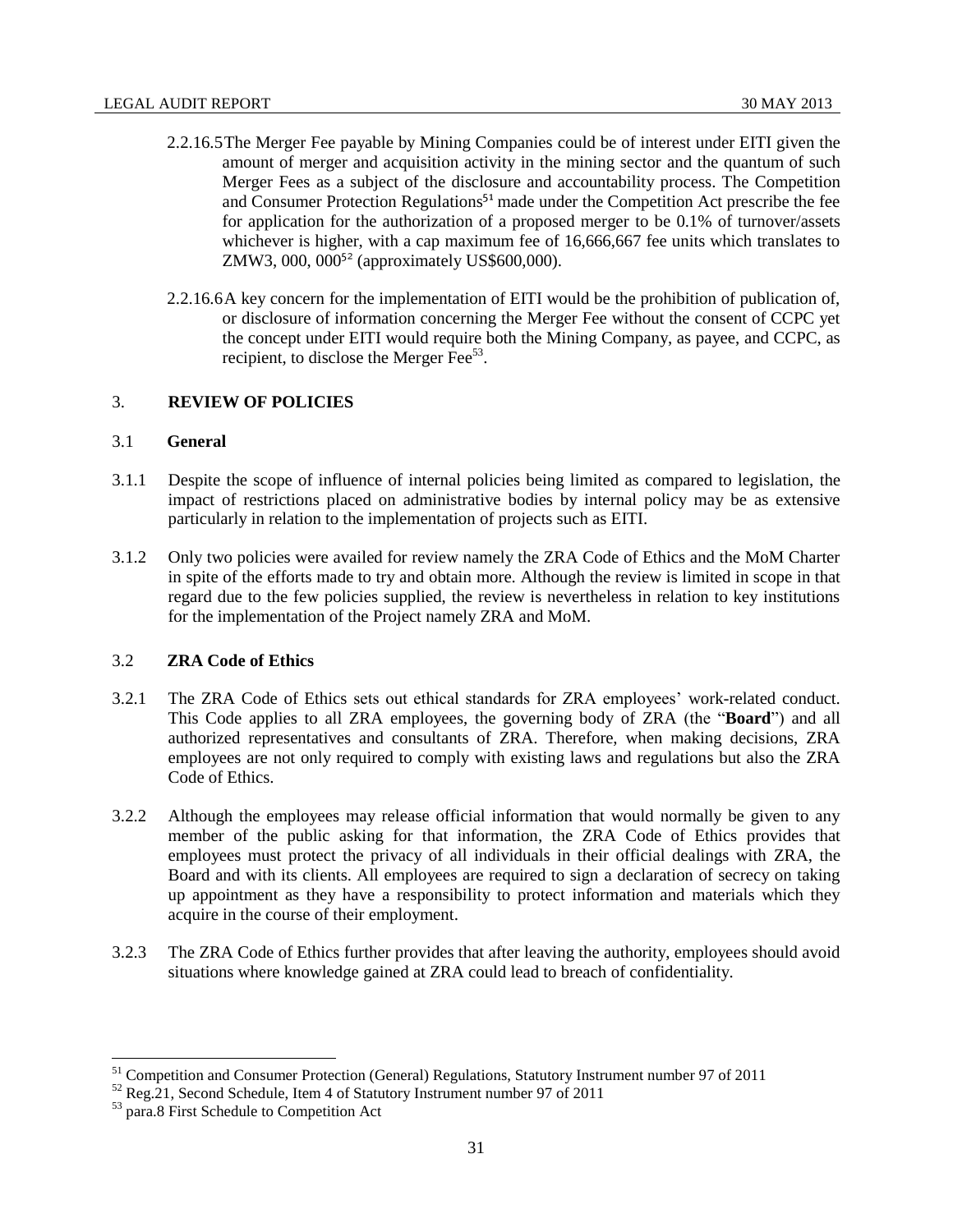- 2.2.16.5The Merger Fee payable by Mining Companies could be of interest under EITI given the amount of merger and acquisition activity in the mining sector and the quantum of such Merger Fees as a subject of the disclosure and accountability process. The Competition and Consumer Protection Regulations<sup>51</sup> made under the Competition Act prescribe the fee for application for the authorization of a proposed merger to be 0.1% of turnover/assets whichever is higher, with a cap maximum fee of 16,666,667 fee units which translates to ZMW3, 000, 000<sup>52</sup> (approximately US\$600,000).
- 2.2.16.6A key concern for the implementation of EITI would be the prohibition of publication of, or disclosure of information concerning the Merger Fee without the consent of CCPC yet the concept under EITI would require both the Mining Company, as payee, and CCPC, as recipient, to disclose the Merger Fee<sup>53</sup>.

# <span id="page-30-0"></span>3. **REVIEW OF POLICIES**

#### <span id="page-30-1"></span>3.1 **General**

- 3.1.1 Despite the scope of influence of internal policies being limited as compared to legislation, the impact of restrictions placed on administrative bodies by internal policy may be as extensive particularly in relation to the implementation of projects such as EITI.
- 3.1.2 Only two policies were availed for review namely the ZRA Code of Ethics and the MoM Charter in spite of the efforts made to try and obtain more. Although the review is limited in scope in that regard due to the few policies supplied, the review is nevertheless in relation to key institutions for the implementation of the Project namely ZRA and MoM.

# <span id="page-30-2"></span>3.2 **ZRA Code of Ethics**

- 3.2.1 The ZRA Code of Ethics sets out ethical standards for ZRA employees' work-related conduct. This Code applies to all ZRA employees, the governing body of ZRA (the "**Board**") and all authorized representatives and consultants of ZRA. Therefore, when making decisions, ZRA employees are not only required to comply with existing laws and regulations but also the ZRA Code of Ethics.
- 3.2.2 Although the employees may release official information that would normally be given to any member of the public asking for that information, the ZRA Code of Ethics provides that employees must protect the privacy of all individuals in their official dealings with ZRA, the Board and with its clients. All employees are required to sign a declaration of secrecy on taking up appointment as they have a responsibility to protect information and materials which they acquire in the course of their employment.
- 3.2.3 The ZRA Code of Ethics further provides that after leaving the authority, employees should avoid situations where knowledge gained at ZRA could lead to breach of confidentiality.

<sup>&</sup>lt;sup>51</sup> Competition and Consumer Protection (General) Regulations, Statutory Instrument number 97 of 2011

 $52$  Reg. 21, Second Schedule, Item 4 of Statutory Instrument number 97 of 2011

<sup>53</sup> para.8 First Schedule to Competition Act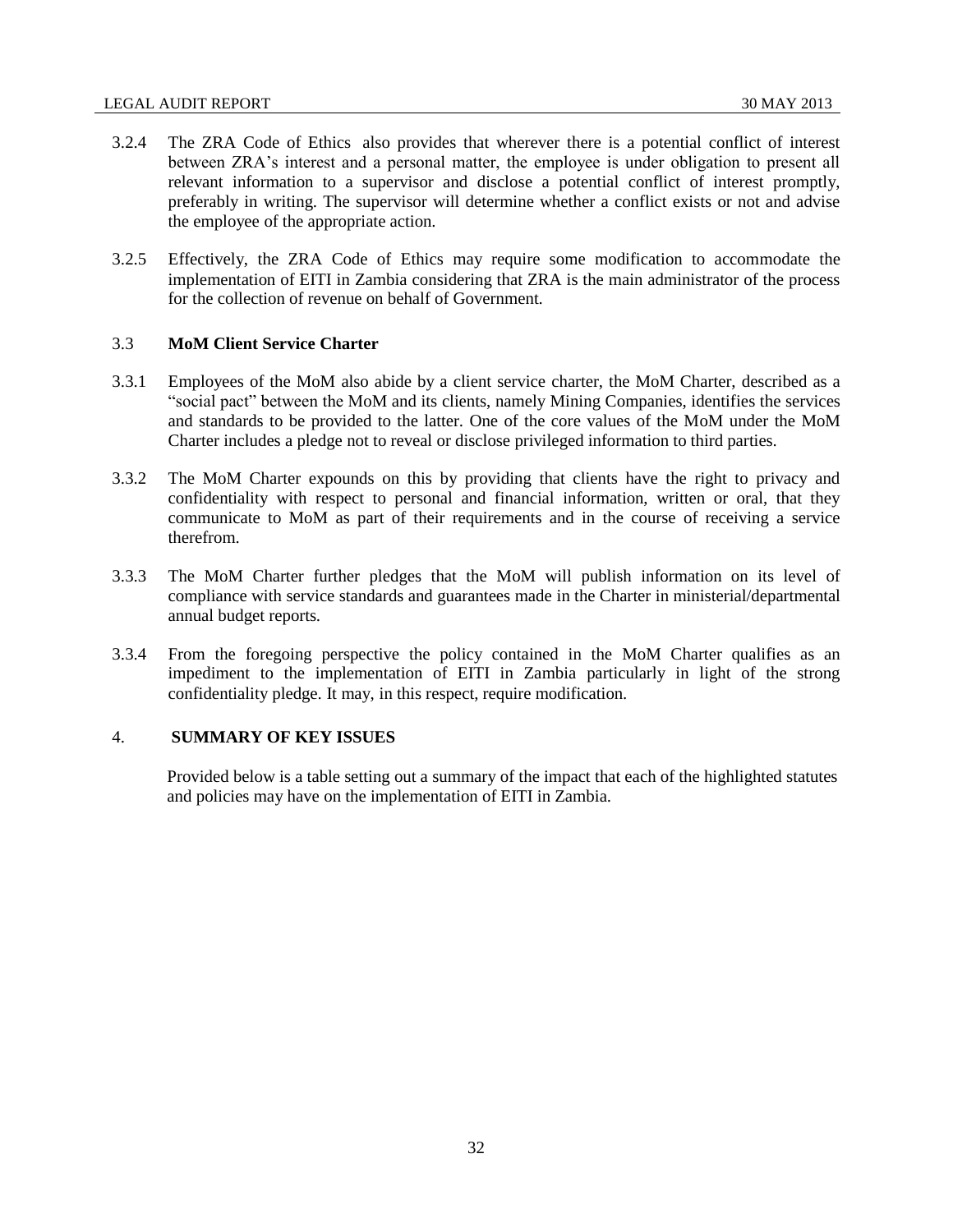- 3.2.4 The ZRA Code of Ethics also provides that wherever there is a potential conflict of interest between ZRA's interest and a personal matter, the employee is under obligation to present all relevant information to a supervisor and disclose a potential conflict of interest promptly, preferably in writing. The supervisor will determine whether a conflict exists or not and advise the employee of the appropriate action.
- 3.2.5 Effectively, the ZRA Code of Ethics may require some modification to accommodate the implementation of EITI in Zambia considering that ZRA is the main administrator of the process for the collection of revenue on behalf of Government.

# <span id="page-31-0"></span>3.3 **MoM Client Service Charter**

- 3.3.1 Employees of the MoM also abide by a client service charter, the MoM Charter, described as a "social pact" between the MoM and its clients, namely Mining Companies, identifies the services and standards to be provided to the latter. One of the core values of the MoM under the MoM Charter includes a pledge not to reveal or disclose privileged information to third parties.
- 3.3.2 The MoM Charter expounds on this by providing that clients have the right to privacy and confidentiality with respect to personal and financial information, written or oral, that they communicate to MoM as part of their requirements and in the course of receiving a service therefrom.
- 3.3.3 The MoM Charter further pledges that the MoM will publish information on its level of compliance with service standards and guarantees made in the Charter in ministerial/departmental annual budget reports.
- 3.3.4 From the foregoing perspective the policy contained in the MoM Charter qualifies as an impediment to the implementation of EITI in Zambia particularly in light of the strong confidentiality pledge. It may, in this respect, require modification.

# 4. **SUMMARY OF KEY ISSUES**

<span id="page-31-1"></span>Provided below is a table setting out a summary of the impact that each of the highlighted statutes and policies may have on the implementation of EITI in Zambia.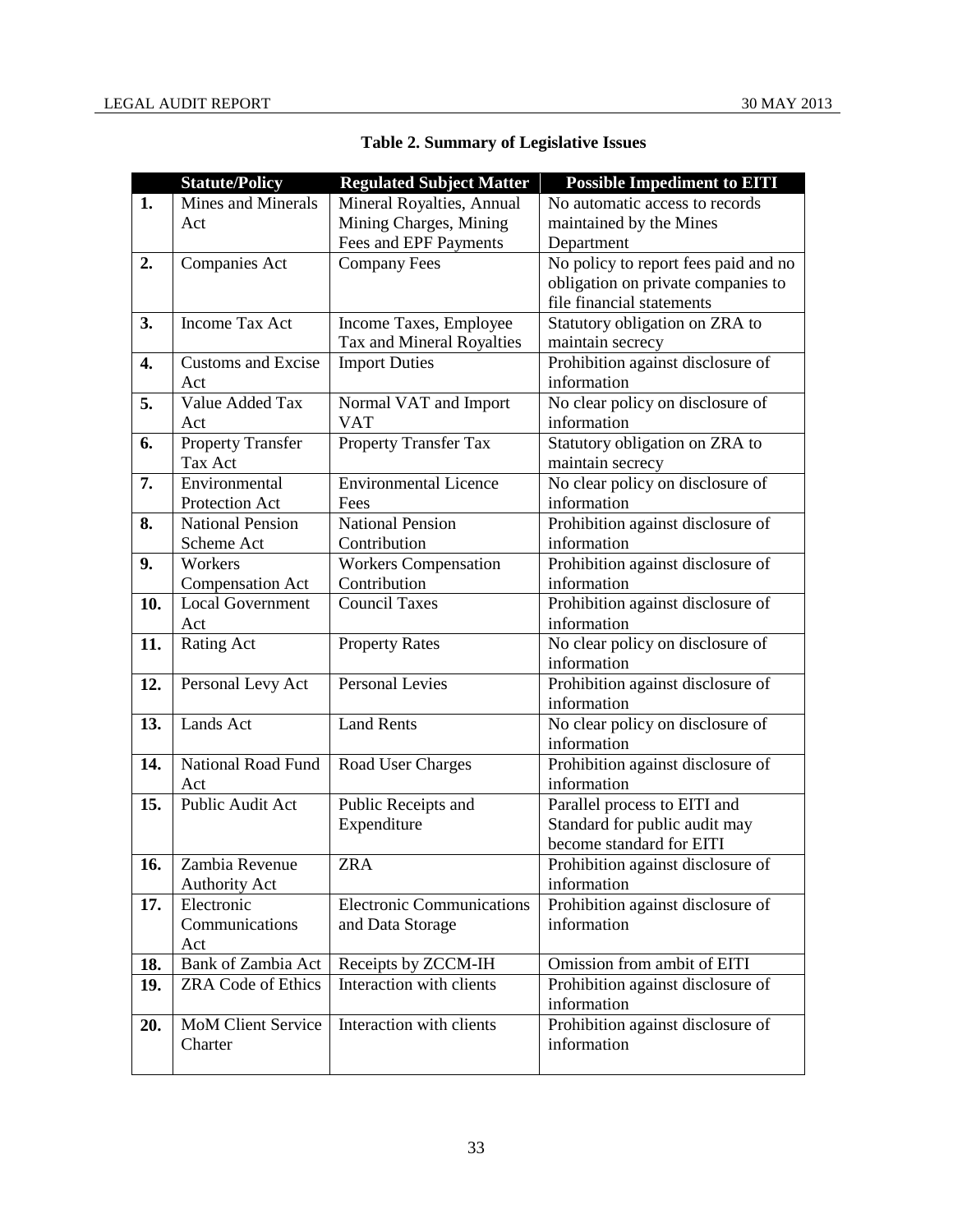| <b>Table 2. Summary of Legislative Issues</b> |
|-----------------------------------------------|
|-----------------------------------------------|

|     | <b>Statute/Policy</b>     | <b>Regulated Subject Matter</b>  | <b>Possible Impediment to EITI</b>              |
|-----|---------------------------|----------------------------------|-------------------------------------------------|
| 1.  | Mines and Minerals        | Mineral Royalties, Annual        | No automatic access to records                  |
|     | Act                       | Mining Charges, Mining           | maintained by the Mines                         |
|     |                           | Fees and EPF Payments            | Department                                      |
| 2.  | <b>Companies Act</b>      | <b>Company Fees</b>              | No policy to report fees paid and no            |
|     |                           |                                  | obligation on private companies to              |
|     |                           |                                  | file financial statements                       |
| 3.  | <b>Income Tax Act</b>     | Income Taxes, Employee           | Statutory obligation on ZRA to                  |
|     |                           | Tax and Mineral Royalties        | maintain secrecy                                |
| 4.  | <b>Customs and Excise</b> | <b>Import Duties</b>             | Prohibition against disclosure of               |
|     | Act                       |                                  | information                                     |
| 5.  | Value Added Tax           | Normal VAT and Import            | No clear policy on disclosure of                |
|     | Act                       | <b>VAT</b>                       | information                                     |
| 6.  | <b>Property Transfer</b>  | <b>Property Transfer Tax</b>     | Statutory obligation on ZRA to                  |
|     | Tax Act                   |                                  | maintain secrecy                                |
| 7.  | Environmental             | <b>Environmental Licence</b>     | No clear policy on disclosure of                |
|     | Protection Act            | Fees                             | information                                     |
| 8.  | <b>National Pension</b>   | <b>National Pension</b>          | Prohibition against disclosure of               |
|     | Scheme Act                | Contribution                     | information                                     |
| 9.  | Workers                   | <b>Workers Compensation</b>      | Prohibition against disclosure of               |
|     | <b>Compensation Act</b>   | Contribution                     | information                                     |
| 10. | <b>Local Government</b>   | <b>Council Taxes</b>             | Prohibition against disclosure of               |
|     | Act                       |                                  | information                                     |
| 11. | <b>Rating Act</b>         | <b>Property Rates</b>            | No clear policy on disclosure of                |
|     |                           |                                  | information                                     |
| 12. | Personal Levy Act         | <b>Personal Levies</b>           | Prohibition against disclosure of               |
|     |                           |                                  | information                                     |
| 13. | Lands Act                 | <b>Land Rents</b>                | No clear policy on disclosure of<br>information |
| 14. | National Road Fund        |                                  | Prohibition against disclosure of               |
|     | Act                       | Road User Charges                | information                                     |
| 15. | Public Audit Act          | Public Receipts and              | Parallel process to EITI and                    |
|     |                           | Expenditure                      | Standard for public audit may                   |
|     |                           |                                  | become standard for EITI                        |
| 16. | Zambia Revenue            | ZRA                              | Prohibition against disclosure of               |
|     | <b>Authority Act</b>      |                                  | information                                     |
| 17. | Electronic                | <b>Electronic Communications</b> | Prohibition against disclosure of               |
|     | Communications            | and Data Storage                 | information                                     |
|     | Act                       |                                  |                                                 |
| 18. | Bank of Zambia Act        | Receipts by ZCCM-IH              | Omission from ambit of EITI                     |
| 19. | <b>ZRA Code of Ethics</b> | Interaction with clients         | Prohibition against disclosure of               |
|     |                           |                                  | information                                     |
| 20. | <b>MoM Client Service</b> | Interaction with clients         | Prohibition against disclosure of               |
|     | Charter                   |                                  | information                                     |
|     |                           |                                  |                                                 |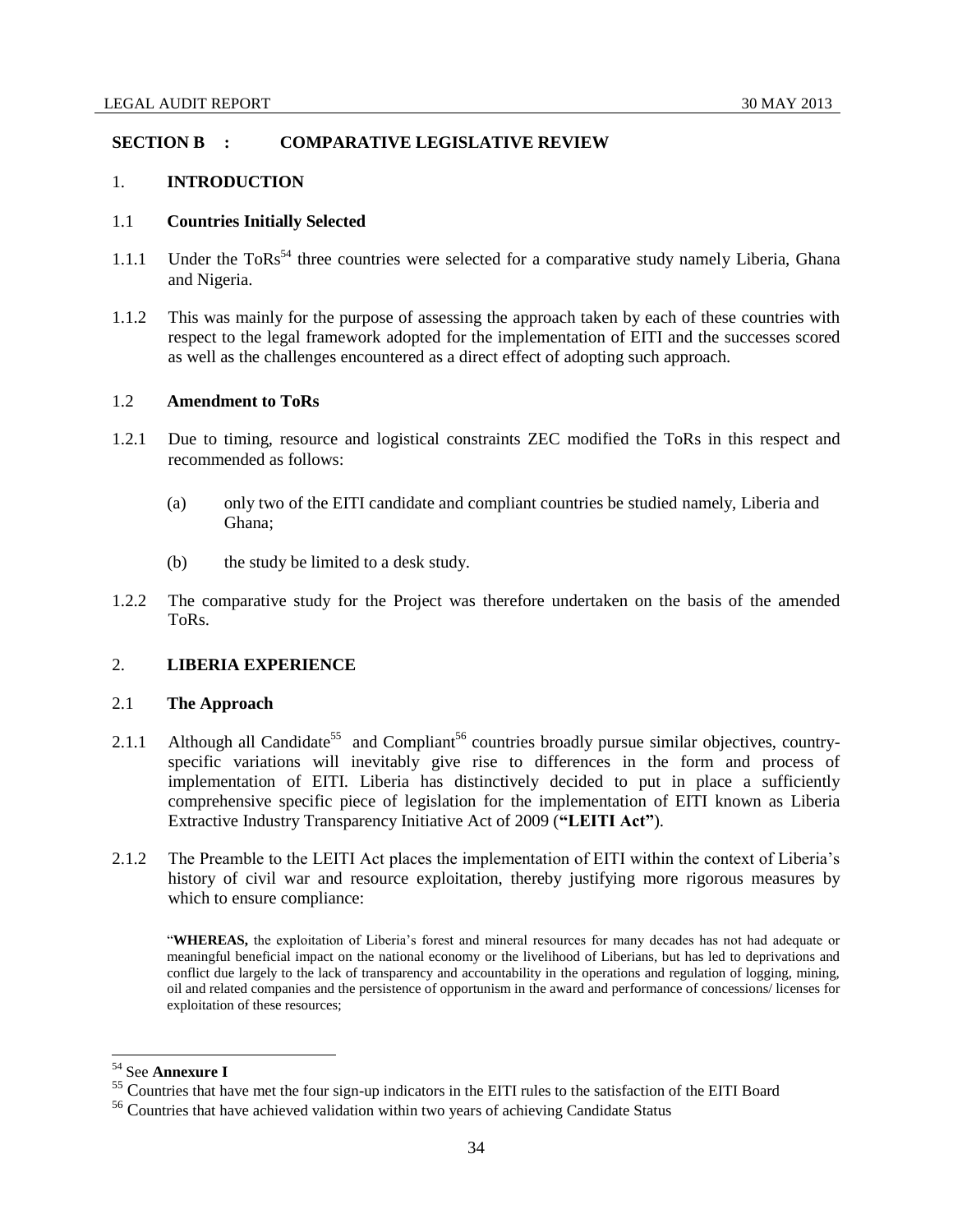# <span id="page-33-0"></span>**SECTION B : COMPARATIVE LEGISLATIVE REVIEW**

## <span id="page-33-1"></span>1. **INTRODUCTION**

## <span id="page-33-2"></span>1.1 **Countries Initially Selected**

- 1.1.1 Under the  $ToRs^{54}$  three countries were selected for a comparative study namely Liberia, Ghana and Nigeria.
- 1.1.2 This was mainly for the purpose of assessing the approach taken by each of these countries with respect to the legal framework adopted for the implementation of EITI and the successes scored as well as the challenges encountered as a direct effect of adopting such approach.

# <span id="page-33-3"></span>1.2 **Amendment to ToRs**

- 1.2.1 Due to timing, resource and logistical constraints ZEC modified the ToRs in this respect and recommended as follows:
	- (a) only two of the EITI candidate and compliant countries be studied namely, Liberia and Ghana;
	- (b) the study be limited to a desk study.
- 1.2.2 The comparative study for the Project was therefore undertaken on the basis of the amended ToRs.

## <span id="page-33-4"></span>2. **LIBERIA EXPERIENCE**

#### <span id="page-33-5"></span>2.1 **The Approach**

- 2.1.1 Although all Candidate<sup>55</sup> and Compliant<sup>56</sup> countries broadly pursue similar objectives, countryspecific variations will inevitably give rise to differences in the form and process of implementation of EITI. Liberia has distinctively decided to put in place a sufficiently comprehensive specific piece of legislation for the implementation of EITI known as Liberia Extractive Industry Transparency Initiative Act of 2009 (**"LEITI Act"**).
- 2.1.2 The Preamble to the LEITI Act places the implementation of EITI within the context of Liberia's history of civil war and resource exploitation, thereby justifying more rigorous measures by which to ensure compliance:

"**WHEREAS,** the exploitation of Liberia's forest and mineral resources for many decades has not had adequate or meaningful beneficial impact on the national economy or the livelihood of Liberians, but has led to deprivations and conflict due largely to the lack of transparency and accountability in the operations and regulation of logging, mining, oil and related companies and the persistence of opportunism in the award and performance of concessions/ licenses for exploitation of these resources;

<sup>54</sup> See **Annexure I**

<sup>&</sup>lt;sup>55</sup> Countries that have met the four sign-up indicators in the EITI rules to the satisfaction of the EITI Board

<sup>56</sup> Countries that have achieved validation within two years of achieving Candidate Status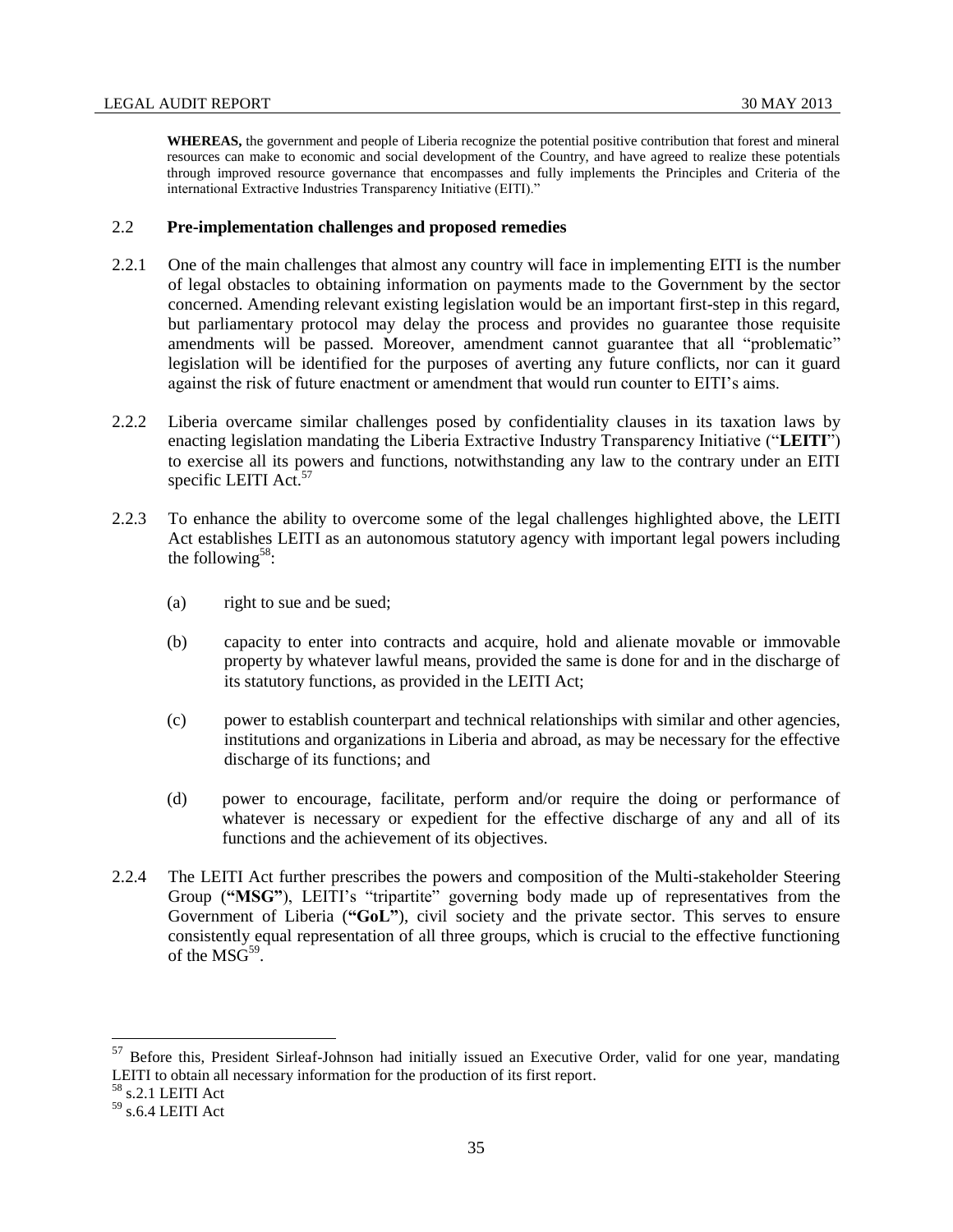**WHEREAS,** the government and people of Liberia recognize the potential positive contribution that forest and mineral resources can make to economic and social development of the Country, and have agreed to realize these potentials through improved resource governance that encompasses and fully implements the Principles and Criteria of the international Extractive Industries Transparency Initiative (EITI)."

# <span id="page-34-0"></span>2.2 **Pre-implementation challenges and proposed remedies**

- 2.2.1 One of the main challenges that almost any country will face in implementing EITI is the number of legal obstacles to obtaining information on payments made to the Government by the sector concerned. Amending relevant existing legislation would be an important first-step in this regard, but parliamentary protocol may delay the process and provides no guarantee those requisite amendments will be passed. Moreover, amendment cannot guarantee that all "problematic" legislation will be identified for the purposes of averting any future conflicts, nor can it guard against the risk of future enactment or amendment that would run counter to EITI's aims.
- 2.2.2 Liberia overcame similar challenges posed by confidentiality clauses in its taxation laws by enacting legislation mandating the Liberia Extractive Industry Transparency Initiative ("**LEITI**") to exercise all its powers and functions, notwithstanding any law to the contrary under an EITI specific LEITI Act.<sup>57</sup>
- 2.2.3 To enhance the ability to overcome some of the legal challenges highlighted above, the LEITI Act establishes LEITI as an autonomous statutory agency with important legal powers including the following<sup>58</sup>:
	- (a) right to sue and be sued;
	- (b) capacity to enter into contracts and acquire, hold and alienate movable or immovable property by whatever lawful means, provided the same is done for and in the discharge of its statutory functions, as provided in the LEITI Act;
	- (c) power to establish counterpart and technical relationships with similar and other agencies, institutions and organizations in Liberia and abroad, as may be necessary for the effective discharge of its functions; and
	- (d) power to encourage, facilitate, perform and/or require the doing or performance of whatever is necessary or expedient for the effective discharge of any and all of its functions and the achievement of its objectives.
- 2.2.4 The LEITI Act further prescribes the powers and composition of the Multi-stakeholder Steering Group (**"MSG"**), LEITI's "tripartite" governing body made up of representatives from the Government of Liberia (**"GoL"**), civil society and the private sector. This serves to ensure consistently equal representation of all three groups, which is crucial to the effective functioning of the  $\text{MSG}^{59}$ .

<sup>&</sup>lt;sup>57</sup> Before this, President Sirleaf-Johnson had initially issued an Executive Order, valid for one year, mandating LEITI to obtain all necessary information for the production of its first report.

 $^{\rm 58}$  s.2.1 LEITI Act

 $59$  s.6.4 LEITI Act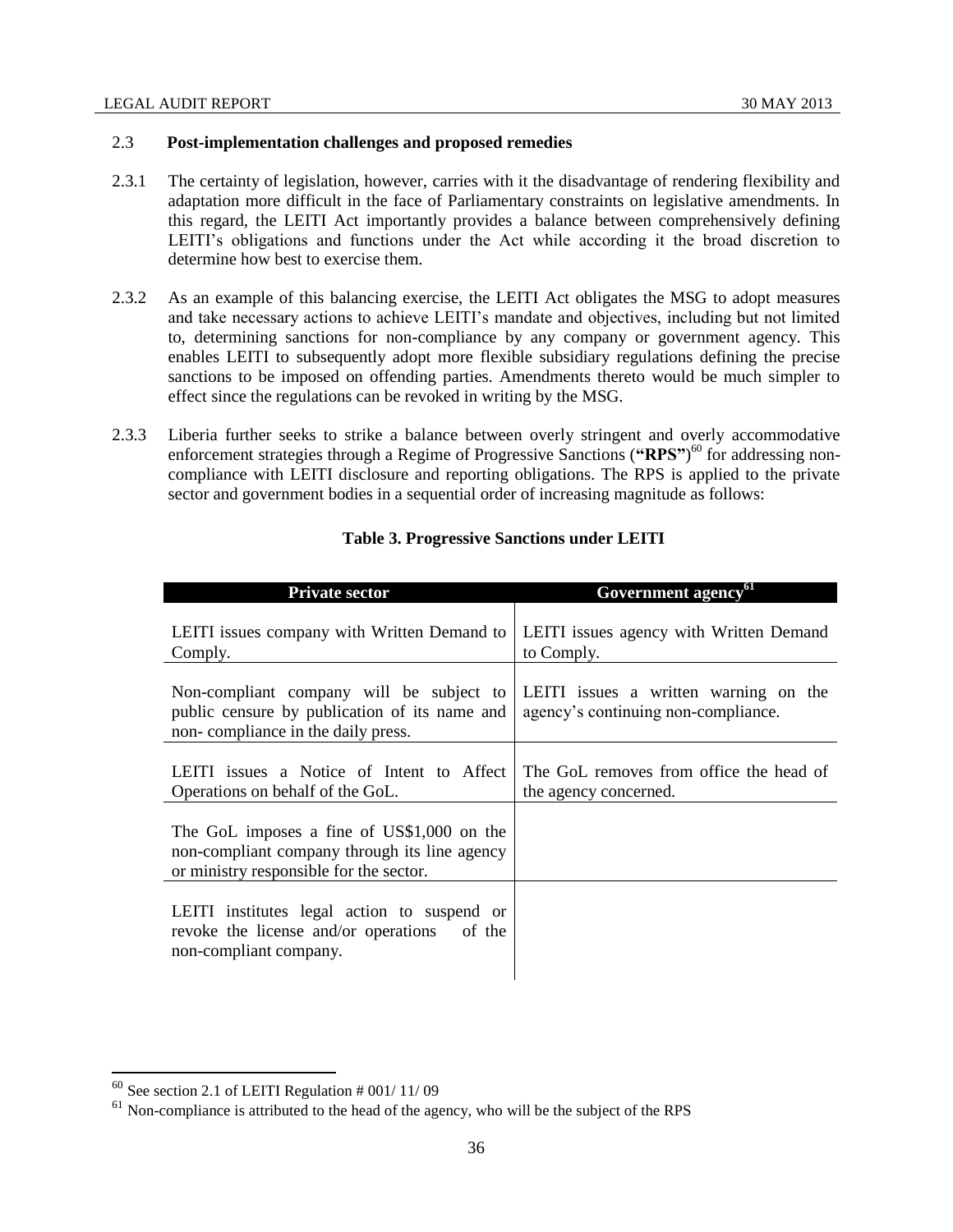# <span id="page-35-0"></span>2.3 **Post-implementation challenges and proposed remedies**

- 2.3.1 The certainty of legislation, however, carries with it the disadvantage of rendering flexibility and adaptation more difficult in the face of Parliamentary constraints on legislative amendments. In this regard, the LEITI Act importantly provides a balance between comprehensively defining LEITI's obligations and functions under the Act while according it the broad discretion to determine how best to exercise them.
- 2.3.2 As an example of this balancing exercise, the LEITI Act obligates the MSG to adopt measures and take necessary actions to achieve LEITI's mandate and objectives, including but not limited to, determining sanctions for non-compliance by any company or government agency. This enables LEITI to subsequently adopt more flexible subsidiary regulations defining the precise sanctions to be imposed on offending parties. Amendments thereto would be much simpler to effect since the regulations can be revoked in writing by the MSG.
- 2.3.3 Liberia further seeks to strike a balance between overly stringent and overly accommodative enforcement strategies through a Regime of Progressive Sanctions ("RPS")<sup>60</sup> for addressing noncompliance with LEITI disclosure and reporting obligations. The RPS is applied to the private sector and government bodies in a sequential order of increasing magnitude as follows:

| <b>Private sector</b>                                                                                                                  | Government agency <sup>61</sup>                                              |
|----------------------------------------------------------------------------------------------------------------------------------------|------------------------------------------------------------------------------|
| LEITI issues company with Written Demand to<br>Comply.                                                                                 | LEITI issues agency with Written Demand<br>to Comply.                        |
| Non-compliant company will be subject to<br>public censure by publication of its name and<br>non-compliance in the daily press.        | LEITI issues a written warning on the<br>agency's continuing non-compliance. |
| LEITI issues a Notice of Intent to Affect<br>Operations on behalf of the GoL.                                                          | The GoL removes from office the head of<br>the agency concerned.             |
| The GoL imposes a fine of US\$1,000 on the<br>non-compliant company through its line agency<br>or ministry responsible for the sector. |                                                                              |
| LEITI institutes legal action to suspend or<br>revoke the license and/or operations of the<br>non-compliant company.                   |                                                                              |

# **Table 3. Progressive Sanctions under LEITI**

 $60$  See section 2.1 of LEITI Regulation # 001/ 11/09

 $61$  Non-compliance is attributed to the head of the agency, who will be the subject of the RPS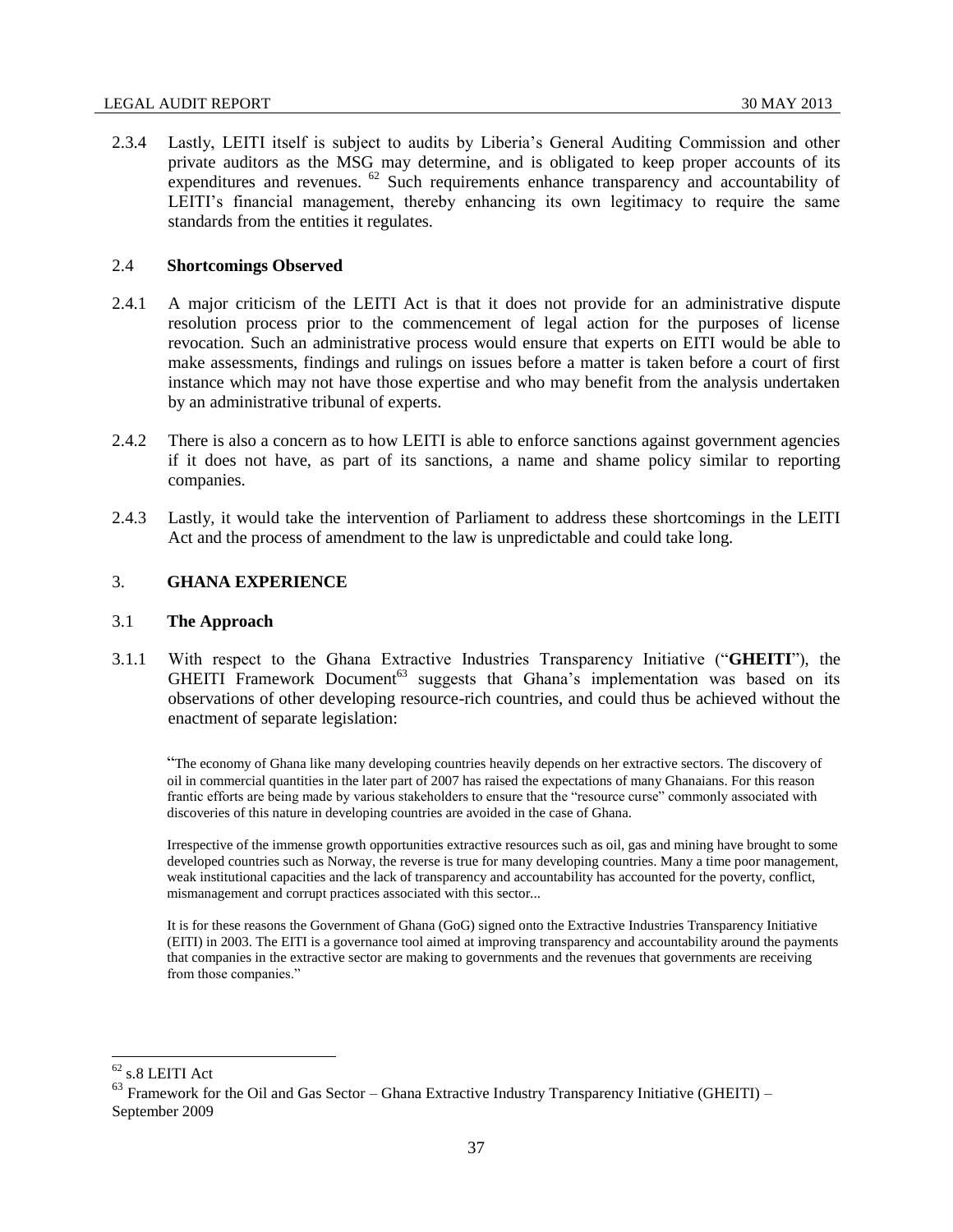#### LEGAL AUDIT REPORT 30 MAY 2013

2.3.4 Lastly, LEITI itself is subject to audits by Liberia's General Auditing Commission and other private auditors as the MSG may determine, and is obligated to keep proper accounts of its expenditures and revenues.  $^{62}$  Such requirements enhance transparency and accountability of LEITI's financial management, thereby enhancing its own legitimacy to require the same standards from the entities it regulates.

## 2.4 **Shortcomings Observed**

- 2.4.1 A major criticism of the LEITI Act is that it does not provide for an administrative dispute resolution process prior to the commencement of legal action for the purposes of license revocation. Such an administrative process would ensure that experts on EITI would be able to make assessments, findings and rulings on issues before a matter is taken before a court of first instance which may not have those expertise and who may benefit from the analysis undertaken by an administrative tribunal of experts.
- 2.4.2 There is also a concern as to how LEITI is able to enforce sanctions against government agencies if it does not have, as part of its sanctions, a name and shame policy similar to reporting companies.
- 2.4.3 Lastly, it would take the intervention of Parliament to address these shortcomings in the LEITI Act and the process of amendment to the law is unpredictable and could take long.

## 3. **GHANA EXPERIENCE**

#### 3.1 **The Approach**

3.1.1 With respect to the Ghana Extractive Industries Transparency Initiative ("**GHEITI**"), the GHEITI Framework Document<sup>63</sup> suggests that Ghana's implementation was based on its observations of other developing resource-rich countries, and could thus be achieved without the enactment of separate legislation:

"The economy of Ghana like many developing countries heavily depends on her extractive sectors. The discovery of oil in commercial quantities in the later part of 2007 has raised the expectations of many Ghanaians. For this reason frantic efforts are being made by various stakeholders to ensure that the "resource curse" commonly associated with discoveries of this nature in developing countries are avoided in the case of Ghana.

Irrespective of the immense growth opportunities extractive resources such as oil, gas and mining have brought to some developed countries such as Norway, the reverse is true for many developing countries. Many a time poor management, weak institutional capacities and the lack of transparency and accountability has accounted for the poverty, conflict, mismanagement and corrupt practices associated with this sector...

It is for these reasons the Government of Ghana (GoG) signed onto the Extractive Industries Transparency Initiative (EITI) in 2003. The EITI is a governance tool aimed at improving transparency and accountability around the payments that companies in the extractive sector are making to governments and the revenues that governments are receiving from those companies."

 $^{62}$  s.8 LEITI Act

 $63$  Framework for the Oil and Gas Sector – Ghana Extractive Industry Transparency Initiative (GHEITI) – September 2009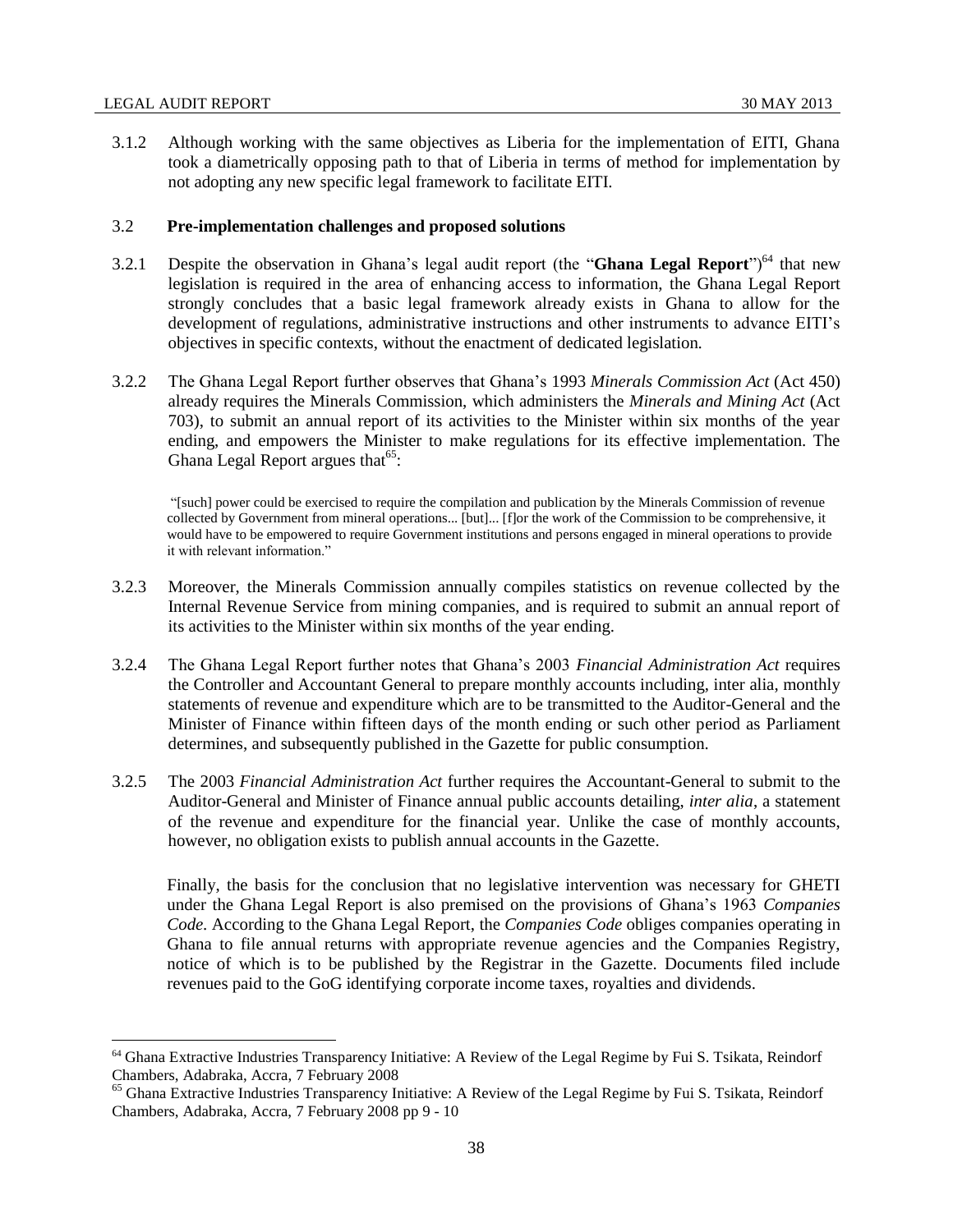$\overline{\phantom{a}}$ 

3.1.2 Although working with the same objectives as Liberia for the implementation of EITI, Ghana took a diametrically opposing path to that of Liberia in terms of method for implementation by not adopting any new specific legal framework to facilitate EITI.

### 3.2 **Pre-implementation challenges and proposed solutions**

- 3.2.1 Despite the observation in Ghana's legal audit report (the "**Ghana Legal Report**")<sup>64</sup> that new legislation is required in the area of enhancing access to information, the Ghana Legal Report strongly concludes that a basic legal framework already exists in Ghana to allow for the development of regulations, administrative instructions and other instruments to advance EITI's objectives in specific contexts, without the enactment of dedicated legislation.
- 3.2.2 The Ghana Legal Report further observes that Ghana's 1993 *Minerals Commission Act* (Act 450) already requires the Minerals Commission, which administers the *Minerals and Mining Act* (Act 703), to submit an annual report of its activities to the Minister within six months of the year ending, and empowers the Minister to make regulations for its effective implementation. The Ghana Legal Report argues that<sup>65</sup>:

"[such] power could be exercised to require the compilation and publication by the Minerals Commission of revenue collected by Government from mineral operations... [but]... [f]or the work of the Commission to be comprehensive, it would have to be empowered to require Government institutions and persons engaged in mineral operations to provide it with relevant information."

- 3.2.3 Moreover, the Minerals Commission annually compiles statistics on revenue collected by the Internal Revenue Service from mining companies, and is required to submit an annual report of its activities to the Minister within six months of the year ending.
- 3.2.4 The Ghana Legal Report further notes that Ghana's 2003 *Financial Administration Act* requires the Controller and Accountant General to prepare monthly accounts including, inter alia, monthly statements of revenue and expenditure which are to be transmitted to the Auditor-General and the Minister of Finance within fifteen days of the month ending or such other period as Parliament determines, and subsequently published in the Gazette for public consumption.
- 3.2.5 The 2003 *Financial Administration Act* further requires the Accountant-General to submit to the Auditor-General and Minister of Finance annual public accounts detailing, *inter alia*, a statement of the revenue and expenditure for the financial year. Unlike the case of monthly accounts, however, no obligation exists to publish annual accounts in the Gazette.

Finally, the basis for the conclusion that no legislative intervention was necessary for GHETI under the Ghana Legal Report is also premised on the provisions of Ghana's 1963 *Companies Code.* According to the Ghana Legal Report, the *Companies Code* obliges companies operating in Ghana to file annual returns with appropriate revenue agencies and the Companies Registry, notice of which is to be published by the Registrar in the Gazette. Documents filed include revenues paid to the GoG identifying corporate income taxes, royalties and dividends.

<sup>&</sup>lt;sup>64</sup> Ghana Extractive Industries Transparency Initiative: A Review of the Legal Regime by Fui S. Tsikata, Reindorf Chambers, Adabraka, Accra, 7 February 2008

<sup>&</sup>lt;sup>65</sup> Ghana Extractive Industries Transparency Initiative: A Review of the Legal Regime by Fui S. Tsikata, Reindorf Chambers, Adabraka, Accra, 7 February 2008 pp 9 - 10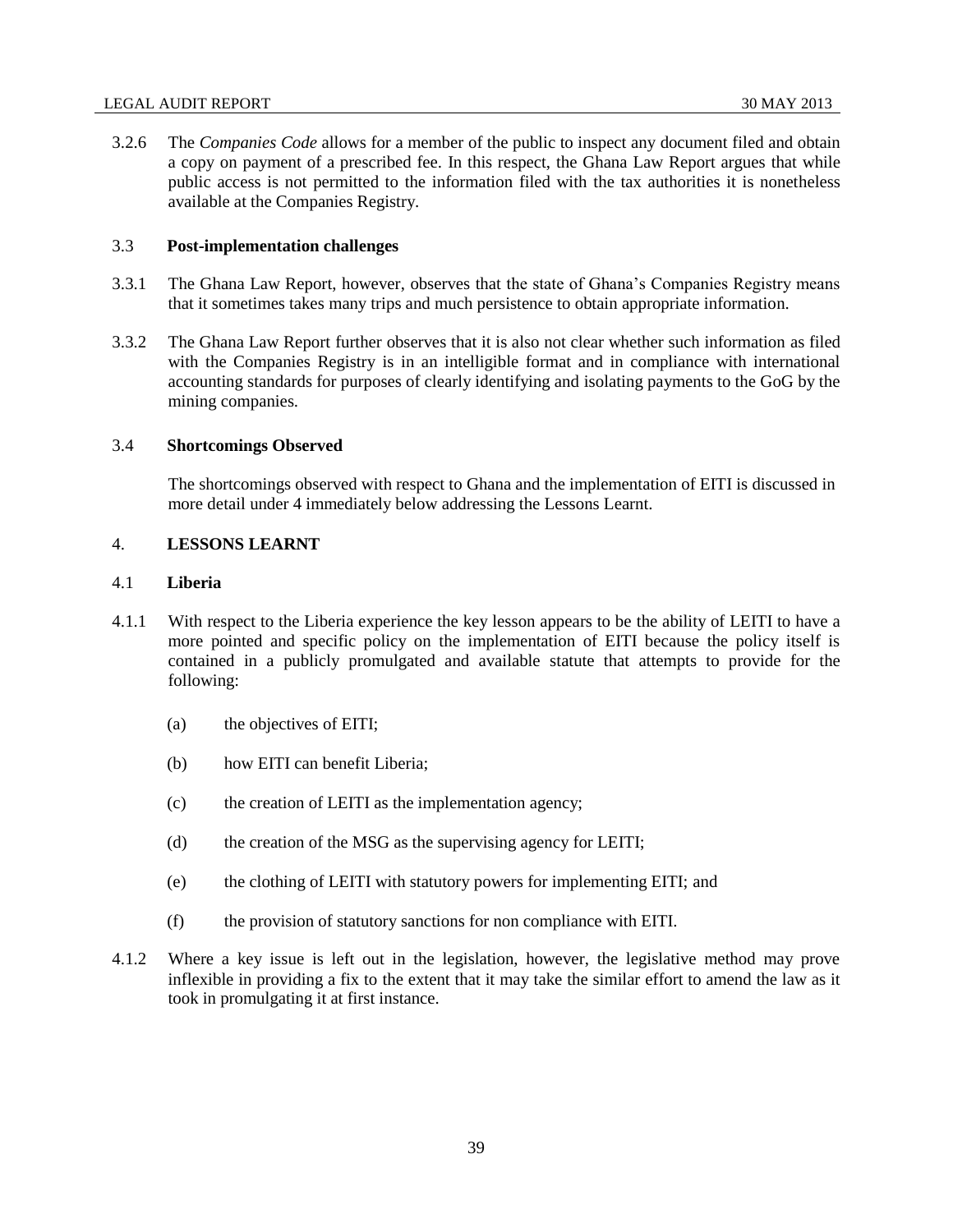3.2.6 The *Companies Code* allows for a member of the public to inspect any document filed and obtain a copy on payment of a prescribed fee. In this respect, the Ghana Law Report argues that while public access is not permitted to the information filed with the tax authorities it is nonetheless available at the Companies Registry.

## 3.3 **Post-implementation challenges**

- 3.3.1 The Ghana Law Report, however, observes that the state of Ghana's Companies Registry means that it sometimes takes many trips and much persistence to obtain appropriate information.
- 3.3.2 The Ghana Law Report further observes that it is also not clear whether such information as filed with the Companies Registry is in an intelligible format and in compliance with international accounting standards for purposes of clearly identifying and isolating payments to the GoG by the mining companies.

## 3.4 **Shortcomings Observed**

The shortcomings observed with respect to Ghana and the implementation of EITI is discussed in more detail under 4 immediately below addressing the Lessons Learnt.

## 4. **LESSONS LEARNT**

### 4.1 **Liberia**

- 4.1.1 With respect to the Liberia experience the key lesson appears to be the ability of LEITI to have a more pointed and specific policy on the implementation of EITI because the policy itself is contained in a publicly promulgated and available statute that attempts to provide for the following:
	- (a) the objectives of EITI;
	- (b) how EITI can benefit Liberia;
	- (c) the creation of LEITI as the implementation agency;
	- (d) the creation of the MSG as the supervising agency for LEITI;
	- (e) the clothing of LEITI with statutory powers for implementing EITI; and
	- (f) the provision of statutory sanctions for non compliance with EITI.
- 4.1.2 Where a key issue is left out in the legislation, however, the legislative method may prove inflexible in providing a fix to the extent that it may take the similar effort to amend the law as it took in promulgating it at first instance.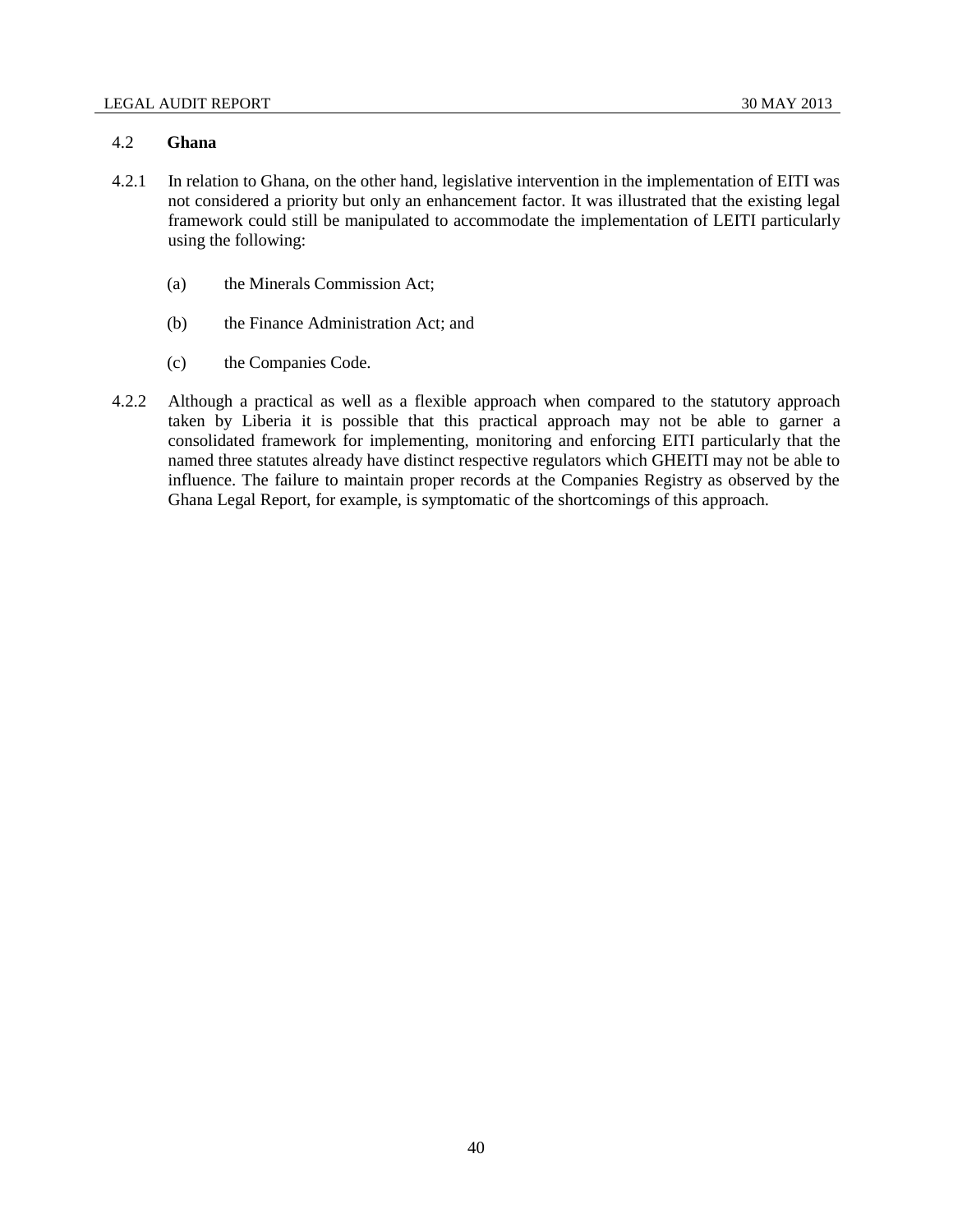# 4.2 **Ghana**

- 4.2.1 In relation to Ghana, on the other hand, legislative intervention in the implementation of EITI was not considered a priority but only an enhancement factor. It was illustrated that the existing legal framework could still be manipulated to accommodate the implementation of LEITI particularly using the following:
	- (a) the Minerals Commission Act;
	- (b) the Finance Administration Act; and
	- (c) the Companies Code.
- 4.2.2 Although a practical as well as a flexible approach when compared to the statutory approach taken by Liberia it is possible that this practical approach may not be able to garner a consolidated framework for implementing, monitoring and enforcing EITI particularly that the named three statutes already have distinct respective regulators which GHEITI may not be able to influence. The failure to maintain proper records at the Companies Registry as observed by the Ghana Legal Report, for example, is symptomatic of the shortcomings of this approach.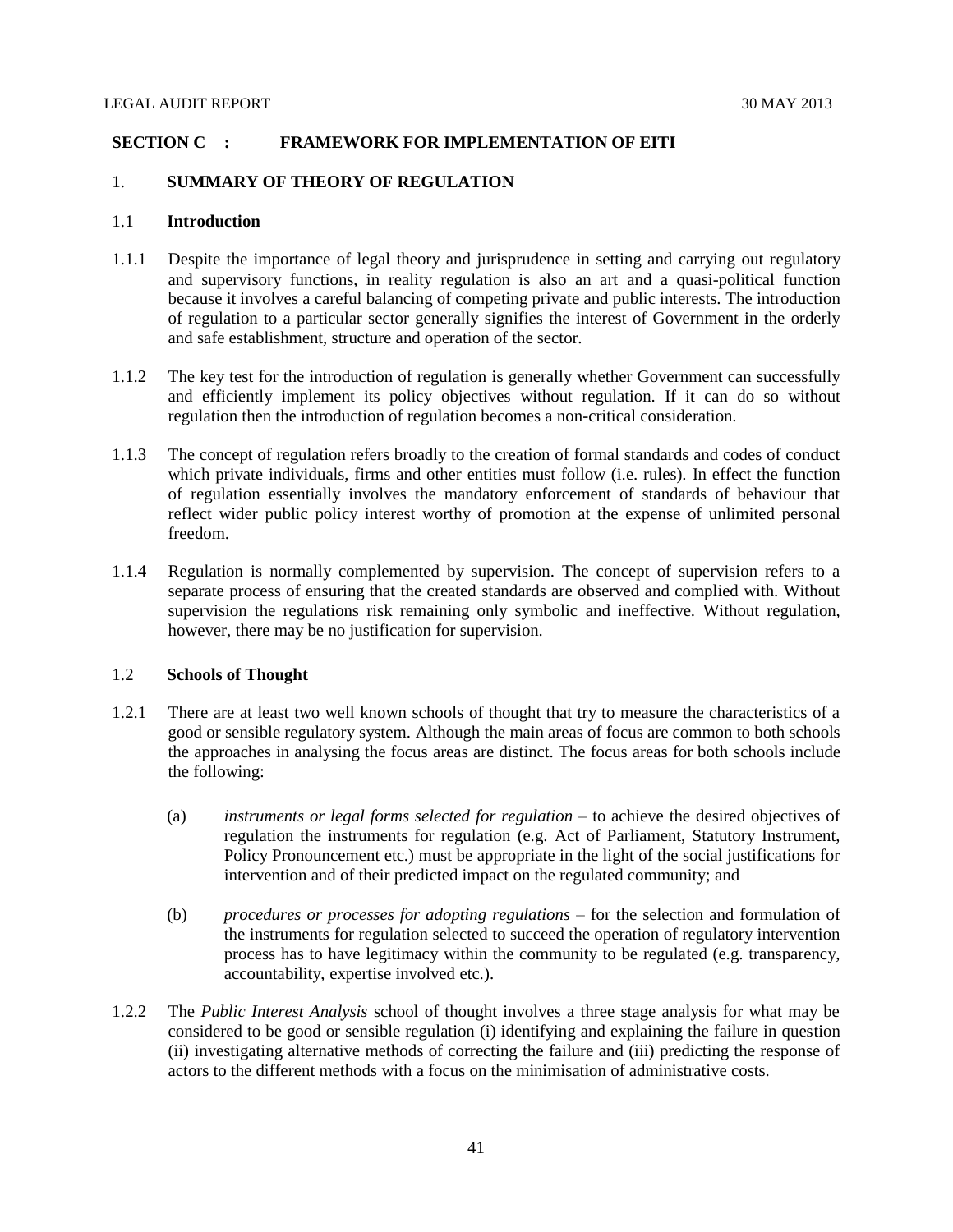## **SECTION C : FRAMEWORK FOR IMPLEMENTATION OF EITI**

### 1. **SUMMARY OF THEORY OF REGULATION**

## 1.1 **Introduction**

- 1.1.1 Despite the importance of legal theory and jurisprudence in setting and carrying out regulatory and supervisory functions, in reality regulation is also an art and a quasi-political function because it involves a careful balancing of competing private and public interests. The introduction of regulation to a particular sector generally signifies the interest of Government in the orderly and safe establishment, structure and operation of the sector.
- 1.1.2 The key test for the introduction of regulation is generally whether Government can successfully and efficiently implement its policy objectives without regulation. If it can do so without regulation then the introduction of regulation becomes a non-critical consideration.
- 1.1.3 The concept of regulation refers broadly to the creation of formal standards and codes of conduct which private individuals, firms and other entities must follow (i.e. rules). In effect the function of regulation essentially involves the mandatory enforcement of standards of behaviour that reflect wider public policy interest worthy of promotion at the expense of unlimited personal freedom.
- 1.1.4 Regulation is normally complemented by supervision. The concept of supervision refers to a separate process of ensuring that the created standards are observed and complied with. Without supervision the regulations risk remaining only symbolic and ineffective. Without regulation, however, there may be no justification for supervision.

#### 1.2 **Schools of Thought**

- 1.2.1 There are at least two well known schools of thought that try to measure the characteristics of a good or sensible regulatory system. Although the main areas of focus are common to both schools the approaches in analysing the focus areas are distinct. The focus areas for both schools include the following:
	- (a) *instruments or legal forms selected for regulation* to achieve the desired objectives of regulation the instruments for regulation (e.g. Act of Parliament, Statutory Instrument, Policy Pronouncement etc.) must be appropriate in the light of the social justifications for intervention and of their predicted impact on the regulated community; and
	- (b) *procedures or processes for adopting regulations* for the selection and formulation of the instruments for regulation selected to succeed the operation of regulatory intervention process has to have legitimacy within the community to be regulated (e.g. transparency, accountability, expertise involved etc.).
- 1.2.2 The *Public Interest Analysis* school of thought involves a three stage analysis for what may be considered to be good or sensible regulation (i) identifying and explaining the failure in question (ii) investigating alternative methods of correcting the failure and (iii) predicting the response of actors to the different methods with a focus on the minimisation of administrative costs.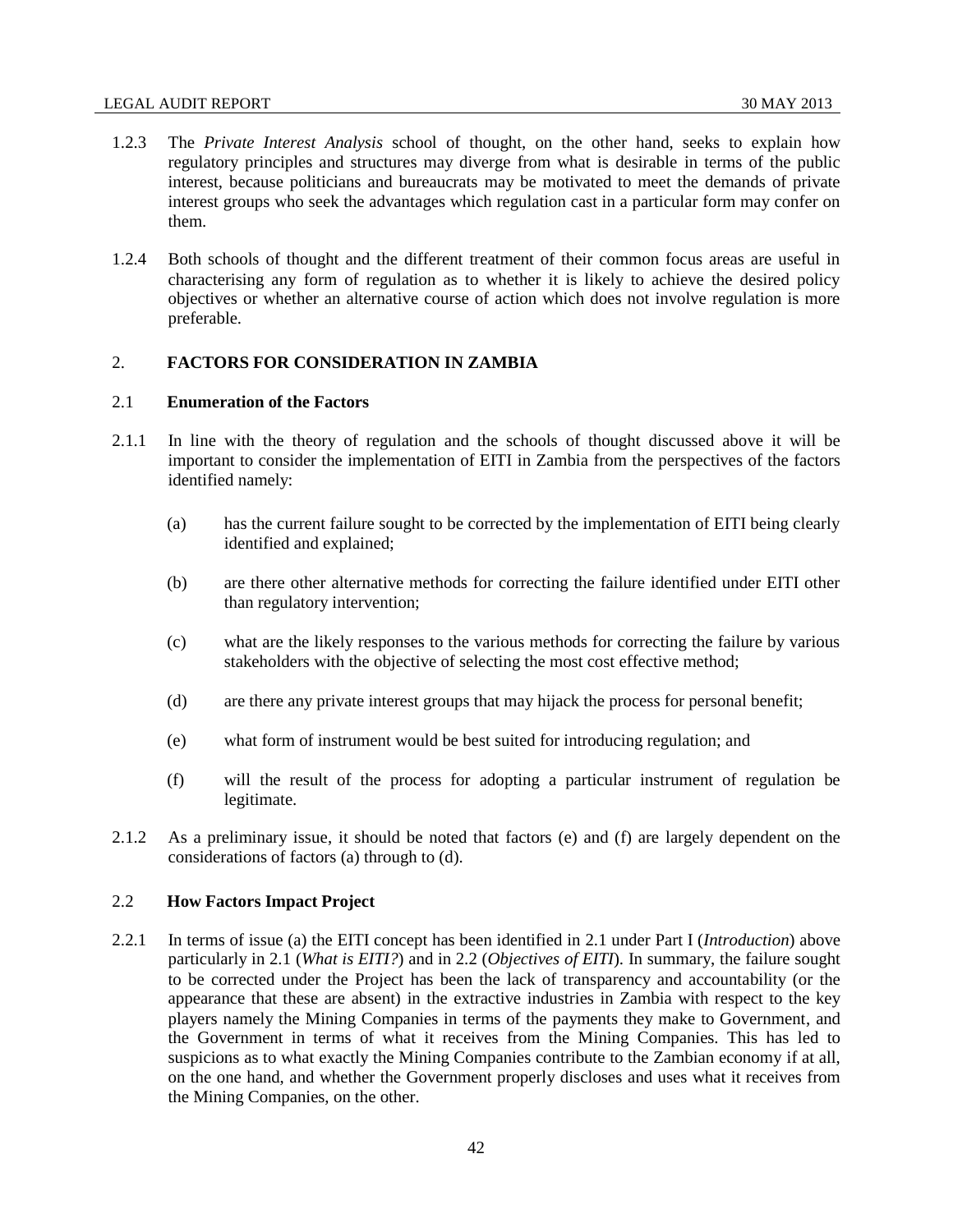- 1.2.3 The *Private Interest Analysis* school of thought, on the other hand, seeks to explain how regulatory principles and structures may diverge from what is desirable in terms of the public interest, because politicians and bureaucrats may be motivated to meet the demands of private interest groups who seek the advantages which regulation cast in a particular form may confer on them.
- 1.2.4 Both schools of thought and the different treatment of their common focus areas are useful in characterising any form of regulation as to whether it is likely to achieve the desired policy objectives or whether an alternative course of action which does not involve regulation is more preferable.

## 2. **FACTORS FOR CONSIDERATION IN ZAMBIA**

# 2.1 **Enumeration of the Factors**

- 2.1.1 In line with the theory of regulation and the schools of thought discussed above it will be important to consider the implementation of EITI in Zambia from the perspectives of the factors identified namely:
	- (a) has the current failure sought to be corrected by the implementation of EITI being clearly identified and explained;
	- (b) are there other alternative methods for correcting the failure identified under EITI other than regulatory intervention;
	- (c) what are the likely responses to the various methods for correcting the failure by various stakeholders with the objective of selecting the most cost effective method;
	- (d) are there any private interest groups that may hijack the process for personal benefit;
	- (e) what form of instrument would be best suited for introducing regulation; and
	- (f) will the result of the process for adopting a particular instrument of regulation be legitimate.
- 2.1.2 As a preliminary issue, it should be noted that factors (e) and (f) are largely dependent on the considerations of factors (a) through to (d).

### 2.2 **How Factors Impact Project**

2.2.1 In terms of issue (a) the EITI concept has been identified in 2.1 under Part I (*Introduction*) above particularly in 2.1 (*What is EITI?*) and in 2.2 (*Objectives of EITI*). In summary, the failure sought to be corrected under the Project has been the lack of transparency and accountability (or the appearance that these are absent) in the extractive industries in Zambia with respect to the key players namely the Mining Companies in terms of the payments they make to Government, and the Government in terms of what it receives from the Mining Companies. This has led to suspicions as to what exactly the Mining Companies contribute to the Zambian economy if at all, on the one hand, and whether the Government properly discloses and uses what it receives from the Mining Companies, on the other.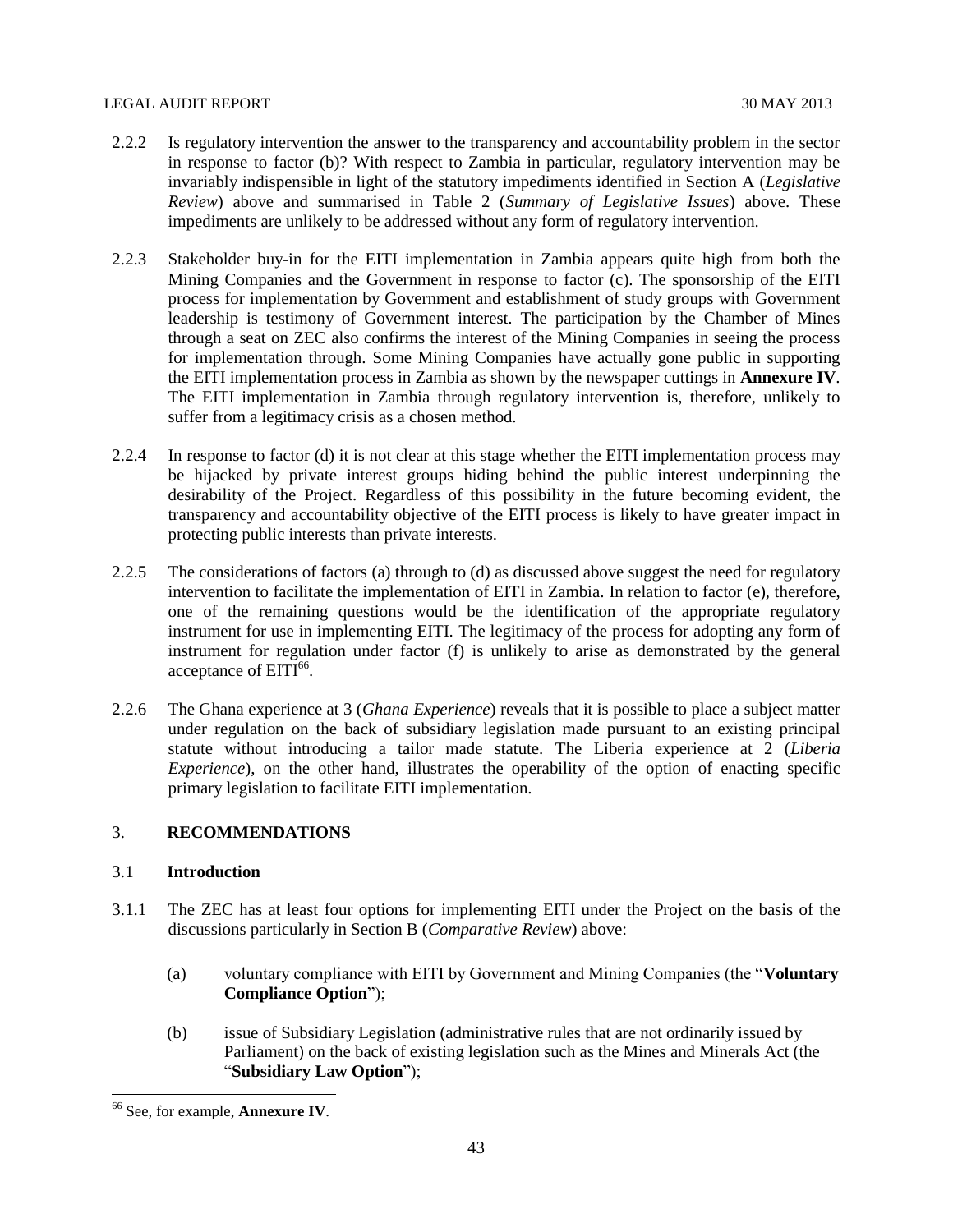- 2.2.2 Is regulatory intervention the answer to the transparency and accountability problem in the sector in response to factor (b)? With respect to Zambia in particular, regulatory intervention may be invariably indispensible in light of the statutory impediments identified in Section A (*Legislative Review*) above and summarised in Table 2 (*Summary of Legislative Issues*) above. These impediments are unlikely to be addressed without any form of regulatory intervention.
- 2.2.3 Stakeholder buy-in for the EITI implementation in Zambia appears quite high from both the Mining Companies and the Government in response to factor (c). The sponsorship of the EITI process for implementation by Government and establishment of study groups with Government leadership is testimony of Government interest. The participation by the Chamber of Mines through a seat on ZEC also confirms the interest of the Mining Companies in seeing the process for implementation through. Some Mining Companies have actually gone public in supporting the EITI implementation process in Zambia as shown by the newspaper cuttings in **Annexure IV**. The EITI implementation in Zambia through regulatory intervention is, therefore, unlikely to suffer from a legitimacy crisis as a chosen method.
- 2.2.4 In response to factor (d) it is not clear at this stage whether the EITI implementation process may be hijacked by private interest groups hiding behind the public interest underpinning the desirability of the Project. Regardless of this possibility in the future becoming evident, the transparency and accountability objective of the EITI process is likely to have greater impact in protecting public interests than private interests.
- 2.2.5 The considerations of factors (a) through to (d) as discussed above suggest the need for regulatory intervention to facilitate the implementation of EITI in Zambia. In relation to factor (e), therefore, one of the remaining questions would be the identification of the appropriate regulatory instrument for use in implementing EITI. The legitimacy of the process for adopting any form of instrument for regulation under factor (f) is unlikely to arise as demonstrated by the general acceptance of EITI<sup>66</sup>.
- 2.2.6 The Ghana experience at 3 (*Ghana Experience*) reveals that it is possible to place a subject matter under regulation on the back of subsidiary legislation made pursuant to an existing principal statute without introducing a tailor made statute. The Liberia experience at 2 (*Liberia Experience*), on the other hand, illustrates the operability of the option of enacting specific primary legislation to facilitate EITI implementation.

# 3. **RECOMMENDATIONS**

## 3.1 **Introduction**

- 3.1.1 The ZEC has at least four options for implementing EITI under the Project on the basis of the discussions particularly in Section B (*Comparative Review*) above:
	- (a) voluntary compliance with EITI by Government and Mining Companies (the "**Voluntary Compliance Option**");
	- (b) issue of Subsidiary Legislation (administrative rules that are not ordinarily issued by Parliament) on the back of existing legislation such as the Mines and Minerals Act (the "**Subsidiary Law Option**");

 $\overline{\phantom{a}}$ 

<sup>66</sup> See, for example, **Annexure IV**.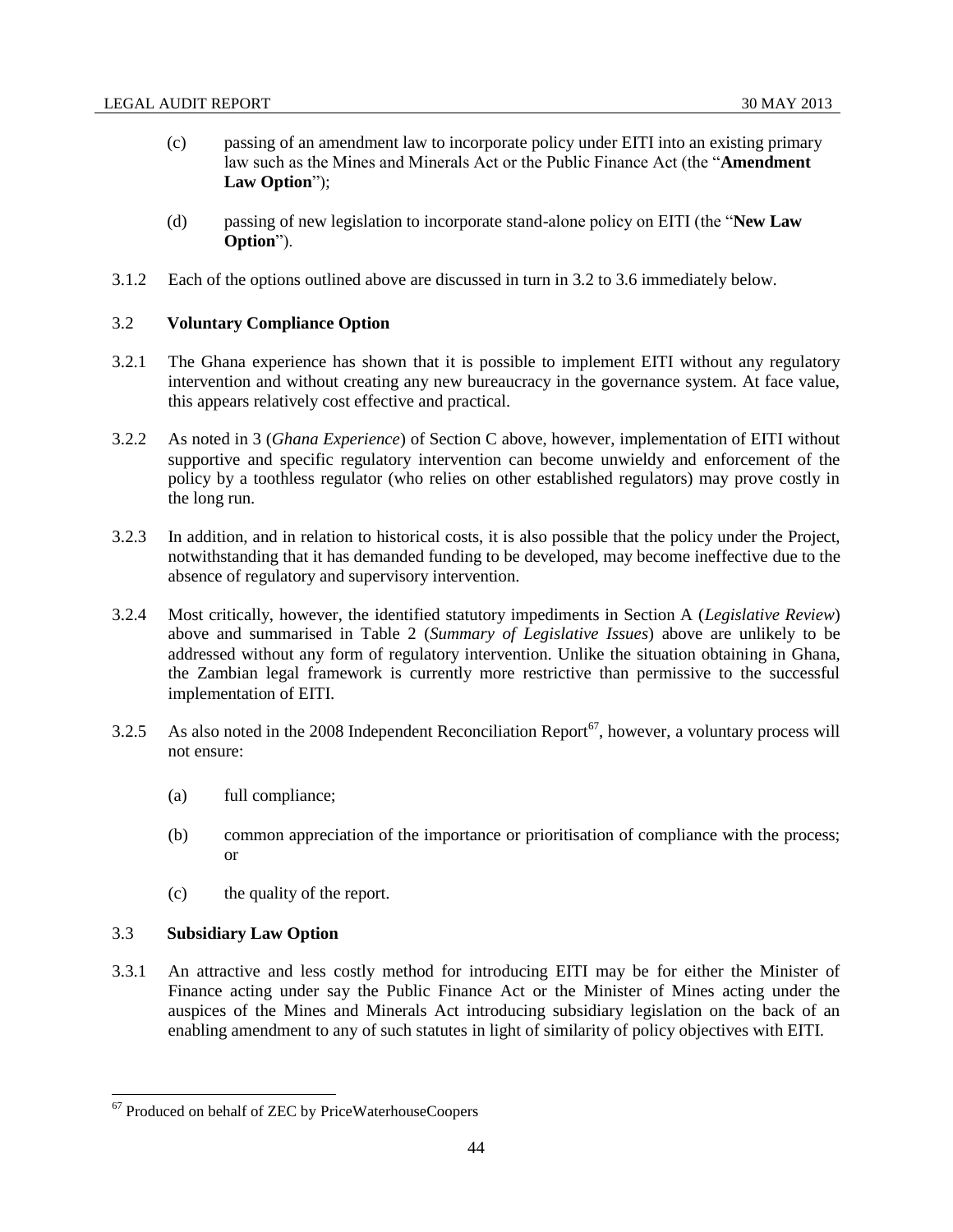- (c) passing of an amendment law to incorporate policy under EITI into an existing primary law such as the Mines and Minerals Act or the Public Finance Act (the "**Amendment Law Option**");
- (d) passing of new legislation to incorporate stand-alone policy on EITI (the "**New Law Option**").
- 3.1.2 Each of the options outlined above are discussed in turn in 3.2 to 3.6 immediately below.

## 3.2 **Voluntary Compliance Option**

- 3.2.1 The Ghana experience has shown that it is possible to implement EITI without any regulatory intervention and without creating any new bureaucracy in the governance system. At face value, this appears relatively cost effective and practical.
- 3.2.2 As noted in 3 (*Ghana Experience*) of Section C above, however, implementation of EITI without supportive and specific regulatory intervention can become unwieldy and enforcement of the policy by a toothless regulator (who relies on other established regulators) may prove costly in the long run.
- 3.2.3 In addition, and in relation to historical costs, it is also possible that the policy under the Project, notwithstanding that it has demanded funding to be developed, may become ineffective due to the absence of regulatory and supervisory intervention.
- 3.2.4 Most critically, however, the identified statutory impediments in Section A (*Legislative Review*) above and summarised in Table 2 (*Summary of Legislative Issues*) above are unlikely to be addressed without any form of regulatory intervention. Unlike the situation obtaining in Ghana, the Zambian legal framework is currently more restrictive than permissive to the successful implementation of EITI.
- 3.2.5 As also noted in the 2008 Independent Reconciliation Report<sup>67</sup>, however, a voluntary process will not ensure:
	- (a) full compliance;
	- (b) common appreciation of the importance or prioritisation of compliance with the process; or
	- (c) the quality of the report.

# 3.3 **Subsidiary Law Option**

 $\overline{\phantom{a}}$ 

3.3.1 An attractive and less costly method for introducing EITI may be for either the Minister of Finance acting under say the Public Finance Act or the Minister of Mines acting under the auspices of the Mines and Minerals Act introducing subsidiary legislation on the back of an enabling amendment to any of such statutes in light of similarity of policy objectives with EITI.

<sup>&</sup>lt;sup>67</sup> Produced on behalf of ZEC by PriceWaterhouseCoopers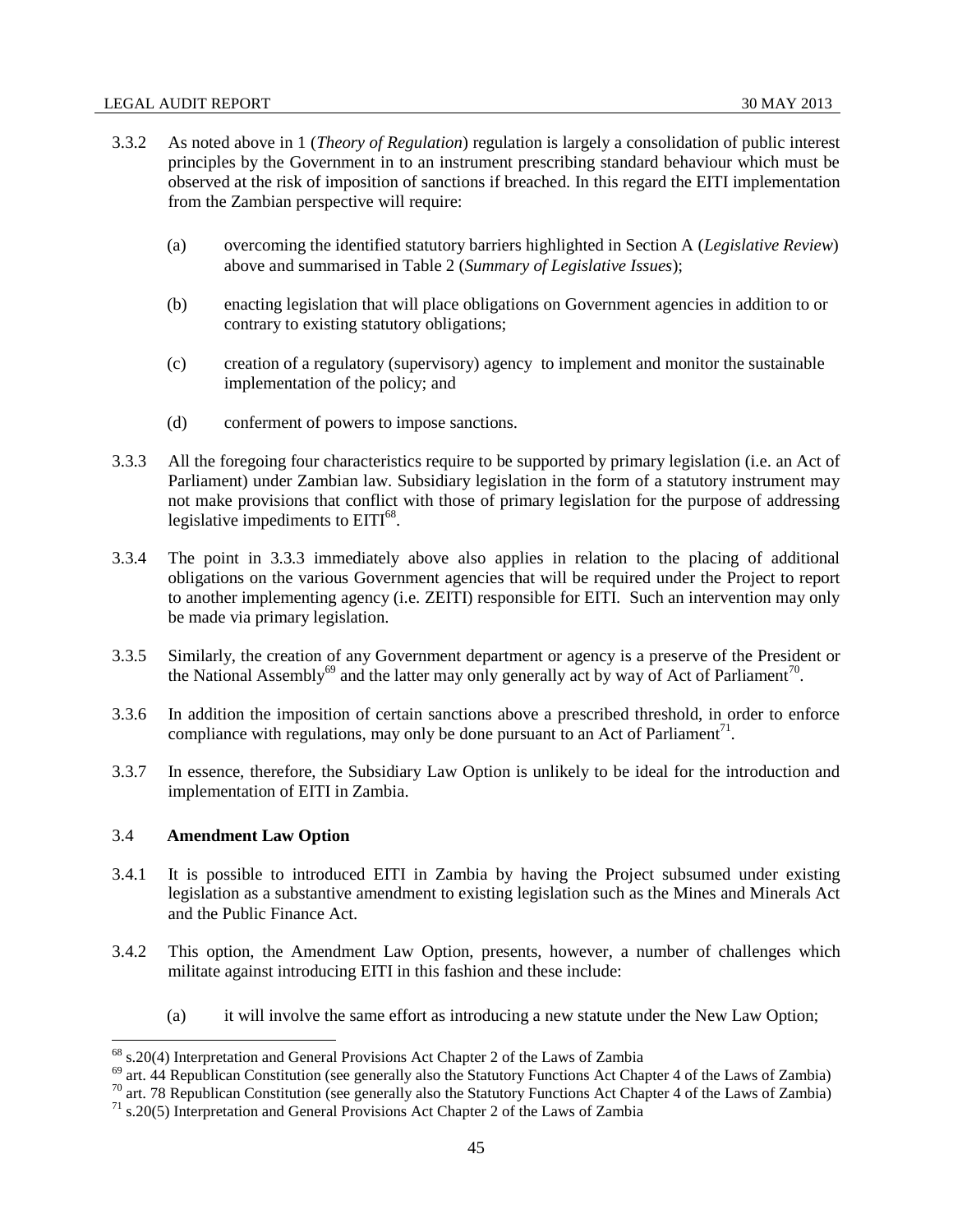- 3.3.2 As noted above in 1 (*Theory of Regulation*) regulation is largely a consolidation of public interest principles by the Government in to an instrument prescribing standard behaviour which must be observed at the risk of imposition of sanctions if breached. In this regard the EITI implementation from the Zambian perspective will require:
	- (a) overcoming the identified statutory barriers highlighted in Section A (*Legislative Review*) above and summarised in Table 2 (*Summary of Legislative Issues*);
	- (b) enacting legislation that will place obligations on Government agencies in addition to or contrary to existing statutory obligations;
	- (c) creation of a regulatory (supervisory) agency to implement and monitor the sustainable implementation of the policy; and
	- (d) conferment of powers to impose sanctions.
- 3.3.3 All the foregoing four characteristics require to be supported by primary legislation (i.e. an Act of Parliament) under Zambian law. Subsidiary legislation in the form of a statutory instrument may not make provisions that conflict with those of primary legislation for the purpose of addressing legislative impediments to EITI<sup>68</sup>.
- 3.3.4 The point in 3.3.3 immediately above also applies in relation to the placing of additional obligations on the various Government agencies that will be required under the Project to report to another implementing agency (i.e. ZEITI) responsible for EITI. Such an intervention may only be made via primary legislation.
- 3.3.5 Similarly, the creation of any Government department or agency is a preserve of the President or the National Assembly<sup>69</sup> and the latter may only generally act by way of Act of Parliament<sup>70</sup>.
- 3.3.6 In addition the imposition of certain sanctions above a prescribed threshold, in order to enforce compliance with regulations, may only be done pursuant to an Act of Parliament<sup>71</sup>.
- 3.3.7 In essence, therefore, the Subsidiary Law Option is unlikely to be ideal for the introduction and implementation of EITI in Zambia.

## 3.4 **Amendment Law Option**

 $\overline{\phantom{a}}$ 

- 3.4.1 It is possible to introduced EITI in Zambia by having the Project subsumed under existing legislation as a substantive amendment to existing legislation such as the Mines and Minerals Act and the Public Finance Act.
- 3.4.2 This option, the Amendment Law Option, presents, however, a number of challenges which militate against introducing EITI in this fashion and these include:
	- (a) it will involve the same effort as introducing a new statute under the New Law Option;

 $68$  s.20(4) Interpretation and General Provisions Act Chapter 2 of the Laws of Zambia

<sup>&</sup>lt;sup>69</sup> art. 44 Republican Constitution (see generally also the Statutory Functions Act Chapter 4 of the Laws of Zambia)

<sup>&</sup>lt;sup>70</sup> art. 78 Republican Constitution (see generally also the Statutory Functions Act Chapter 4 of the Laws of Zambia)

 $71$  s.20(5) Interpretation and General Provisions Act Chapter 2 of the Laws of Zambia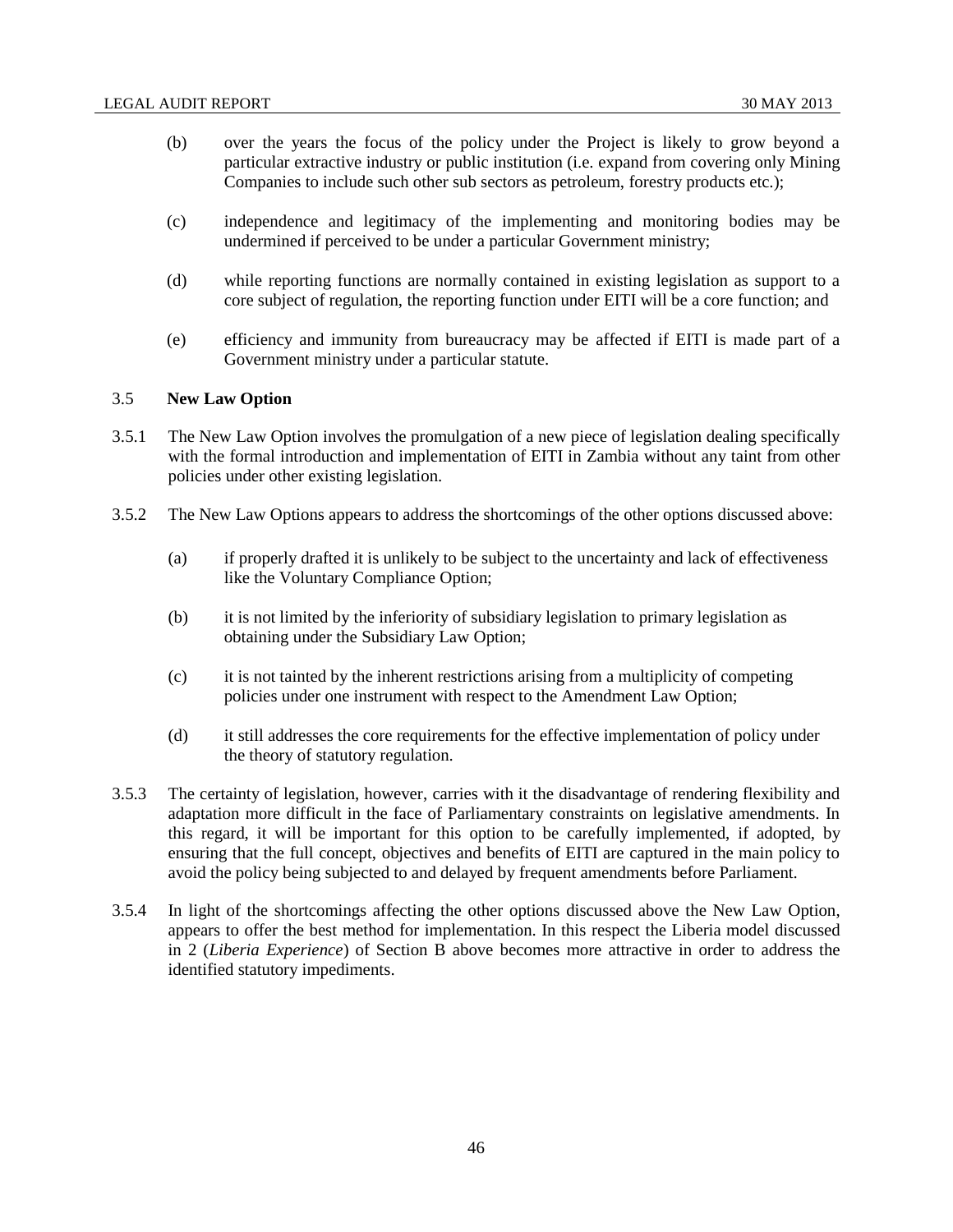- (b) over the years the focus of the policy under the Project is likely to grow beyond a particular extractive industry or public institution (i.e. expand from covering only Mining Companies to include such other sub sectors as petroleum, forestry products etc.);
- (c) independence and legitimacy of the implementing and monitoring bodies may be undermined if perceived to be under a particular Government ministry;
- (d) while reporting functions are normally contained in existing legislation as support to a core subject of regulation, the reporting function under EITI will be a core function; and
- (e) efficiency and immunity from bureaucracy may be affected if EITI is made part of a Government ministry under a particular statute.

#### 3.5 **New Law Option**

- 3.5.1 The New Law Option involves the promulgation of a new piece of legislation dealing specifically with the formal introduction and implementation of EITI in Zambia without any taint from other policies under other existing legislation.
- 3.5.2 The New Law Options appears to address the shortcomings of the other options discussed above:
	- (a) if properly drafted it is unlikely to be subject to the uncertainty and lack of effectiveness like the Voluntary Compliance Option;
	- (b) it is not limited by the inferiority of subsidiary legislation to primary legislation as obtaining under the Subsidiary Law Option;
	- (c) it is not tainted by the inherent restrictions arising from a multiplicity of competing policies under one instrument with respect to the Amendment Law Option;
	- (d) it still addresses the core requirements for the effective implementation of policy under the theory of statutory regulation.
- 3.5.3 The certainty of legislation, however, carries with it the disadvantage of rendering flexibility and adaptation more difficult in the face of Parliamentary constraints on legislative amendments. In this regard, it will be important for this option to be carefully implemented, if adopted, by ensuring that the full concept, objectives and benefits of EITI are captured in the main policy to avoid the policy being subjected to and delayed by frequent amendments before Parliament.
- 3.5.4 In light of the shortcomings affecting the other options discussed above the New Law Option, appears to offer the best method for implementation. In this respect the Liberia model discussed in 2 (*Liberia Experience*) of Section B above becomes more attractive in order to address the identified statutory impediments.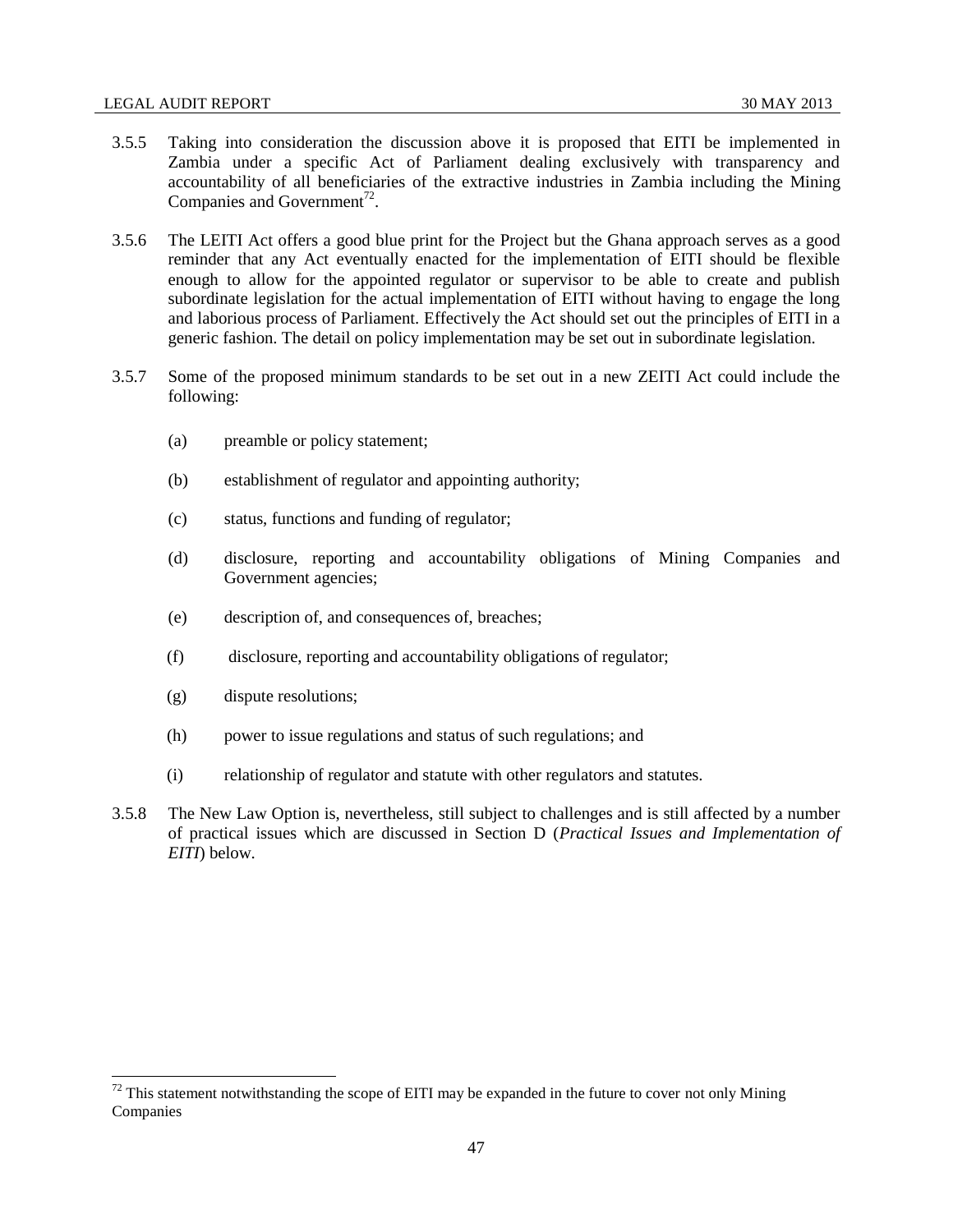- 3.5.5 Taking into consideration the discussion above it is proposed that EITI be implemented in Zambia under a specific Act of Parliament dealing exclusively with transparency and accountability of all beneficiaries of the extractive industries in Zambia including the Mining Companies and Government<sup>72</sup>.
- 3.5.6 The LEITI Act offers a good blue print for the Project but the Ghana approach serves as a good reminder that any Act eventually enacted for the implementation of EITI should be flexible enough to allow for the appointed regulator or supervisor to be able to create and publish subordinate legislation for the actual implementation of EITI without having to engage the long and laborious process of Parliament. Effectively the Act should set out the principles of EITI in a generic fashion. The detail on policy implementation may be set out in subordinate legislation.
- 3.5.7 Some of the proposed minimum standards to be set out in a new ZEITI Act could include the following:
	- (a) preamble or policy statement;
	- (b) establishment of regulator and appointing authority;
	- (c) status, functions and funding of regulator;
	- (d) disclosure, reporting and accountability obligations of Mining Companies and Government agencies;
	- (e) description of, and consequences of, breaches;
	- (f) disclosure, reporting and accountability obligations of regulator;
	- (g) dispute resolutions;

- (h) power to issue regulations and status of such regulations; and
- (i) relationship of regulator and statute with other regulators and statutes.
- 3.5.8 The New Law Option is, nevertheless, still subject to challenges and is still affected by a number of practical issues which are discussed in Section D (*Practical Issues and Implementation of EITI*) below.

 $72$  This statement notwithstanding the scope of EITI may be expanded in the future to cover not only Mining Companies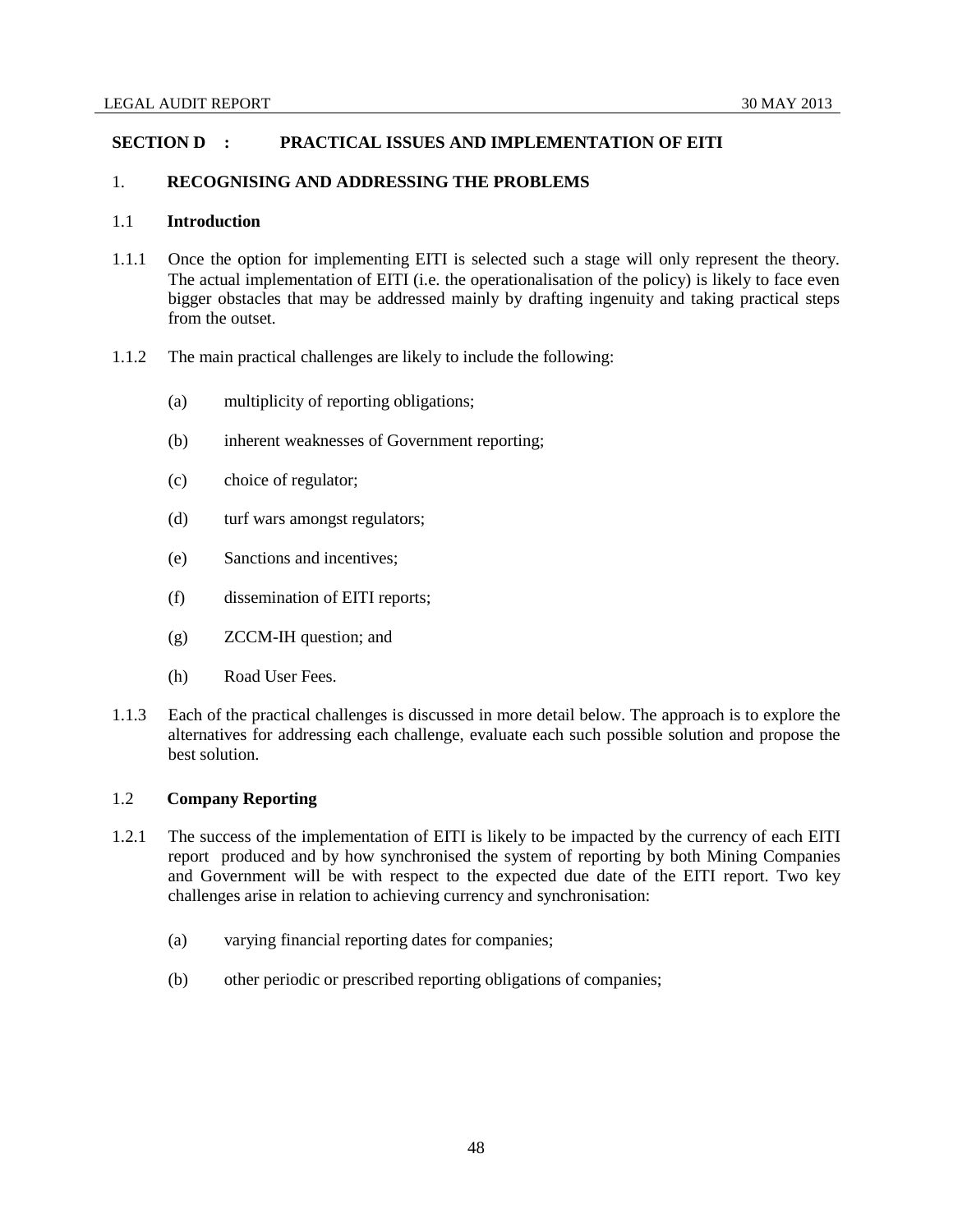## **SECTION D : PRACTICAL ISSUES AND IMPLEMENTATION OF EITI**

### 1. **RECOGNISING AND ADDRESSING THE PROBLEMS**

## 1.1 **Introduction**

- 1.1.1 Once the option for implementing EITI is selected such a stage will only represent the theory. The actual implementation of EITI (i.e. the operationalisation of the policy) is likely to face even bigger obstacles that may be addressed mainly by drafting ingenuity and taking practical steps from the outset.
- 1.1.2 The main practical challenges are likely to include the following:
	- (a) multiplicity of reporting obligations;
	- (b) inherent weaknesses of Government reporting;
	- (c) choice of regulator;
	- (d) turf wars amongst regulators;
	- (e) Sanctions and incentives;
	- (f) dissemination of EITI reports;
	- (g) ZCCM-IH question; and
	- (h) Road User Fees.
- 1.1.3 Each of the practical challenges is discussed in more detail below. The approach is to explore the alternatives for addressing each challenge, evaluate each such possible solution and propose the best solution.

## 1.2 **Company Reporting**

- 1.2.1 The success of the implementation of EITI is likely to be impacted by the currency of each EITI report produced and by how synchronised the system of reporting by both Mining Companies and Government will be with respect to the expected due date of the EITI report. Two key challenges arise in relation to achieving currency and synchronisation:
	- (a) varying financial reporting dates for companies;
	- (b) other periodic or prescribed reporting obligations of companies;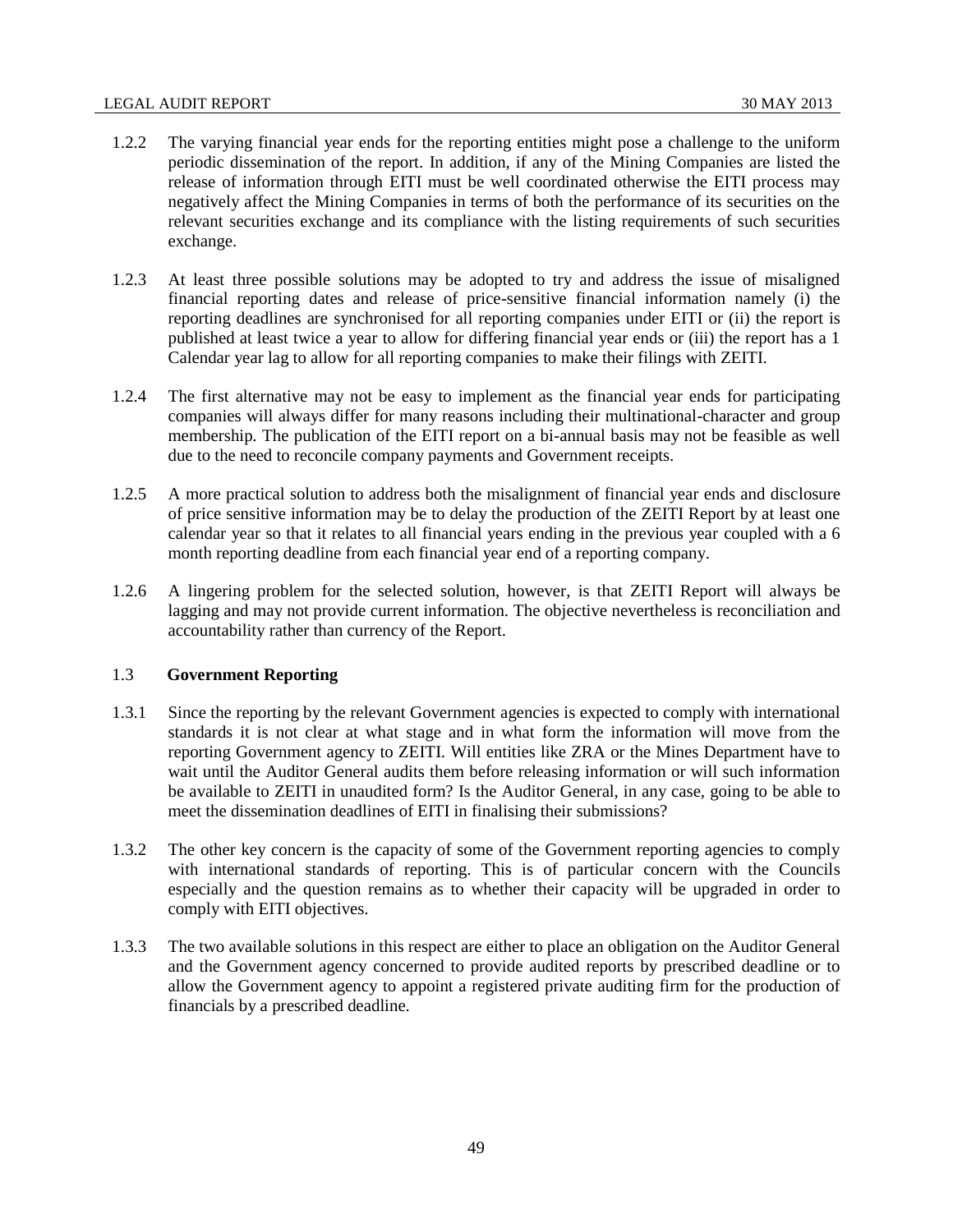- 1.2.2 The varying financial year ends for the reporting entities might pose a challenge to the uniform periodic dissemination of the report. In addition, if any of the Mining Companies are listed the release of information through EITI must be well coordinated otherwise the EITI process may negatively affect the Mining Companies in terms of both the performance of its securities on the relevant securities exchange and its compliance with the listing requirements of such securities exchange.
- 1.2.3 At least three possible solutions may be adopted to try and address the issue of misaligned financial reporting dates and release of price-sensitive financial information namely (i) the reporting deadlines are synchronised for all reporting companies under EITI or (ii) the report is published at least twice a year to allow for differing financial year ends or (iii) the report has a 1 Calendar year lag to allow for all reporting companies to make their filings with ZEITI.
- 1.2.4 The first alternative may not be easy to implement as the financial year ends for participating companies will always differ for many reasons including their multinational-character and group membership. The publication of the EITI report on a bi-annual basis may not be feasible as well due to the need to reconcile company payments and Government receipts.
- 1.2.5 A more practical solution to address both the misalignment of financial year ends and disclosure of price sensitive information may be to delay the production of the ZEITI Report by at least one calendar year so that it relates to all financial years ending in the previous year coupled with a 6 month reporting deadline from each financial year end of a reporting company.
- 1.2.6 A lingering problem for the selected solution, however, is that ZEITI Report will always be lagging and may not provide current information. The objective nevertheless is reconciliation and accountability rather than currency of the Report.

#### 1.3 **Government Reporting**

- 1.3.1 Since the reporting by the relevant Government agencies is expected to comply with international standards it is not clear at what stage and in what form the information will move from the reporting Government agency to ZEITI. Will entities like ZRA or the Mines Department have to wait until the Auditor General audits them before releasing information or will such information be available to ZEITI in unaudited form? Is the Auditor General, in any case, going to be able to meet the dissemination deadlines of EITI in finalising their submissions?
- 1.3.2 The other key concern is the capacity of some of the Government reporting agencies to comply with international standards of reporting. This is of particular concern with the Councils especially and the question remains as to whether their capacity will be upgraded in order to comply with EITI objectives.
- 1.3.3 The two available solutions in this respect are either to place an obligation on the Auditor General and the Government agency concerned to provide audited reports by prescribed deadline or to allow the Government agency to appoint a registered private auditing firm for the production of financials by a prescribed deadline.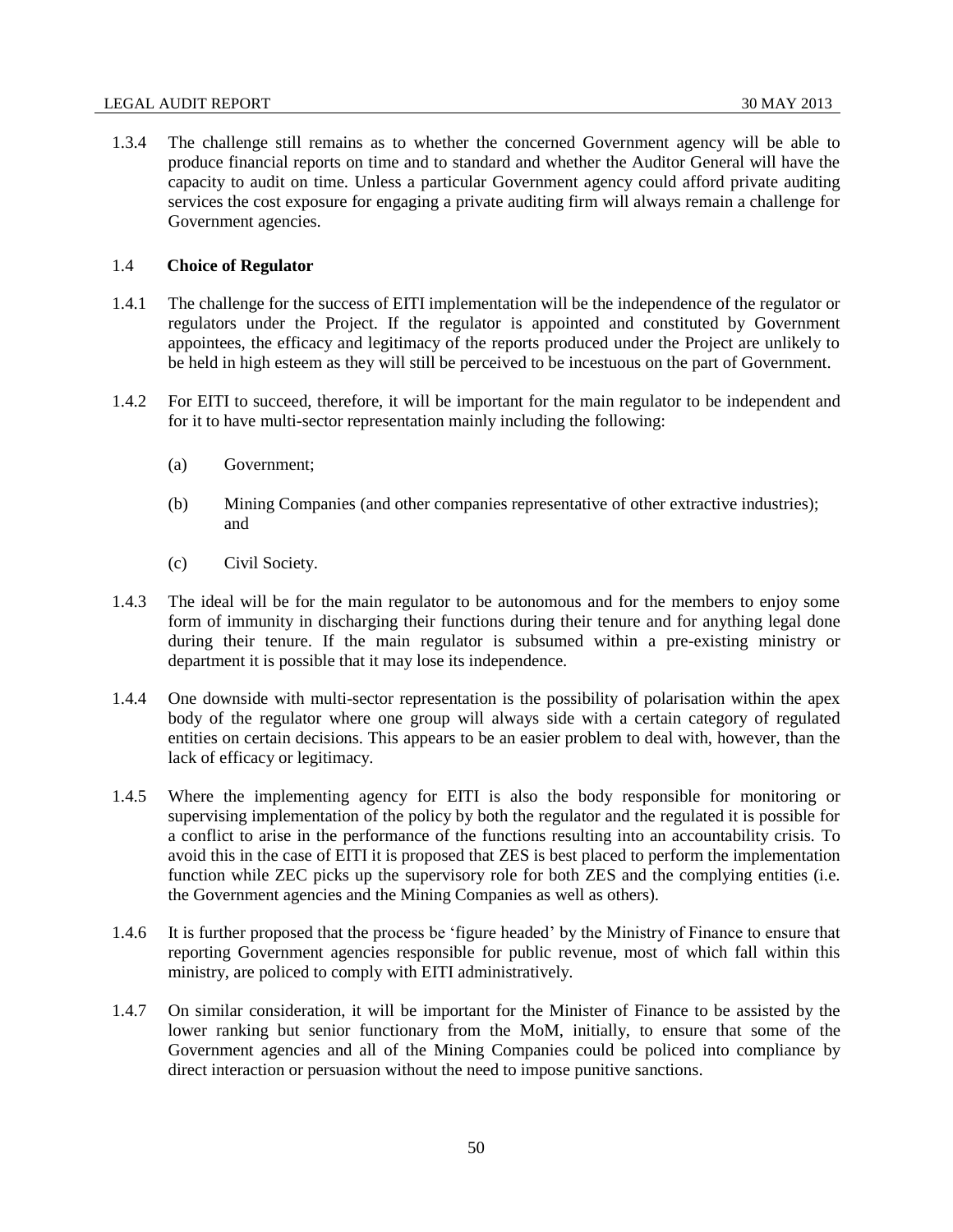1.3.4 The challenge still remains as to whether the concerned Government agency will be able to produce financial reports on time and to standard and whether the Auditor General will have the capacity to audit on time. Unless a particular Government agency could afford private auditing services the cost exposure for engaging a private auditing firm will always remain a challenge for Government agencies.

## 1.4 **Choice of Regulator**

- 1.4.1 The challenge for the success of EITI implementation will be the independence of the regulator or regulators under the Project. If the regulator is appointed and constituted by Government appointees, the efficacy and legitimacy of the reports produced under the Project are unlikely to be held in high esteem as they will still be perceived to be incestuous on the part of Government.
- 1.4.2 For EITI to succeed, therefore, it will be important for the main regulator to be independent and for it to have multi-sector representation mainly including the following:
	- (a) Government;
	- (b) Mining Companies (and other companies representative of other extractive industries); and
	- (c) Civil Society.
- 1.4.3 The ideal will be for the main regulator to be autonomous and for the members to enjoy some form of immunity in discharging their functions during their tenure and for anything legal done during their tenure. If the main regulator is subsumed within a pre-existing ministry or department it is possible that it may lose its independence.
- 1.4.4 One downside with multi-sector representation is the possibility of polarisation within the apex body of the regulator where one group will always side with a certain category of regulated entities on certain decisions. This appears to be an easier problem to deal with, however, than the lack of efficacy or legitimacy.
- 1.4.5 Where the implementing agency for EITI is also the body responsible for monitoring or supervising implementation of the policy by both the regulator and the regulated it is possible for a conflict to arise in the performance of the functions resulting into an accountability crisis. To avoid this in the case of EITI it is proposed that ZES is best placed to perform the implementation function while ZEC picks up the supervisory role for both ZES and the complying entities (i.e. the Government agencies and the Mining Companies as well as others).
- 1.4.6 It is further proposed that the process be 'figure headed' by the Ministry of Finance to ensure that reporting Government agencies responsible for public revenue, most of which fall within this ministry, are policed to comply with EITI administratively.
- 1.4.7 On similar consideration, it will be important for the Minister of Finance to be assisted by the lower ranking but senior functionary from the MoM, initially, to ensure that some of the Government agencies and all of the Mining Companies could be policed into compliance by direct interaction or persuasion without the need to impose punitive sanctions.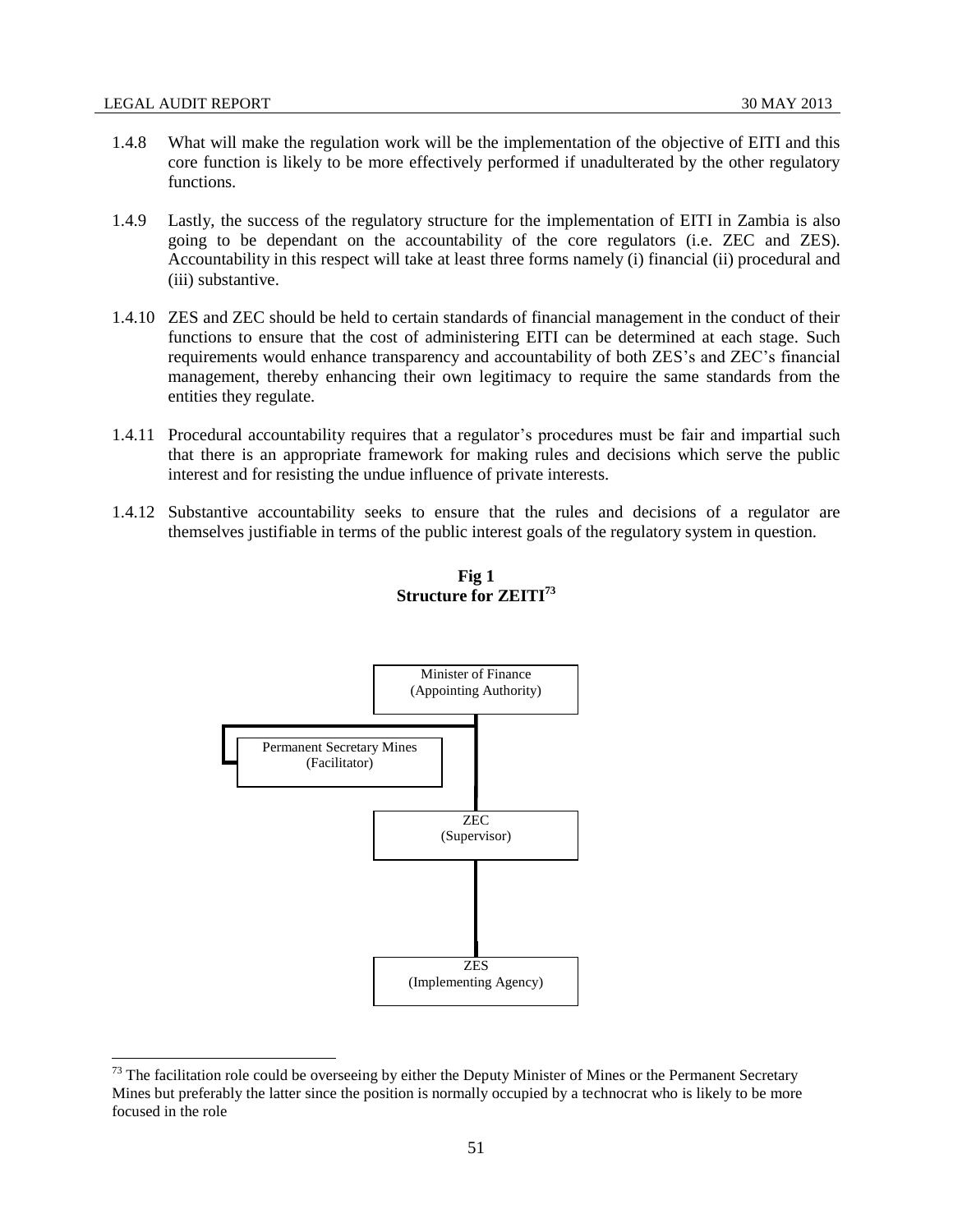- 1.4.8 What will make the regulation work will be the implementation of the objective of EITI and this core function is likely to be more effectively performed if unadulterated by the other regulatory functions.
- 1.4.9 Lastly, the success of the regulatory structure for the implementation of EITI in Zambia is also going to be dependant on the accountability of the core regulators (i.e. ZEC and ZES). Accountability in this respect will take at least three forms namely (i) financial (ii) procedural and (iii) substantive.
- 1.4.10 ZES and ZEC should be held to certain standards of financial management in the conduct of their functions to ensure that the cost of administering EITI can be determined at each stage. Such requirements would enhance transparency and accountability of both ZES's and ZEC's financial management, thereby enhancing their own legitimacy to require the same standards from the entities they regulate.
- 1.4.11 Procedural accountability requires that a regulator's procedures must be fair and impartial such that there is an appropriate framework for making rules and decisions which serve the public interest and for resisting the undue influence of private interests.
- 1.4.12 Substantive accountability seeks to ensure that the rules and decisions of a regulator are themselves justifiable in terms of the public interest goals of the regulatory system in question.



**Fig 1 Structure for ZEITI<sup>73</sup>**

 $73$  The facilitation role could be overseeing by either the Deputy Minister of Mines or the Permanent Secretary Mines but preferably the latter since the position is normally occupied by a technocrat who is likely to be more focused in the role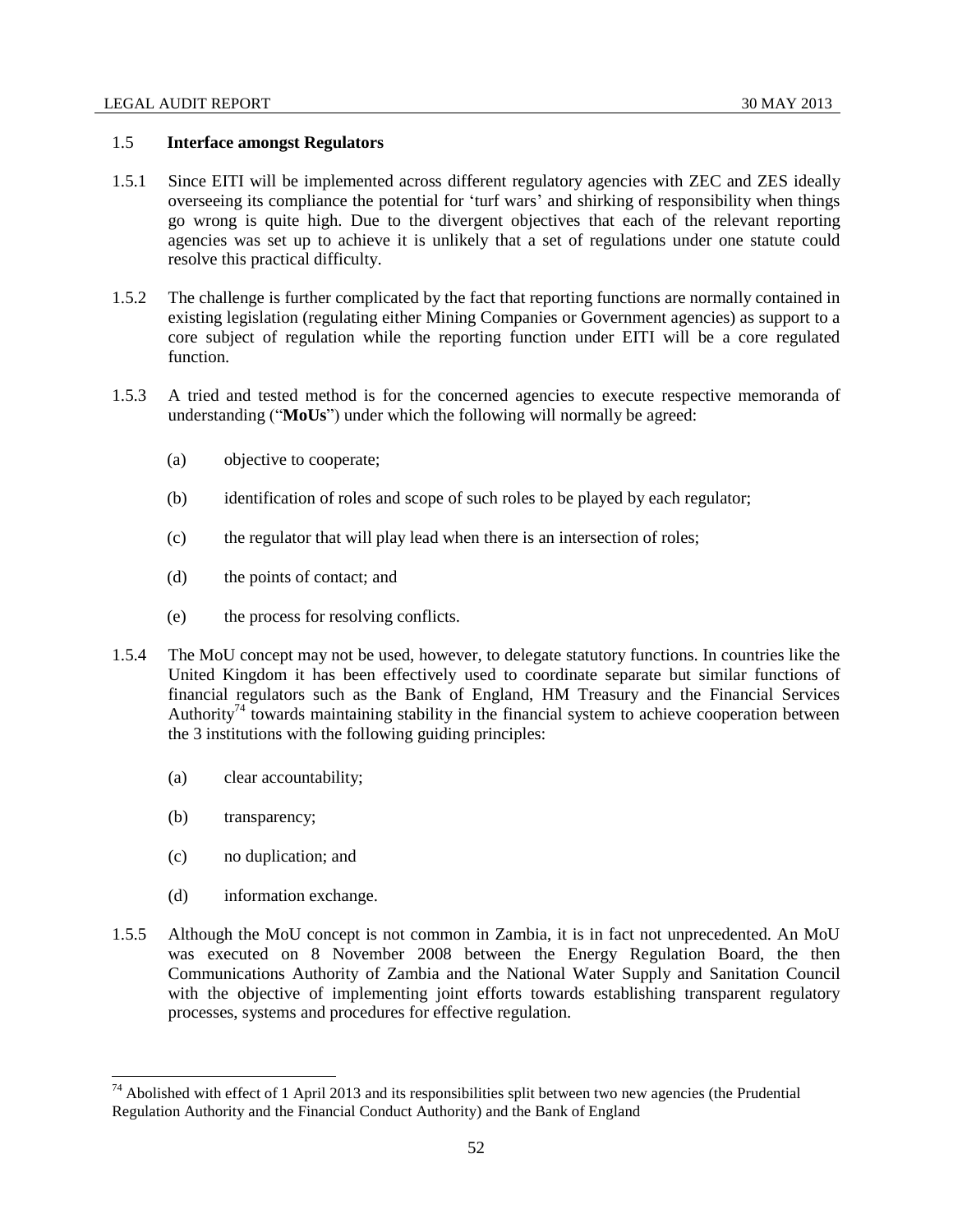# 1.5 **Interface amongst Regulators**

- 1.5.1 Since EITI will be implemented across different regulatory agencies with ZEC and ZES ideally overseeing its compliance the potential for 'turf wars' and shirking of responsibility when things go wrong is quite high. Due to the divergent objectives that each of the relevant reporting agencies was set up to achieve it is unlikely that a set of regulations under one statute could resolve this practical difficulty.
- 1.5.2 The challenge is further complicated by the fact that reporting functions are normally contained in existing legislation (regulating either Mining Companies or Government agencies) as support to a core subject of regulation while the reporting function under EITI will be a core regulated function.
- 1.5.3 A tried and tested method is for the concerned agencies to execute respective memoranda of understanding ("**MoUs**") under which the following will normally be agreed:
	- (a) objective to cooperate;
	- (b) identification of roles and scope of such roles to be played by each regulator;
	- (c) the regulator that will play lead when there is an intersection of roles;
	- (d) the points of contact; and
	- (e) the process for resolving conflicts.
- 1.5.4 The MoU concept may not be used, however, to delegate statutory functions. In countries like the United Kingdom it has been effectively used to coordinate separate but similar functions of financial regulators such as the Bank of England, HM Treasury and the Financial Services Authority<sup>74</sup> towards maintaining stability in the financial system to achieve cooperation between the 3 institutions with the following guiding principles:
	- (a) clear accountability;
	- (b) transparency;

- (c) no duplication; and
- (d) information exchange.
- 1.5.5 Although the MoU concept is not common in Zambia, it is in fact not unprecedented. An MoU was executed on 8 November 2008 between the Energy Regulation Board, the then Communications Authority of Zambia and the National Water Supply and Sanitation Council with the objective of implementing joint efforts towards establishing transparent regulatory processes, systems and procedures for effective regulation.

 $74$  Abolished with effect of 1 April 2013 and its responsibilities split between two new agencies (the Prudential [Regulation Authority](http://en.wikipedia.org/wiki/Prudential_Regulation_Authority_(United_Kingdom)) and the [Financial Conduct Authority\)](http://en.wikipedia.org/wiki/Financial_Conduct_Authority) and the [Bank of England](http://en.wikipedia.org/wiki/Bank_of_England)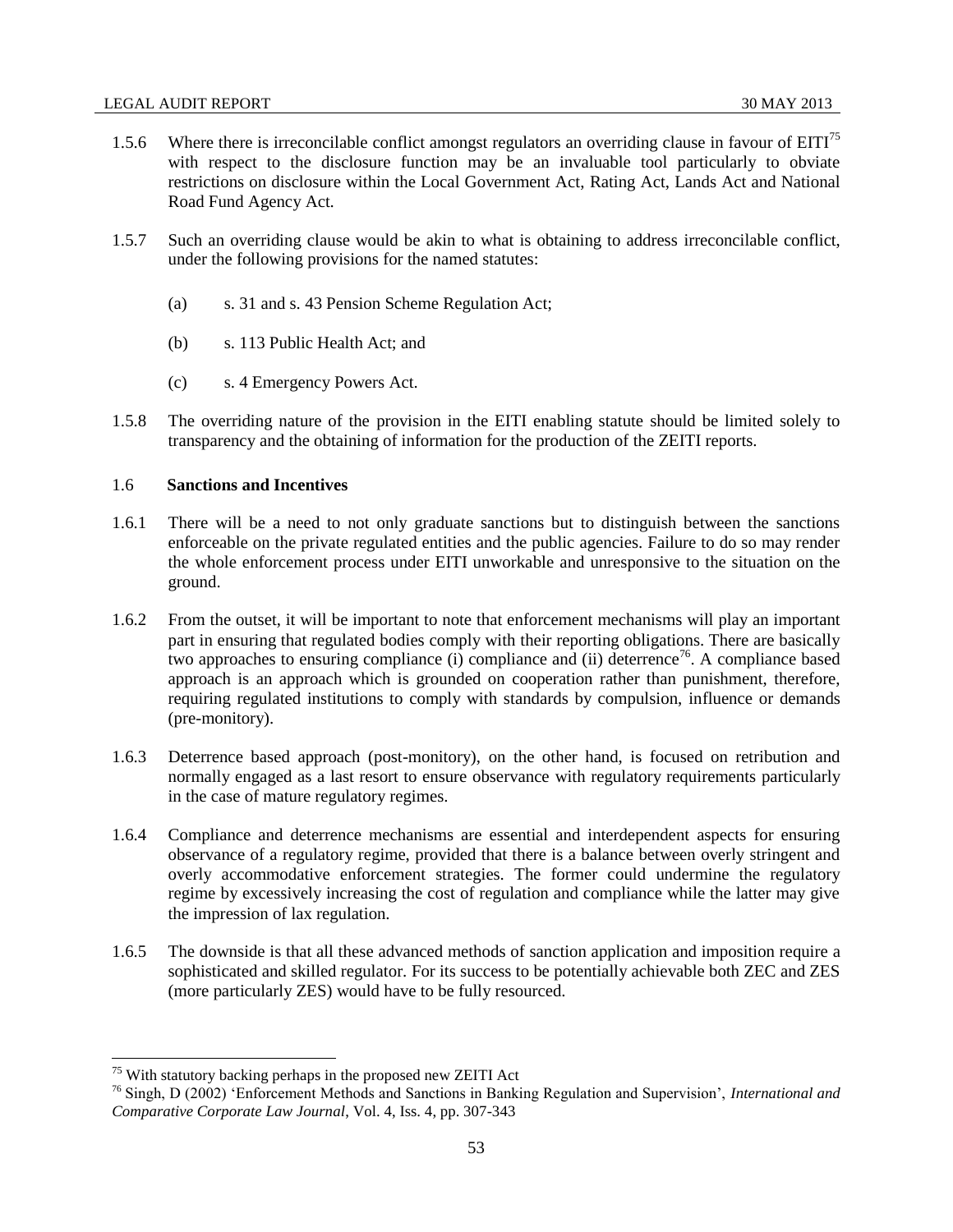- 1.5.6 Where there is irreconcilable conflict amongst regulators an overriding clause in favour of  $EITI<sup>5</sup>$ with respect to the disclosure function may be an invaluable tool particularly to obviate restrictions on disclosure within the Local Government Act, Rating Act, Lands Act and National Road Fund Agency Act.
- 1.5.7 Such an overriding clause would be akin to what is obtaining to address irreconcilable conflict, under the following provisions for the named statutes:
	- (a) s. 31 and s. 43 Pension Scheme Regulation Act;
	- (b) s. 113 Public Health Act; and
	- (c) s. 4 Emergency Powers Act.
- 1.5.8 The overriding nature of the provision in the EITI enabling statute should be limited solely to transparency and the obtaining of information for the production of the ZEITI reports.

## 1.6 **Sanctions and Incentives**

- 1.6.1 There will be a need to not only graduate sanctions but to distinguish between the sanctions enforceable on the private regulated entities and the public agencies. Failure to do so may render the whole enforcement process under EITI unworkable and unresponsive to the situation on the ground.
- 1.6.2 From the outset, it will be important to note that enforcement mechanisms will play an important part in ensuring that regulated bodies comply with their reporting obligations. There are basically two approaches to ensuring compliance  $(i)$  compliance and  $(ii)$  deterrence<sup>76</sup>. A compliance based approach is an approach which is grounded on cooperation rather than punishment, therefore, requiring regulated institutions to comply with standards by compulsion, influence or demands (pre-monitory).
- 1.6.3 Deterrence based approach (post-monitory), on the other hand, is focused on retribution and normally engaged as a last resort to ensure observance with regulatory requirements particularly in the case of mature regulatory regimes.
- 1.6.4 Compliance and deterrence mechanisms are essential and interdependent aspects for ensuring observance of a regulatory regime, provided that there is a balance between overly stringent and overly accommodative enforcement strategies. The former could undermine the regulatory regime by excessively increasing the cost of regulation and compliance while the latter may give the impression of lax regulation.
- 1.6.5 The downside is that all these advanced methods of sanction application and imposition require a sophisticated and skilled regulator. For its success to be potentially achievable both ZEC and ZES (more particularly ZES) would have to be fully resourced.

<sup>75</sup> With statutory backing perhaps in the proposed new ZEITI Act

<sup>76</sup> Singh, D (2002) 'Enforcement Methods and Sanctions in Banking Regulation and Supervision', *International and Comparative Corporate Law Journal*, Vol. 4, Iss. 4, pp. 307-343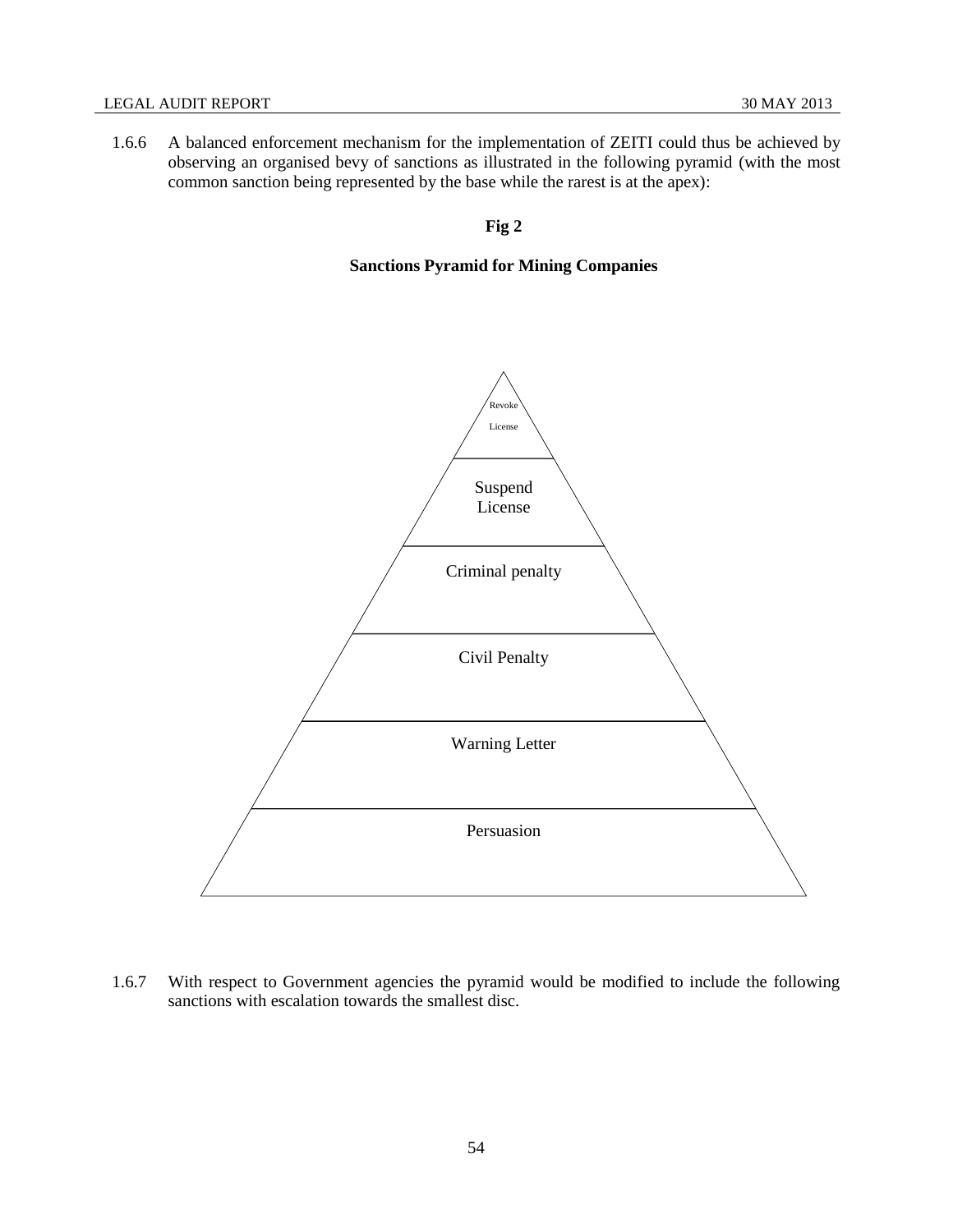1.6.6 A balanced enforcement mechanism for the implementation of ZEITI could thus be achieved by observing an organised bevy of sanctions as illustrated in the following pyramid (with the most common sanction being represented by the base while the rarest is at the apex):

**Fig 2**

# **Sanctions Pyramid for Mining Companies**



1.6.7 With respect to Government agencies the pyramid would be modified to include the following sanctions with escalation towards the smallest disc.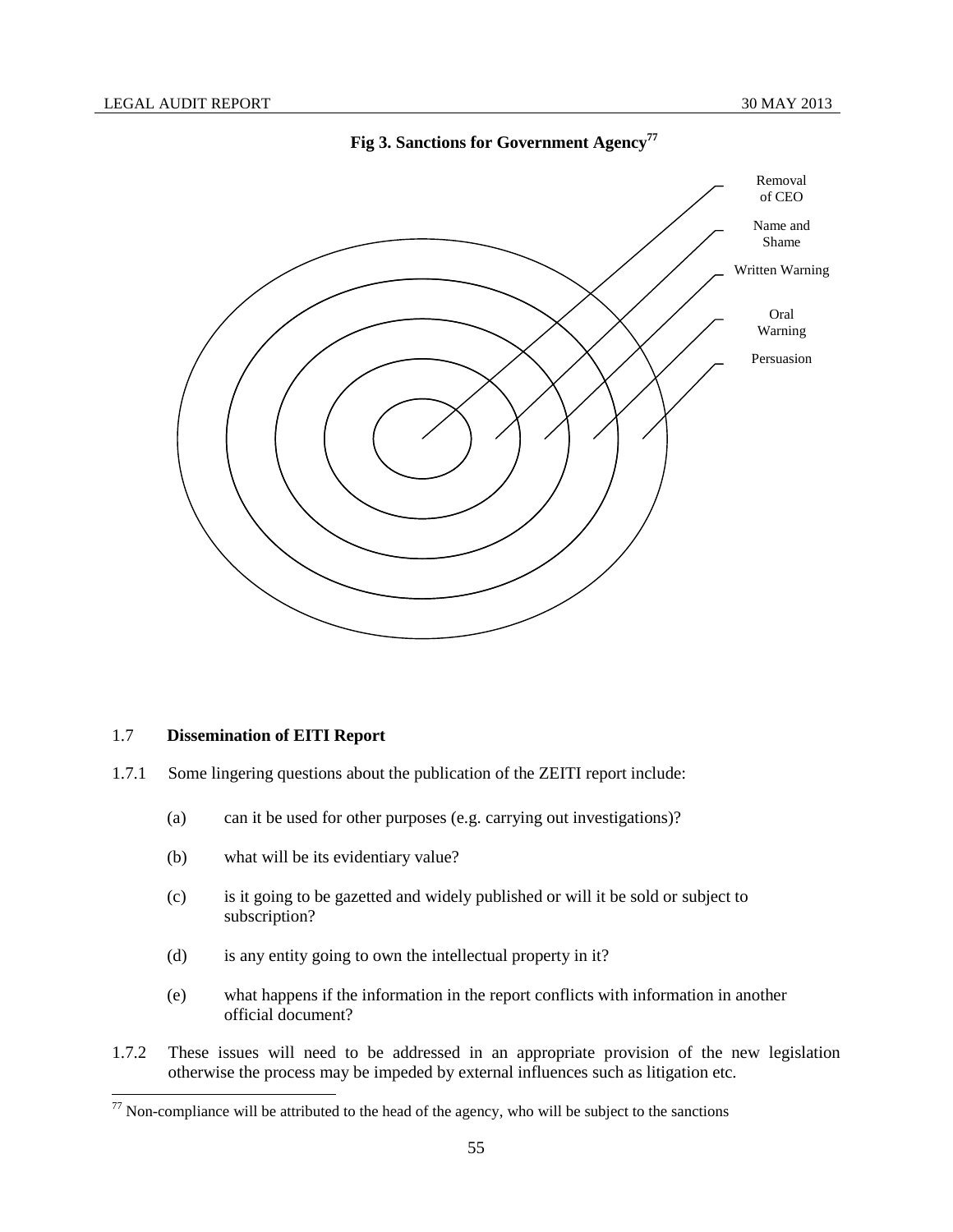

# **Fig 3. Sanctions for Government Agency<sup>77</sup>**

#### 1.7 **Dissemination of EITI Report**

 $\overline{\phantom{a}}$ 

- 1.7.1 Some lingering questions about the publication of the ZEITI report include:
	- (a) can it be used for other purposes (e.g. carrying out investigations)?
	- (b) what will be its evidentiary value?
	- (c) is it going to be gazetted and widely published or will it be sold or subject to subscription?
	- (d) is any entity going to own the intellectual property in it?
	- (e) what happens if the information in the report conflicts with information in another official document?
- 1.7.2 These issues will need to be addressed in an appropriate provision of the new legislation otherwise the process may be impeded by external influences such as litigation etc.

 $77$  Non-compliance will be attributed to the head of the agency, who will be subject to the sanctions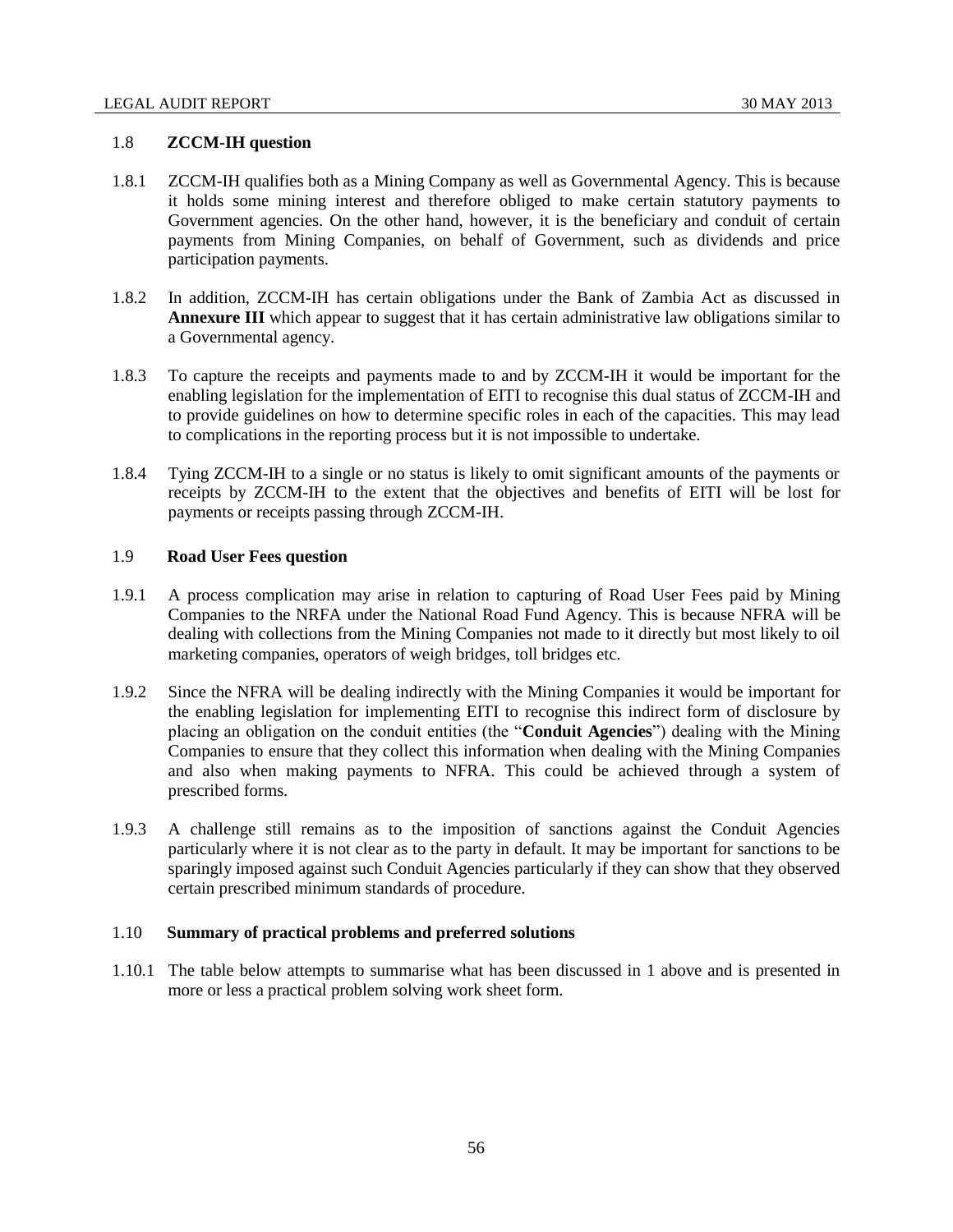#### 1.8 **ZCCM-IH question**

- 1.8.1 ZCCM-IH qualifies both as a Mining Company as well as Governmental Agency. This is because it holds some mining interest and therefore obliged to make certain statutory payments to Government agencies. On the other hand, however, it is the beneficiary and conduit of certain payments from Mining Companies, on behalf of Government, such as dividends and price participation payments.
- 1.8.2 In addition, ZCCM-IH has certain obligations under the Bank of Zambia Act as discussed in **Annexure III** which appear to suggest that it has certain administrative law obligations similar to a Governmental agency.
- 1.8.3 To capture the receipts and payments made to and by ZCCM-IH it would be important for the enabling legislation for the implementation of EITI to recognise this dual status of ZCCM-IH and to provide guidelines on how to determine specific roles in each of the capacities. This may lead to complications in the reporting process but it is not impossible to undertake.
- 1.8.4 Tying ZCCM-IH to a single or no status is likely to omit significant amounts of the payments or receipts by ZCCM-IH to the extent that the objectives and benefits of EITI will be lost for payments or receipts passing through ZCCM-IH.

### 1.9 **Road User Fees question**

- 1.9.1 A process complication may arise in relation to capturing of Road User Fees paid by Mining Companies to the NRFA under the National Road Fund Agency. This is because NFRA will be dealing with collections from the Mining Companies not made to it directly but most likely to oil marketing companies, operators of weigh bridges, toll bridges etc.
- 1.9.2 Since the NFRA will be dealing indirectly with the Mining Companies it would be important for the enabling legislation for implementing EITI to recognise this indirect form of disclosure by placing an obligation on the conduit entities (the "**Conduit Agencies**") dealing with the Mining Companies to ensure that they collect this information when dealing with the Mining Companies and also when making payments to NFRA. This could be achieved through a system of prescribed forms.
- 1.9.3 A challenge still remains as to the imposition of sanctions against the Conduit Agencies particularly where it is not clear as to the party in default. It may be important for sanctions to be sparingly imposed against such Conduit Agencies particularly if they can show that they observed certain prescribed minimum standards of procedure.

## 1.10 **Summary of practical problems and preferred solutions**

1.10.1 The table below attempts to summarise what has been discussed in 1 above and is presented in more or less a practical problem solving work sheet form.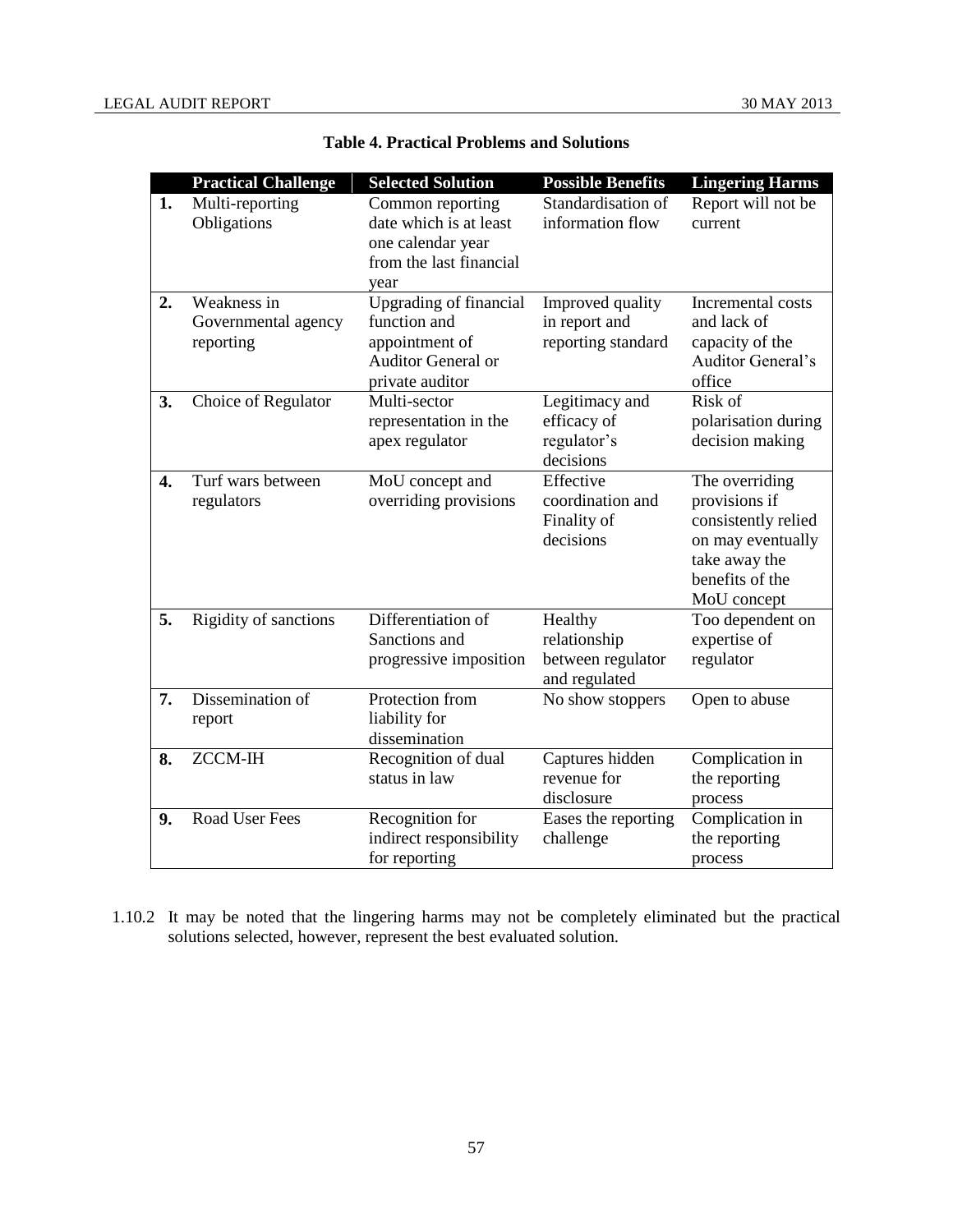|                  | <b>Practical Challenge</b>                      | <b>Selected Solution</b>                                                                                        | <b>Possible Benefits</b>                                      | <b>Lingering Harms</b>                                                                                                         |
|------------------|-------------------------------------------------|-----------------------------------------------------------------------------------------------------------------|---------------------------------------------------------------|--------------------------------------------------------------------------------------------------------------------------------|
| 1.               | Multi-reporting<br>Obligations                  | Common reporting<br>date which is at least<br>one calendar year<br>from the last financial<br>year              | Standardisation of<br>information flow                        | Report will not be<br>current                                                                                                  |
| 2.               | Weakness in<br>Governmental agency<br>reporting | <b>Upgrading of financial</b><br>function and<br>appointment of<br><b>Auditor General or</b><br>private auditor | Improved quality<br>in report and<br>reporting standard       | Incremental costs<br>and lack of<br>capacity of the<br><b>Auditor General's</b><br>office                                      |
| 3.               | Choice of Regulator                             | Multi-sector<br>representation in the<br>apex regulator                                                         | Legitimacy and<br>efficacy of<br>regulator's<br>decisions     | Risk of<br>polarisation during<br>decision making                                                                              |
| $\overline{4}$ . | Turf wars between<br>regulators                 | MoU concept and<br>overriding provisions                                                                        | Effective<br>coordination and<br>Finality of<br>decisions     | The overriding<br>provisions if<br>consistently relied<br>on may eventually<br>take away the<br>benefits of the<br>MoU concept |
| 5.               | Rigidity of sanctions                           | Differentiation of<br>Sanctions and<br>progressive imposition                                                   | Healthy<br>relationship<br>between regulator<br>and regulated | Too dependent on<br>expertise of<br>regulator                                                                                  |
| 7.               | Dissemination of<br>report                      | Protection from<br>liability for<br>dissemination                                                               | No show stoppers                                              | Open to abuse                                                                                                                  |
| 8.               | <b>ZCCM-IH</b>                                  | Recognition of dual<br>status in law                                                                            | Captures hidden<br>revenue for<br>disclosure                  | Complication in<br>the reporting<br>process                                                                                    |
| 9.               | <b>Road User Fees</b>                           | Recognition for<br>indirect responsibility<br>for reporting                                                     | Eases the reporting<br>challenge                              | Complication in<br>the reporting<br>process                                                                                    |

**Table 4. Practical Problems and Solutions**

1.10.2 It may be noted that the lingering harms may not be completely eliminated but the practical solutions selected, however, represent the best evaluated solution.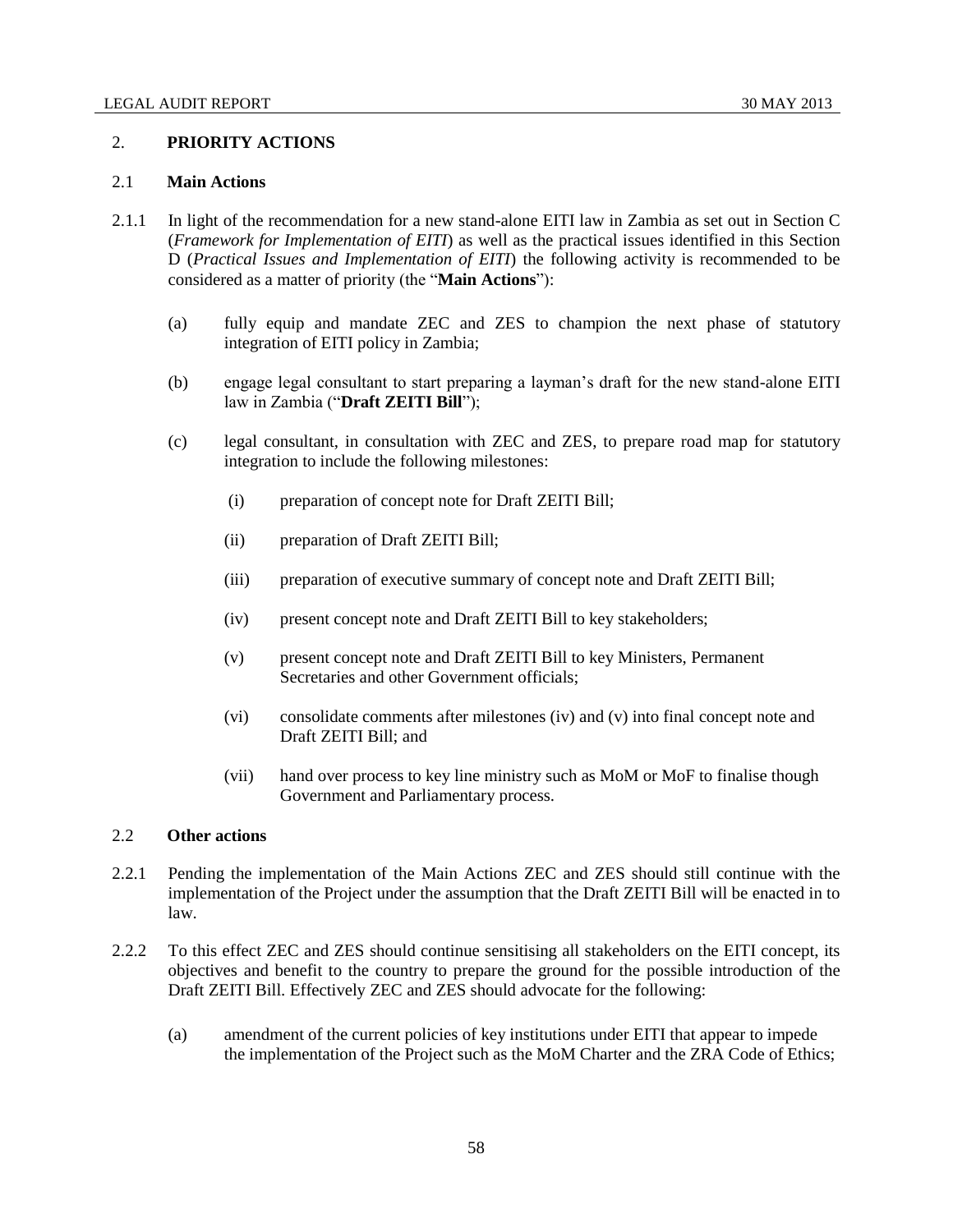### 2. **PRIORITY ACTIONS**

## 2.1 **Main Actions**

- 2.1.1 In light of the recommendation for a new stand-alone EITI law in Zambia as set out in Section C (*Framework for Implementation of EITI*) as well as the practical issues identified in this Section D (*Practical Issues and Implementation of EITI*) the following activity is recommended to be considered as a matter of priority (the "**Main Actions**"):
	- (a) fully equip and mandate ZEC and ZES to champion the next phase of statutory integration of EITI policy in Zambia;
	- (b) engage legal consultant to start preparing a layman's draft for the new stand-alone EITI law in Zambia ("**Draft ZEITI Bill**");
	- (c) legal consultant, in consultation with ZEC and ZES, to prepare road map for statutory integration to include the following milestones:
		- (i) preparation of concept note for Draft ZEITI Bill;
		- (ii) preparation of Draft ZEITI Bill;
		- (iii) preparation of executive summary of concept note and Draft ZEITI Bill;
		- (iv) present concept note and Draft ZEITI Bill to key stakeholders;
		- (v) present concept note and Draft ZEITI Bill to key Ministers, Permanent Secretaries and other Government officials;
		- (vi) consolidate comments after milestones (iv) and (v) into final concept note and Draft ZEITI Bill; and
		- (vii) hand over process to key line ministry such as MoM or MoF to finalise though Government and Parliamentary process.

## 2.2 **Other actions**

- 2.2.1 Pending the implementation of the Main Actions ZEC and ZES should still continue with the implementation of the Project under the assumption that the Draft ZEITI Bill will be enacted in to law.
- 2.2.2 To this effect ZEC and ZES should continue sensitising all stakeholders on the EITI concept, its objectives and benefit to the country to prepare the ground for the possible introduction of the Draft ZEITI Bill. Effectively ZEC and ZES should advocate for the following:
	- (a) amendment of the current policies of key institutions under EITI that appear to impede the implementation of the Project such as the MoM Charter and the ZRA Code of Ethics;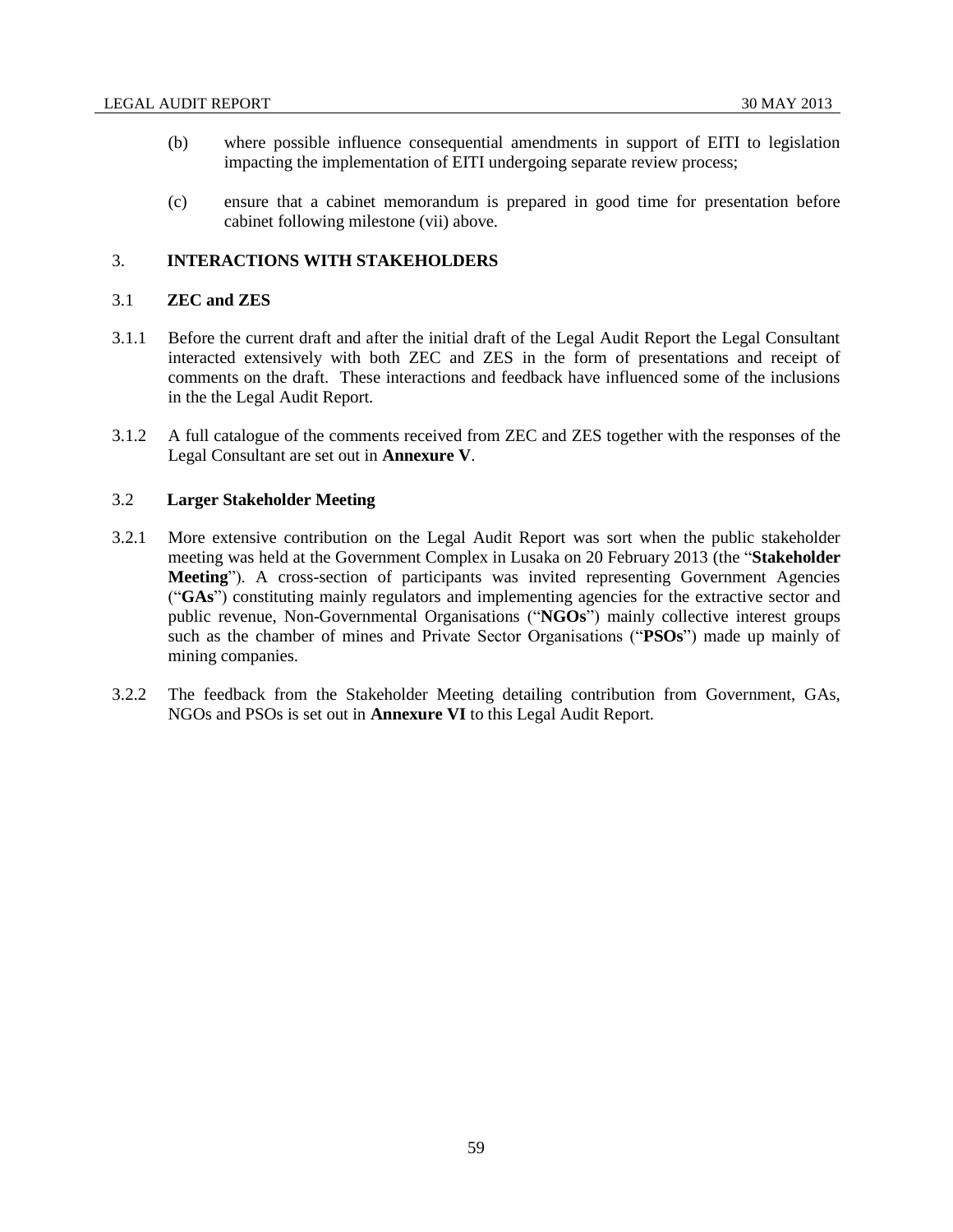- (b) where possible influence consequential amendments in support of EITI to legislation impacting the implementation of EITI undergoing separate review process;
- (c) ensure that a cabinet memorandum is prepared in good time for presentation before cabinet following milestone (vii) above.

## 3. **INTERACTIONS WITH STAKEHOLDERS**

#### 3.1 **ZEC and ZES**

- 3.1.1 Before the current draft and after the initial draft of the Legal Audit Report the Legal Consultant interacted extensively with both ZEC and ZES in the form of presentations and receipt of comments on the draft. These interactions and feedback have influenced some of the inclusions in the the Legal Audit Report.
- 3.1.2 A full catalogue of the comments received from ZEC and ZES together with the responses of the Legal Consultant are set out in **Annexure V**.

## 3.2 **Larger Stakeholder Meeting**

- 3.2.1 More extensive contribution on the Legal Audit Report was sort when the public stakeholder meeting was held at the Government Complex in Lusaka on 20 February 2013 (the "**Stakeholder Meeting**"). A cross-section of participants was invited representing Government Agencies ("**GAs**") constituting mainly regulators and implementing agencies for the extractive sector and public revenue, Non-Governmental Organisations ("**NGOs**") mainly collective interest groups such as the chamber of mines and Private Sector Organisations ("**PSOs**") made up mainly of mining companies.
- 3.2.2 The feedback from the Stakeholder Meeting detailing contribution from Government, GAs, NGOs and PSOs is set out in **Annexure VI** to this Legal Audit Report.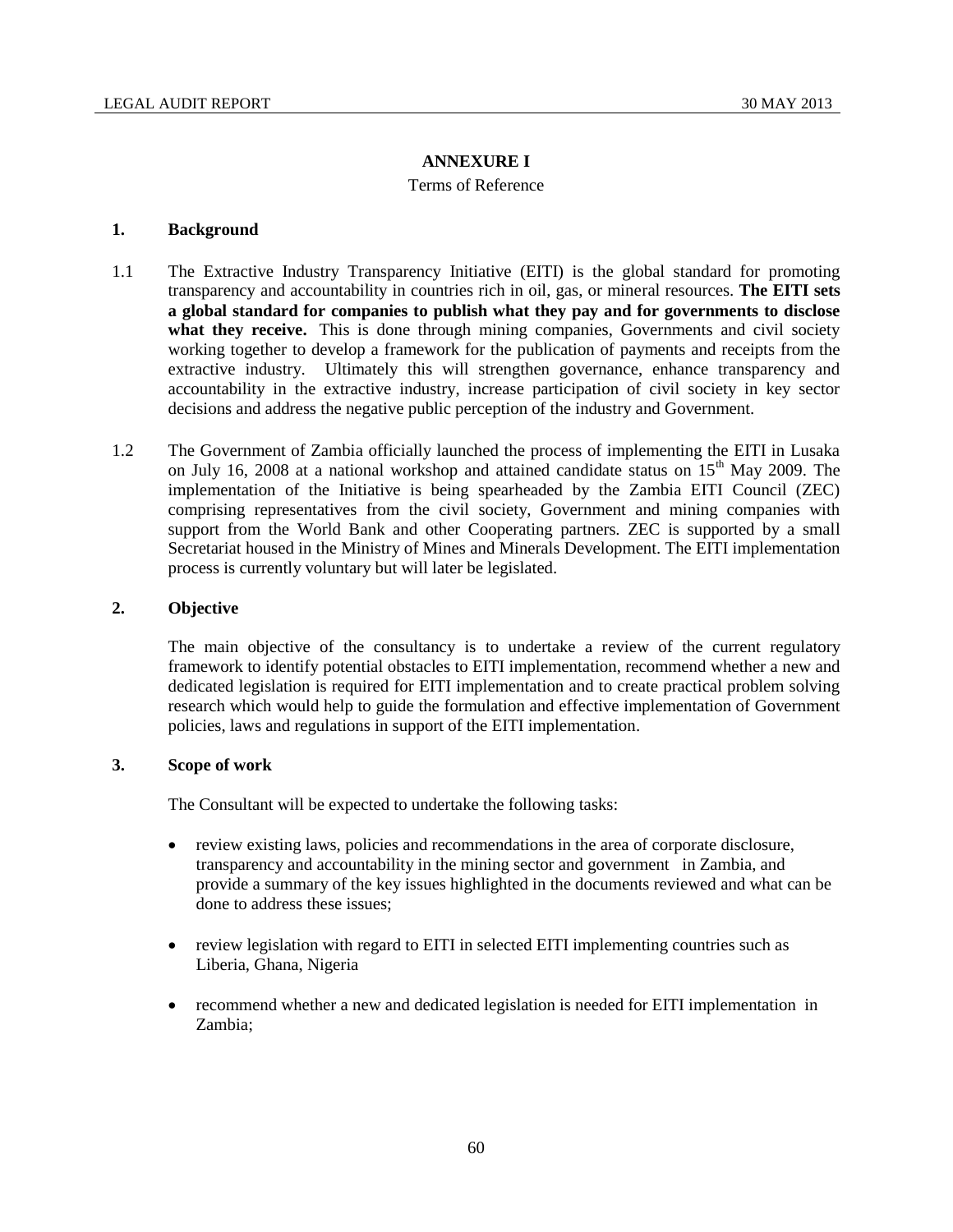# **ANNEXURE I**

## Terms of Reference

# **1. Background**

- 1.1 The Extractive Industry Transparency Initiative (EITI) is the global standard for promoting transparency and accountability in countries rich in oil, gas, or mineral resources. **The EITI sets a global standard for companies to publish what they pay and for governments to disclose**  what they receive. This is done through mining companies, Governments and civil society working together to develop a framework for the publication of payments and receipts from the extractive industry. Ultimately this will strengthen governance, enhance transparency and accountability in the extractive industry, increase participation of civil society in key sector decisions and address the negative public perception of the industry and Government.
- 1.2 The Government of Zambia officially launched the process of implementing the EITI in Lusaka on July 16, 2008 at a national workshop and attained candidate status on 15<sup>th</sup> May 2009. The implementation of the Initiative is being spearheaded by the Zambia EITI Council (ZEC) comprising representatives from the civil society, Government and mining companies with support from the World Bank and other Cooperating partners. ZEC is supported by a small Secretariat housed in the Ministry of Mines and Minerals Development. The EITI implementation process is currently voluntary but will later be legislated.

# **2. Objective**

The main objective of the consultancy is to undertake a review of the current regulatory framework to identify potential obstacles to EITI implementation, recommend whether a new and dedicated legislation is required for EITI implementation and to create practical problem solving research which would help to guide the formulation and effective implementation of Government policies, laws and regulations in support of the EITI implementation.

# **3. Scope of work**

The Consultant will be expected to undertake the following tasks:

- review existing laws, policies and recommendations in the area of corporate disclosure, transparency and accountability in the mining sector and government in Zambia, and provide a summary of the key issues highlighted in the documents reviewed and what can be done to address these issues;
- review legislation with regard to EITI in selected EITI implementing countries such as Liberia, Ghana, Nigeria
- recommend whether a new and dedicated legislation is needed for EITI implementation in Zambia;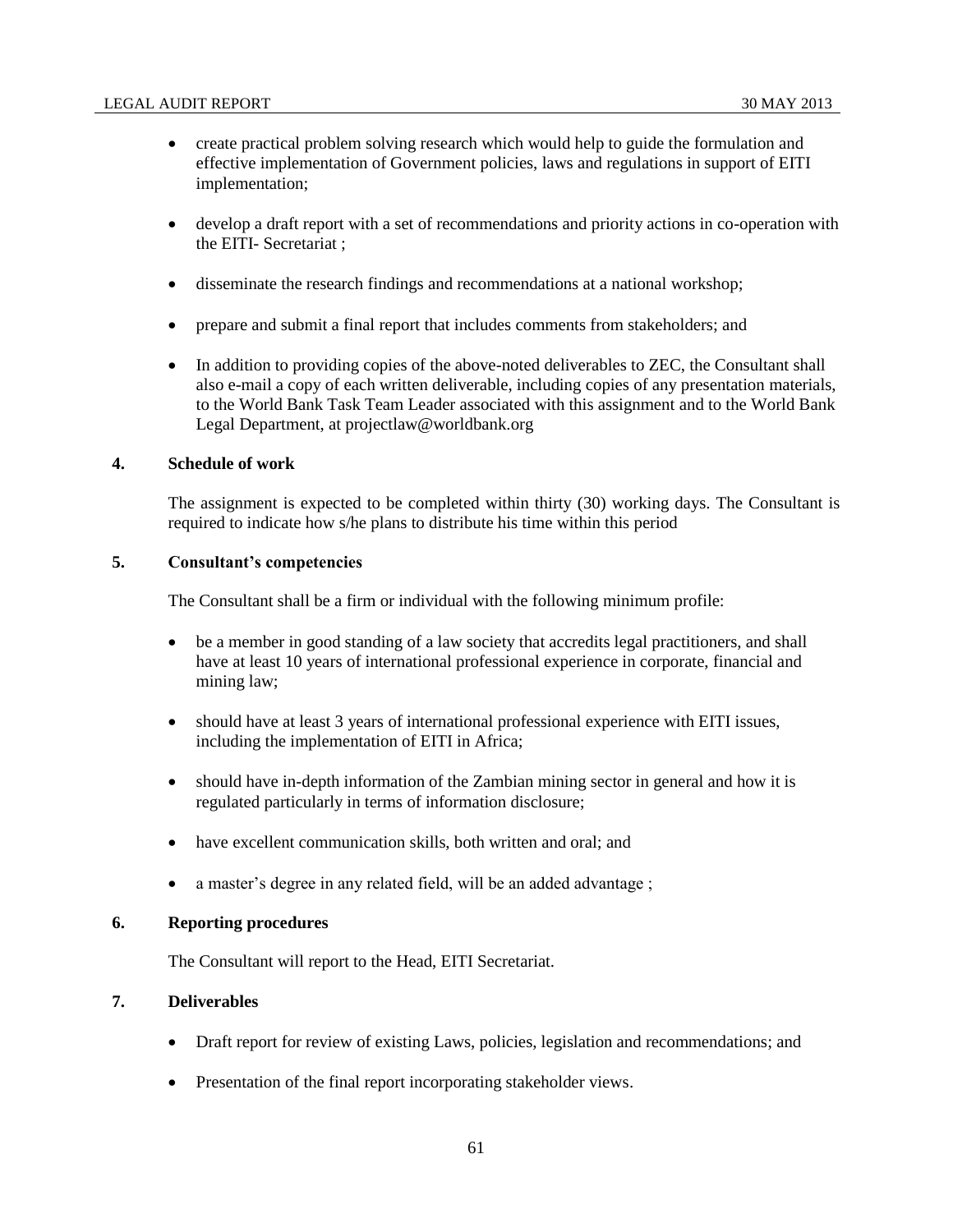- create practical problem solving research which would help to guide the formulation and effective implementation of Government policies, laws and regulations in support of EITI implementation;
- develop a draft report with a set of recommendations and priority actions in co-operation with the EITI- Secretariat ;
- disseminate the research findings and recommendations at a national workshop;
- prepare and submit a final report that includes comments from stakeholders; and
- In addition to providing copies of the above-noted deliverables to ZEC, the Consultant shall also e-mail a copy of each written deliverable, including copies of any presentation materials, to the World Bank Task Team Leader associated with this assignment and to the World Bank Legal Department, at projectlaw@worldbank.org

#### **4. Schedule of work**

The assignment is expected to be completed within thirty (30) working days. The Consultant is required to indicate how s/he plans to distribute his time within this period

#### **5. Consultant's competencies**

The Consultant shall be a firm or individual with the following minimum profile:

- be a member in good standing of a law society that accredits legal practitioners, and shall have at least 10 years of international professional experience in corporate, financial and mining law;
- should have at least 3 years of international professional experience with EITI issues, including the implementation of EITI in Africa;
- should have in-depth information of the Zambian mining sector in general and how it is regulated particularly in terms of information disclosure;
- have excellent communication skills, both written and oral; and
- a master's degree in any related field, will be an added advantage;

## **6. Reporting procedures**

The Consultant will report to the Head, EITI Secretariat.

# **7. Deliverables**

- Draft report for review of existing Laws, policies, legislation and recommendations; and
- Presentation of the final report incorporating stakeholder views.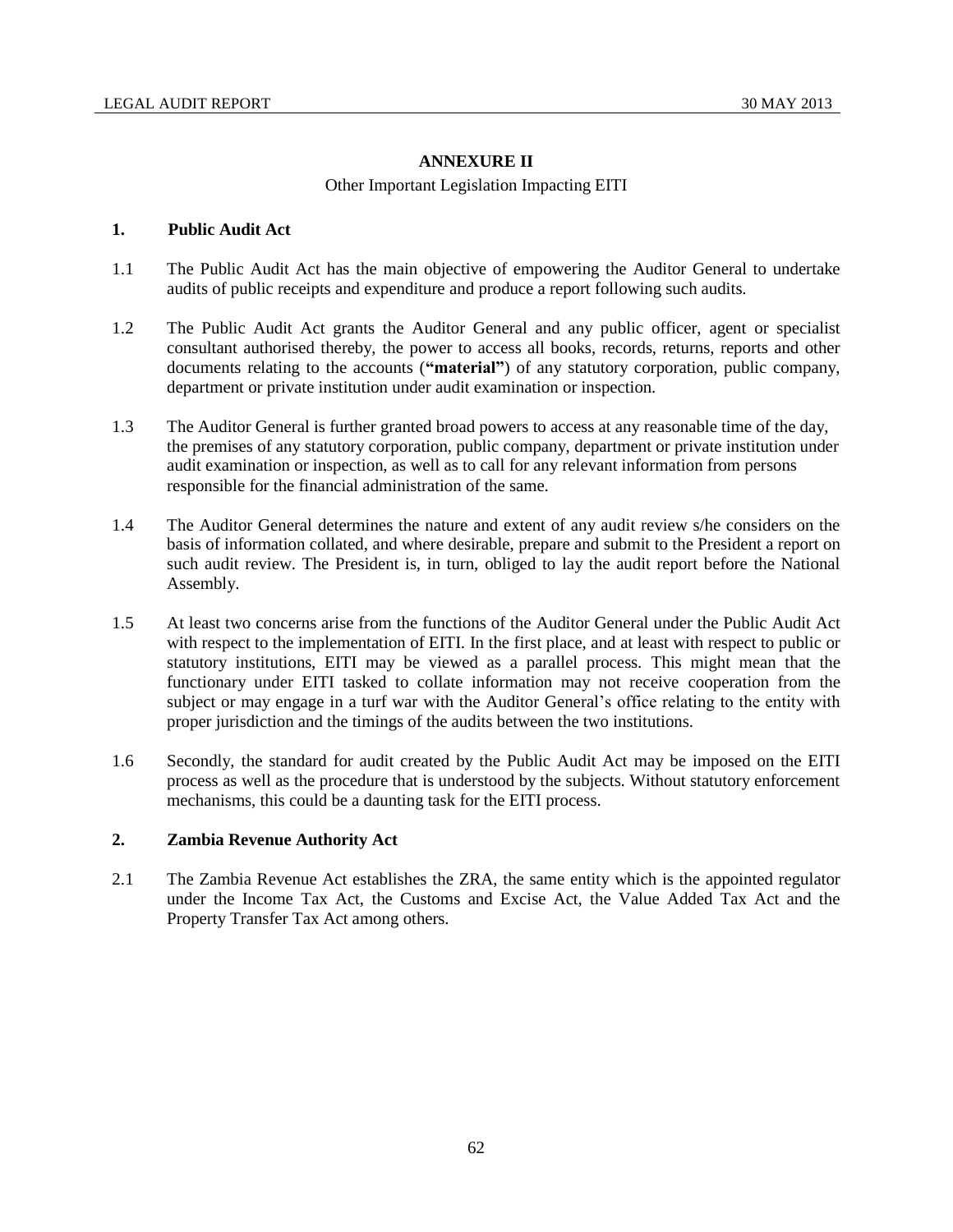# **ANNEXURE II**

# Other Important Legislation Impacting EITI

# **1. Public Audit Act**

- 1.1 The Public Audit Act has the main objective of empowering the Auditor General to undertake audits of public receipts and expenditure and produce a report following such audits.
- 1.2 The Public Audit Act grants the Auditor General and any public officer, agent or specialist consultant authorised thereby, the power to access all books, records, returns, reports and other documents relating to the accounts (**"material"**) of any statutory corporation, public company, department or private institution under audit examination or inspection.
- 1.3 The Auditor General is further granted broad powers to access at any reasonable time of the day, the premises of any statutory corporation, public company, department or private institution under audit examination or inspection, as well as to call for any relevant information from persons responsible for the financial administration of the same.
- 1.4 The Auditor General determines the nature and extent of any audit review s/he considers on the basis of information collated, and where desirable, prepare and submit to the President a report on such audit review. The President is, in turn, obliged to lay the audit report before the National Assembly.
- 1.5 At least two concerns arise from the functions of the Auditor General under the Public Audit Act with respect to the implementation of EITI. In the first place, and at least with respect to public or statutory institutions, EITI may be viewed as a parallel process. This might mean that the functionary under EITI tasked to collate information may not receive cooperation from the subject or may engage in a turf war with the Auditor General's office relating to the entity with proper jurisdiction and the timings of the audits between the two institutions.
- 1.6 Secondly, the standard for audit created by the Public Audit Act may be imposed on the EITI process as well as the procedure that is understood by the subjects. Without statutory enforcement mechanisms, this could be a daunting task for the EITI process.

# **2. Zambia Revenue Authority Act**

2.1 The Zambia Revenue Act establishes the ZRA, the same entity which is the appointed regulator under the Income Tax Act, the Customs and Excise Act, the Value Added Tax Act and the Property Transfer Tax Act among others.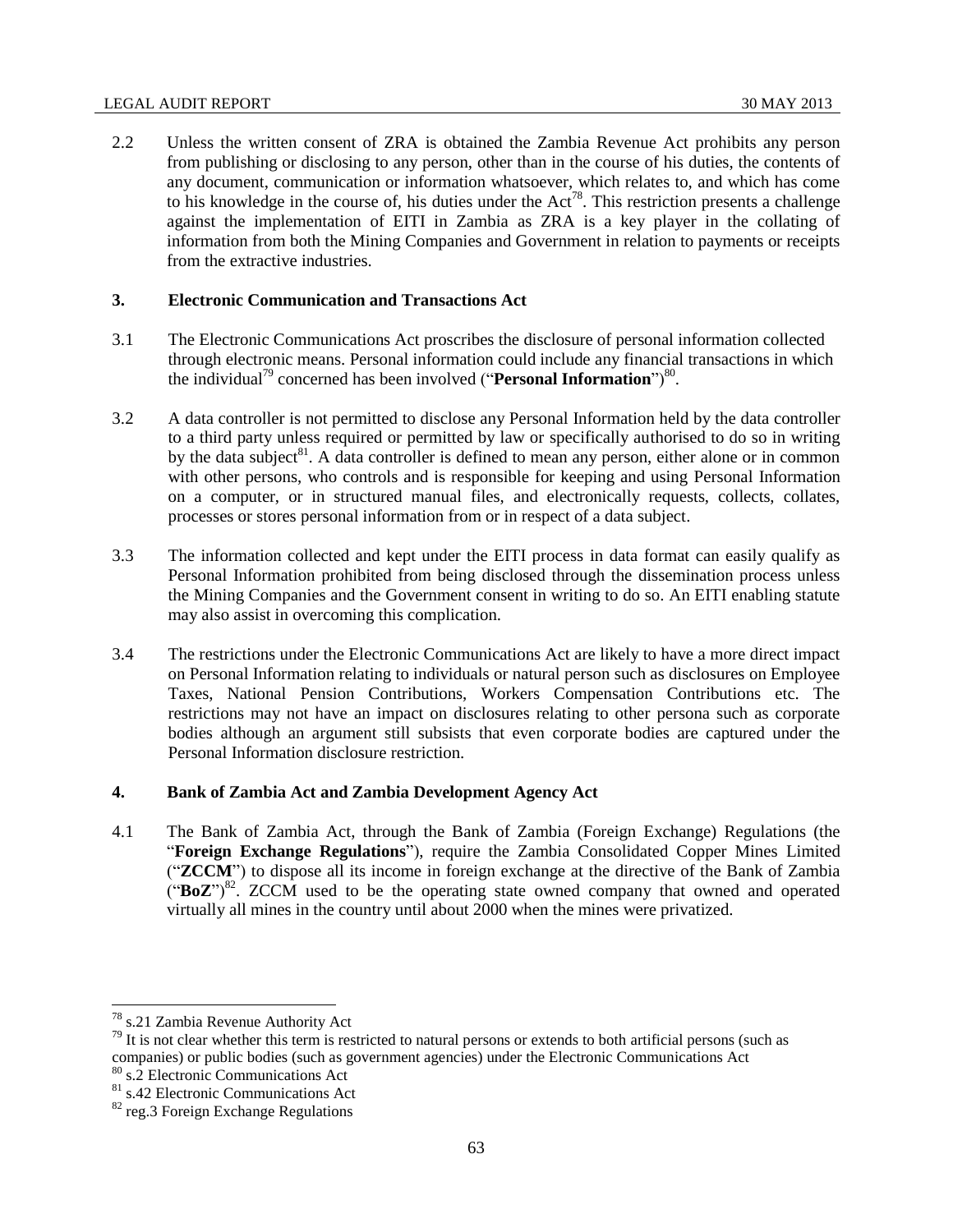#### LEGAL AUDIT REPORT 30 MAY 2013

2.2 Unless the written consent of ZRA is obtained the Zambia Revenue Act prohibits any person from publishing or disclosing to any person, other than in the course of his duties, the contents of any document, communication or information whatsoever, which relates to, and which has come to his knowledge in the course of, his duties under the  $Act^{78}$ . This restriction presents a challenge against the implementation of EITI in Zambia as ZRA is a key player in the collating of information from both the Mining Companies and Government in relation to payments or receipts from the extractive industries.

## **3. Electronic Communication and Transactions Act**

- 3.1 The Electronic Communications Act proscribes the disclosure of personal information collected through electronic means. Personal information could include any financial transactions in which the individual<sup>79</sup> concerned has been involved ("**Personal Information**")<sup>80</sup>.
- 3.2 A data controller is not permitted to disclose any Personal Information held by the data controller to a third party unless required or permitted by law or specifically authorised to do so in writing by the data subject<sup>81</sup>. A data controller is defined to mean any person, either alone or in common with other persons, who controls and is responsible for keeping and using Personal Information on a computer, or in structured manual files, and electronically requests, collects, collates, processes or stores personal information from or in respect of a data subject.
- 3.3 The information collected and kept under the EITI process in data format can easily qualify as Personal Information prohibited from being disclosed through the dissemination process unless the Mining Companies and the Government consent in writing to do so. An EITI enabling statute may also assist in overcoming this complication.
- 3.4 The restrictions under the Electronic Communications Act are likely to have a more direct impact on Personal Information relating to individuals or natural person such as disclosures on Employee Taxes, National Pension Contributions, Workers Compensation Contributions etc. The restrictions may not have an impact on disclosures relating to other persona such as corporate bodies although an argument still subsists that even corporate bodies are captured under the Personal Information disclosure restriction.

# **4. Bank of Zambia Act and Zambia Development Agency Act**

4.1 The Bank of Zambia Act, through the Bank of Zambia (Foreign Exchange) Regulations (the "**Foreign Exchange Regulations**"), require the Zambia Consolidated Copper Mines Limited ("**ZCCM**") to dispose all its income in foreign exchange at the directive of the Bank of Zambia ("BoZ")<sup>82</sup>. ZCCM used to be the operating state owned company that owned and operated virtually all mines in the country until about 2000 when the mines were privatized.

<sup>&</sup>lt;sup>78</sup> s.21 Zambia Revenue Authority Act

 $79$  It is not clear whether this term is restricted to natural persons or extends to both artificial persons (such as companies) or public bodies (such as government agencies) under the Electronic Communications Act

<sup>80</sup> s.2 Electronic Communications Act

<sup>81</sup> s.42 Electronic Communications Act

<sup>&</sup>lt;sup>82</sup> reg.3 Foreign Exchange Regulations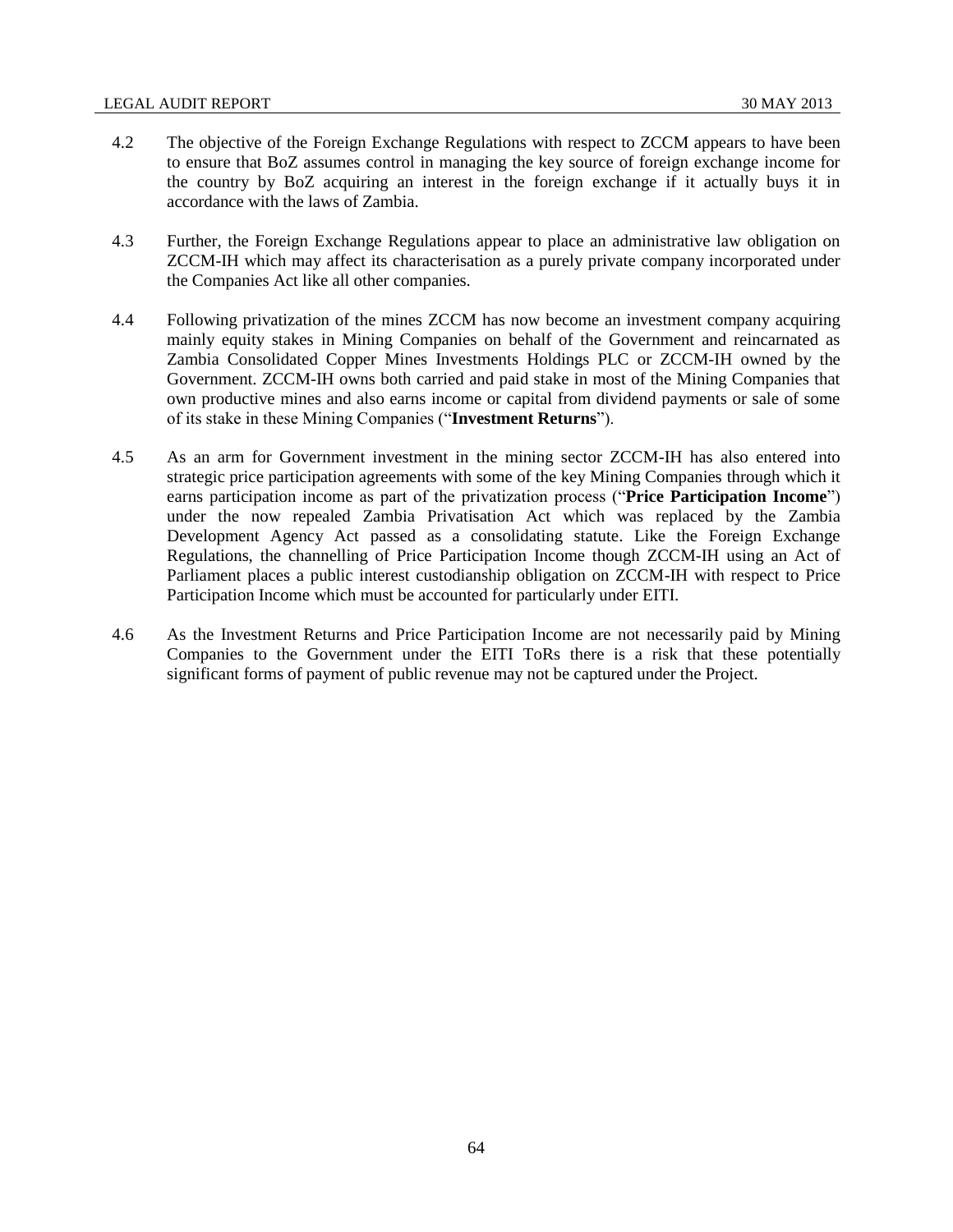- 4.2 The objective of the Foreign Exchange Regulations with respect to ZCCM appears to have been to ensure that BoZ assumes control in managing the key source of foreign exchange income for the country by BoZ acquiring an interest in the foreign exchange if it actually buys it in accordance with the laws of Zambia.
- 4.3 Further, the Foreign Exchange Regulations appear to place an administrative law obligation on ZCCM-IH which may affect its characterisation as a purely private company incorporated under the Companies Act like all other companies.
- 4.4 Following privatization of the mines ZCCM has now become an investment company acquiring mainly equity stakes in Mining Companies on behalf of the Government and reincarnated as Zambia Consolidated Copper Mines Investments Holdings PLC or ZCCM-IH owned by the Government. ZCCM-IH owns both carried and paid stake in most of the Mining Companies that own productive mines and also earns income or capital from dividend payments or sale of some of its stake in these Mining Companies ("**Investment Returns**").
- 4.5 As an arm for Government investment in the mining sector ZCCM-IH has also entered into strategic price participation agreements with some of the key Mining Companies through which it earns participation income as part of the privatization process ("**Price Participation Income**") under the now repealed Zambia Privatisation Act which was replaced by the Zambia Development Agency Act passed as a consolidating statute. Like the Foreign Exchange Regulations, the channelling of Price Participation Income though ZCCM-IH using an Act of Parliament places a public interest custodianship obligation on ZCCM-IH with respect to Price Participation Income which must be accounted for particularly under EITI.
- 4.6 As the Investment Returns and Price Participation Income are not necessarily paid by Mining Companies to the Government under the EITI ToRs there is a risk that these potentially significant forms of payment of public revenue may not be captured under the Project.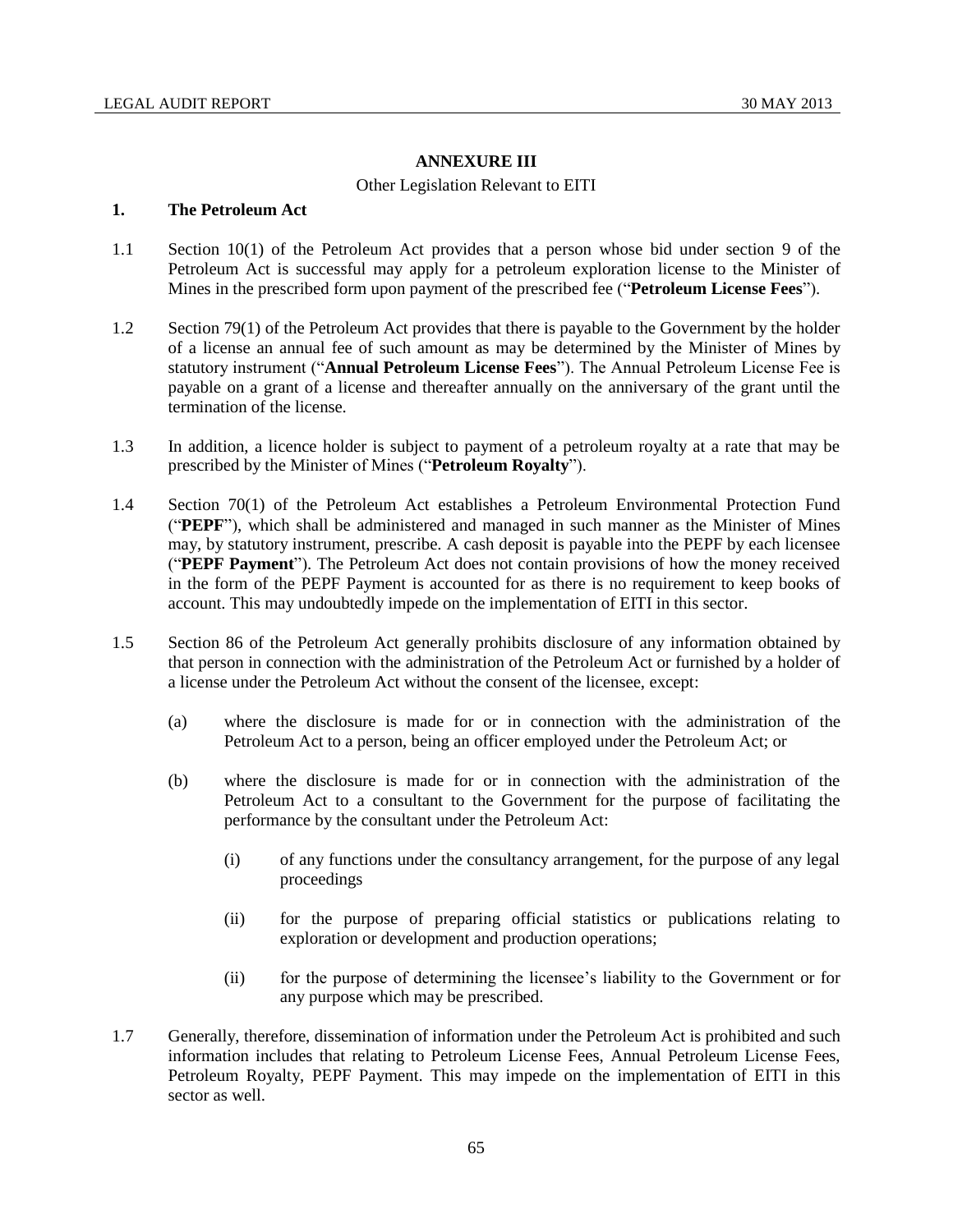#### **ANNEXURE III**

#### Other Legislation Relevant to EITI

#### **1. The Petroleum Act**

- 1.1 Section 10(1) of the Petroleum Act provides that a person whose bid under section 9 of the Petroleum Act is successful may apply for a petroleum exploration license to the Minister of Mines in the prescribed form upon payment of the prescribed fee ("**Petroleum License Fees**").
- 1.2 Section 79(1) of the Petroleum Act provides that there is payable to the Government by the holder of a license an annual fee of such amount as may be determined by the Minister of Mines by statutory instrument ("**Annual Petroleum License Fees**"). The Annual Petroleum License Fee is payable on a grant of a license and thereafter annually on the anniversary of the grant until the termination of the license.
- 1.3 In addition, a licence holder is subject to payment of a petroleum royalty at a rate that may be prescribed by the Minister of Mines ("**Petroleum Royalty**").
- 1.4 Section 70(1) of the Petroleum Act establishes a Petroleum Environmental Protection Fund ("**PEPF**"), which shall be administered and managed in such manner as the Minister of Mines may, by statutory instrument, prescribe. A cash deposit is payable into the PEPF by each licensee ("**PEPF Payment**"). The Petroleum Act does not contain provisions of how the money received in the form of the PEPF Payment is accounted for as there is no requirement to keep books of account. This may undoubtedly impede on the implementation of EITI in this sector.
- 1.5 Section 86 of the Petroleum Act generally prohibits disclosure of any information obtained by that person in connection with the administration of the Petroleum Act or furnished by a holder of a license under the Petroleum Act without the consent of the licensee, except:
	- (a) where the disclosure is made for or in connection with the administration of the Petroleum Act to a person, being an officer employed under the Petroleum Act; or
	- (b) where the disclosure is made for or in connection with the administration of the Petroleum Act to a consultant to the Government for the purpose of facilitating the performance by the consultant under the Petroleum Act:
		- (i) of any functions under the consultancy arrangement, for the purpose of any legal proceedings
		- (ii) for the purpose of preparing official statistics or publications relating to exploration or development and production operations;
		- (ii) for the purpose of determining the licensee's liability to the Government or for any purpose which may be prescribed.
- 1.7 Generally, therefore, dissemination of information under the Petroleum Act is prohibited and such information includes that relating to Petroleum License Fees, Annual Petroleum License Fees, Petroleum Royalty, PEPF Payment. This may impede on the implementation of EITI in this sector as well.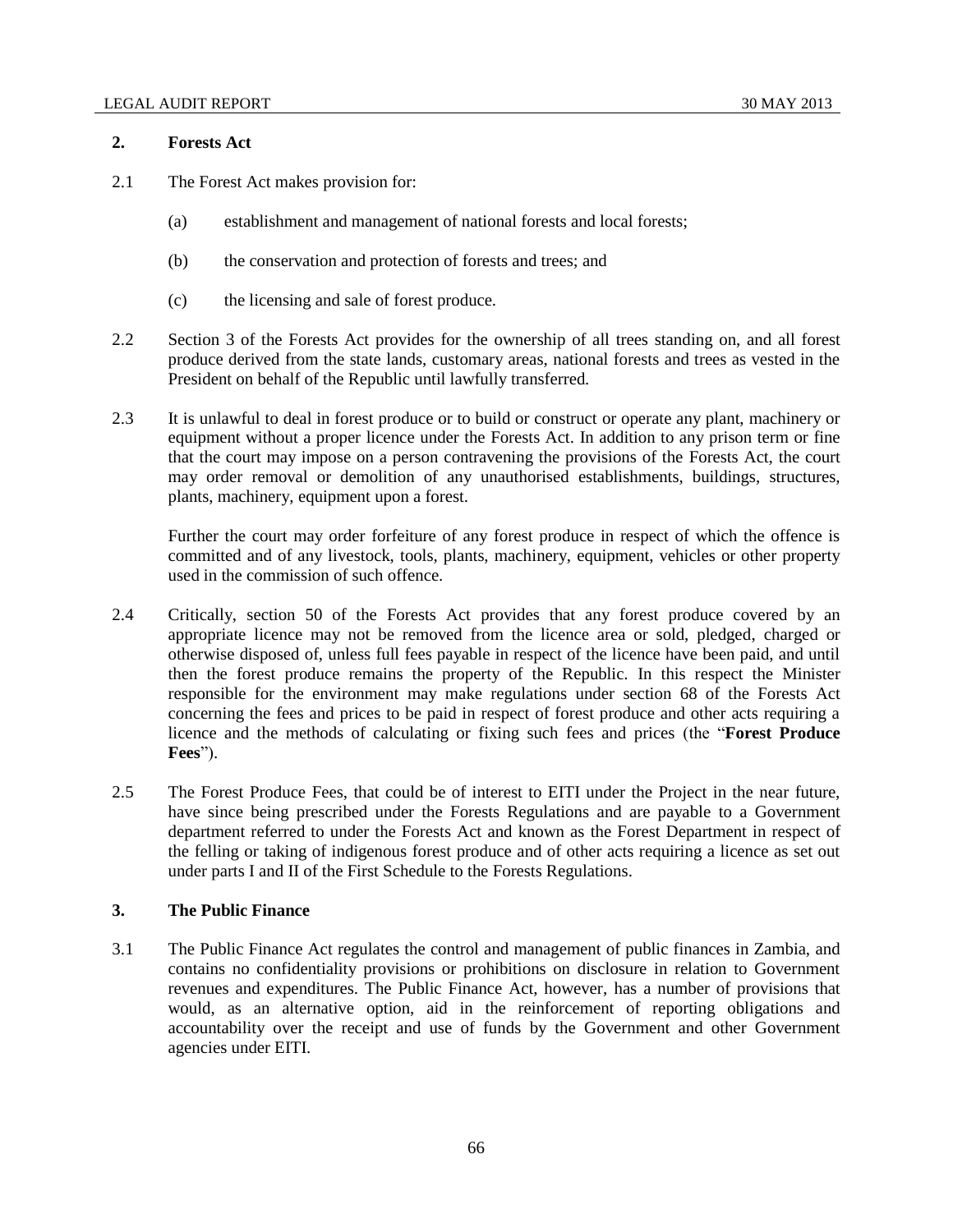#### **2. Forests Act**

- 2.1 The Forest Act makes provision for:
	- (a) establishment and management of national forests and local forests;
	- (b) the conservation and protection of forests and trees; and
	- (c) the licensing and sale of forest produce.
- 2.2 Section 3 of the Forests Act provides for the ownership of all trees standing on, and all forest produce derived from the state lands, customary areas, national forests and trees as vested in the President on behalf of the Republic until lawfully transferred.
- 2.3 It is unlawful to deal in forest produce or to build or construct or operate any plant, machinery or equipment without a proper licence under the Forests Act. In addition to any prison term or fine that the court may impose on a person contravening the provisions of the Forests Act, the court may order removal or demolition of any unauthorised establishments, buildings, structures, plants, machinery, equipment upon a forest.

Further the court may order forfeiture of any forest produce in respect of which the offence is committed and of any livestock, tools, plants, machinery, equipment, vehicles or other property used in the commission of such offence.

- 2.4 Critically, section 50 of the Forests Act provides that any forest produce covered by an appropriate licence may not be removed from the licence area or sold, pledged, charged or otherwise disposed of, unless full fees payable in respect of the licence have been paid, and until then the forest produce remains the property of the Republic. In this respect the Minister responsible for the environment may make regulations under section 68 of the Forests Act concerning the fees and prices to be paid in respect of forest produce and other acts requiring a licence and the methods of calculating or fixing such fees and prices (the "**Forest Produce Fees**").
- 2.5 The Forest Produce Fees, that could be of interest to EITI under the Project in the near future, have since being prescribed under the Forests Regulations and are payable to a Government department referred to under the Forests Act and known as the Forest Department in respect of the felling or taking of indigenous forest produce and of other acts requiring a licence as set out under parts I and II of the First Schedule to the Forests Regulations.

## **3. The Public Finance**

3.1 The Public Finance Act regulates the control and management of public finances in Zambia, and contains no confidentiality provisions or prohibitions on disclosure in relation to Government revenues and expenditures. The Public Finance Act, however, has a number of provisions that would, as an alternative option, aid in the reinforcement of reporting obligations and accountability over the receipt and use of funds by the Government and other Government agencies under EITI.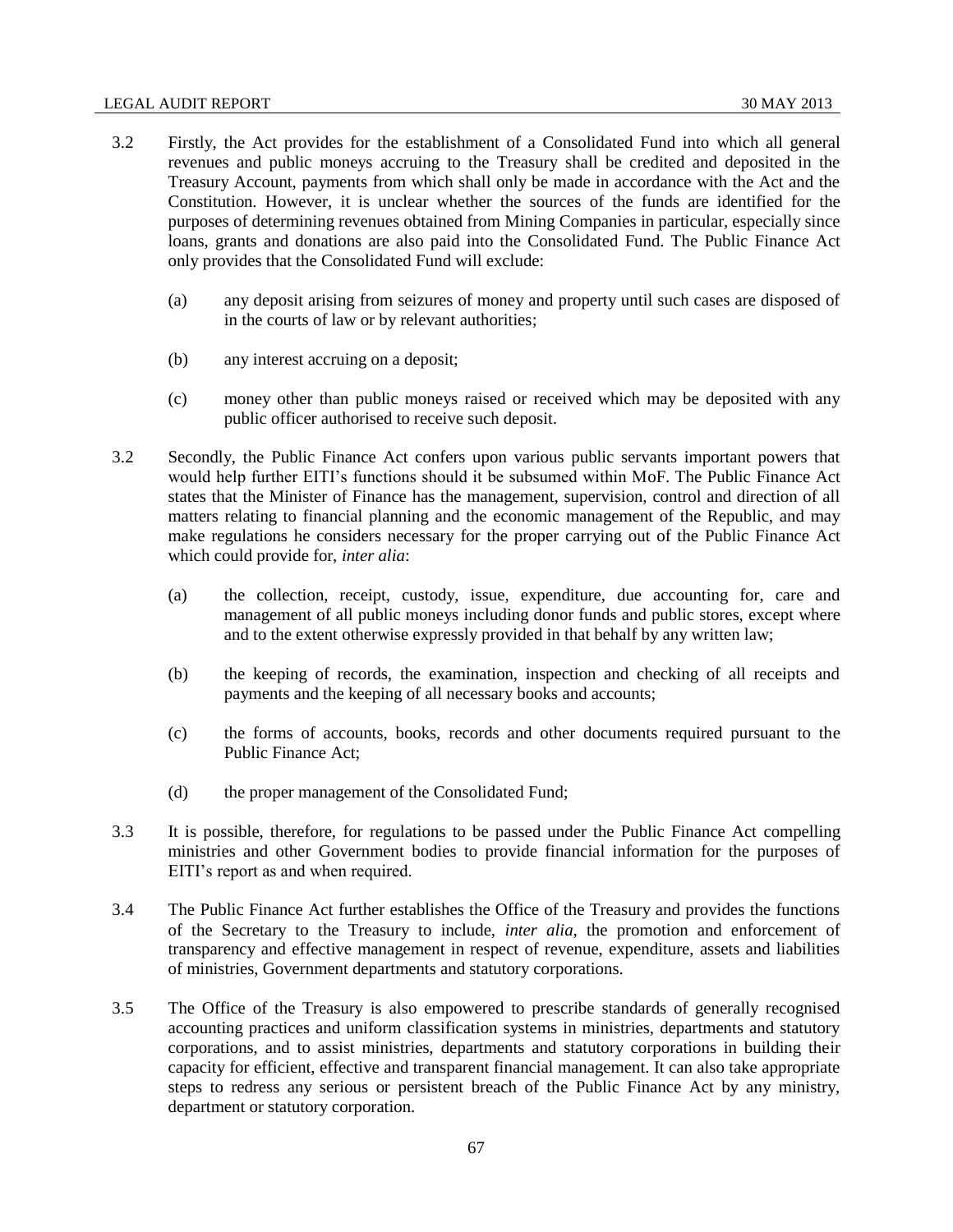#### LEGAL AUDIT REPORT 30 MAY 2013

- 3.2 Firstly, the Act provides for the establishment of a Consolidated Fund into which all general revenues and public moneys accruing to the Treasury shall be credited and deposited in the Treasury Account, payments from which shall only be made in accordance with the Act and the Constitution. However, it is unclear whether the sources of the funds are identified for the purposes of determining revenues obtained from Mining Companies in particular, especially since loans, grants and donations are also paid into the Consolidated Fund. The Public Finance Act only provides that the Consolidated Fund will exclude:
	- (a) any deposit arising from seizures of money and property until such cases are disposed of in the courts of law or by relevant authorities;
	- (b) any interest accruing on a deposit;
	- (c) money other than public moneys raised or received which may be deposited with any public officer authorised to receive such deposit.
- 3.2 Secondly, the Public Finance Act confers upon various public servants important powers that would help further EITI's functions should it be subsumed within MoF. The Public Finance Act states that the Minister of Finance has the management, supervision, control and direction of all matters relating to financial planning and the economic management of the Republic, and may make regulations he considers necessary for the proper carrying out of the Public Finance Act which could provide for, *inter alia*:
	- (a) the collection, receipt, custody, issue, expenditure, due accounting for, care and management of all public moneys including donor funds and public stores, except where and to the extent otherwise expressly provided in that behalf by any written law;
	- (b) the keeping of records, the examination, inspection and checking of all receipts and payments and the keeping of all necessary books and accounts;
	- (c) the forms of accounts, books, records and other documents required pursuant to the Public Finance Act;
	- (d) the proper management of the Consolidated Fund;
- 3.3 It is possible, therefore, for regulations to be passed under the Public Finance Act compelling ministries and other Government bodies to provide financial information for the purposes of EITI's report as and when required.
- 3.4 The Public Finance Act further establishes the Office of the Treasury and provides the functions of the Secretary to the Treasury to include, *inter alia*, the promotion and enforcement of transparency and effective management in respect of revenue, expenditure, assets and liabilities of ministries, Government departments and statutory corporations.
- 3.5 The Office of the Treasury is also empowered to prescribe standards of generally recognised accounting practices and uniform classification systems in ministries, departments and statutory corporations, and to assist ministries, departments and statutory corporations in building their capacity for efficient, effective and transparent financial management. It can also take appropriate steps to redress any serious or persistent breach of the Public Finance Act by any ministry, department or statutory corporation.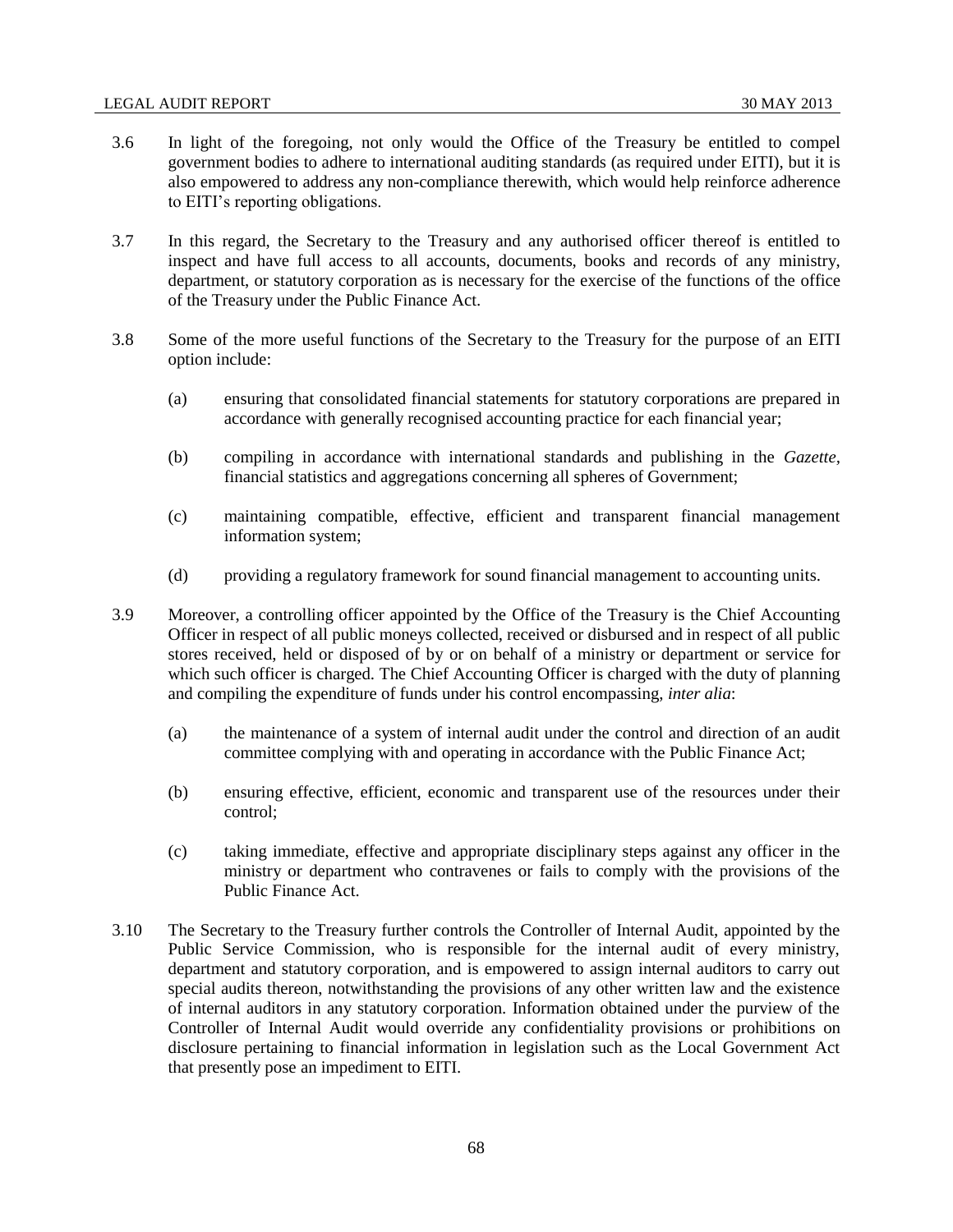- 3.6 In light of the foregoing, not only would the Office of the Treasury be entitled to compel government bodies to adhere to international auditing standards (as required under EITI), but it is also empowered to address any non-compliance therewith, which would help reinforce adherence to EITI's reporting obligations.
- 3.7 In this regard, the Secretary to the Treasury and any authorised officer thereof is entitled to inspect and have full access to all accounts, documents, books and records of any ministry, department, or statutory corporation as is necessary for the exercise of the functions of the office of the Treasury under the Public Finance Act.
- 3.8 Some of the more useful functions of the Secretary to the Treasury for the purpose of an EITI option include:
	- (a) ensuring that consolidated financial statements for statutory corporations are prepared in accordance with generally recognised accounting practice for each financial year;
	- (b) compiling in accordance with international standards and publishing in the *Gazette,*  financial statistics and aggregations concerning all spheres of Government;
	- (c) maintaining compatible, effective, efficient and transparent financial management information system;
	- (d) providing a regulatory framework for sound financial management to accounting units.
- 3.9 Moreover, a controlling officer appointed by the Office of the Treasury is the Chief Accounting Officer in respect of all public moneys collected, received or disbursed and in respect of all public stores received, held or disposed of by or on behalf of a ministry or department or service for which such officer is charged. The Chief Accounting Officer is charged with the duty of planning and compiling the expenditure of funds under his control encompassing, *inter alia*:
	- (a) the maintenance of a system of internal audit under the control and direction of an audit committee complying with and operating in accordance with the Public Finance Act;
	- (b) ensuring effective, efficient, economic and transparent use of the resources under their control;
	- (c) taking immediate, effective and appropriate disciplinary steps against any officer in the ministry or department who contravenes or fails to comply with the provisions of the Public Finance Act.
- 3.10 The Secretary to the Treasury further controls the Controller of Internal Audit, appointed by the Public Service Commission, who is responsible for the internal audit of every ministry, department and statutory corporation, and is empowered to assign internal auditors to carry out special audits thereon, notwithstanding the provisions of any other written law and the existence of internal auditors in any statutory corporation. Information obtained under the purview of the Controller of Internal Audit would override any confidentiality provisions or prohibitions on disclosure pertaining to financial information in legislation such as the Local Government Act that presently pose an impediment to EITI.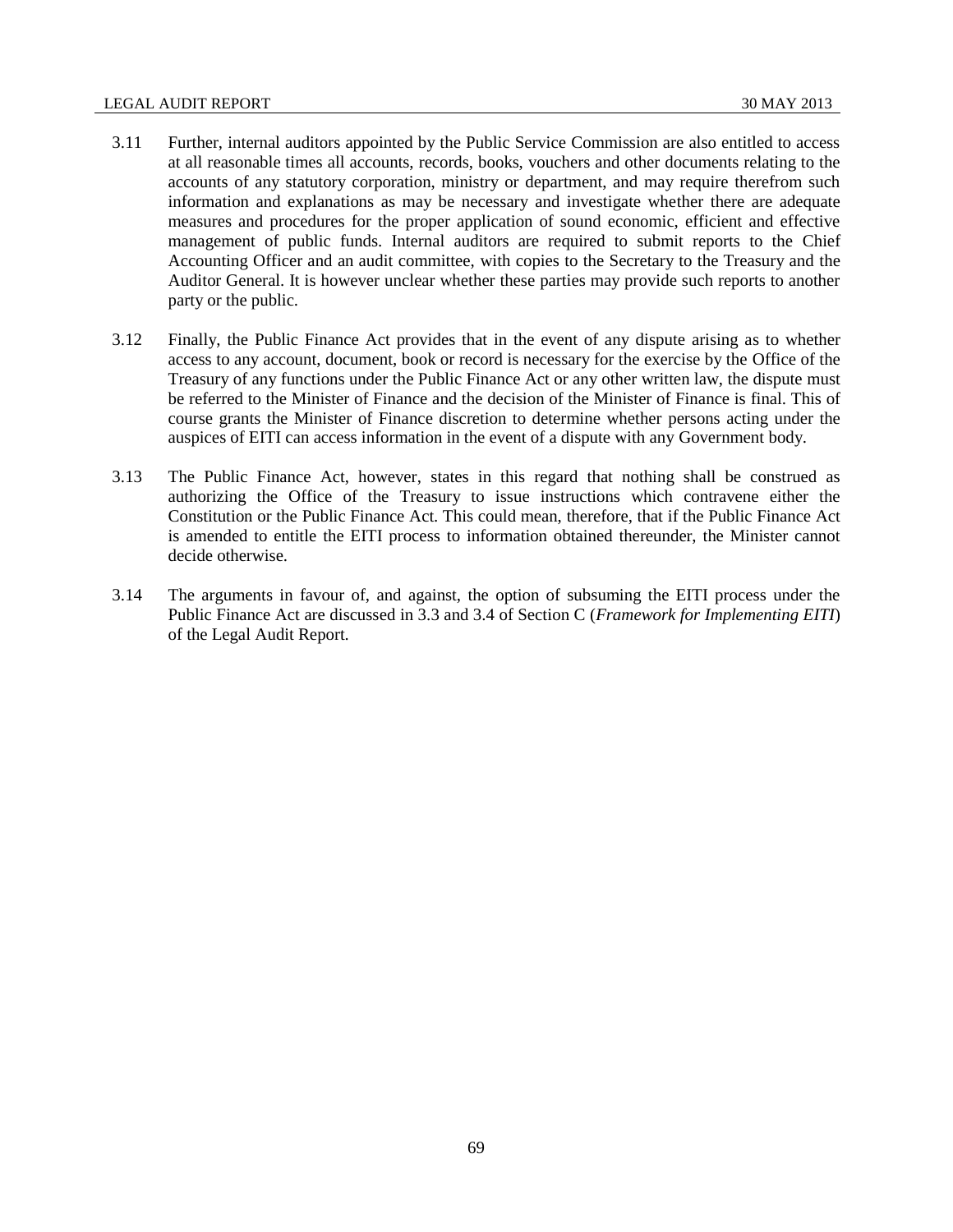#### LEGAL AUDIT REPORT 30 MAY 2013

- 3.11 Further, internal auditors appointed by the Public Service Commission are also entitled to access at all reasonable times all accounts, records, books, vouchers and other documents relating to the accounts of any statutory corporation, ministry or department, and may require therefrom such information and explanations as may be necessary and investigate whether there are adequate measures and procedures for the proper application of sound economic, efficient and effective management of public funds. Internal auditors are required to submit reports to the Chief Accounting Officer and an audit committee, with copies to the Secretary to the Treasury and the Auditor General. It is however unclear whether these parties may provide such reports to another party or the public.
- 3.12 Finally, the Public Finance Act provides that in the event of any dispute arising as to whether access to any account, document, book or record is necessary for the exercise by the Office of the Treasury of any functions under the Public Finance Act or any other written law, the dispute must be referred to the Minister of Finance and the decision of the Minister of Finance is final. This of course grants the Minister of Finance discretion to determine whether persons acting under the auspices of EITI can access information in the event of a dispute with any Government body.
- 3.13 The Public Finance Act, however, states in this regard that nothing shall be construed as authorizing the Office of the Treasury to issue instructions which contravene either the Constitution or the Public Finance Act. This could mean, therefore, that if the Public Finance Act is amended to entitle the EITI process to information obtained thereunder, the Minister cannot decide otherwise.
- 3.14 The arguments in favour of, and against, the option of subsuming the EITI process under the Public Finance Act are discussed in 3.3 and 3.4 of Section C (*Framework for Implementing EITI*) of the Legal Audit Report.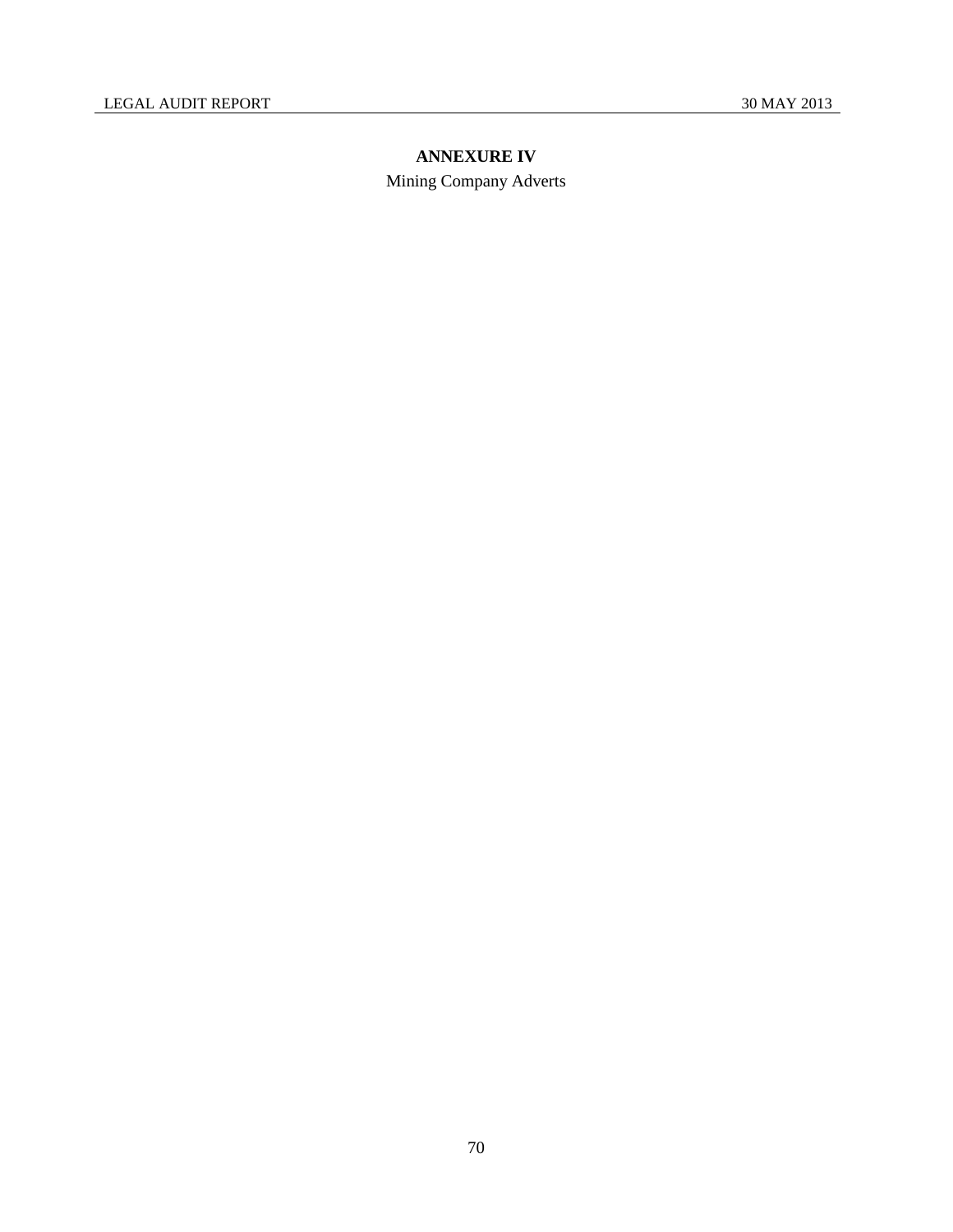# **ANNEXURE IV**

Mining Company Adverts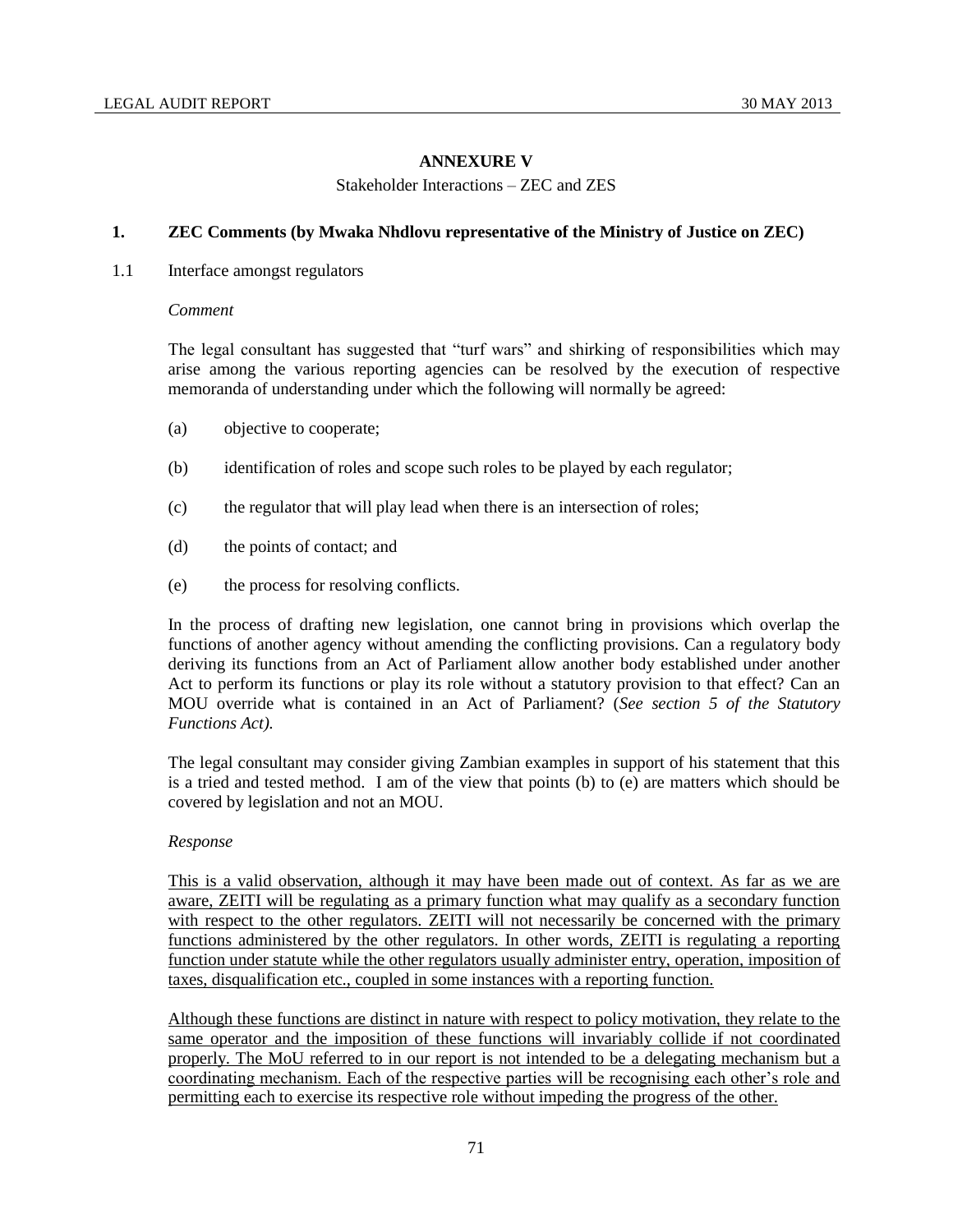# **ANNEXURE V**

Stakeholder Interactions – ZEC and ZES

# **1. ZEC Comments (by Mwaka Nhdlovu representative of the Ministry of Justice on ZEC)**

1.1 Interface amongst regulators

#### *Comment*

The legal consultant has suggested that "turf wars" and shirking of responsibilities which may arise among the various reporting agencies can be resolved by the execution of respective memoranda of understanding under which the following will normally be agreed:

- (a) objective to cooperate;
- (b) identification of roles and scope such roles to be played by each regulator;
- (c) the regulator that will play lead when there is an intersection of roles;
- (d) the points of contact; and
- (e) the process for resolving conflicts.

In the process of drafting new legislation, one cannot bring in provisions which overlap the functions of another agency without amending the conflicting provisions. Can a regulatory body deriving its functions from an Act of Parliament allow another body established under another Act to perform its functions or play its role without a statutory provision to that effect? Can an MOU override what is contained in an Act of Parliament? (*See section 5 of the Statutory Functions Act).*

The legal consultant may consider giving Zambian examples in support of his statement that this is a tried and tested method. I am of the view that points (b) to (e) are matters which should be covered by legislation and not an MOU.

#### *Response*

This is a valid observation, although it may have been made out of context. As far as we are aware, ZEITI will be regulating as a primary function what may qualify as a secondary function with respect to the other regulators. ZEITI will not necessarily be concerned with the primary functions administered by the other regulators. In other words, ZEITI is regulating a reporting function under statute while the other regulators usually administer entry, operation, imposition of taxes, disqualification etc., coupled in some instances with a reporting function.

Although these functions are distinct in nature with respect to policy motivation, they relate to the same operator and the imposition of these functions will invariably collide if not coordinated properly. The MoU referred to in our report is not intended to be a delegating mechanism but a coordinating mechanism. Each of the respective parties will be recognising each other's role and permitting each to exercise its respective role without impeding the progress of the other.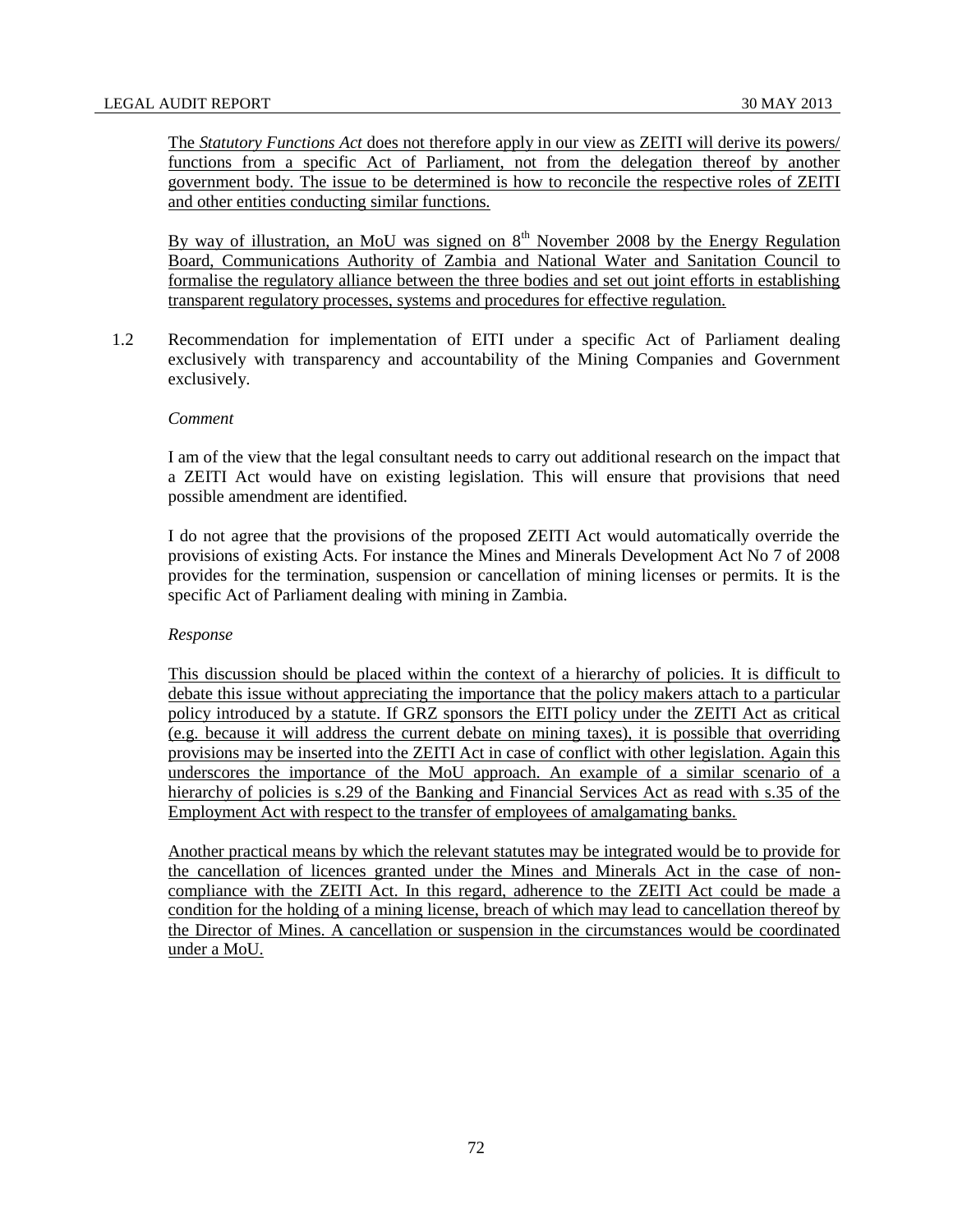The *Statutory Functions Act* does not therefore apply in our view as ZEITI will derive its powers/ functions from a specific Act of Parliament, not from the delegation thereof by another government body. The issue to be determined is how to reconcile the respective roles of ZEITI and other entities conducting similar functions.

By way of illustration, an MoU was signed on  $8<sup>th</sup>$  November 2008 by the Energy Regulation Board, Communications Authority of Zambia and National Water and Sanitation Council to formalise the regulatory alliance between the three bodies and set out joint efforts in establishing transparent regulatory processes, systems and procedures for effective regulation.

1.2 Recommendation for implementation of EITI under a specific Act of Parliament dealing exclusively with transparency and accountability of the Mining Companies and Government exclusively.

#### *Comment*

I am of the view that the legal consultant needs to carry out additional research on the impact that a ZEITI Act would have on existing legislation. This will ensure that provisions that need possible amendment are identified.

I do not agree that the provisions of the proposed ZEITI Act would automatically override the provisions of existing Acts. For instance the Mines and Minerals Development Act No 7 of 2008 provides for the termination, suspension or cancellation of mining licenses or permits. It is the specific Act of Parliament dealing with mining in Zambia.

#### *Response*

This discussion should be placed within the context of a hierarchy of policies. It is difficult to debate this issue without appreciating the importance that the policy makers attach to a particular policy introduced by a statute. If GRZ sponsors the EITI policy under the ZEITI Act as critical (e.g. because it will address the current debate on mining taxes), it is possible that overriding provisions may be inserted into the ZEITI Act in case of conflict with other legislation. Again this underscores the importance of the MoU approach. An example of a similar scenario of a hierarchy of policies is s.29 of the Banking and Financial Services Act as read with s.35 of the Employment Act with respect to the transfer of employees of amalgamating banks.

Another practical means by which the relevant statutes may be integrated would be to provide for the cancellation of licences granted under the Mines and Minerals Act in the case of noncompliance with the ZEITI Act. In this regard, adherence to the ZEITI Act could be made a condition for the holding of a mining license, breach of which may lead to cancellation thereof by the Director of Mines. A cancellation or suspension in the circumstances would be coordinated under a MoU.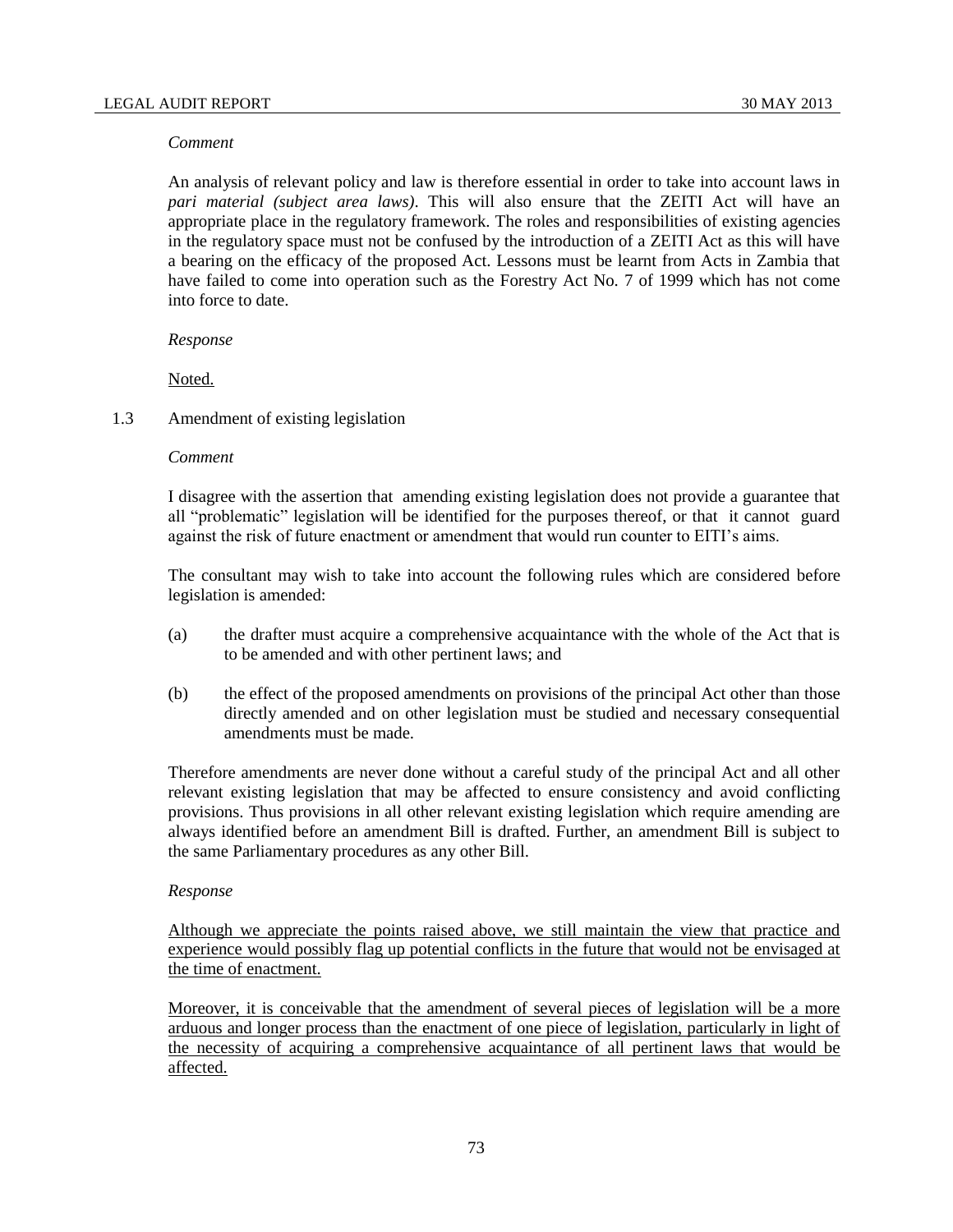#### *Comment*

An analysis of relevant policy and law is therefore essential in order to take into account laws in *pari material (subject area laws)*. This will also ensure that the ZEITI Act will have an appropriate place in the regulatory framework. The roles and responsibilities of existing agencies in the regulatory space must not be confused by the introduction of a ZEITI Act as this will have a bearing on the efficacy of the proposed Act. Lessons must be learnt from Acts in Zambia that have failed to come into operation such as the Forestry Act No. 7 of 1999 which has not come into force to date.

#### *Response*

Noted.

#### 1.3 Amendment of existing legislation

#### *Comment*

I disagree with the assertion that amending existing legislation does not provide a guarantee that all "problematic" legislation will be identified for the purposes thereof, or that it cannot guard against the risk of future enactment or amendment that would run counter to EITI's aims.

The consultant may wish to take into account the following rules which are considered before legislation is amended:

- (a) the drafter must acquire a comprehensive acquaintance with the whole of the Act that is to be amended and with other pertinent laws; and
- (b) the effect of the proposed amendments on provisions of the principal Act other than those directly amended and on other legislation must be studied and necessary consequential amendments must be made.

Therefore amendments are never done without a careful study of the principal Act and all other relevant existing legislation that may be affected to ensure consistency and avoid conflicting provisions. Thus provisions in all other relevant existing legislation which require amending are always identified before an amendment Bill is drafted. Further, an amendment Bill is subject to the same Parliamentary procedures as any other Bill.

#### *Response*

Although we appreciate the points raised above, we still maintain the view that practice and experience would possibly flag up potential conflicts in the future that would not be envisaged at the time of enactment.

Moreover, it is conceivable that the amendment of several pieces of legislation will be a more arduous and longer process than the enactment of one piece of legislation, particularly in light of the necessity of acquiring a comprehensive acquaintance of all pertinent laws that would be affected.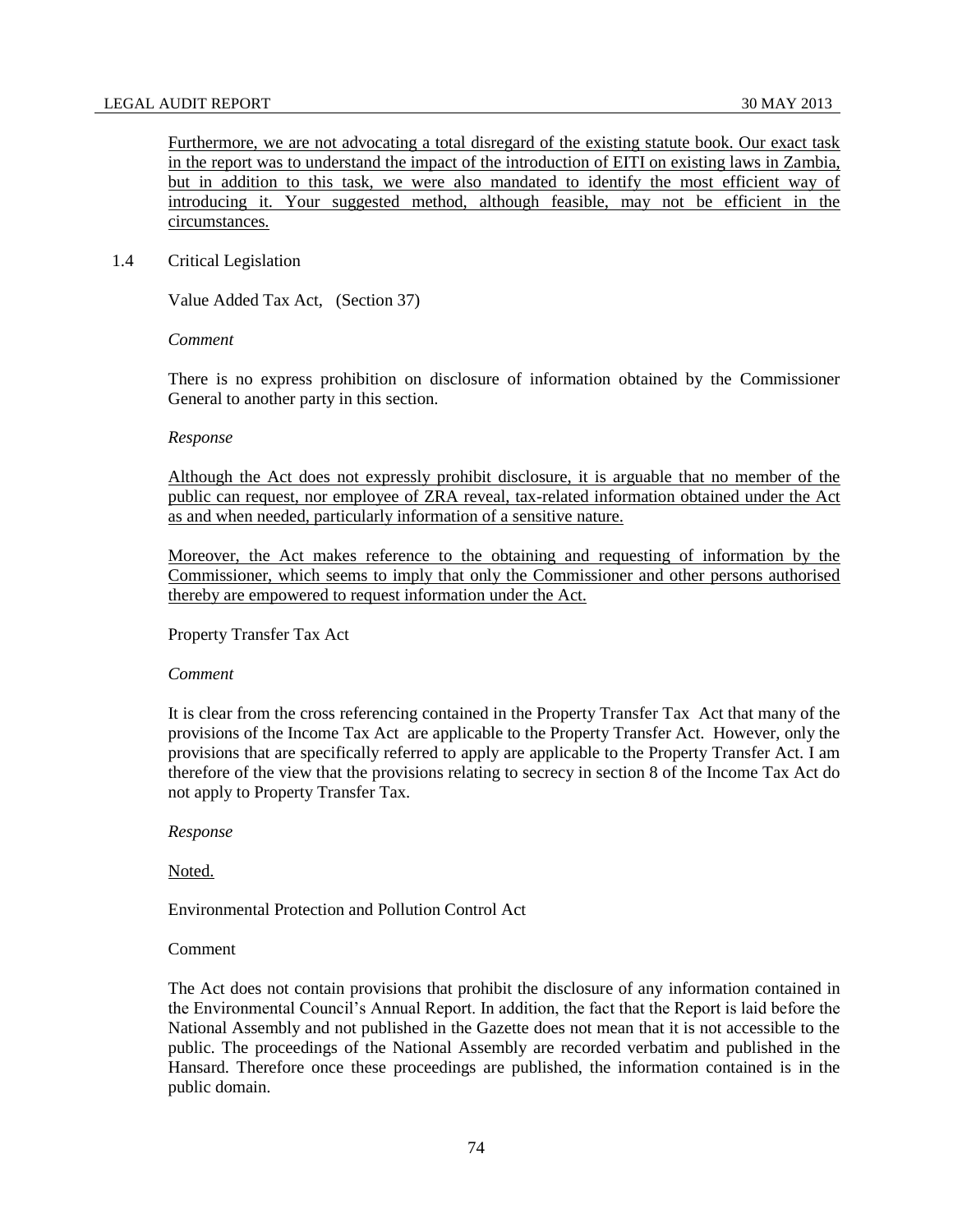Furthermore, we are not advocating a total disregard of the existing statute book. Our exact task in the report was to understand the impact of the introduction of EITI on existing laws in Zambia, but in addition to this task, we were also mandated to identify the most efficient way of introducing it. Your suggested method, although feasible, may not be efficient in the circumstances.

### 1.4 Critical Legislation

Value Added Tax Act, (Section 37)

#### *Comment*

There is no express prohibition on disclosure of information obtained by the Commissioner General to another party in this section.

#### *Response*

Although the Act does not expressly prohibit disclosure, it is arguable that no member of the public can request, nor employee of ZRA reveal, tax-related information obtained under the Act as and when needed, particularly information of a sensitive nature.

Moreover, the Act makes reference to the obtaining and requesting of information by the Commissioner, which seems to imply that only the Commissioner and other persons authorised thereby are empowered to request information under the Act.

#### Property Transfer Tax Act

#### *Comment*

It is clear from the cross referencing contained in the Property Transfer Tax Act that many of the provisions of the Income Tax Act are applicable to the Property Transfer Act. However, only the provisions that are specifically referred to apply are applicable to the Property Transfer Act. I am therefore of the view that the provisions relating to secrecy in section 8 of the Income Tax Act do not apply to Property Transfer Tax.

*Response*

Noted.

Environmental Protection and Pollution Control Act

## Comment

The Act does not contain provisions that prohibit the disclosure of any information contained in the Environmental Council's Annual Report. In addition, the fact that the Report is laid before the National Assembly and not published in the Gazette does not mean that it is not accessible to the public. The proceedings of the National Assembly are recorded verbatim and published in the Hansard. Therefore once these proceedings are published, the information contained is in the public domain.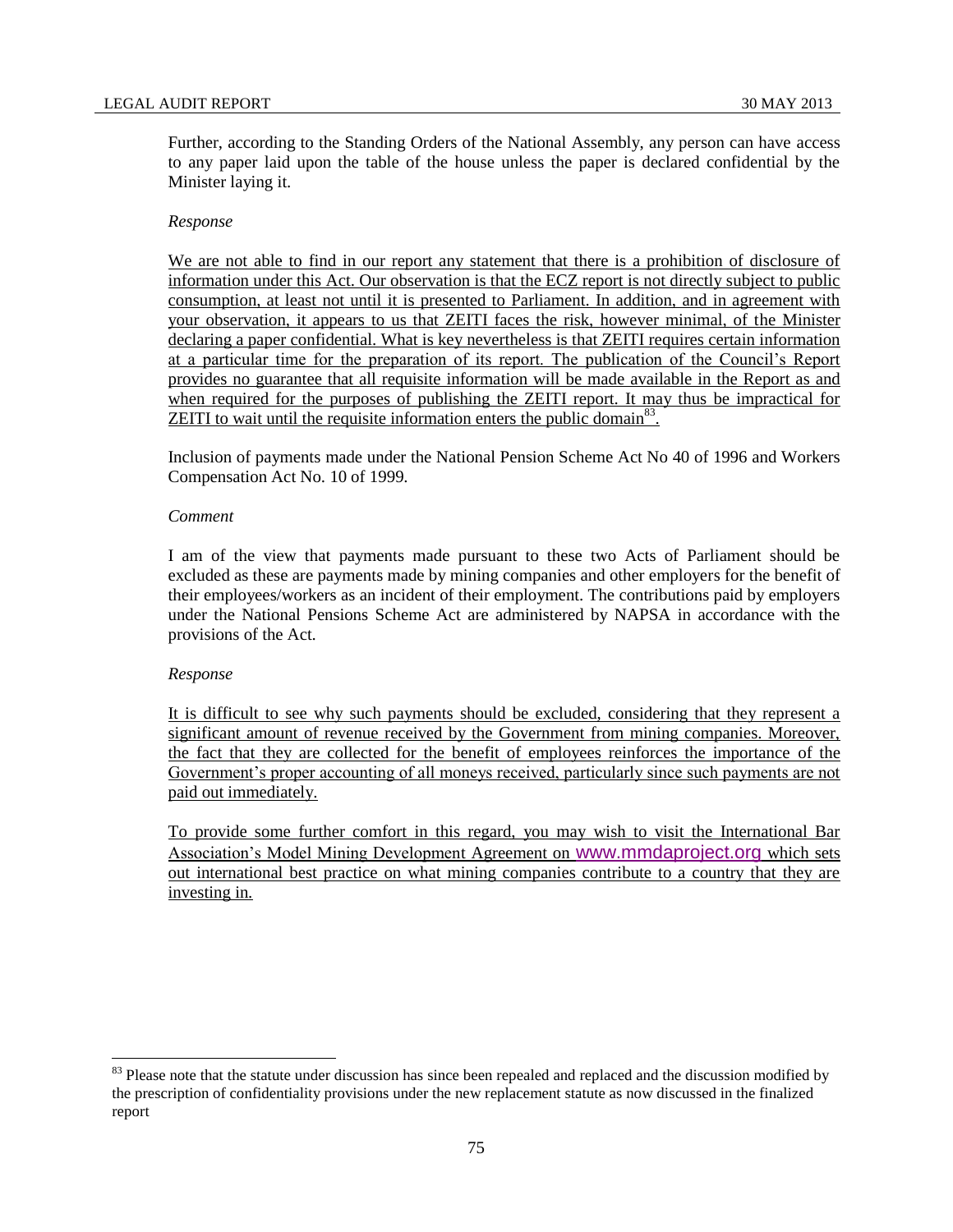Further, according to the Standing Orders of the National Assembly, any person can have access to any paper laid upon the table of the house unless the paper is declared confidential by the Minister laying it.

## *Response*

We are not able to find in our report any statement that there is a prohibition of disclosure of information under this Act. Our observation is that the ECZ report is not directly subject to public consumption, at least not until it is presented to Parliament. In addition, and in agreement with your observation, it appears to us that ZEITI faces the risk, however minimal, of the Minister declaring a paper confidential. What is key nevertheless is that ZEITI requires certain information at a particular time for the preparation of its report. The publication of the Council's Report provides no guarantee that all requisite information will be made available in the Report as and when required for the purposes of publishing the ZEITI report. It may thus be impractical for ZEITI to wait until the requisite information enters the public domain<sup>83</sup>.

Inclusion of payments made under the National Pension Scheme Act No 40 of 1996 and Workers Compensation Act No. 10 of 1999.

## *Comment*

I am of the view that payments made pursuant to these two Acts of Parliament should be excluded as these are payments made by mining companies and other employers for the benefit of their employees/workers as an incident of their employment. The contributions paid by employers under the National Pensions Scheme Act are administered by NAPSA in accordance with the provisions of the Act.

## *Response*

l

It is difficult to see why such payments should be excluded, considering that they represent a significant amount of revenue received by the Government from mining companies. Moreover, the fact that they are collected for the benefit of employees reinforces the importance of the Government's proper accounting of all moneys received, particularly since such payments are not paid out immediately.

To provide some further comfort in this regard, you may wish to visit the International Bar Association's Model Mining Development Agreement on [www.mmdaproject.org](http://www.mmdaproject.org/) which sets out international best practice on what mining companies contribute to a country that they are investing in.

<sup>&</sup>lt;sup>83</sup> Please note that the statute under discussion has since been repealed and replaced and the discussion modified by the prescription of confidentiality provisions under the new replacement statute as now discussed in the finalized report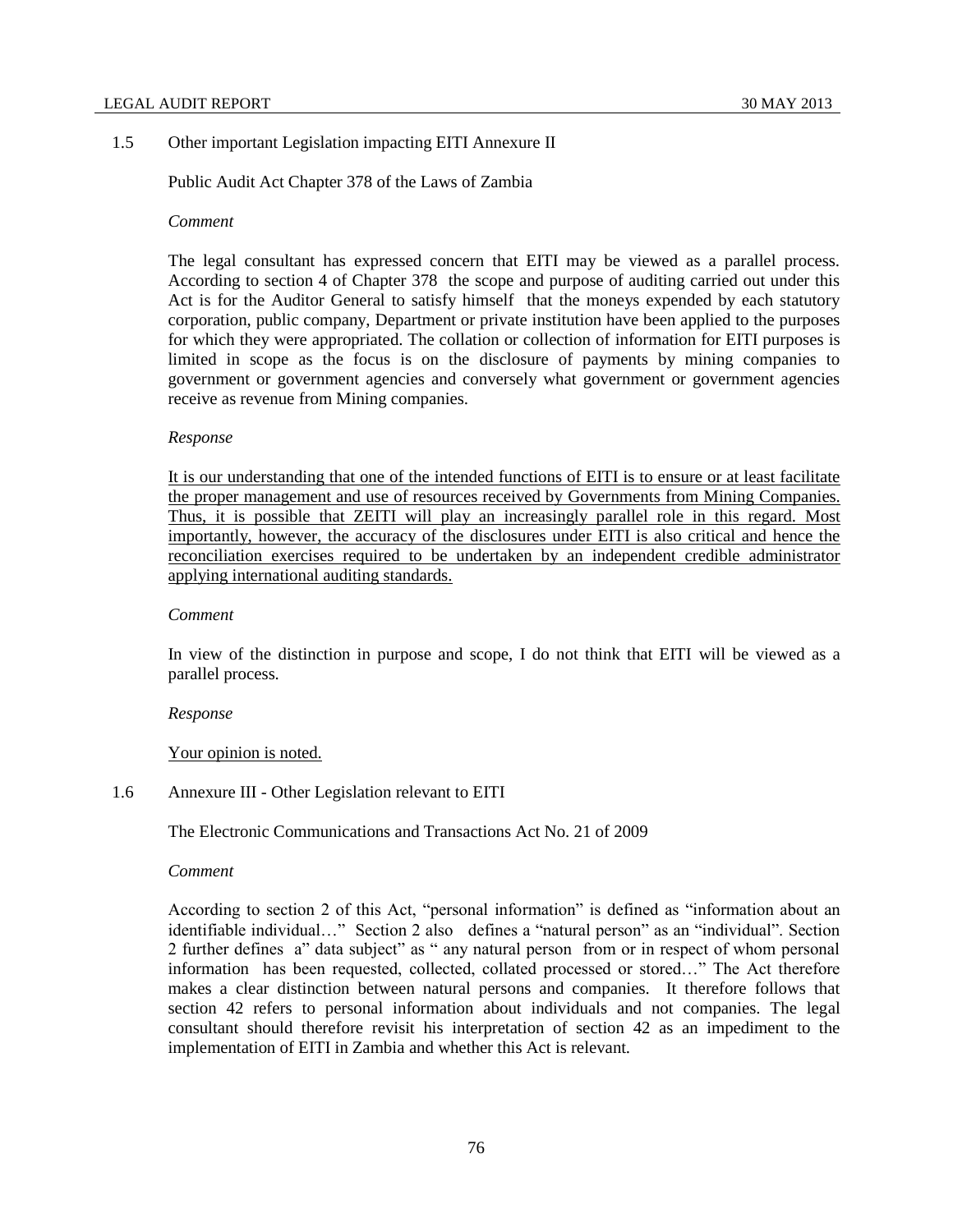### 1.5 Other important Legislation impacting EITI Annexure II

Public Audit Act Chapter 378 of the Laws of Zambia

#### *Comment*

The legal consultant has expressed concern that EITI may be viewed as a parallel process. According to section 4 of Chapter 378 the scope and purpose of auditing carried out under this Act is for the Auditor General to satisfy himself that the moneys expended by each statutory corporation, public company, Department or private institution have been applied to the purposes for which they were appropriated. The collation or collection of information for EITI purposes is limited in scope as the focus is on the disclosure of payments by mining companies to government or government agencies and conversely what government or government agencies receive as revenue from Mining companies.

### *Response*

It is our understanding that one of the intended functions of EITI is to ensure or at least facilitate the proper management and use of resources received by Governments from Mining Companies. Thus, it is possible that ZEITI will play an increasingly parallel role in this regard. Most importantly, however, the accuracy of the disclosures under EITI is also critical and hence the reconciliation exercises required to be undertaken by an independent credible administrator applying international auditing standards.

#### *Comment*

In view of the distinction in purpose and scope, I do not think that EITI will be viewed as a parallel process.

#### *Response*

## Your opinion is noted.

1.6 Annexure III - Other Legislation relevant to EITI

The Electronic Communications and Transactions Act No. 21 of 2009

#### *Comment*

According to section 2 of this Act, "personal information" is defined as "information about an identifiable individual…" Section 2 also defines a "natural person" as an "individual". Section 2 further defines a" data subject" as " any natural person from or in respect of whom personal information has been requested, collected, collated processed or stored…" The Act therefore makes a clear distinction between natural persons and companies. It therefore follows that section 42 refers to personal information about individuals and not companies. The legal consultant should therefore revisit his interpretation of section 42 as an impediment to the implementation of EITI in Zambia and whether this Act is relevant.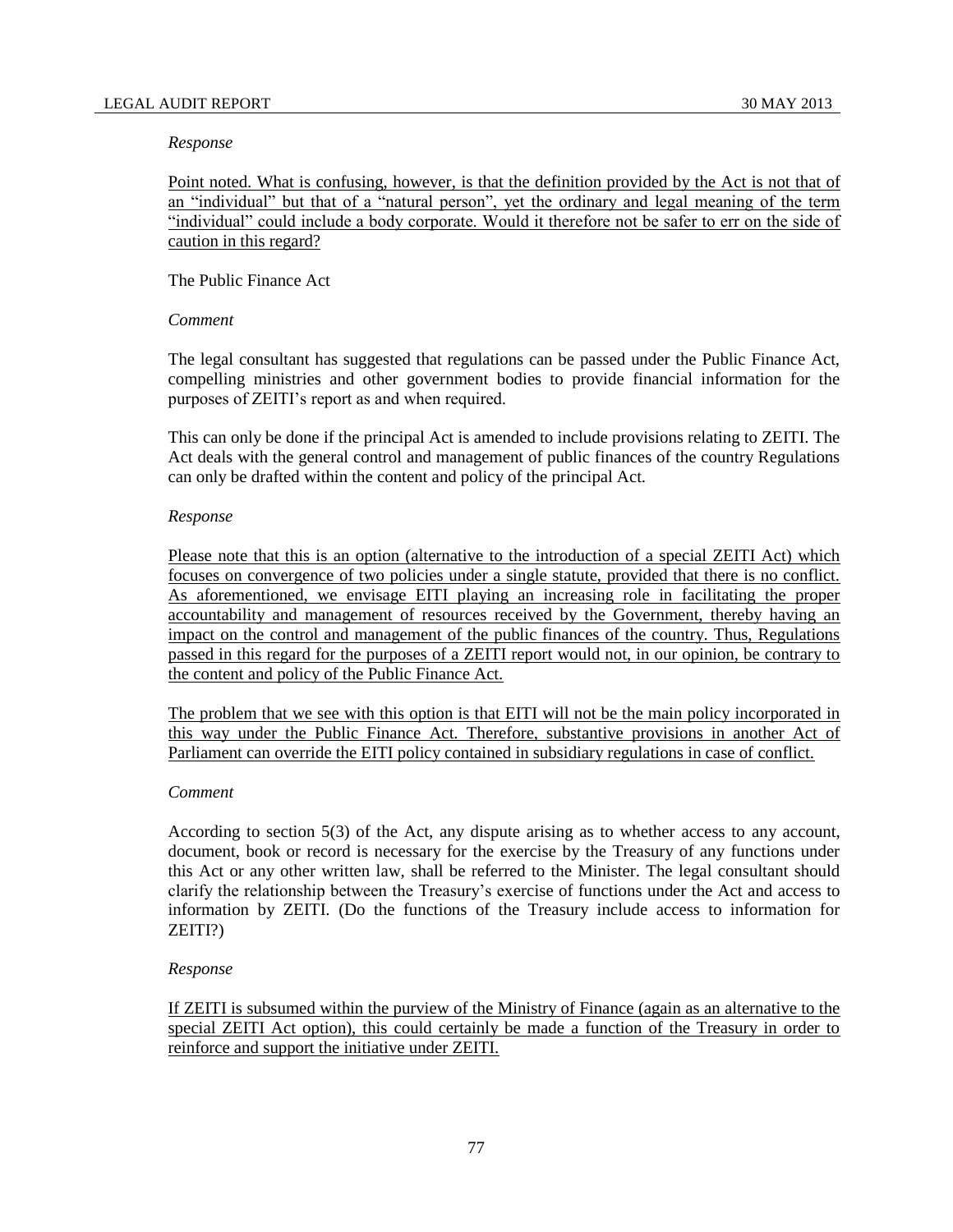#### *Response*

Point noted. What is confusing, however, is that the definition provided by the Act is not that of an "individual" but that of a "natural person", yet the ordinary and legal meaning of the term "individual" could include a body corporate. Would it therefore not be safer to err on the side of caution in this regard?

### The Public Finance Act

### *Comment*

The legal consultant has suggested that regulations can be passed under the Public Finance Act, compelling ministries and other government bodies to provide financial information for the purposes of ZEITI's report as and when required.

This can only be done if the principal Act is amended to include provisions relating to ZEITI. The Act deals with the general control and management of public finances of the country Regulations can only be drafted within the content and policy of the principal Act.

### *Response*

Please note that this is an option (alternative to the introduction of a special ZEITI Act) which focuses on convergence of two policies under a single statute, provided that there is no conflict. As aforementioned, we envisage EITI playing an increasing role in facilitating the proper accountability and management of resources received by the Government, thereby having an impact on the control and management of the public finances of the country. Thus, Regulations passed in this regard for the purposes of a ZEITI report would not, in our opinion, be contrary to the content and policy of the Public Finance Act.

The problem that we see with this option is that EITI will not be the main policy incorporated in this way under the Public Finance Act. Therefore, substantive provisions in another Act of Parliament can override the EITI policy contained in subsidiary regulations in case of conflict.

## *Comment*

According to section 5(3) of the Act, any dispute arising as to whether access to any account, document, book or record is necessary for the exercise by the Treasury of any functions under this Act or any other written law, shall be referred to the Minister. The legal consultant should clarify the relationship between the Treasury's exercise of functions under the Act and access to information by ZEITI. (Do the functions of the Treasury include access to information for ZEITI?)

## *Response*

If ZEITI is subsumed within the purview of the Ministry of Finance (again as an alternative to the special ZEITI Act option), this could certainly be made a function of the Treasury in order to reinforce and support the initiative under ZEITI.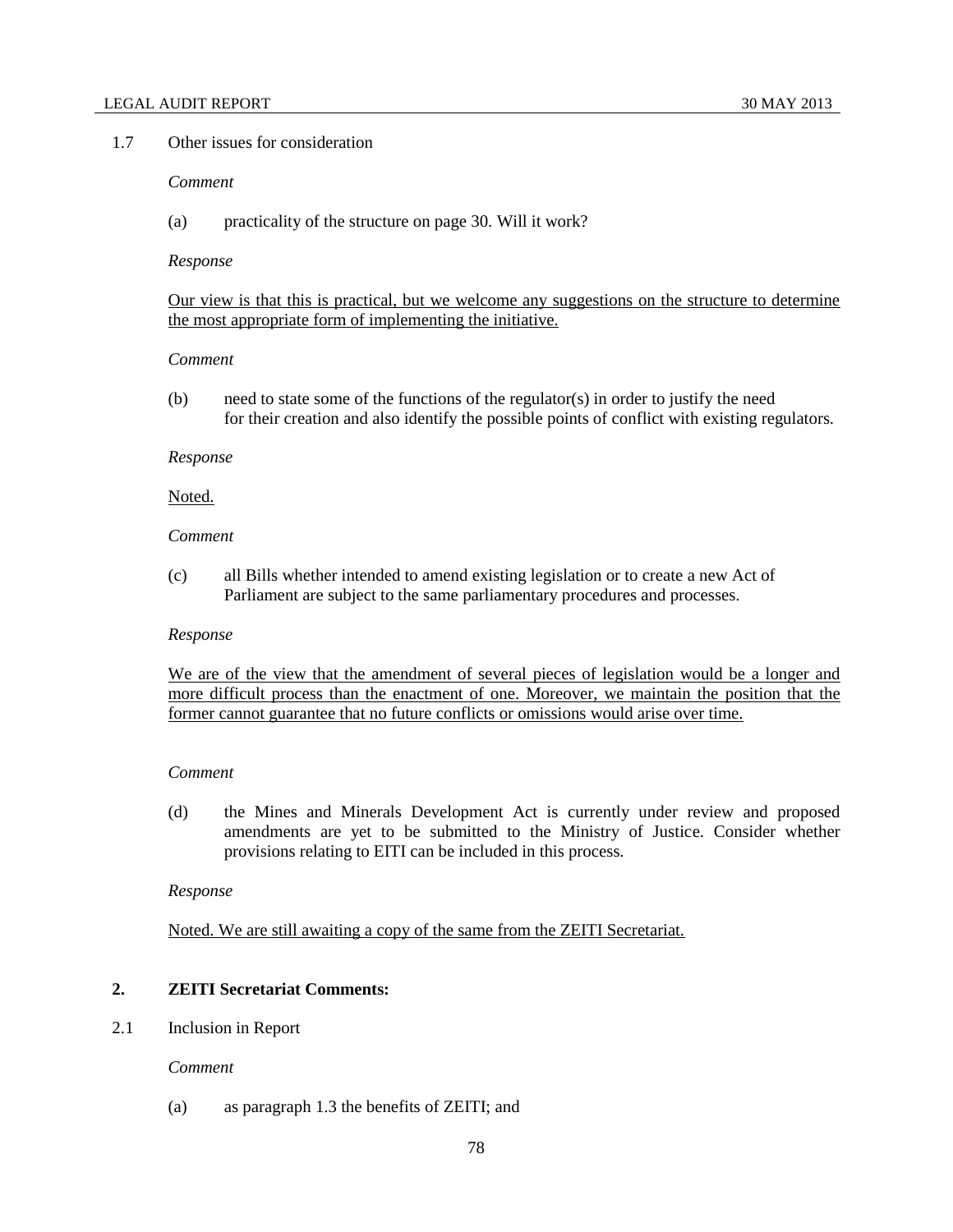## 1.7 Other issues for consideration

# *Comment*

(a) practicality of the structure on page 30. Will it work?

#### *Response*

Our view is that this is practical, but we welcome any suggestions on the structure to determine the most appropriate form of implementing the initiative.

### *Comment*

 $(b)$  need to state some of the functions of the regulator(s) in order to justify the need for their creation and also identify the possible points of conflict with existing regulators.

#### *Response*

### Noted.

# *Comment*

(c) all Bills whether intended to amend existing legislation or to create a new Act of Parliament are subject to the same parliamentary procedures and processes.

#### *Response*

We are of the view that the amendment of several pieces of legislation would be a longer and more difficult process than the enactment of one. Moreover, we maintain the position that the former cannot guarantee that no future conflicts or omissions would arise over time.

### *Comment*

(d) the Mines and Minerals Development Act is currently under review and proposed amendments are yet to be submitted to the Ministry of Justice. Consider whether provisions relating to EITI can be included in this process.

#### *Response*

Noted. We are still awaiting a copy of the same from the ZEITI Secretariat.

### **2. ZEITI Secretariat Comments:**

2.1 Inclusion in Report

## *Comment*

(a) as paragraph 1.3 the benefits of ZEITI; and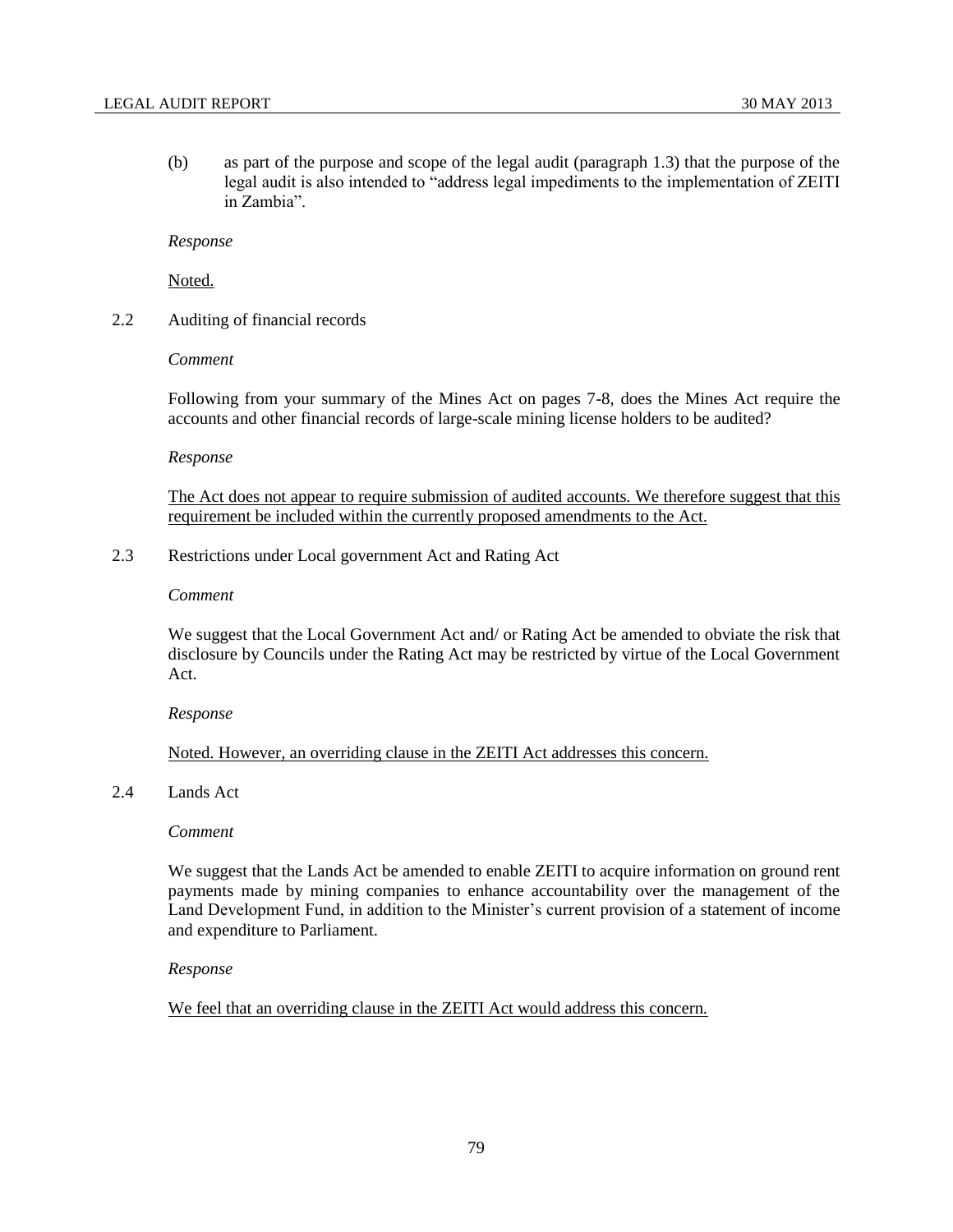(b) as part of the purpose and scope of the legal audit (paragraph 1.3) that the purpose of the legal audit is also intended to "address legal impediments to the implementation of ZEITI in Zambia".

*Response*

Noted.

2.2 Auditing of financial records

### *Comment*

Following from your summary of the Mines Act on pages 7-8, does the Mines Act require the accounts and other financial records of large-scale mining license holders to be audited?

#### *Response*

The Act does not appear to require submission of audited accounts. We therefore suggest that this requirement be included within the currently proposed amendments to the Act.

2.3 Restrictions under Local government Act and Rating Act

#### *Comment*

We suggest that the Local Government Act and/ or Rating Act be amended to obviate the risk that disclosure by Councils under the Rating Act may be restricted by virtue of the Local Government Act.

#### *Response*

## Noted. However, an overriding clause in the ZEITI Act addresses this concern.

### 2.4 Lands Act

### *Comment*

We suggest that the Lands Act be amended to enable ZEITI to acquire information on ground rent payments made by mining companies to enhance accountability over the management of the Land Development Fund, in addition to the Minister's current provision of a statement of income and expenditure to Parliament.

#### *Response*

We feel that an overriding clause in the ZEITI Act would address this concern.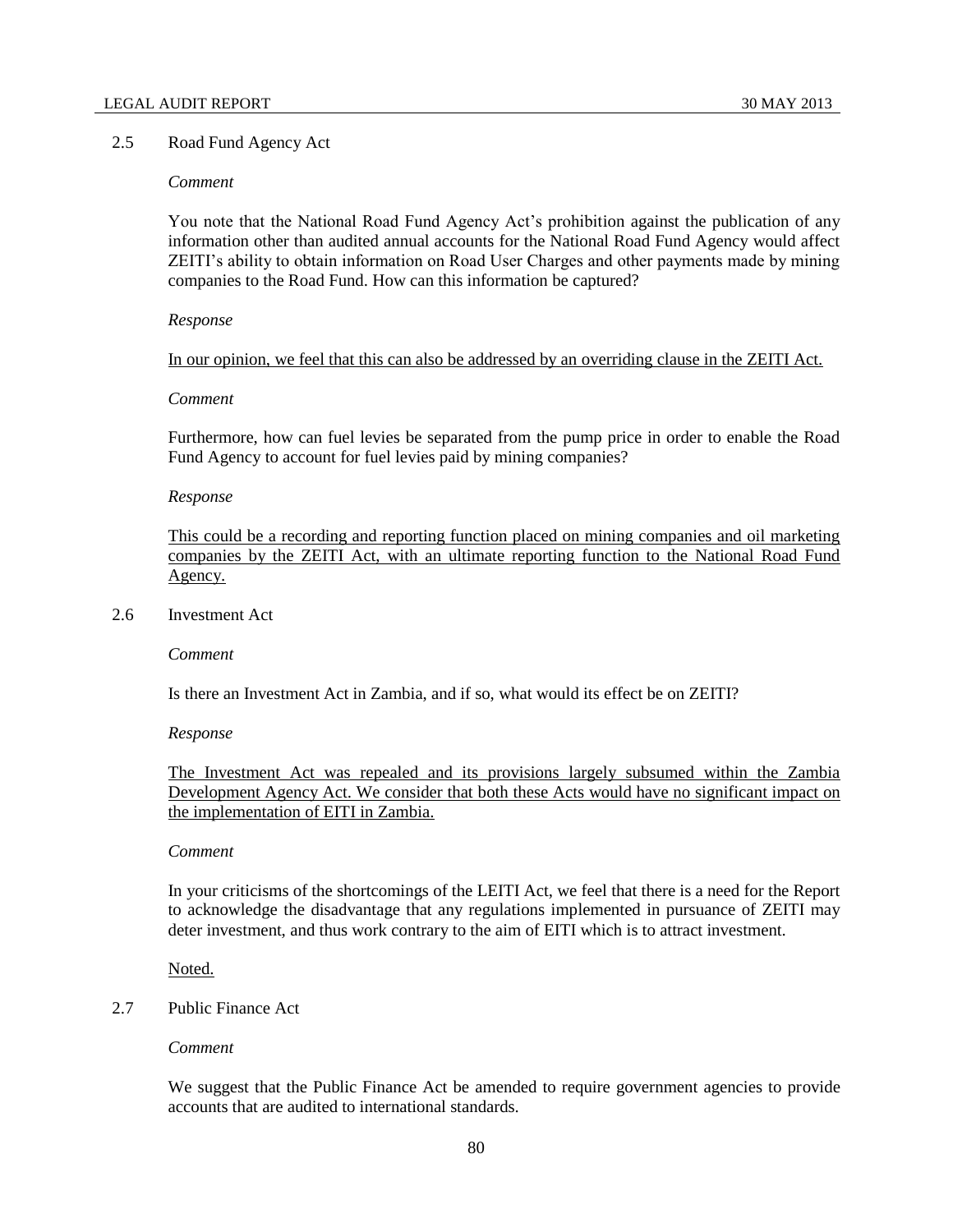# 2.5 Road Fund Agency Act

# *Comment*

You note that the National Road Fund Agency Act's prohibition against the publication of any information other than audited annual accounts for the National Road Fund Agency would affect ZEITI's ability to obtain information on Road User Charges and other payments made by mining companies to the Road Fund. How can this information be captured?

### *Response*

In our opinion, we feel that this can also be addressed by an overriding clause in the ZEITI Act.

### *Comment*

Furthermore, how can fuel levies be separated from the pump price in order to enable the Road Fund Agency to account for fuel levies paid by mining companies?

### *Response*

This could be a recording and reporting function placed on mining companies and oil marketing companies by the ZEITI Act, with an ultimate reporting function to the National Road Fund Agency.

## 2.6 Investment Act

*Comment*

Is there an Investment Act in Zambia, and if so, what would its effect be on ZEITI?

#### *Response*

The Investment Act was repealed and its provisions largely subsumed within the Zambia Development Agency Act. We consider that both these Acts would have no significant impact on the implementation of EITI in Zambia.

### *Comment*

In your criticisms of the shortcomings of the LEITI Act, we feel that there is a need for the Report to acknowledge the disadvantage that any regulations implemented in pursuance of ZEITI may deter investment, and thus work contrary to the aim of EITI which is to attract investment.

Noted.

# 2.7 Public Finance Act

## *Comment*

We suggest that the Public Finance Act be amended to require government agencies to provide accounts that are audited to international standards.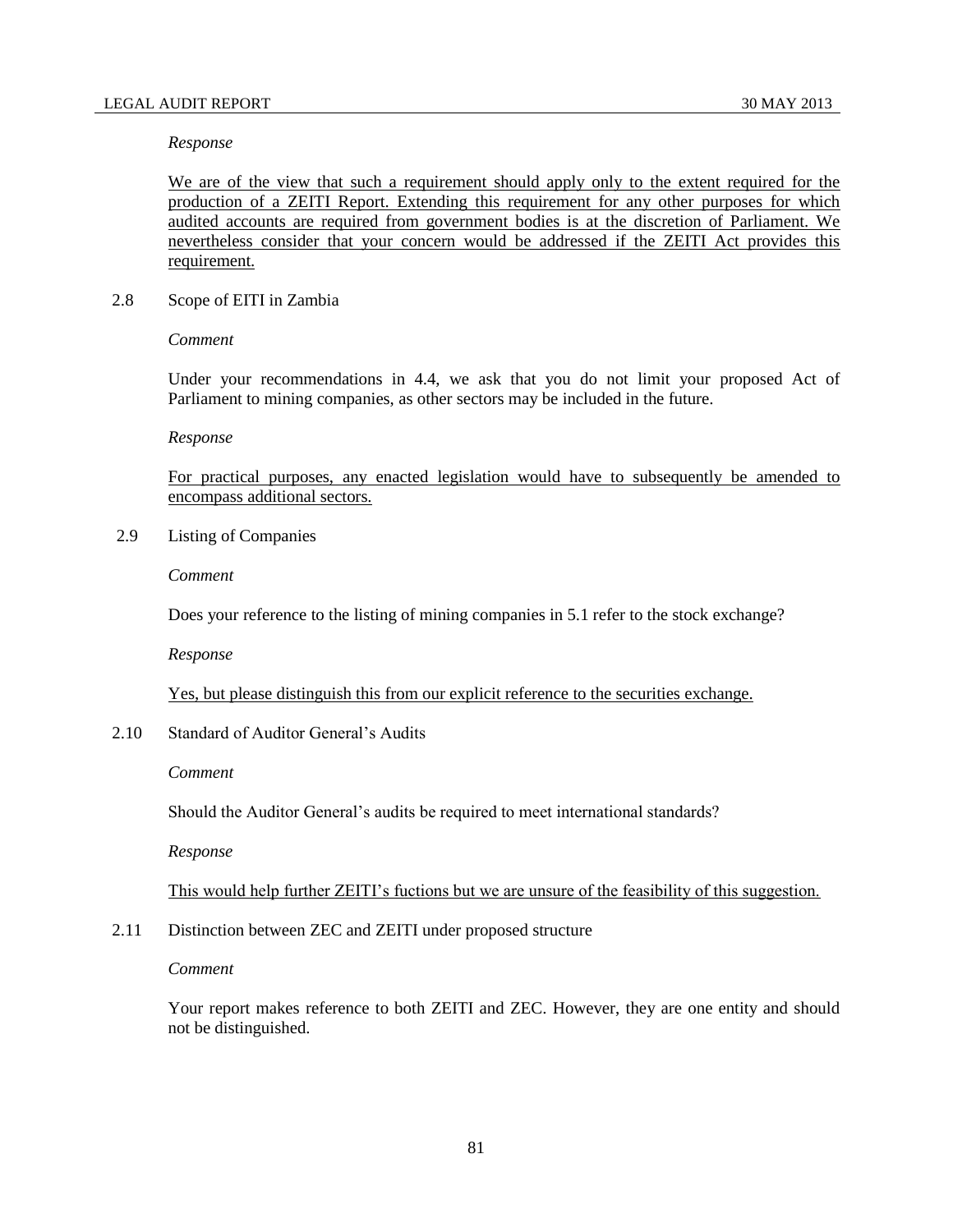### *Response*

We are of the view that such a requirement should apply only to the extent required for the production of a ZEITI Report. Extending this requirement for any other purposes for which audited accounts are required from government bodies is at the discretion of Parliament. We nevertheless consider that your concern would be addressed if the ZEITI Act provides this requirement.

2.8 Scope of EITI in Zambia

*Comment*

Under your recommendations in 4.4, we ask that you do not limit your proposed Act of Parliament to mining companies, as other sectors may be included in the future.

*Response*

For practical purposes, any enacted legislation would have to subsequently be amended to encompass additional sectors.

2.9 Listing of Companies

*Comment*

Does your reference to the listing of mining companies in 5.1 refer to the stock exchange?

*Response*

Yes, but please distinguish this from our explicit reference to the securities exchange.

2.10 Standard of Auditor General's Audits

*Comment*

Should the Auditor General's audits be required to meet international standards?

*Response*

This would help further ZEITI's fuctions but we are unsure of the feasibility of this suggestion.

2.11 Distinction between ZEC and ZEITI under proposed structure

*Comment*

Your report makes reference to both ZEITI and ZEC. However, they are one entity and should not be distinguished.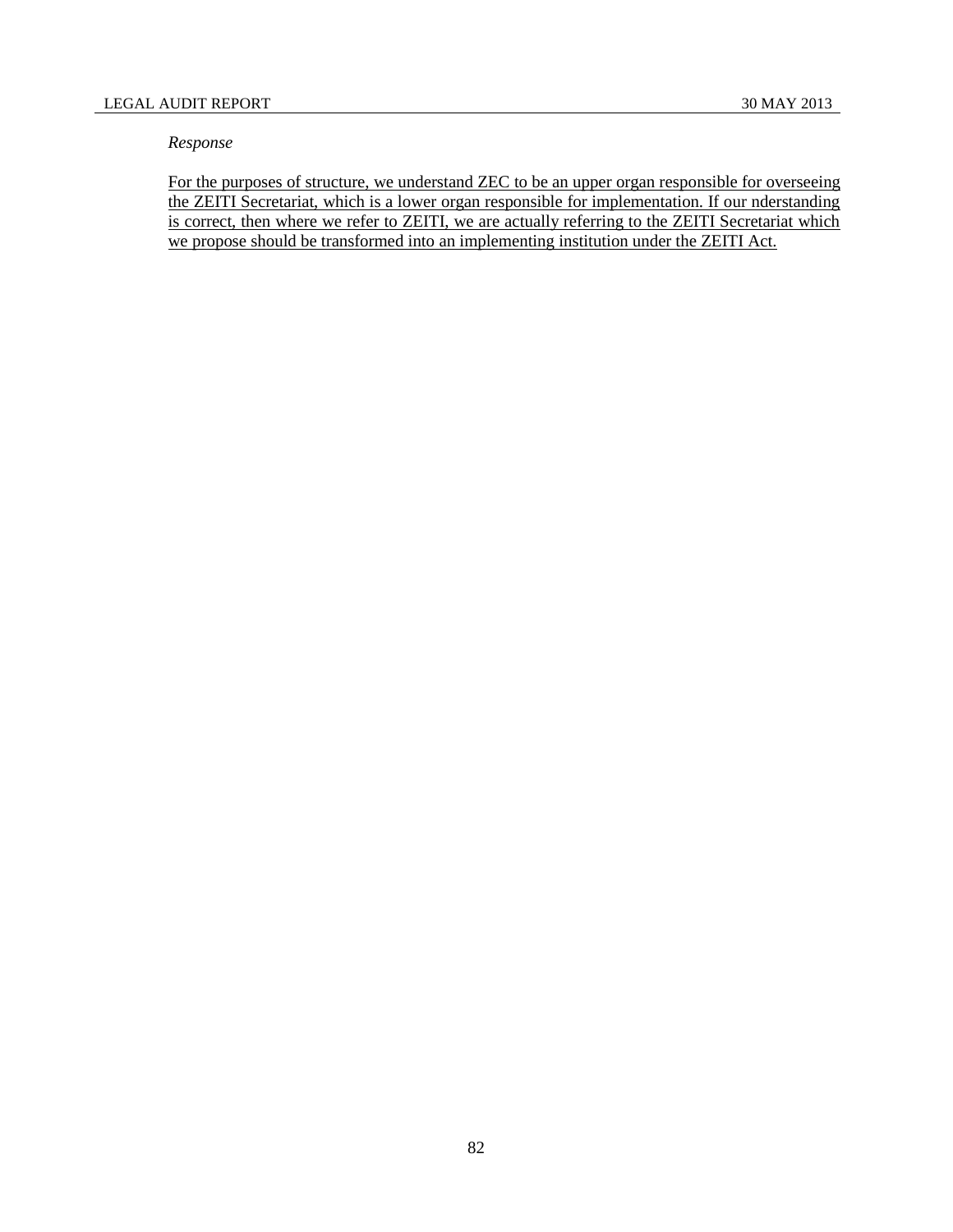## *Response*

For the purposes of structure, we understand ZEC to be an upper organ responsible for overseeing the ZEITI Secretariat, which is a lower organ responsible for implementation. If our nderstanding is correct, then where we refer to ZEITI, we are actually referring to the ZEITI Secretariat which we propose should be transformed into an implementing institution under the ZEITI Act.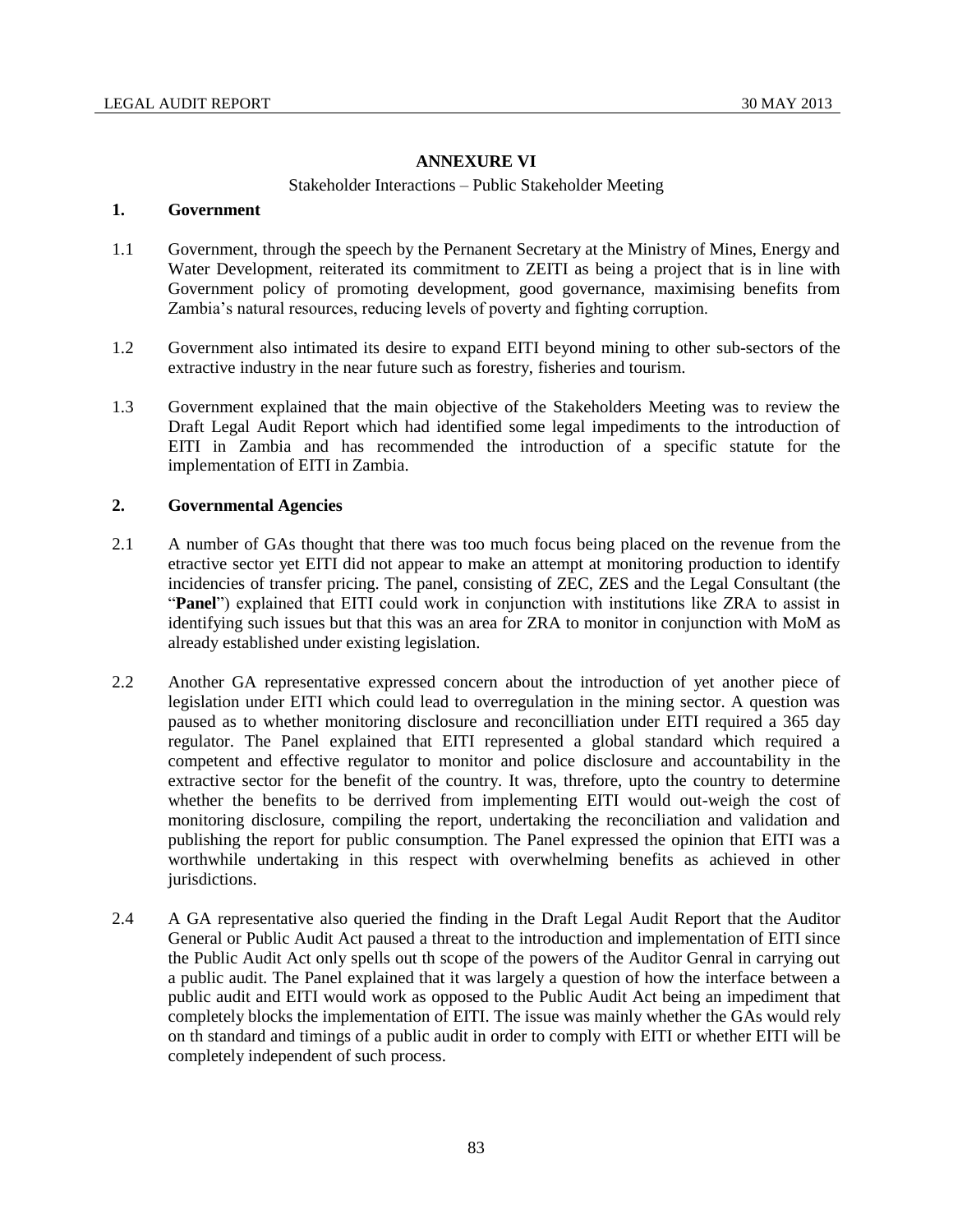# **ANNEXURE VI**

### Stakeholder Interactions – Public Stakeholder Meeting

### **1. Government**

- 1.1 Government, through the speech by the Pernanent Secretary at the Ministry of Mines, Energy and Water Development, reiterated its commitment to ZEITI as being a project that is in line with Government policy of promoting development, good governance, maximising benefits from Zambia's natural resources, reducing levels of poverty and fighting corruption.
- 1.2 Government also intimated its desire to expand EITI beyond mining to other sub-sectors of the extractive industry in the near future such as forestry, fisheries and tourism.
- 1.3 Government explained that the main objective of the Stakeholders Meeting was to review the Draft Legal Audit Report which had identified some legal impediments to the introduction of EITI in Zambia and has recommended the introduction of a specific statute for the implementation of EITI in Zambia.

# **2. Governmental Agencies**

- 2.1 A number of GAs thought that there was too much focus being placed on the revenue from the etractive sector yet EITI did not appear to make an attempt at monitoring production to identify incidencies of transfer pricing. The panel, consisting of ZEC, ZES and the Legal Consultant (the "**Panel**") explained that EITI could work in conjunction with institutions like ZRA to assist in identifying such issues but that this was an area for ZRA to monitor in conjunction with MoM as already established under existing legislation.
- 2.2 Another GA representative expressed concern about the introduction of yet another piece of legislation under EITI which could lead to overregulation in the mining sector. A question was paused as to whether monitoring disclosure and reconcilliation under EITI required a 365 day regulator. The Panel explained that EITI represented a global standard which required a competent and effective regulator to monitor and police disclosure and accountability in the extractive sector for the benefit of the country. It was, threfore, upto the country to determine whether the benefits to be derrived from implementing EITI would out-weigh the cost of monitoring disclosure, compiling the report, undertaking the reconciliation and validation and publishing the report for public consumption. The Panel expressed the opinion that EITI was a worthwhile undertaking in this respect with overwhelming benefits as achieved in other jurisdictions.
- 2.4 A GA representative also queried the finding in the Draft Legal Audit Report that the Auditor General or Public Audit Act paused a threat to the introduction and implementation of EITI since the Public Audit Act only spells out th scope of the powers of the Auditor Genral in carrying out a public audit. The Panel explained that it was largely a question of how the interface between a public audit and EITI would work as opposed to the Public Audit Act being an impediment that completely blocks the implementation of EITI. The issue was mainly whether the GAs would rely on th standard and timings of a public audit in order to comply with EITI or whether EITI will be completely independent of such process.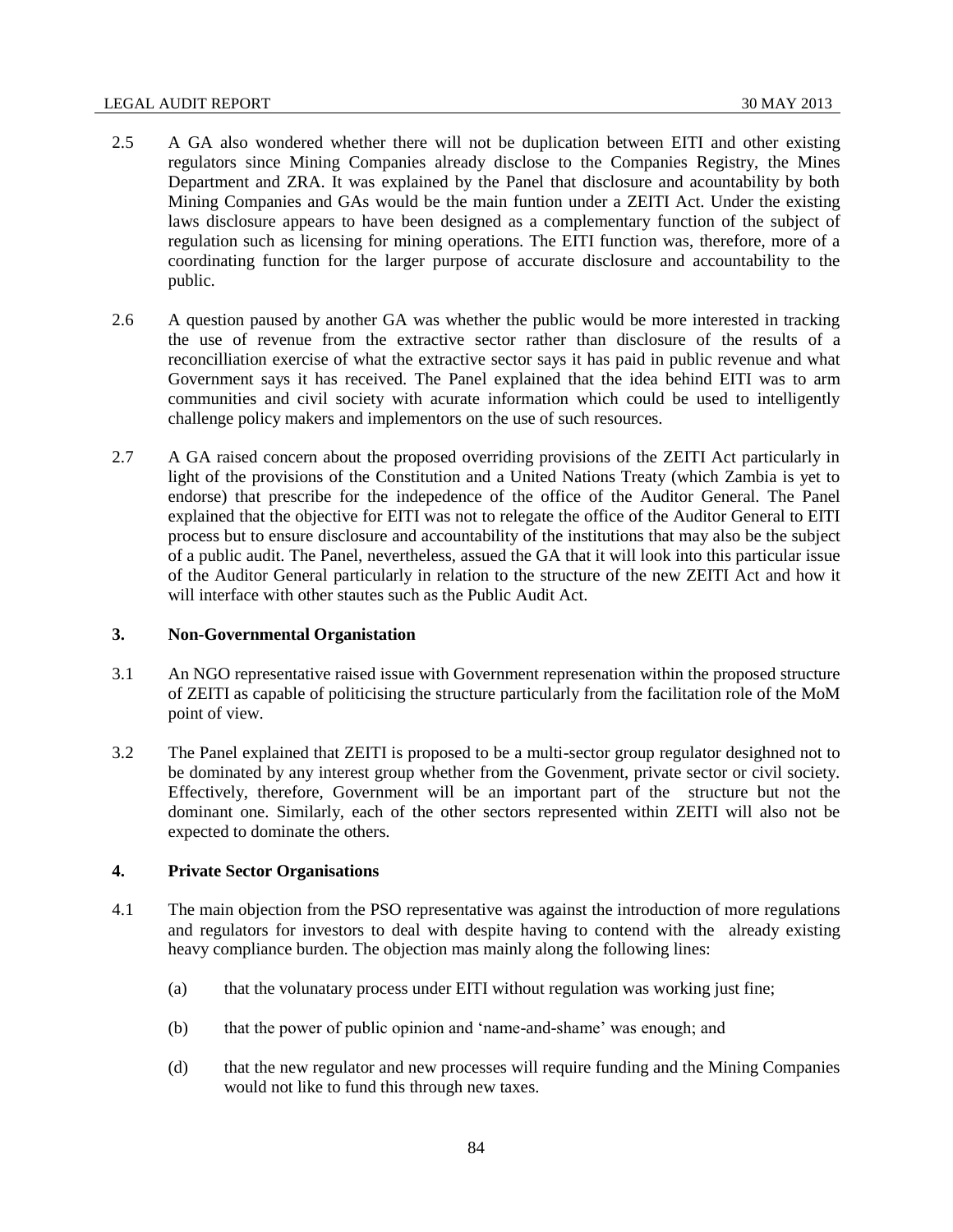### LEGAL AUDIT REPORT 30 MAY 2013

- 2.5 A GA also wondered whether there will not be duplication between EITI and other existing regulators since Mining Companies already disclose to the Companies Registry, the Mines Department and ZRA. It was explained by the Panel that disclosure and acountability by both Mining Companies and GAs would be the main funtion under a ZEITI Act. Under the existing laws disclosure appears to have been designed as a complementary function of the subject of regulation such as licensing for mining operations. The EITI function was, therefore, more of a coordinating function for the larger purpose of accurate disclosure and accountability to the public.
- 2.6 A question paused by another GA was whether the public would be more interested in tracking the use of revenue from the extractive sector rather than disclosure of the results of a reconcilliation exercise of what the extractive sector says it has paid in public revenue and what Government says it has received. The Panel explained that the idea behind EITI was to arm communities and civil society with acurate information which could be used to intelligently challenge policy makers and implementors on the use of such resources.
- 2.7 A GA raised concern about the proposed overriding provisions of the ZEITI Act particularly in light of the provisions of the Constitution and a United Nations Treaty (which Zambia is yet to endorse) that prescribe for the indepedence of the office of the Auditor General. The Panel explained that the objective for EITI was not to relegate the office of the Auditor General to EITI process but to ensure disclosure and accountability of the institutions that may also be the subject of a public audit. The Panel, nevertheless, assued the GA that it will look into this particular issue of the Auditor General particularly in relation to the structure of the new ZEITI Act and how it will interface with other stautes such as the Public Audit Act.

## **3. Non-Governmental Organistation**

- 3.1 An NGO representative raised issue with Government represenation within the proposed structure of ZEITI as capable of politicising the structure particularly from the facilitation role of the MoM point of view.
- 3.2 The Panel explained that ZEITI is proposed to be a multi-sector group regulator desighned not to be dominated by any interest group whether from the Govenment, private sector or civil society. Effectively, therefore, Government will be an important part of the structure but not the dominant one. Similarly, each of the other sectors represented within ZEITI will also not be expected to dominate the others.

# **4. Private Sector Organisations**

- 4.1 The main objection from the PSO representative was against the introduction of more regulations and regulators for investors to deal with despite having to contend with the already existing heavy compliance burden. The objection mas mainly along the following lines:
	- (a) that the volunatary process under EITI without regulation was working just fine;
	- (b) that the power of public opinion and 'name-and-shame' was enough; and
	- (d) that the new regulator and new processes will require funding and the Mining Companies would not like to fund this through new taxes.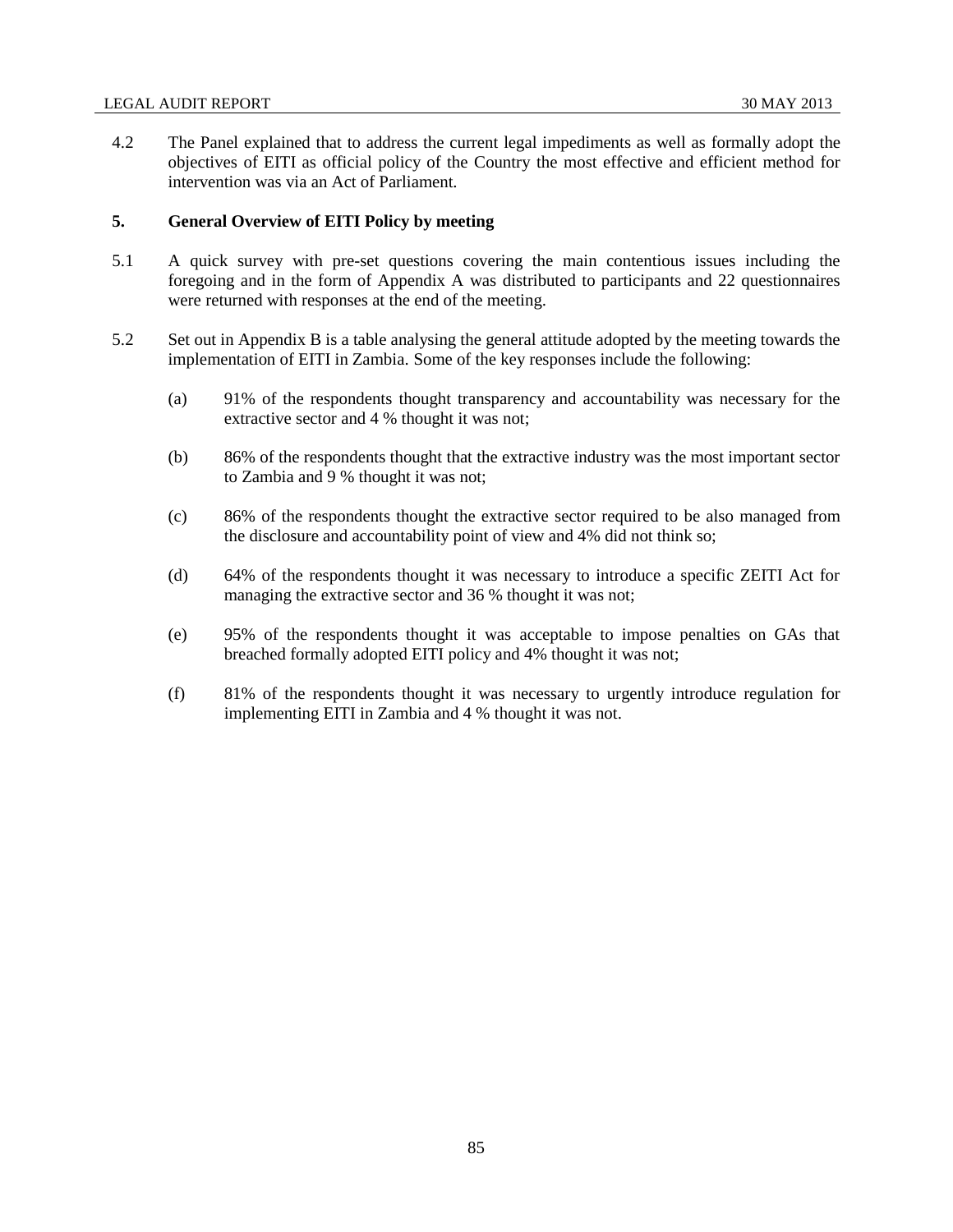4.2 The Panel explained that to address the current legal impediments as well as formally adopt the objectives of EITI as official policy of the Country the most effective and efficient method for intervention was via an Act of Parliament.

## **5. General Overview of EITI Policy by meeting**

- 5.1 A quick survey with pre-set questions covering the main contentious issues including the foregoing and in the form of Appendix A was distributed to participants and 22 questionnaires were returned with responses at the end of the meeting.
- 5.2 Set out in Appendix B is a table analysing the general attitude adopted by the meeting towards the implementation of EITI in Zambia. Some of the key responses include the following:
	- (a) 91% of the respondents thought transparency and accountability was necessary for the extractive sector and 4 % thought it was not;
	- (b) 86% of the respondents thought that the extractive industry was the most important sector to Zambia and 9 % thought it was not;
	- (c) 86% of the respondents thought the extractive sector required to be also managed from the disclosure and accountability point of view and 4% did not think so;
	- (d) 64% of the respondents thought it was necessary to introduce a specific ZEITI Act for managing the extractive sector and 36 % thought it was not;
	- (e) 95% of the respondents thought it was acceptable to impose penalties on GAs that breached formally adopted EITI policy and 4% thought it was not;
	- (f) 81% of the respondents thought it was necessary to urgently introduce regulation for implementing EITI in Zambia and 4 % thought it was not.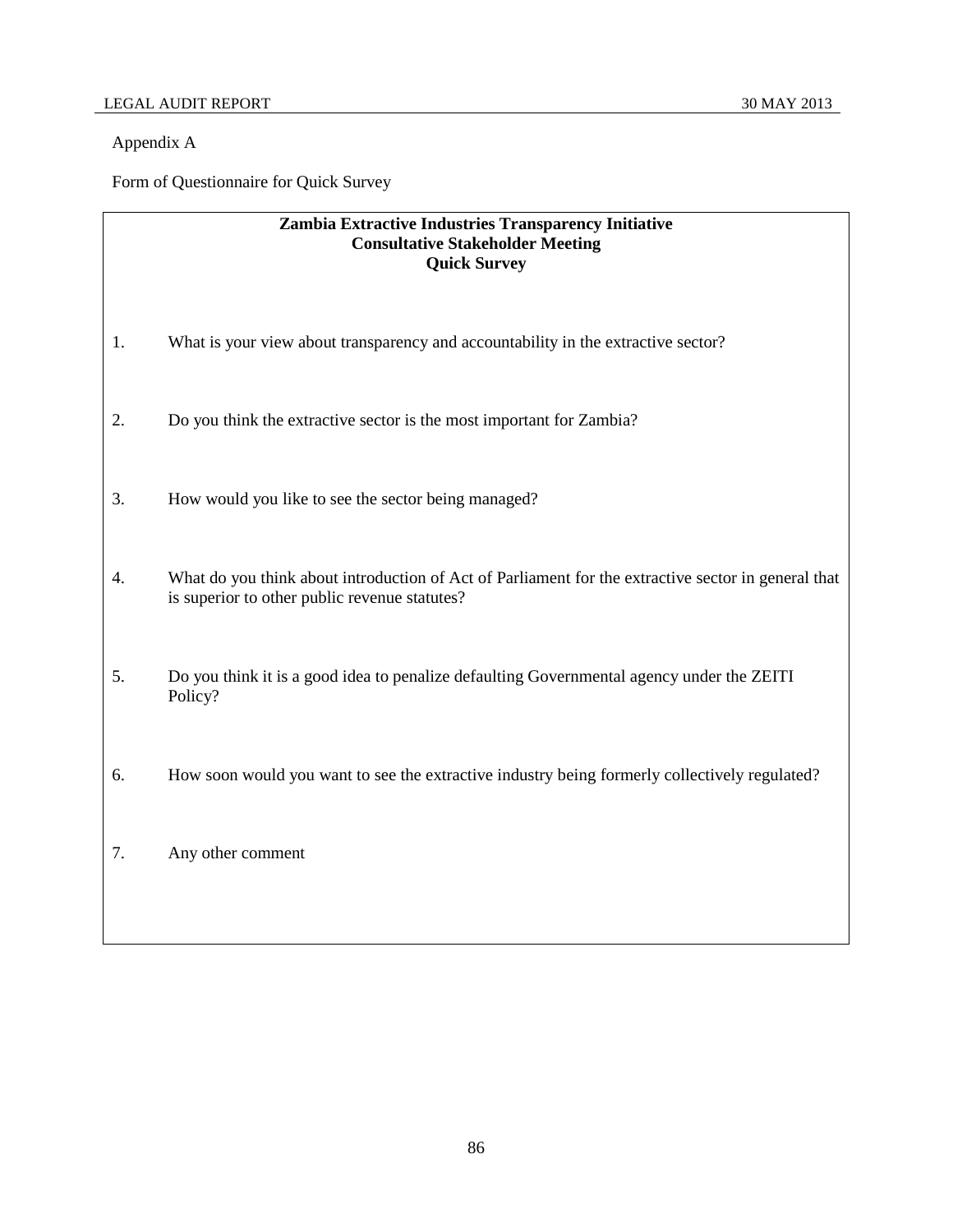# Appendix A

Form of Questionnaire for Quick Survey

# **Zambia Extractive Industries Transparency Initiative Consultative Stakeholder Meeting Quick Survey**

- 1. What is your view about transparency and accountability in the extractive sector?
- 2. Do you think the extractive sector is the most important for Zambia?
- 3. How would you like to see the sector being managed?
- 4. What do you think about introduction of Act of Parliament for the extractive sector in general that is superior to other public revenue statutes?
- 5. Do you think it is a good idea to penalize defaulting Governmental agency under the ZEITI Policy?
- 6. How soon would you want to see the extractive industry being formerly collectively regulated?
- 7. Any other comment